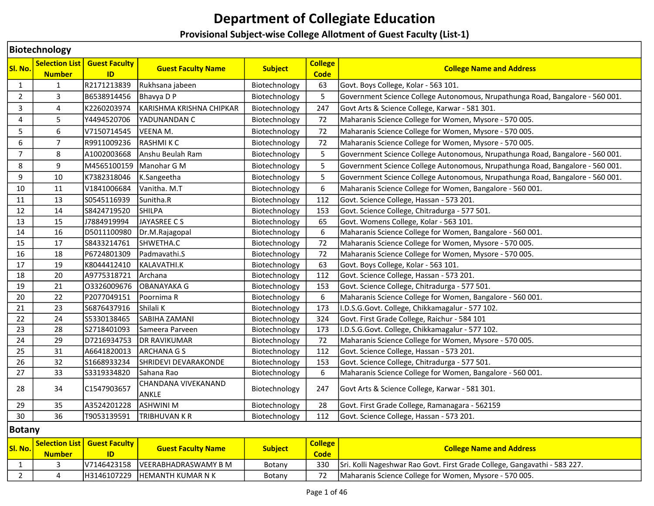# Department of Collegiate Education

## Provisional Subject-wise College Allotment of Guest Faculty (List-1)

|                | <b>Biotechnology</b>                   |                            |                              |                |                               |                                                                               |  |  |  |  |
|----------------|----------------------------------------|----------------------------|------------------------------|----------------|-------------------------------|-------------------------------------------------------------------------------|--|--|--|--|
| SI. No.        | <b>Selection List</b><br><b>Number</b> | <b>Guest Faculty</b><br>ID | <b>Guest Faculty Name</b>    | <b>Subject</b> | <b>College</b><br><b>Code</b> | <b>College Name and Address</b>                                               |  |  |  |  |
| $\mathbf{1}$   | $\mathbf{1}$                           | R2171213839                | Rukhsana jabeen              | Biotechnology  | 63                            | Govt. Boys College, Kolar - 563 101.                                          |  |  |  |  |
| $\overline{2}$ | 3                                      | B6538914456                | Bhavya D P                   | Biotechnology  | 5                             | Government Science College Autonomous, Nrupathunga Road, Bangalore - 560 001. |  |  |  |  |
| 3              | $\overline{4}$                         | K2260203974                | KARISHMA KRISHNA CHIPKAR     | Biotechnology  | 247                           | Govt Arts & Science College, Karwar - 581 301.                                |  |  |  |  |
| 4              | 5                                      | Y4494520706                | YADUNANDAN C                 | Biotechnology  | 72                            | Maharanis Science College for Women, Mysore - 570 005.                        |  |  |  |  |
| 5              | 6                                      | V7150714545                | VEENA M.                     | Biotechnology  | 72                            | Maharanis Science College for Women, Mysore - 570 005.                        |  |  |  |  |
| 6              | $\overline{7}$                         | R9911009236                | <b>RASHMIKC</b>              | Biotechnology  | 72                            | Maharanis Science College for Women, Mysore - 570 005.                        |  |  |  |  |
| $\overline{7}$ | 8                                      | A1002003668                | Anshu Beulah Ram             | Biotechnology  | 5                             | Government Science College Autonomous, Nrupathunga Road, Bangalore - 560 001. |  |  |  |  |
| 8              | 9                                      | M4565100159                | Manohar G M                  | Biotechnology  | 5                             | Government Science College Autonomous, Nrupathunga Road, Bangalore - 560 001. |  |  |  |  |
| 9              | 10                                     | K7382318046                | K.Sangeetha                  | Biotechnology  | 5                             | Government Science College Autonomous, Nrupathunga Road, Bangalore - 560 001. |  |  |  |  |
| 10             | 11                                     | V1841006684                | Vanitha. M.T                 | Biotechnology  | 6                             | Maharanis Science College for Women, Bangalore - 560 001.                     |  |  |  |  |
| 11             | 13                                     | S0545116939                | Sunitha.R                    | Biotechnology  | 112                           | Govt. Science College, Hassan - 573 201.                                      |  |  |  |  |
| 12             | 14                                     | S8424719520                | <b>SHILPA</b>                | Biotechnology  | 153                           | Govt. Science College, Chitradurga - 577 501.                                 |  |  |  |  |
| 13             | 15                                     | J7884919994                | JAYASREE CS                  | Biotechnology  | 65                            | Govt. Womens College, Kolar - 563 101.                                        |  |  |  |  |
| 14             | 16                                     | D5011100980                | Dr.M.Rajagopal               | Biotechnology  | 6                             | Maharanis Science College for Women, Bangalore - 560 001.                     |  |  |  |  |
| 15             | 17                                     | S8433214761                | SHWETHA.C                    | Biotechnology  | 72                            | Maharanis Science College for Women, Mysore - 570 005.                        |  |  |  |  |
| 16             | 18                                     | P6724801309                | Padmavathi.S                 | Biotechnology  | 72                            | Maharanis Science College for Women, Mysore - 570 005.                        |  |  |  |  |
| 17             | 19                                     | K8044412410                | KALAVATHI.K                  | Biotechnology  | 63                            | Govt. Boys College, Kolar - 563 101.                                          |  |  |  |  |
| 18             | 20                                     | A9775318721                | Archana                      | Biotechnology  | 112                           | Govt. Science College, Hassan - 573 201.                                      |  |  |  |  |
| 19             | 21                                     | 03326009676                | OBANAYAKA G                  | Biotechnology  | 153                           | Govt. Science College, Chitradurga - 577 501.                                 |  |  |  |  |
| 20             | 22                                     | P2077049151                | Poornima R                   | Biotechnology  | 6                             | Maharanis Science College for Women, Bangalore - 560 001.                     |  |  |  |  |
| 21             | 23                                     | S6876437916                | Shilali K                    | Biotechnology  | 173                           | I.D.S.G.Govt. College, Chikkamagalur - 577 102.                               |  |  |  |  |
| 22             | 24                                     | S5330138465                | <b>SABIHA ZAMANI</b>         | Biotechnology  | 324                           | Govt. First Grade College, Raichur - 584 101                                  |  |  |  |  |
| 23             | 28                                     | S2718401093                | Sameera Parveen              | Biotechnology  | 173                           | I.D.S.G.Govt. College, Chikkamagalur - 577 102.                               |  |  |  |  |
| 24             | 29                                     | D7216934753                | <b>DR RAVIKUMAR</b>          | Biotechnology  | 72                            | Maharanis Science College for Women, Mysore - 570 005.                        |  |  |  |  |
| 25             | 31                                     | A6641820013                | <b>ARCHANA G S</b>           | Biotechnology  | 112                           | Govt. Science College, Hassan - 573 201.                                      |  |  |  |  |
| 26             | 32                                     | S1668933234                | SHRIDEVI DEVARAKONDE         | Biotechnology  | 153                           | Govt. Science College, Chitradurga - 577 501.                                 |  |  |  |  |
| 27             | 33                                     | \$3319334820               | Sahana Rao                   | Biotechnology  | 6                             | Maharanis Science College for Women, Bangalore - 560 001.                     |  |  |  |  |
| 28             | 34                                     | C1547903657                | CHANDANA VIVEKANAND<br>ANKLE | Biotechnology  | 247                           | Govt Arts & Science College, Karwar - 581 301.                                |  |  |  |  |
| 29             | 35                                     | A3524201228                | <b>ASHWINI M</b>             | Biotechnology  | 28                            | Govt. First Grade College, Ramanagara - 562159                                |  |  |  |  |
| 30             | 36                                     | T9053139591                | <b>TRIBHUVAN K R</b>         | Biotechnology  | 112                           | Govt. Science College, Hassan - 573 201.                                      |  |  |  |  |
| Botany         |                                        |                            |                              |                |                               |                                                                               |  |  |  |  |

| Sl. No. | <b>Number</b> | Selection List   Guest Faculty | <b>Guest Faculty Name</b>        | <b>Subject</b> | <b>College</b><br><b>Code</b> | <b>College Name and Address</b>                                           |
|---------|---------------|--------------------------------|----------------------------------|----------------|-------------------------------|---------------------------------------------------------------------------|
|         |               |                                | V7146423158 VEERABHADRASWAMY B M | Botany         | 330                           | Sri. Kolli Nageshwar Rao Govt. First Grade College, Gangavathi - 583 227. |
|         |               |                                | H3146107229 HEMANTH KUMAR N K    | Botany         |                               | Maharanis Science College for Women, Mysore - 570 005.                    |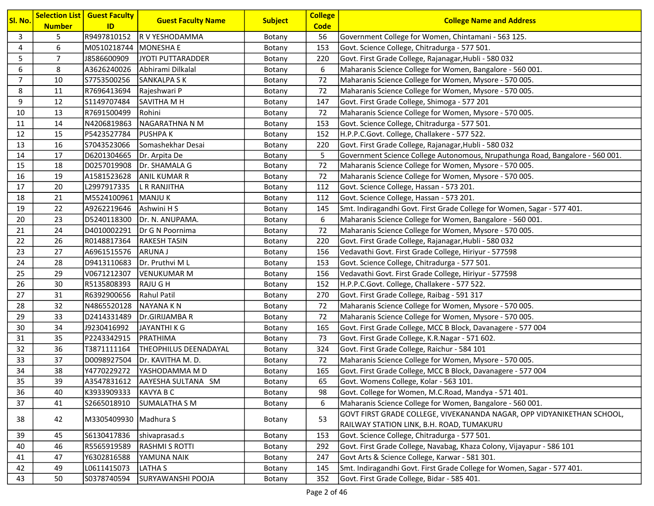| Sl. No.          | <b>Number</b>  | <b>Selection List   Guest Faculty</b><br>ID | <b>Guest Faculty Name</b>      | <b>Subject</b> | <b>College</b><br><b>Code</b> | <b>College Name and Address</b>                                               |
|------------------|----------------|---------------------------------------------|--------------------------------|----------------|-------------------------------|-------------------------------------------------------------------------------|
| 3                | 5              | R9497810152                                 | R V YESHODAMMA                 | Botany         | 56                            | Government College for Women, Chintamani - 563 125.                           |
| $\overline{4}$   | 6              | M0510218744 MONESHA E                       |                                | Botany         | 153                           | Govt. Science College, Chitradurga - 577 501.                                 |
| 5                | $\overline{7}$ | J8586600909                                 | JYOTI PUTTARADDER              | Botany         | 220                           | Govt. First Grade College, Rajanagar, Hubli - 580 032                         |
| $\boldsymbol{6}$ | 8              | A3626240026                                 | Abhirami Dilkalal              | Botany         | 6                             | Maharanis Science College for Women, Bangalore - 560 001.                     |
| $\overline{7}$   | 10             | S7753500256                                 | <b>SANKALPA S K</b>            | Botany         | 72                            | Maharanis Science College for Women, Mysore - 570 005.                        |
| 8                | 11             | R7696413694                                 | Rajeshwari P                   | Botany         | 72                            | Maharanis Science College for Women, Mysore - 570 005.                        |
| 9                | 12             | S1149707484                                 | SAVITHA M H                    | Botany         | 147                           | Govt. First Grade College, Shimoga - 577 201                                  |
| 10               | 13             | R7691500499                                 | Rohini                         | Botany         | 72                            | Maharanis Science College for Women, Mysore - 570 005.                        |
| 11               | 14             | N4206819863                                 | NAGARATHNA N M                 | Botany         | 153                           | Govt. Science College, Chitradurga - 577 501.                                 |
| 12               | 15             | P5423527784                                 | <b>PUSHPAK</b>                 | Botany         | 152                           | H.P.P.C.Govt. College, Challakere - 577 522.                                  |
| 13               | 16             | S7043523066                                 | Somashekhar Desai              | Botany         | 220                           | Govt. First Grade College, Rajanagar, Hubli - 580 032                         |
| 14               | 17             | D6201304665                                 | Dr. Arpita De                  | Botany         | 5                             | Government Science College Autonomous, Nrupathunga Road, Bangalore - 560 001. |
| 15               | 18             | D0257019908                                 | Dr. SHAMALA G                  | Botany         | 72                            | Maharanis Science College for Women, Mysore - 570 005.                        |
| 16               | 19             | A1581523628                                 | <b>ANIL KUMAR R</b>            | Botany         | 72                            | Maharanis Science College for Women, Mysore - 570 005.                        |
| 17               | 20             | L2997917335                                 | L R RANJITHA                   | Botany         | 112                           | Govt. Science College, Hassan - 573 201.                                      |
| 18               | 21             | M5524100961                                 | <b>MANJUK</b>                  | Botany         | 112                           | Govt. Science College, Hassan - 573 201.                                      |
| 19               | 22             | A9262219646                                 | Ashwini H S                    | Botany         | 145                           | Smt. Indiragandhi Govt. First Grade College for Women, Sagar - 577 401.       |
| 20               | 23             | D5240118300                                 | Dr. N. ANUPAMA.                | Botany         | 6                             | Maharanis Science College for Women, Bangalore - 560 001.                     |
| 21               | 24             | D4010002291                                 | Dr G N Poornima                | Botany         | 72                            | Maharanis Science College for Women, Mysore - 570 005.                        |
| 22               | 26             | R0148817364                                 | <b>RAKESH TASIN</b>            | Botany         | 220                           | Govt. First Grade College, Rajanagar, Hubli - 580 032                         |
| 23               | 27             | A6961515576                                 | <b>ARUNAJ</b>                  | Botany         | 156                           | Vedavathi Govt. First Grade College, Hiriyur - 577598                         |
| 24               | 28             | D9413110683                                 | Dr. Pruthvi ML                 | Botany         | 153                           | Govt. Science College, Chitradurga - 577 501.                                 |
| 25               | 29             | V0671212307                                 | VENUKUMAR M                    | Botany         | 156                           | Vedavathi Govt. First Grade College, Hiriyur - 577598                         |
| 26               | 30             | R5135808393                                 | RAJU G H                       | Botany         | 152                           | H.P.P.C.Govt. College, Challakere - 577 522.                                  |
| 27               | 31             | R6392900656                                 | Rahul Patil                    | Botany         | 270                           | Govt. First Grade College, Raibag - 591 317                                   |
| 28               | 32             | N4865520128                                 | NAYANA K N                     | Botany         | 72                            | Maharanis Science College for Women, Mysore - 570 005.                        |
| 29               | 33             | D2414331489                                 | Dr.GIRIJAMBA R                 | Botany         | 72                            | Maharanis Science College for Women, Mysore - 570 005.                        |
| 30               | 34             | J9230416992                                 | <b>JAYANTHIKG</b>              | Botany         | 165                           | Govt. First Grade College, MCC B Block, Davanagere - 577 004                  |
| 31               | 35             | P2243342915                                 | <b>PRATHIMA</b>                | Botany         | 73                            | Govt. First Grade College, K.R.Nagar - 571 602.                               |
| 32               | 36             | T3871111164                                 | <b>THEOPHILUS DEENADAYAL</b>   | Botany         | 324                           | Govt. First Grade College, Raichur - 584 101                                  |
| 33               | 37             | D0098927504                                 | Dr. KAVITHA M. D.              | Botany         | 72                            | Maharanis Science College for Women, Mysore - 570 005.                        |
| 34               | 38             | Y4770229272                                 | YASHODAMMA M D                 | Botany         | 165                           | Govt. First Grade College, MCC B Block, Davanagere - 577 004                  |
| 35               | 39             |                                             | A3547831612 AAYESHA SULTANA SM | Botany         | 65                            | Govt. Womens College, Kolar - 563 101.                                        |
| 36               | 40             | K3933909333                                 | <b>KAVYA B C</b>               | Botany         | 98                            | Govt. College for Women, M.C.Road, Mandya - 571 401.                          |
| 37               | 41             | S2665018910                                 | <b>SUMALATHA S M</b>           | Botany         | 6                             | Maharanis Science College for Women, Bangalore - 560 001.                     |
| 38               | 42             | M3305409930 Madhura S                       |                                | Botany         | 53                            | GOVT FIRST GRADE COLLEGE, VIVEKANANDA NAGAR, OPP VIDYANIKETHAN SCHOOL,        |
|                  |                |                                             |                                |                |                               | RAILWAY STATION LINK, B.H. ROAD, TUMAKURU                                     |
| 39               | 45             | S6130417836                                 | shivaprasad.s                  | Botany         | 153                           | Govt. Science College, Chitradurga - 577 501.                                 |
| 40               | 46             | R5565919589                                 | <b>RASHMI S ROTTI</b>          | Botany         | 292                           | Govt. First Grade College, Navabag, Khaza Colony, Vijayapur - 586 101         |
| 41               | 47             | Y6302816588                                 | YAMUNA NAIK                    | Botany         | 247                           | Govt Arts & Science College, Karwar - 581 301.                                |
| 42               | 49             | L0611415073                                 | LATHA S                        | Botany         | 145                           | Smt. Indiragandhi Govt. First Grade College for Women, Sagar - 577 401.       |
| 43               | 50             | S0378740594                                 | SURYAWANSHI POOJA              | Botany         | 352                           | Govt. First Grade College, Bidar - 585 401.                                   |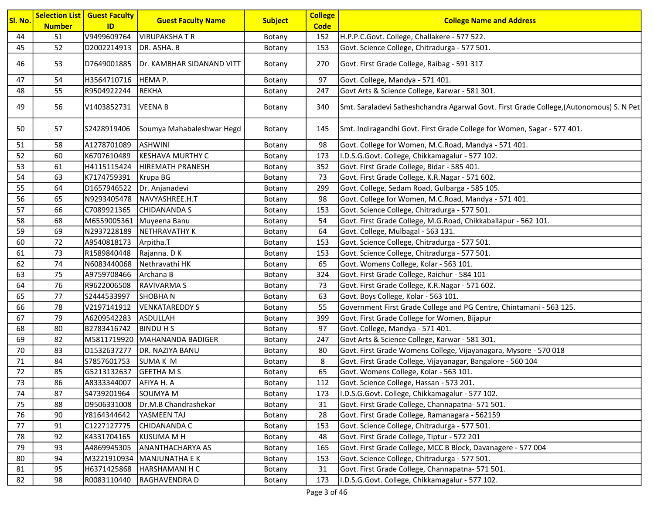| Sl. No. | <b>Selection List</b><br><b>Number</b> | <b>Guest Faculty</b><br>ID | <b>Guest Faculty Name</b> | <b>Subject</b> | <b>College</b><br><b>Code</b> | <b>College Name and Address</b>                                                         |
|---------|----------------------------------------|----------------------------|---------------------------|----------------|-------------------------------|-----------------------------------------------------------------------------------------|
| 44      | 51                                     | V9499609764                | <b>VIRUPAKSHATR</b>       | Botany         | 152                           | H.P.P.C.Govt. College, Challakere - 577 522.                                            |
| 45      | 52                                     | D2002214913                | DR. ASHA. B               | Botany         | 153                           | Govt. Science College, Chitradurga - 577 501.                                           |
| 46      | 53                                     | D7649001885                | Dr. KAMBHAR SIDANAND VITT | Botany         | 270                           | Govt. First Grade College, Raibag - 591 317                                             |
| 47      | 54                                     | H3564710716                | HEMA P.                   | Botany         | 97                            | Govt. College, Mandya - 571 401.                                                        |
| 48      | 55                                     | R9504922244                | REKHA                     | Botany         | 247                           | Govt Arts & Science College, Karwar - 581 301.                                          |
| 49      | 56                                     | V1403852731                | <b>VEENAB</b>             | Botany         | 340                           | Smt. Saraladevi Satheshchandra Agarwal Govt. First Grade College, (Autonomous) S. N Pet |
| 50      | 57                                     | S2428919406                | Soumya Mahabaleshwar Hegd | Botany         | 145                           | Smt. Indiragandhi Govt. First Grade College for Women, Sagar - 577 401.                 |
| 51      | 58                                     | A1278701089                | <b>ASHWINI</b>            | Botany         | 98                            | Govt. College for Women, M.C.Road, Mandya - 571 401.                                    |
| 52      | 60                                     | K6707610489                | <b>KESHAVA MURTHY C</b>   | Botany         | 173                           | I.D.S.G.Govt. College, Chikkamagalur - 577 102.                                         |
| 53      | 61                                     | H4115115424                | HIREMATH PRANESH          | Botany         | 352                           | Govt. First Grade College, Bidar - 585 401.                                             |
| 54      | 63                                     | K7174759391                | Krupa BG                  | Botany         | 73                            | Govt. First Grade College, K.R.Nagar - 571 602.                                         |
| 55      | 64                                     | D1657946522                | Dr. Anjanadevi            | Botany         | 299                           | Govt. College, Sedam Road, Gulbarga - 585 105.                                          |
| 56      | 65                                     | N9293405478                | NAVYASHREE.H.T            | Botany         | 98                            | Govt. College for Women, M.C.Road, Mandya - 571 401.                                    |
| 57      | 66                                     | C7089921365                | <b>CHIDANANDA S</b>       | Botany         | 153                           | Govt. Science College, Chitradurga - 577 501.                                           |
| 58      | 68                                     | M6559005361                | Muyeena Banu              | Botany         | 54                            | Govt. First Grade College, M.G.Road, Chikkaballapur - 562 101.                          |
| 59      | 69                                     | N2937228189                | NETHRAVATHY K             | Botany         | 64                            | Govt. College, Mulbagal - 563 131.                                                      |
| 60      | 72                                     | A9540818173                | Arpitha.T                 | Botany         | 153                           | Govt. Science College, Chitradurga - 577 501.                                           |
| 61      | 73                                     | R1589840448                | Rajanna. DK               | Botany         | 153                           | Govt. Science College, Chitradurga - 577 501.                                           |
| 62      | 74                                     | N6083440068                | Nethravathi HK            | Botany         | 65                            | Govt. Womens College, Kolar - 563 101.                                                  |
| 63      | 75                                     | A9759708466                | Archana B                 | Botany         | 324                           | Govt. First Grade College, Raichur - 584 101                                            |
| 64      | 76                                     | R9622006508                | <b>RAVIVARMAS</b>         | Botany         | 73                            | Govt. First Grade College, K.R.Nagar - 571 602.                                         |
| 65      | 77                                     | S2444533997                | <b>SHOBHAN</b>            | Botany         | 63                            | Govt. Boys College, Kolar - 563 101.                                                    |
| 66      | 78                                     | V2197141912                | <b>VENKATAREDDYS</b>      | Botany         | 55                            | Government First Grade College and PG Centre, Chintamani - 563 125.                     |
| 67      | 79                                     | A6209542283                | <b>ASDULLAH</b>           | Botany         | 399                           | Govt. First Grade College for Women, Bijapur                                            |
| 68      | 80                                     | B2783416742                | <b>BINDU H S</b>          | Botany         | 97                            | Govt. College, Mandya - 571 401.                                                        |
| 69      | 82                                     | M5811719920                | MAHANANDA BADIGER         | Botany         | 247                           | Govt Arts & Science College, Karwar - 581 301.                                          |
| 70      | 83                                     | D1532637277                | DR. NAZIYA BANU           | Botany         | 80                            | Govt. First Grade Womens College, Vijayanagara, Mysore - 570 018                        |
| 71      | 84                                     | S7857601753                | <b>SUMAK M</b>            | Botany         | 8                             | Govt. First Grade College, Vijayanagar, Bangalore - 560 104                             |
| 72      | 85                                     | G5213132637                | <b>GEETHAMS</b>           | Botany         | 65                            | Govt. Womens College, Kolar - 563 101.                                                  |
| 73      | 86                                     | A8333344007                | AFIYA H. A                | Botany         | 112                           | Govt. Science College, Hassan - 573 201.                                                |
| 74      | 87                                     | S4739201964                | SOUMYA M                  | Botany         | 173                           | I.D.S.G.Govt. College, Chikkamagalur - 577 102.                                         |
| 75      | 88                                     | D9506331008                | Dr.M.B Chandrashekar      | Botany         | 31                            | Govt. First Grade College, Channapatna- 571 501.                                        |
| 76      | 90                                     | Y8164344642                | YASMEEN TAJ               | Botany         | 28                            | Govt. First Grade College, Ramanagara - 562159                                          |
| 77      | 91                                     | C1227127775                | CHIDANANDA C              | Botany         | 153                           | Govt. Science College, Chitradurga - 577 501.                                           |
| 78      | 92                                     | K4331704165                | KUSUMA M H                | Botany         | 48                            | Govt. First Grade College, Tiptur - 572 201                                             |
| 79      | 93                                     | A4869945305                | <b>ANANTHACHARYA AS</b>   | Botany         | 165                           | Govt. First Grade College, MCC B Block, Davanagere - 577 004                            |
| 80      | 94                                     | M3221910934                | MANJUNATHA E K            | Botany         | 153                           | Govt. Science College, Chitradurga - 577 501.                                           |
| 81      | 95                                     | H6371425868                | HARSHAMANI H C            | Botany         | 31                            | Govt. First Grade College, Channapatna- 571 501.                                        |
| 82      | 98                                     | R0083110440                | RAGHAVENDRA D             | Botany         | 173                           | I.D.S.G.Govt. College, Chikkamagalur - 577 102.                                         |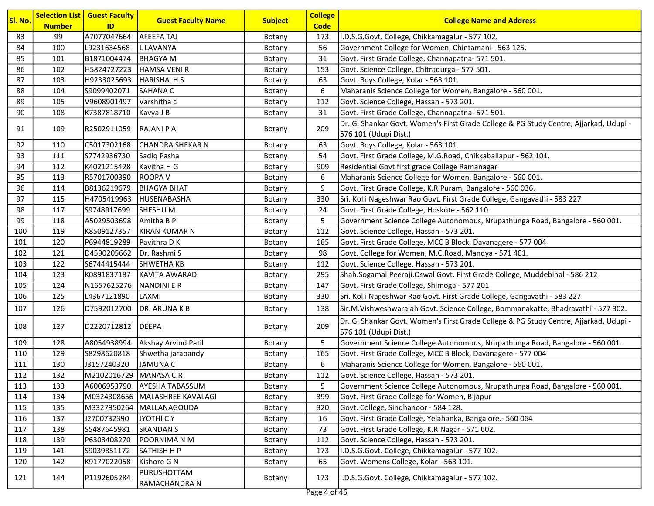| Sl. No. |                     | <b>Selection List   Guest Faculty</b> | <b>Guest Faculty Name</b>    | <b>Subject</b> | <b>College</b>     | <b>College Name and Address</b>                                                       |
|---------|---------------------|---------------------------------------|------------------------------|----------------|--------------------|---------------------------------------------------------------------------------------|
| 83      | <b>Number</b><br>99 | ID<br>A7077047664                     | <b>AFEEFA TAJ</b>            | Botany         | <b>Code</b><br>173 | I.D.S.G.Govt. College, Chikkamagalur - 577 102.                                       |
| 84      | 100                 | L9231634568                           | L LAVANYA                    | Botany         | 56                 | Government College for Women, Chintamani - 563 125.                                   |
| 85      | 101                 | B1871004474                           | <b>BHAGYAM</b>               | Botany         | 31                 | Govt. First Grade College, Channapatna- 571 501.                                      |
| 86      | 102                 | H5824727223                           | HAMSA VENIR                  | Botany         | 153                | Govt. Science College, Chitradurga - 577 501.                                         |
| 87      | 103                 | H9233025693                           | HARISHA H S                  | Botany         | 63                 | Govt. Boys College, Kolar - 563 101.                                                  |
| 88      | 104                 | S9099402071                           | <b>SAHANA C</b>              | Botany         | 6                  | Maharanis Science College for Women, Bangalore - 560 001.                             |
| 89      | 105                 | V9608901497                           | Varshitha c                  | Botany         | 112                | Govt. Science College, Hassan - 573 201.                                              |
| 90      | 108                 | K7387818710                           | Kavya J B                    | Botany         | 31                 | Govt. First Grade College, Channapatna- 571 501.                                      |
|         |                     |                                       |                              |                |                    | Dr. G. Shankar Govt. Women's First Grade College & PG Study Centre, Ajjarkad, Udupi - |
| 91      | 109                 | R2502911059                           | RAJANI P A                   | Botany         | 209                | 576 101 (Udupi Dist.)                                                                 |
| 92      | 110                 | C5017302168                           | CHANDRA SHEKAR N             | Botany         | 63                 | Govt. Boys College, Kolar - 563 101.                                                  |
| 93      | 111                 | S7742936730                           | Sadiq Pasha                  | Botany         | 54                 | Govt. First Grade College, M.G.Road, Chikkaballapur - 562 101.                        |
| 94      | 112                 | K4021215428                           | Kavitha H G                  | Botany         | 909                | Residential Govt first grade College Ramanagar                                        |
| 95      | 113                 | R5701700390                           | <b>ROOPA V</b>               | Botany         | 6                  | Maharanis Science College for Women, Bangalore - 560 001.                             |
| 96      | 114                 | B8136219679                           | <b>BHAGYA BHAT</b>           | Botany         | 9                  | Govt. First Grade College, K.R.Puram, Bangalore - 560 036.                            |
| 97      | 115                 | H4705419963                           | HUSENABASHA                  | Botany         | 330                | Sri. Kolli Nageshwar Rao Govt. First Grade College, Gangavathi - 583 227.             |
| 98      | 117                 | S9748917699                           | <b>SHESHUM</b>               | Botany         | 24                 | Govt. First Grade College, Hoskote - 562 110.                                         |
| 99      | 118                 | A5029503698                           | Amitha B P                   | Botany         | 5                  | Government Science College Autonomous, Nrupathunga Road, Bangalore - 560 001.         |
| 100     | 119                 | K8509127357                           | KIRAN KUMAR N                | Botany         | 112                | Govt. Science College, Hassan - 573 201.                                              |
| 101     | 120                 | P6944819289                           | Pavithra D K                 | Botany         | 165                | Govt. First Grade College, MCC B Block, Davanagere - 577 004                          |
| 102     | 121                 | D4590205662                           | Dr. Rashmi S                 | Botany         | 98                 | Govt. College for Women, M.C.Road, Mandya - 571 401.                                  |
| 103     | 122                 | S6744415444                           | <b>SHWETHA KB</b>            | Botany         | 112                | Govt. Science College, Hassan - 573 201.                                              |
| 104     | 123                 | K0891837187                           | KAVITA AWARADI               | Botany         | 295                | Shah.Sogamal.Peeraji.Oswal Govt. First Grade College, Muddebihal - 586 212            |
| 105     | 124                 | N1657625276                           | NANDINI E R                  | Botany         | 147                | Govt. First Grade College, Shimoga - 577 201                                          |
| 106     | 125                 | L4367121890                           | LAXMI                        | Botany         | 330                | Sri. Kolli Nageshwar Rao Govt. First Grade College, Gangavathi - 583 227.             |
| 107     | 126                 | D7592012700                           | DR. ARUNA K B                | Botany         | 138                | Sir.M.Vishweshwaraiah Govt. Science College, Bommanakatte, Bhadravathi - 577 302.     |
|         |                     |                                       |                              |                | 209                | Dr. G. Shankar Govt. Women's First Grade College & PG Study Centre, Ajjarkad, Udupi - |
| 108     | 127                 | D2220712812  DEEPA                    |                              | Botany         |                    | 576 101 (Udupi Dist.)                                                                 |
| 109     | 128                 | A8054938994                           | Akshay Arvind Patil          | Botany         | 5                  | Government Science College Autonomous, Nrupathunga Road, Bangalore - 560 001.         |
| 110     | 129                 | S8298620818                           | Shwetha jarabandy            | Botany         | 165                | Govt. First Grade College, MCC B Block, Davanagere - 577 004                          |
| 111     | 130                 | J3157240320                           | JAMUNA C                     | Botany         | 6                  | Maharanis Science College for Women, Bangalore - 560 001.                             |
| 112     | 132                 | M2102016729 MANASA C.R                |                              | Botany         | 112                | Govt. Science College, Hassan - 573 201.                                              |
| 113     | 133                 | A6006953790                           | <b>AYESHA TABASSUM</b>       | Botany         | 5                  | Government Science College Autonomous, Nrupathunga Road, Bangalore - 560 001.         |
| 114     | 134                 | M0324308656                           | MALASHREE KAVALAGI           | Botany         | 399                | Govt. First Grade College for Women, Bijapur                                          |
| 115     | 135                 | M3327950264                           | MALLANAGOUDA                 | Botany         | 320                | Govt. College, Sindhanoor - 584 128.                                                  |
| 116     | 137                 | J2700732390                           | JYOTHI C Y                   | Botany         | 16                 | Govt. First Grade College, Yelahanka, Bangalore.- 560 064                             |
| 117     | 138                 | S5487645981                           | <b>SKANDAN S</b>             | Botany         | 73                 | Govt. First Grade College, K.R.Nagar - 571 602.                                       |
| 118     | 139                 | P6303408270                           | POORNIMA N M                 | Botany         | 112                | Govt. Science College, Hassan - 573 201.                                              |
| 119     | 141                 | S9039851172                           | SATHISH H P                  | Botany         | 173                | I.D.S.G.Govt. College, Chikkamagalur - 577 102.                                       |
| 120     | 142                 | K9177022058                           | Kishore G N                  | Botany         | 65                 | Govt. Womens College, Kolar - 563 101.                                                |
| 121     | 144                 | P1192605284                           | PURUSHOTTAM<br>RAMACHANDRA N | Botany         | 173                | I.D.S.G.Govt. College, Chikkamagalur - 577 102.                                       |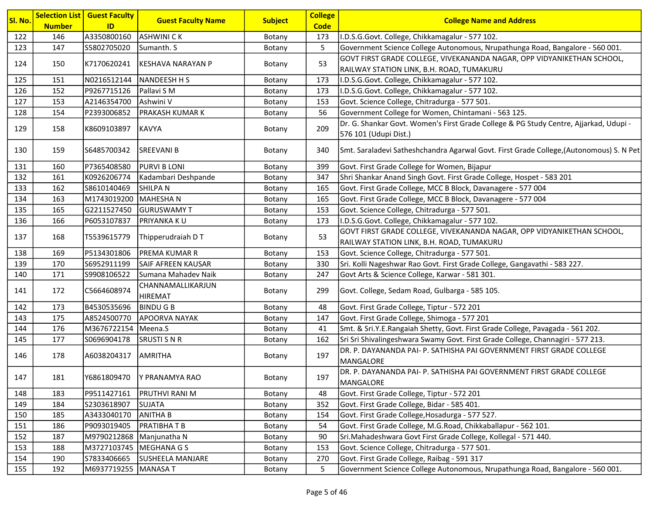| Sl. No. |               | <b>Selection List   Guest Faculty</b> | <b>Guest Faculty Name</b>           | <b>Subject</b> | <b>College</b> |                                                                                         |
|---------|---------------|---------------------------------------|-------------------------------------|----------------|----------------|-----------------------------------------------------------------------------------------|
|         | <b>Number</b> | ID                                    |                                     |                | <b>Code</b>    | <b>College Name and Address</b>                                                         |
| 122     | 146           | A3350800160                           | <b>ASHWINI CK</b>                   | Botany         | 173            | I.D.S.G.Govt. College, Chikkamagalur - 577 102.                                         |
| 123     | 147           | S5802705020                           | Sumanth. S                          | Botany         | 5              | Government Science College Autonomous, Nrupathunga Road, Bangalore - 560 001.           |
| 124     | 150           | K7170620241                           | KESHAVA NARAYAN P                   | Botany         | 53             | GOVT FIRST GRADE COLLEGE, VIVEKANANDA NAGAR, OPP VIDYANIKETHAN SCHOOL,                  |
|         |               |                                       |                                     |                |                | RAILWAY STATION LINK, B.H. ROAD, TUMAKURU                                               |
| 125     | 151           | N0216512144                           | <b>NANDEESH H S</b>                 | Botany         | 173            | I.D.S.G.Govt. College, Chikkamagalur - 577 102.                                         |
| 126     | 152           | P9267715126                           | Pallavi S M                         | Botany         | 173            | I.D.S.G.Govt. College, Chikkamagalur - 577 102.                                         |
| 127     | 153           | A2146354700                           | Ashwini V                           | Botany         | 153            | Govt. Science College, Chitradurga - 577 501.                                           |
| 128     | 154           | P2393006852                           | <b>PRAKASH KUMAR K</b>              | Botany         | 56             | Government College for Women, Chintamani - 563 125.                                     |
| 129     | 158           | K8609103897                           | <b>KAVYA</b>                        | Botany         | 209            | Dr. G. Shankar Govt. Women's First Grade College & PG Study Centre, Ajjarkad, Udupi -   |
|         |               |                                       |                                     |                |                | 576 101 (Udupi Dist.)                                                                   |
| 130     | 159           | S6485700342                           | <b>SREEVANI B</b>                   | Botany         | 340            | Smt. Saraladevi Satheshchandra Agarwal Govt. First Grade College, (Autonomous) S. N Pet |
| 131     | 160           | P7365408580                           | <b>PURVI B LONI</b>                 | Botany         | 399            | Govt. First Grade College for Women, Bijapur                                            |
| 132     | 161           | K0926206774                           | Kadambari Deshpande                 | Botany         | 347            | Shri Shankar Anand Singh Govt. First Grade College, Hospet - 583 201                    |
| 133     | 162           | S8610140469                           | <b>SHILPAN</b>                      | Botany         | 165            | Govt. First Grade College, MCC B Block, Davanagere - 577 004                            |
| 134     | 163           | M1743019200                           | MAHESHA N                           | Botany         | 165            | Govt. First Grade College, MCC B Block, Davanagere - 577 004                            |
| 135     | 165           | G2211527450                           | <b>GURUSWAMY T</b>                  | Botany         | 153            | Govt. Science College, Chitradurga - 577 501.                                           |
| 136     | 166           | P6053107837                           | PRIYANKA KU                         | Botany         | 173            | I.D.S.G.Govt. College, Chikkamagalur - 577 102.                                         |
| 137     | 168           | T5539615779                           | Thipperudraiah D T                  | Botany         | 53             | GOVT FIRST GRADE COLLEGE, VIVEKANANDA NAGAR, OPP VIDYANIKETHAN SCHOOL,                  |
|         |               |                                       |                                     |                |                | RAILWAY STATION LINK, B.H. ROAD, TUMAKURU                                               |
| 138     | 169           | P5134301806                           | <b>PREMA KUMAR R</b>                | Botany         | 153            | Govt. Science College, Chitradurga - 577 501.                                           |
| 139     | 170           | S6952911199                           | <b>SAIF AFREEN KAUSAR</b>           | Botany         | 330            | Sri. Kolli Nageshwar Rao Govt. First Grade College, Gangavathi - 583 227.               |
| 140     | 171           | S9908106522                           | Sumana Mahadev Naik                 | Botany         | 247            | Govt Arts & Science College, Karwar - 581 301.                                          |
| 141     | 172           | C5664608974                           | CHANNAMALLIKARJUN<br><b>HIREMAT</b> | Botany         | 299            | Govt. College, Sedam Road, Gulbarga - 585 105.                                          |
| 142     | 173           | B4530535696                           | <b>BINDU G B</b>                    | Botany         | 48             | Govt. First Grade College, Tiptur - 572 201                                             |
| 143     | 175           | A8524500770                           | <b>APOORVA NAYAK</b>                | Botany         | 147            | Govt. First Grade College, Shimoga - 577 201                                            |
| 144     | 176           | M3676722154                           | Meena.S                             | Botany         | 41             | Smt. & Sri.Y.E.Rangaiah Shetty, Govt. First Grade College, Pavagada - 561 202.          |
| 145     | 177           | S0696904178                           | <b>SRUSTI S N R</b>                 | Botany         | 162            | Sri Sri Shivalingeshwara Swamy Govt. First Grade College, Channagiri - 577 213.         |
| 146     | 178           | A6038204317                           | <b>AMRITHA</b>                      | Botany         | 197            | DR. P. DAYANANDA PAI- P. SATHISHA PAI GOVERNMENT FIRST GRADE COLLEGE<br>MANGALORE       |
| 147     | 181           |                                       | Y6861809470 Y PRANAMYA RAO          | Botany         | 197            | DR. P. DAYANANDA PAI- P. SATHISHA PAI GOVERNMENT FIRST GRADE COLLEGE<br>MANGALORE       |
| 148     | 183           | P9511427161                           | PRUTHVI RANI M                      | Botany         | 48             | Govt. First Grade College, Tiptur - 572 201                                             |
| 149     | 184           | S2303618907                           | <b>SUJATA</b>                       | Botany         | 352            | Govt. First Grade College, Bidar - 585 401.                                             |
| 150     | 185           | A3433040170                           | <b>ANITHA B</b>                     | Botany         | 154            | Govt. First Grade College, Hosadurga - 577 527.                                         |
| 151     | 186           | P9093019405                           | PRATIBHAT B                         | Botany         | 54             | Govt. First Grade College, M.G.Road, Chikkaballapur - 562 101.                          |
| 152     | 187           | M9790212868                           | Manjunatha N                        | Botany         | 90             | Sri.Mahadeshwara Govt First Grade College, Kollegal - 571 440.                          |
| 153     | 188           | M3727103745                           | MEGHANA G S                         | Botany         | 153            | Govt. Science College, Chitradurga - 577 501.                                           |
| 154     | 190           | S7833406665                           | <b>SUSHEELA MANJARE</b>             | Botany         | 270            | Govt. First Grade College, Raibag - 591 317                                             |
| 155     | 192           | M6937719255 MANASA T                  |                                     | Botany         | 5              | Government Science College Autonomous, Nrupathunga Road, Bangalore - 560 001.           |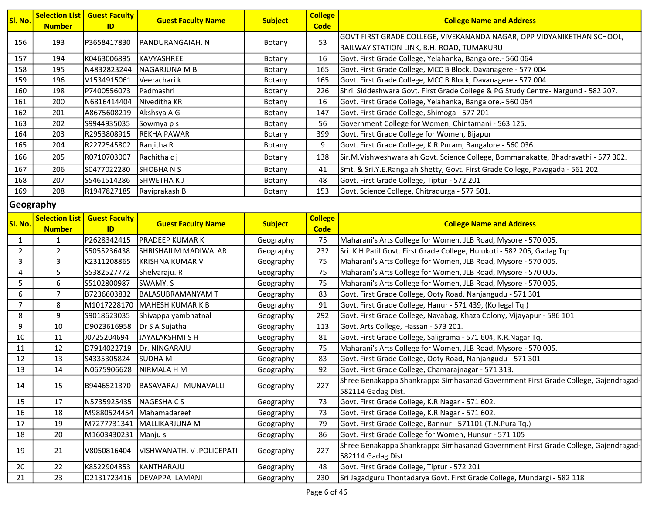| Sl. No. | <b>Number</b> | <b>Selection List   Guest Faculty</b><br>ID | <b>Guest Faculty Name</b> | <b>Subject</b> | <b>College</b><br><b>Code</b> | <b>College Name and Address</b>                                                   |
|---------|---------------|---------------------------------------------|---------------------------|----------------|-------------------------------|-----------------------------------------------------------------------------------|
| 156     | 193           | P3658417830                                 | IPANDURANGAIAH. N         | Botany         | 53                            | GOVT FIRST GRADE COLLEGE, VIVEKANANDA NAGAR, OPP VIDYANIKETHAN SCHOOL,            |
|         |               |                                             |                           |                |                               | RAILWAY STATION LINK, B.H. ROAD, TUMAKURU                                         |
| 157     | 194           | K0463006895                                 | IKAVYASHREE               | Botany         | 16                            | Govt. First Grade College, Yelahanka, Bangalore.- 560 064                         |
| 158     | 195           | N4832823244                                 | INAGARJUNA M B            | Botany         | 165                           | Govt. First Grade College, MCC B Block, Davanagere - 577 004                      |
| 159     | 196           | V1534915061                                 | Veerachari k              | Botany         | 165                           | Govt. First Grade College, MCC B Block, Davanagere - 577 004                      |
| 160     | 198           | P7400556073                                 | Padmashri                 | Botany         | 226                           | Shri. Siddeshwara Govt. First Grade College & PG Study Centre- Nargund - 582 207. |
| 161     | 200           | N6816414404                                 | Niveditha KR              | Botany         | 16                            | Govt. First Grade College, Yelahanka, Bangalore.- 560 064                         |
| 162     | 201           | A8675608219                                 | Akshsya A G               | Botany         | 147                           | Govt. First Grade College, Shimoga - 577 201                                      |
| 163     | 202           | S9944935035                                 | Sowmya p s                | Botany         | 56                            | Government College for Women, Chintamani - 563 125.                               |
| 164     | 203           | R2953808915                                 | IREKHA PAWAR              | Botany         | 399                           | Govt. First Grade College for Women, Bijapur                                      |
| 165     | 204           | R2272545802                                 | Ranjitha R                | Botany         | 9                             | Govt. First Grade College, K.R.Puram, Bangalore - 560 036.                        |
| 166     | 205           | R0710703007                                 | Rachitha c j              | Botany         | 138                           | Sir.M.Vishweshwaraiah Govt. Science College, Bommanakatte, Bhadravathi - 577 302. |
| 167     | 206           | S0477022280                                 | <b>SHOBHANS</b>           | Botany         | 41                            | Smt. & Sri.Y.E.Rangaiah Shetty, Govt. First Grade College, Pavagada - 561 202.    |
| 168     | 207           | S5461514286                                 | <b>SHWETHA K J</b>        | Botany         | 48                            | Govt. First Grade College, Tiptur - 572 201                                       |
| 169     | 208           | R1947827185                                 | Raviprakash B             | Botany         | 153                           | Govt. Science College, Chitradurga - 577 501.                                     |

### Geography

| Sl. No.        | <b>Selection List</b><br><b>Number</b> | <b>Guest Faculty</b><br>ID | <b>Guest Faculty Name</b>  | <b>Subject</b> | <b>College</b><br><b>Code</b> | <b>College Name and Address</b>                                                                          |
|----------------|----------------------------------------|----------------------------|----------------------------|----------------|-------------------------------|----------------------------------------------------------------------------------------------------------|
| 1              | $\mathbf{1}$                           | P2628342415                | <b>PRADEEP KUMAR K</b>     | Geography      | 75                            | Maharani's Arts College for Women, JLB Road, Mysore - 570 005.                                           |
| $\overline{2}$ | $\overline{2}$                         | S5055236438                | SHRISHAILM MADIWALAR       | Geography      | 232                           | Sri. K H Patil Govt. First Grade College, Hulukoti - 582 205, Gadag Tq:                                  |
| 3              | 3                                      | K2311208865                | <b>KRISHNA KUMAR V</b>     | Geography      | 75                            | Maharani's Arts College for Women, JLB Road, Mysore - 570 005.                                           |
| 4              | 5                                      | S5382527772                | Shelvaraju. R              | Geography      | 75                            | Maharani's Arts College for Women, JLB Road, Mysore - 570 005.                                           |
| 5              | 6                                      | S5102800987                | SWAMY. S                   | Geography      | 75                            | Maharani's Arts College for Women, JLB Road, Mysore - 570 005.                                           |
| 6              | $\overline{7}$                         | B7236603832                | <b>BALASUBRAMANYAM T</b>   | Geography      | 83                            | Govt. First Grade College, Ooty Road, Nanjangudu - 571 301                                               |
| $\overline{7}$ | 8                                      | M1017228170                | <b>MAHESH KUMAR K B</b>    | Geography      | 91                            | Govt. First Grade College, Hanur - 571 439, (Kollegal Tq.)                                               |
| 8              | 9                                      | S9018623035                | Shivappa yambhatnal        | Geography      | 292                           | Govt. First Grade College, Navabag, Khaza Colony, Vijayapur - 586 101                                    |
| 9              | 10                                     | D9023616958                | Dr S A Sujatha             | Geography      | 113                           | Govt. Arts College, Hassan - 573 201.                                                                    |
| 10             | 11                                     | J0725204694                | JAYALAKSHMI S H            | Geography      | 81                            | Govt. First Grade College, Saligrama - 571 604, K.R.Nagar Tq.                                            |
| 11             | 12                                     | D7914022719                | Dr. NINGARAJU              | Geography      | 75                            | Maharani's Arts College for Women, JLB Road, Mysore - 570 005.                                           |
| 12             | 13                                     | S4335305824                | <b>SUDHA M</b>             | Geography      | 83                            | Govt. First Grade College, Ooty Road, Nanjangudu - 571 301                                               |
| 13             | 14                                     | N0675906628                | NIRMALA H M                | Geography      | 92                            | Govt. First Grade College, Chamarajnagar - 571 313.                                                      |
| 14             | 15                                     | B9446521370                | BASAVARAJ MUNAVALLI        | Geography      | 227                           | Shree Benakappa Shankrappa Simhasanad Government First Grade College, Gajendragad-<br>582114 Gadag Dist. |
| 15             | 17                                     | N5735925435                | <b>NAGESHACS</b>           | Geography      | 73                            | Govt. First Grade College, K.R.Nagar - 571 602.                                                          |
| 16             | 18                                     |                            | M9880524454   Mahamadareef | Geography      | 73                            | Govt. First Grade College, K.R.Nagar - 571 602.                                                          |
| 17             | 19                                     | M7277731341                | MALLIKARJUNA M             | Geography      | 79                            | Govt. First Grade College, Bannur - 571101 (T.N.Pura Tq.)                                                |
| 18             | 20                                     | M1603430231                | Manju s                    | Geography      | 86                            | Govt. First Grade College for Women, Hunsur - 571 105                                                    |
| 19             | 21                                     | V8050816404                | VISHWANATH, V.POLICEPATI   |                | 227                           | Shree Benakappa Shankrappa Simhasanad Government First Grade College, Gajendragad-                       |
|                |                                        |                            |                            | Geography      |                               | 582114 Gadag Dist.                                                                                       |
| 20             | 22                                     | K8522904853                | KANTHARAJU                 | Geography      | 48                            | Govt. First Grade College, Tiptur - 572 201                                                              |
| 21             | 23                                     | D2131723416                | DEVAPPA LAMANI             | Geography      | 230                           | Sri Jagadguru Thontadarya Govt. First Grade College, Mundargi - 582 118                                  |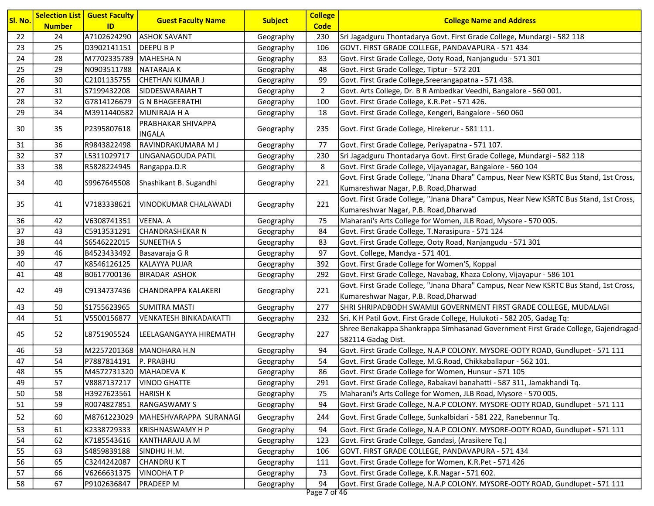| Sl. No.  |               | <b>Selection List   Guest Faculty</b> | <b>Guest Faculty Name</b>     | <b>Subject</b>         | <b>College</b>       | <b>College Name and Address</b>                                                                                             |
|----------|---------------|---------------------------------------|-------------------------------|------------------------|----------------------|-----------------------------------------------------------------------------------------------------------------------------|
|          | <b>Number</b> | ID<br>A7102624290                     | <b>ASHOK SAVANT</b>           |                        | <b>Code</b>          |                                                                                                                             |
| 22<br>23 | 24<br>25      | D3902141151                           | <b>DEEPUBP</b>                | Geography              | 230<br>106           | Sri Jagadguru Thontadarya Govt. First Grade College, Mundargi - 582 118<br>GOVT. FIRST GRADE COLLEGE, PANDAVAPURA - 571 434 |
| 24       | 28            | M7702335789 MAHESHA N                 |                               | Geography              | 83                   | Govt. First Grade College, Ooty Road, Nanjangudu - 571 301                                                                  |
| 25       | 29            | N0903511788                           | <b>NATARAJAK</b>              | Geography              | 48                   | Govt. First Grade College, Tiptur - 572 201                                                                                 |
| 26       | 30            | C2101135755                           | CHETHAN KUMAR J               | Geography              | 99                   |                                                                                                                             |
| 27       | 31            | S7199432208                           | SIDDESWARAIAH T               | Geography              | $\overline{2}$       | Govt. First Grade College, Sreerangapatna - 571 438.<br>Govt. Arts College, Dr. B R Ambedkar Veedhi, Bangalore - 560 001.   |
| 28       | 32            | G7814126679                           | G N BHAGEERATHI               | Geography<br>Geography | 100                  | Govt. First Grade College, K.R.Pet - 571 426.                                                                               |
| 29       | 34            |                                       | M3911440582 MUNIRAJA H A      |                        | 18                   | Govt. First Grade College, Kengeri, Bangalore - 560 060                                                                     |
|          |               |                                       | PRABHAKAR SHIVAPPA            | Geography              |                      |                                                                                                                             |
| 30       | 35            | P2395807618                           | <b>INGALA</b>                 | Geography              | 235                  | Govt. First Grade College, Hirekerur - 581 111.                                                                             |
| 31       | 36            | R9843822498                           | RAVINDRAKUMARA M J            | Geography              | 77                   | Govt. First Grade College, Periyapatna - 571 107.                                                                           |
| 32       | 37            | L5311029717                           | LINGANAGOUDA PATIL            | Geography              | 230                  | Sri Jagadguru Thontadarya Govt. First Grade College, Mundargi - 582 118                                                     |
| 33       | 38            | R5828224945                           | Rangappa.D.R                  | Geography              | 8                    | Govt. First Grade College, Vijayanagar, Bangalore - 560 104                                                                 |
| 34       | 40            | S9967645508                           | Shashikant B. Sugandhi        | Geography              | 221                  | Govt. First Grade College, "Jnana Dhara" Campus, Near New KSRTC Bus Stand, 1st Cross,                                       |
|          |               |                                       |                               |                        |                      | Kumareshwar Nagar, P.B. Road, Dharwad                                                                                       |
| 35       | 41            | V7183338621                           | <u>IVINODKUMAR CHALAWADI</u>  | Geography              | 221                  | Govt. First Grade College, "Jnana Dhara" Campus, Near New KSRTC Bus Stand, 1st Cross,                                       |
|          |               |                                       |                               |                        |                      | Kumareshwar Nagar, P.B. Road, Dharwad                                                                                       |
| 36       | 42            | V6308741351                           | <b>VEENA. A</b>               | Geography              | 75                   | Maharani's Arts College for Women, JLB Road, Mysore - 570 005.                                                              |
| 37       | 43            | C5913531291                           | CHANDRASHEKAR N               | Geography              | 84                   | Govt. First Grade College, T.Narasipura - 571 124                                                                           |
| 38       | 44            | S6546222015                           | <b>SUNEETHAS</b>              | Geography              | 83                   | Govt. First Grade College, Ooty Road, Nanjangudu - 571 301                                                                  |
| 39       | 46            | B4523433492                           | Basavaraja G R                | Geography              | 97                   | Govt. College, Mandya - 571 401.                                                                                            |
| 40       | 47            | K8546126125                           | KALAYYA PUJAR                 | Geography              | 392                  | Govt. First Grade College for Women'S, Koppal                                                                               |
| 41       | 48            | B0617700136                           | <b>BIRADAR ASHOK</b>          | Geography              | 292                  | Govt. First Grade College, Navabag, Khaza Colony, Vijayapur - 586 101                                                       |
| 42       | 49            | C9134737436                           | <b>CHANDRAPPA KALAKERI</b>    | Geography              | 221                  | Govt. First Grade College, "Jnana Dhara" Campus, Near New KSRTC Bus Stand, 1st Cross,                                       |
|          |               |                                       |                               |                        |                      | Kumareshwar Nagar, P.B. Road, Dharwad                                                                                       |
| 43       | 50            | S1755623965                           | <b>SUMITRA MASTI</b>          | Geography              | 277                  | SHRI SHRIPADBODH SWAMIJI GOVERNMENT FIRST GRADE COLLEGE, MUDALAGI                                                           |
| 44       | 51            | V5500156877                           | <b>VENKATESH BINKADAKATTI</b> | Geography              | 232                  | Sri. K H Patil Govt. First Grade College, Hulukoti - 582 205, Gadag Tq:                                                     |
| 45       | 52            | L8751905524                           | LEELAGANGAYYA HIREMATH        | Geography              | 227                  | Shree Benakappa Shankrappa Simhasanad Government First Grade College, Gajendragad-                                          |
|          |               |                                       |                               |                        |                      | 582114 Gadag Dist.                                                                                                          |
| 46       | 53            |                                       | M2257201368 MANOHARA H.N      | Geography              | 94                   | Govt. First Grade College, N.A.P COLONY. MYSORE-OOTY ROAD, Gundlupet - 571 111                                              |
| 47       | 54            | P7887814191                           | P. PRABHU                     | Geography              | 54                   | Govt. First Grade College, M.G.Road, Chikkaballapur - 562 101.                                                              |
| 48       | 55            | M4572731320 MAHADEVA K                |                               | Geography              | 86                   | Govt. First Grade College for Women, Hunsur - 571 105                                                                       |
| 49       | 57            | V8887137217                           | <b>VINOD GHATTE</b>           | Geography              | 291                  | Govt. First Grade College, Rabakavi banahatti - 587 311, Jamakhandi Tq.                                                     |
| 50       | 58            | H3927623561                           | <b>HARISH K</b>               | Geography              | 75                   | Maharani's Arts College for Women, JLB Road, Mysore - 570 005.                                                              |
| 51       | 59            | R0074827851                           | <b>RANGASWAMY S</b>           | Geography              | 94                   | Govt. First Grade College, N.A.P COLONY. MYSORE-OOTY ROAD, Gundlupet - 571 111                                              |
| 52       | 60            | M8761223029                           | MAHESHVARAPPA SURANAGI        | Geography              | 244                  | Govt. First Grade College, Sunkalbidari - 581 222, Ranebennur Tq.                                                           |
| 53       | 61            | K2338729333                           | KRISHNASWAMY H P              | Geography              | 94                   | Govt. First Grade College, N.A.P COLONY. MYSORE-OOTY ROAD, Gundlupet - 571 111                                              |
| 54       | 62            | K7185543616                           | KANTHARAJU A M                | Geography              | 123                  | Govt. First Grade College, Gandasi, (Arasikere Tq.)                                                                         |
| 55       | 63            | S4859839188                           | SINDHU H.M.                   | Geography              | 106                  | GOVT. FIRST GRADE COLLEGE, PANDAVAPURA - 571 434                                                                            |
| 56       | 65            | C3244242087                           | CHANDRU K T                   | Geography              | 111                  | Govt. First Grade College for Women, K.R.Pet - 571 426                                                                      |
| 57       | 66            | V6266631375                           | <b>VINODHATP</b>              | Geography              | 73                   | Govt. First Grade College, K.R.Nagar - 571 602.                                                                             |
| 58       | 67            | P9102636847                           | <b>PRADEEP M</b>              | Geography              | 94<br>$D0 = 7 - 4AC$ | Govt. First Grade College, N.A.P COLONY. MYSORE-OOTY ROAD, Gundlupet - 571 111                                              |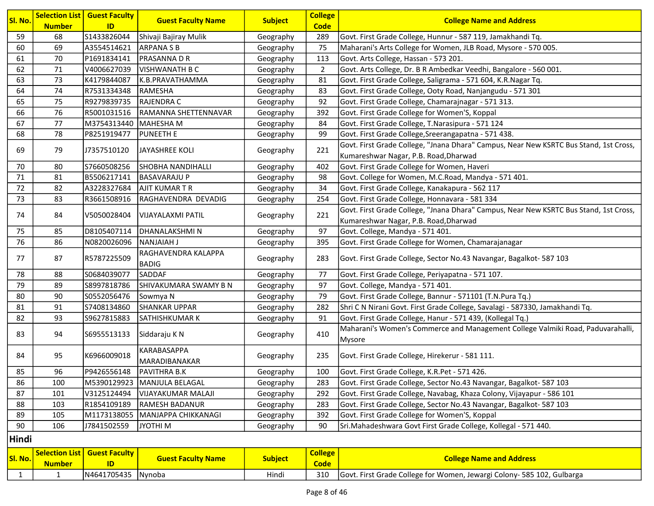| Sl. No. |               | <b>Selection List   Guest Faculty</b> | <b>Guest Faculty Name</b>    | <b>Subject</b> | <b>College</b> | <b>College Name and Address</b>                                                       |
|---------|---------------|---------------------------------------|------------------------------|----------------|----------------|---------------------------------------------------------------------------------------|
|         | <b>Number</b> | ID                                    |                              |                | <b>Code</b>    |                                                                                       |
| 59      | 68            | S1433826044                           | Shivaji Bajiray Mulik        | Geography      | 289            | Govt. First Grade College, Hunnur - 587 119, Jamakhandi Tq.                           |
| 60      | 69            | A3554514621                           | <b>ARPANASB</b>              | Geography      | 75             | Maharani's Arts College for Women, JLB Road, Mysore - 570 005.                        |
| 61      | 70            | P1691834141                           | <b>PRASANNA D R</b>          | Geography      | 113            | Govt. Arts College, Hassan - 573 201.                                                 |
| 62      | 71            | V4006627039                           | <b>VISHWANATH B C</b>        | Geography      | $\overline{2}$ | Govt. Arts College, Dr. B R Ambedkar Veedhi, Bangalore - 560 001.                     |
| 63      | 73            | K4179844087                           | K.B.PRAVATHAMMA              | Geography      | 81             | Govt. First Grade College, Saligrama - 571 604, K.R.Nagar Tq.                         |
| 64      | 74            | R7531334348                           | <b>RAMESHA</b>               | Geography      | 83             | Govt. First Grade College, Ooty Road, Nanjangudu - 571 301                            |
| 65      | 75            | R9279839735                           | RAJENDRA C                   | Geography      | 92             | Govt. First Grade College, Chamarajnagar - 571 313.                                   |
| 66      | 76            | R5001031516                           | RAMANNA SHETTENNAVAR         | Geography      | 392            | Govt. First Grade College for Women'S, Koppal                                         |
| 67      | 77            | M3754313440 MAHESHA M                 |                              | Geography      | 84             | Govt. First Grade College, T.Narasipura - 571 124                                     |
| 68      | 78            | P8251919477                           | <b>PUNEETH E</b>             | Geography      | 99             | Govt. First Grade College, Sreerangapatna - 571 438.                                  |
| 69      | 79            | J7357510120                           | JAYASHREE KOLI               | Geography      | 221            | Govt. First Grade College, "Jnana Dhara" Campus, Near New KSRTC Bus Stand, 1st Cross, |
|         |               |                                       |                              |                |                | Kumareshwar Nagar, P.B. Road, Dharwad                                                 |
| 70      | 80            | S7660508256                           | <b>SHOBHA NANDIHALLI</b>     | Geography      | 402            | Govt. First Grade College for Women, Haveri                                           |
| 71      | 81            | B5506217141                           | <b>BASAVARAJU P</b>          | Geography      | 98             | Govt. College for Women, M.C.Road, Mandya - 571 401.                                  |
| 72      | 82            | A3228327684                           | <b>AJIT KUMAR T R</b>        | Geography      | 34             | Govt. First Grade College, Kanakapura - 562 117                                       |
| 73      | 83            | R3661508916                           | RAGHAVENDRA DEVADIG          | Geography      | 254            | Govt. First Grade College, Honnavara - 581 334                                        |
|         |               | V5050028404                           |                              |                | 221            | Govt. First Grade College, "Jnana Dhara" Campus, Near New KSRTC Bus Stand, 1st Cross, |
| 74      | 84            |                                       | <b>VIJAYALAXMI PATIL</b>     | Geography      |                | Kumareshwar Nagar, P.B. Road, Dharwad                                                 |
| 75      | 85            | D8105407114                           | DHANALAKSHMIN                | Geography      | 97             | Govt. College, Mandya - 571 401.                                                      |
| 76      | 86            | N0820026096                           | NANJAIAH J                   | Geography      | 395            | Govt. First Grade College for Women, Chamarajanagar                                   |
| 77      | 87            | R5787225509                           | RAGHAVENDRA KALAPPA          | Geography      | 283            | Govt. First Grade College, Sector No.43 Navangar, Bagalkot- 587 103                   |
|         |               |                                       | <b>BADIG</b>                 |                |                |                                                                                       |
| 78      | 88            | S0684039077                           | SADDAF                       | Geography      | 77             | Govt. First Grade College, Periyapatna - 571 107.                                     |
| 79      | 89            | S8997818786                           | SHIVAKUMARA SWAMY B N        | Geography      | 97             | Govt. College, Mandya - 571 401.                                                      |
| 80      | 90            | S0552056476                           | Sowmya N                     | Geography      | 79             | Govt. First Grade College, Bannur - 571101 (T.N.Pura Tq.)                             |
| 81      | 91            | S7408134860                           | <b>SHANKAR UPPAR</b>         | Geography      | 282            | Shri C N Nirani Govt. First Grade College, Savalagi - 587330, Jamakhandi Tq.          |
| 82      | 93            | S9627815883                           | SATHISHKUMAR K               | Geography      | 91             | Govt. First Grade College, Hanur - 571 439, (Kollegal Tq.)                            |
| 83      | 94            | S6955513133                           | Siddaraju K N                |                | 410            | Maharani's Women's Commerce and Management College Valmiki Road, Paduvarahalli,       |
|         |               |                                       |                              | Geography      |                | Mysore                                                                                |
| 84      | 95            | K6966009018                           | KARABASAPPA                  |                | 235            | Govt. First Grade College, Hirekerur - 581 111.                                       |
|         |               |                                       | MARADIBANAKAR                | Geography      |                |                                                                                       |
| 85      | 96            | P9426556148                           | PAVITHRA B.K                 | Geography      | 100            | Govt. First Grade College, K.R.Pet - 571 426.                                         |
| 86      | 100           |                                       | M5390129923  MANJULA BELAGAL | Geography      | 283            | Govt. First Grade College, Sector No.43 Navangar, Bagalkot- 587 103                   |
| 87      | 101           | V3125124494                           | <b>VIJAYAKUMAR MALAJI</b>    | Geography      | 292            | Govt. First Grade College, Navabag, Khaza Colony, Vijayapur - 586 101                 |
| 88      | 103           | R1854109189                           | <b>RAMESH BADANUR</b>        | Geography      | 283            | Govt. First Grade College, Sector No.43 Navangar, Bagalkot- 587 103                   |
| 89      | 105           | M1173138055                           | MANJAPPA CHIKKANAGI          | Geography      | 392            | Govt. First Grade College for Women'S, Koppal                                         |
| 90      | 106           | J7841502559                           | JYOTHI M                     | Geography      | 90             | Sri.Mahadeshwara Govt First Grade College, Kollegal - 571 440.                        |
| Hindi   |               |                                       |                              |                |                |                                                                                       |
|         |               | <b>Selection List   Guest Faculty</b> | <b>Guast Faculty Namo</b>    | Cubioct        | <b>College</b> | Collogo Namo and Addrocc                                                              |

| Sl. No. | <b>Number</b> | <b>Selection List   Guest Faculty  </b> | <b>Guest Faculty Name</b> | <b>Subject</b> | <b>College</b><br><b>Code</b> | <b>College Name and Address</b>                                        |
|---------|---------------|-----------------------------------------|---------------------------|----------------|-------------------------------|------------------------------------------------------------------------|
|         |               | N4641705435 Nynoba                      |                           | Hindi          | 310                           | Govt. First Grade College for Women, Jewargi Colony- 585 102, Gulbarga |
|         |               |                                         |                           |                |                               |                                                                        |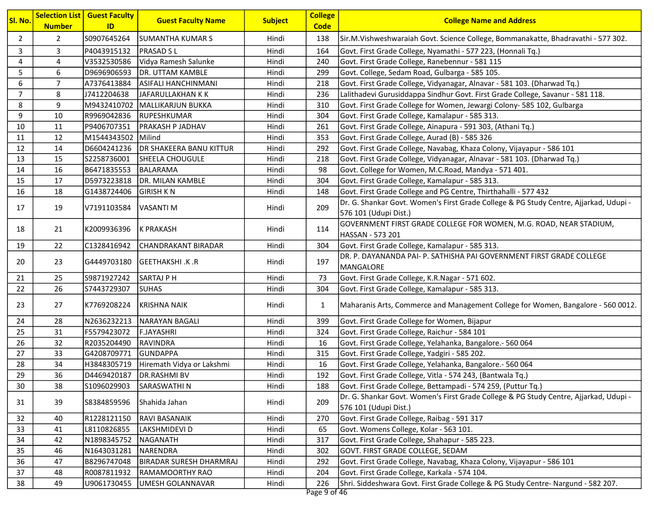| $\overline{2}$<br>S0907645264<br>Sir.M.Vishweshwaraiah Govt. Science College, Bommanakatte, Bhadravathi - 577 302.<br>$\overline{2}$<br><b>SUMANTHA KUMAR S</b><br>Hindi<br>138<br>3<br>3<br>P4043915132<br>Hindi<br>Govt. First Grade College, Nyamathi - 577 223, (Honnali Tq.)<br><b>PRASAD SL</b><br>164<br>4<br>V3532530586<br>Vidya Ramesh Salunke<br>Govt. First Grade College, Ranebennur - 581 115<br>4<br>Hindi<br>240<br>5<br>6<br>D9696906593<br>DR. UTTAM KAMBLE<br>Hindi<br>299<br>Govt. College, Sedam Road, Gulbarga - 585 105.<br>$\overline{7}$<br>6<br>Hindi<br>Govt. First Grade College, Vidyanagar, Alnavar - 581 103. (Dharwad Tq.)<br>A7376413884<br><b>ASIFALI HANCHINMANI</b><br>218<br>$\overline{7}$<br>8<br>J7412204638<br>Hindi<br>Lalithadevi Gurusiddappa Sindhur Govt. First Grade College, Savanur - 581 118.<br>JAFARULLAKHAN K K<br>236<br>9<br>8<br>Govt. First Grade College for Women, Jewargi Colony- 585 102, Gulbarga<br>M9432410702<br>Hindi<br> MALLIKARJUN BUKKA<br>310<br>9<br>10<br>R9969042836<br>RUPESHKUMAR<br>Hindi<br>304<br>Govt. First Grade College, Kamalapur - 585 313.<br>Govt. First Grade College, Ainapura - 591 303, (Athani Tq.)<br>10<br>11<br>P9406707351<br><b>PRAKASH P JADHAV</b><br>Hindi<br>261<br>12<br>M1544343502<br>Milind<br>Hindi<br>353<br>Govt. First Grade College, Aurad (B) - 585 326<br>11<br>12<br>Govt. First Grade College, Navabag, Khaza Colony, Vijayapur - 586 101<br>14<br>D6604241236<br><b>DR SHAKEERA BANU KITTUR</b><br>Hindi<br>292<br>13<br>15<br>Hindi<br>Govt. First Grade College, Vidyanagar, Alnavar - 581 103. (Dharwad Tq.)<br>S2258736001<br><b>SHEELA CHOUGULE</b><br>218<br>14<br>16<br>Hindi<br>Govt. College for Women, M.C.Road, Mandya - 571 401.<br>B6471835553<br>98<br><b>BALARAMA</b><br>15<br>17<br>D5973223818<br>DR. MILAN KAMBLE<br>Hindi<br>304<br>Govt. First Grade College, Kamalapur - 585 313.<br>16<br>18<br>G1438724406<br><b>GIRISH K N</b><br>Hindi<br>Govt. First Grade College and PG Centre, Thirthahalli - 577 432<br>148<br>Dr. G. Shankar Govt. Women's First Grade College & PG Study Centre, Ajjarkad, Udupi -<br>209<br>17<br>19<br>V7191103584<br>VASANTI M<br>Hindi<br>576 101 (Udupi Dist.)<br>GOVERNMENT FIRST GRADE COLLEGE FOR WOMEN, M.G. ROAD, NEAR STADIUM,<br>18<br>21<br>K2009936396<br>K PRAKASH<br>Hindi<br>114<br>HASSAN - 573 201<br>22<br>C1328416942<br>CHANDRAKANT BIRADAR<br>Hindi<br>Govt. First Grade College, Kamalapur - 585 313.<br>19<br>304<br>DR. P. DAYANANDA PAI- P. SATHISHA PAI GOVERNMENT FIRST GRADE COLLEGE<br>197<br>20<br>23<br>G4449703180<br><b>IGEETHAKSHI.K.R</b><br>Hindi<br>MANGALORE<br>25<br>Hindi<br>21<br>S9871927242<br><b>SARTAJ P H</b><br>73<br>Govt. First Grade College, K.R.Nagar - 571 602.<br>22<br>26<br>Govt. First Grade College, Kamalapur - 585 313.<br>S7443729307<br><b>SUHAS</b><br>Hindi<br>304<br>23<br>27<br>Hindi<br>Maharanis Arts, Commerce and Management College for Women, Bangalore - 560 0012.<br>K7769208224<br><b>KRISHNA NAIK</b><br>$\mathbf{1}$<br>28<br>N2636232213<br>Hindi<br>24<br>NARAYAN BAGALI<br>399<br>Govt. First Grade College for Women, Bijapur<br>25<br>31<br>F5579423072<br>Hindi<br><b>F.JAYASHRI</b><br>324<br>Govt. First Grade College, Raichur - 584 101<br>26<br>32<br><b>RAVINDRA</b><br>R2035204490<br>Hindi<br>16<br>Govt. First Grade College, Yelahanka, Bangalore.- 560 064<br>27<br>33<br>Govt. First Grade College, Yadgiri - 585 202.<br>G4208709771<br><b>GUNDAPPA</b><br>Hindi<br>315<br>28<br>34<br>H3848305719<br>Hiremath Vidya or Lakshmi<br>Hindi<br>Govt. First Grade College, Yelahanka, Bangalore.- 560 064<br>16<br>36<br>29<br>D4469420187<br><b>DR.RASHMI BV</b><br>Hindi<br>192<br>Govt. First Grade College, Vitla - 574 243, (Bantwala Tq.)<br>30<br>38<br>S1096029903<br><b>SARASWATHIN</b><br>Hindi<br>188<br>Govt. First Grade College, Bettampadi - 574 259, (Puttur Tq.)<br>Dr. G. Shankar Govt. Women's First Grade College & PG Study Centre, Ajjarkad, Udupi -<br>39<br>Shahida Jahan<br>Hindi<br>209<br>31<br>S8384859596<br>576 101 (Udupi Dist.)<br>Govt. First Grade College, Raibag - 591 317<br>40<br>R1228121150<br>RAVI BASANAIK<br>Hindi<br>270<br>32<br>41<br>L8110826855<br>LAKSHMIDEVI D<br>Hindi<br>65<br>Govt. Womens College, Kolar - 563 101.<br>33<br>42<br>N1898345752<br>NAGANATH<br>Hindi<br>317<br>Govt. First Grade College, Shahapur - 585 223.<br>34<br>GOVT. FIRST GRADE COLLEGE, SEDAM<br>35<br>46<br>N1643031281<br>NARENDRA<br>Hindi<br>302<br>36<br>B8296747048<br>47<br><b>BIRADAR SURESH DHARMRAJ</b><br>Hindi<br>292<br>Govt. First Grade College, Navabag, Khaza Colony, Vijayapur - 586 101<br>Govt. First Grade College, Karkala - 574 104.<br>37<br>48<br>R0087811932<br>RAMAMOORTHY RAO<br>Hindi<br>204<br>49<br>U9061730455<br>Shri. Siddeshwara Govt. First Grade College & PG Study Centre-Nargund - 582 207.<br>38<br>UMESH GOLANNAVAR<br>Hindi<br>226 | Sl. No. | <b>Number</b> | <b>Selection List   Guest Faculty</b><br>ID | <b>Guest Faculty Name</b> | <b>Subject</b> | <b>College</b><br><b>Code</b> | <b>College Name and Address</b> |
|------------------------------------------------------------------------------------------------------------------------------------------------------------------------------------------------------------------------------------------------------------------------------------------------------------------------------------------------------------------------------------------------------------------------------------------------------------------------------------------------------------------------------------------------------------------------------------------------------------------------------------------------------------------------------------------------------------------------------------------------------------------------------------------------------------------------------------------------------------------------------------------------------------------------------------------------------------------------------------------------------------------------------------------------------------------------------------------------------------------------------------------------------------------------------------------------------------------------------------------------------------------------------------------------------------------------------------------------------------------------------------------------------------------------------------------------------------------------------------------------------------------------------------------------------------------------------------------------------------------------------------------------------------------------------------------------------------------------------------------------------------------------------------------------------------------------------------------------------------------------------------------------------------------------------------------------------------------------------------------------------------------------------------------------------------------------------------------------------------------------------------------------------------------------------------------------------------------------------------------------------------------------------------------------------------------------------------------------------------------------------------------------------------------------------------------------------------------------------------------------------------------------------------------------------------------------------------------------------------------------------------------------------------------------------------------------------------------------------------------------------------------------------------------------------------------------------------------------------------------------------------------------------------------------------------------------------------------------------------------------------------------------------------------------------------------------------------------------------------------------------------------------------------------------------------------------------------------------------------------------------------------------------------------------------------------------------------------------------------------------------------------------------------------------------------------------------------------------------------------------------------------------------------------------------------------------------------------------------------------------------------------------------------------------------------------------------------------------------------------------------------------------------------------------------------------------------------------------------------------------------------------------------------------------------------------------------------------------------------------------------------------------------------------------------------------------------------------------------------------------------------------------------------------------------------------------------------------------------------------------------------------------------------------------------------------------------------------------------------------------------------------------------------------------------------------------------------------------------------------------------------------------------------------------------------------------------------------------------------------------------------------------------------------------------------------------------------------------------------------------------------------------------------------------------------------------------------------------------------------------------------------------------------------------------------------------------------------------------|---------|---------------|---------------------------------------------|---------------------------|----------------|-------------------------------|---------------------------------|
|                                                                                                                                                                                                                                                                                                                                                                                                                                                                                                                                                                                                                                                                                                                                                                                                                                                                                                                                                                                                                                                                                                                                                                                                                                                                                                                                                                                                                                                                                                                                                                                                                                                                                                                                                                                                                                                                                                                                                                                                                                                                                                                                                                                                                                                                                                                                                                                                                                                                                                                                                                                                                                                                                                                                                                                                                                                                                                                                                                                                                                                                                                                                                                                                                                                                                                                                                                                                                                                                                                                                                                                                                                                                                                                                                                                                                                                                                                                                                                                                                                                                                                                                                                                                                                                                                                                                                                                                                                                                                                                                                                                                                                                                                                                                                                                                                                                                                                                                                                              |         |               |                                             |                           |                |                               |                                 |
|                                                                                                                                                                                                                                                                                                                                                                                                                                                                                                                                                                                                                                                                                                                                                                                                                                                                                                                                                                                                                                                                                                                                                                                                                                                                                                                                                                                                                                                                                                                                                                                                                                                                                                                                                                                                                                                                                                                                                                                                                                                                                                                                                                                                                                                                                                                                                                                                                                                                                                                                                                                                                                                                                                                                                                                                                                                                                                                                                                                                                                                                                                                                                                                                                                                                                                                                                                                                                                                                                                                                                                                                                                                                                                                                                                                                                                                                                                                                                                                                                                                                                                                                                                                                                                                                                                                                                                                                                                                                                                                                                                                                                                                                                                                                                                                                                                                                                                                                                                              |         |               |                                             |                           |                |                               |                                 |
|                                                                                                                                                                                                                                                                                                                                                                                                                                                                                                                                                                                                                                                                                                                                                                                                                                                                                                                                                                                                                                                                                                                                                                                                                                                                                                                                                                                                                                                                                                                                                                                                                                                                                                                                                                                                                                                                                                                                                                                                                                                                                                                                                                                                                                                                                                                                                                                                                                                                                                                                                                                                                                                                                                                                                                                                                                                                                                                                                                                                                                                                                                                                                                                                                                                                                                                                                                                                                                                                                                                                                                                                                                                                                                                                                                                                                                                                                                                                                                                                                                                                                                                                                                                                                                                                                                                                                                                                                                                                                                                                                                                                                                                                                                                                                                                                                                                                                                                                                                              |         |               |                                             |                           |                |                               |                                 |
|                                                                                                                                                                                                                                                                                                                                                                                                                                                                                                                                                                                                                                                                                                                                                                                                                                                                                                                                                                                                                                                                                                                                                                                                                                                                                                                                                                                                                                                                                                                                                                                                                                                                                                                                                                                                                                                                                                                                                                                                                                                                                                                                                                                                                                                                                                                                                                                                                                                                                                                                                                                                                                                                                                                                                                                                                                                                                                                                                                                                                                                                                                                                                                                                                                                                                                                                                                                                                                                                                                                                                                                                                                                                                                                                                                                                                                                                                                                                                                                                                                                                                                                                                                                                                                                                                                                                                                                                                                                                                                                                                                                                                                                                                                                                                                                                                                                                                                                                                                              |         |               |                                             |                           |                |                               |                                 |
|                                                                                                                                                                                                                                                                                                                                                                                                                                                                                                                                                                                                                                                                                                                                                                                                                                                                                                                                                                                                                                                                                                                                                                                                                                                                                                                                                                                                                                                                                                                                                                                                                                                                                                                                                                                                                                                                                                                                                                                                                                                                                                                                                                                                                                                                                                                                                                                                                                                                                                                                                                                                                                                                                                                                                                                                                                                                                                                                                                                                                                                                                                                                                                                                                                                                                                                                                                                                                                                                                                                                                                                                                                                                                                                                                                                                                                                                                                                                                                                                                                                                                                                                                                                                                                                                                                                                                                                                                                                                                                                                                                                                                                                                                                                                                                                                                                                                                                                                                                              |         |               |                                             |                           |                |                               |                                 |
|                                                                                                                                                                                                                                                                                                                                                                                                                                                                                                                                                                                                                                                                                                                                                                                                                                                                                                                                                                                                                                                                                                                                                                                                                                                                                                                                                                                                                                                                                                                                                                                                                                                                                                                                                                                                                                                                                                                                                                                                                                                                                                                                                                                                                                                                                                                                                                                                                                                                                                                                                                                                                                                                                                                                                                                                                                                                                                                                                                                                                                                                                                                                                                                                                                                                                                                                                                                                                                                                                                                                                                                                                                                                                                                                                                                                                                                                                                                                                                                                                                                                                                                                                                                                                                                                                                                                                                                                                                                                                                                                                                                                                                                                                                                                                                                                                                                                                                                                                                              |         |               |                                             |                           |                |                               |                                 |
|                                                                                                                                                                                                                                                                                                                                                                                                                                                                                                                                                                                                                                                                                                                                                                                                                                                                                                                                                                                                                                                                                                                                                                                                                                                                                                                                                                                                                                                                                                                                                                                                                                                                                                                                                                                                                                                                                                                                                                                                                                                                                                                                                                                                                                                                                                                                                                                                                                                                                                                                                                                                                                                                                                                                                                                                                                                                                                                                                                                                                                                                                                                                                                                                                                                                                                                                                                                                                                                                                                                                                                                                                                                                                                                                                                                                                                                                                                                                                                                                                                                                                                                                                                                                                                                                                                                                                                                                                                                                                                                                                                                                                                                                                                                                                                                                                                                                                                                                                                              |         |               |                                             |                           |                |                               |                                 |
|                                                                                                                                                                                                                                                                                                                                                                                                                                                                                                                                                                                                                                                                                                                                                                                                                                                                                                                                                                                                                                                                                                                                                                                                                                                                                                                                                                                                                                                                                                                                                                                                                                                                                                                                                                                                                                                                                                                                                                                                                                                                                                                                                                                                                                                                                                                                                                                                                                                                                                                                                                                                                                                                                                                                                                                                                                                                                                                                                                                                                                                                                                                                                                                                                                                                                                                                                                                                                                                                                                                                                                                                                                                                                                                                                                                                                                                                                                                                                                                                                                                                                                                                                                                                                                                                                                                                                                                                                                                                                                                                                                                                                                                                                                                                                                                                                                                                                                                                                                              |         |               |                                             |                           |                |                               |                                 |
|                                                                                                                                                                                                                                                                                                                                                                                                                                                                                                                                                                                                                                                                                                                                                                                                                                                                                                                                                                                                                                                                                                                                                                                                                                                                                                                                                                                                                                                                                                                                                                                                                                                                                                                                                                                                                                                                                                                                                                                                                                                                                                                                                                                                                                                                                                                                                                                                                                                                                                                                                                                                                                                                                                                                                                                                                                                                                                                                                                                                                                                                                                                                                                                                                                                                                                                                                                                                                                                                                                                                                                                                                                                                                                                                                                                                                                                                                                                                                                                                                                                                                                                                                                                                                                                                                                                                                                                                                                                                                                                                                                                                                                                                                                                                                                                                                                                                                                                                                                              |         |               |                                             |                           |                |                               |                                 |
|                                                                                                                                                                                                                                                                                                                                                                                                                                                                                                                                                                                                                                                                                                                                                                                                                                                                                                                                                                                                                                                                                                                                                                                                                                                                                                                                                                                                                                                                                                                                                                                                                                                                                                                                                                                                                                                                                                                                                                                                                                                                                                                                                                                                                                                                                                                                                                                                                                                                                                                                                                                                                                                                                                                                                                                                                                                                                                                                                                                                                                                                                                                                                                                                                                                                                                                                                                                                                                                                                                                                                                                                                                                                                                                                                                                                                                                                                                                                                                                                                                                                                                                                                                                                                                                                                                                                                                                                                                                                                                                                                                                                                                                                                                                                                                                                                                                                                                                                                                              |         |               |                                             |                           |                |                               |                                 |
|                                                                                                                                                                                                                                                                                                                                                                                                                                                                                                                                                                                                                                                                                                                                                                                                                                                                                                                                                                                                                                                                                                                                                                                                                                                                                                                                                                                                                                                                                                                                                                                                                                                                                                                                                                                                                                                                                                                                                                                                                                                                                                                                                                                                                                                                                                                                                                                                                                                                                                                                                                                                                                                                                                                                                                                                                                                                                                                                                                                                                                                                                                                                                                                                                                                                                                                                                                                                                                                                                                                                                                                                                                                                                                                                                                                                                                                                                                                                                                                                                                                                                                                                                                                                                                                                                                                                                                                                                                                                                                                                                                                                                                                                                                                                                                                                                                                                                                                                                                              |         |               |                                             |                           |                |                               |                                 |
|                                                                                                                                                                                                                                                                                                                                                                                                                                                                                                                                                                                                                                                                                                                                                                                                                                                                                                                                                                                                                                                                                                                                                                                                                                                                                                                                                                                                                                                                                                                                                                                                                                                                                                                                                                                                                                                                                                                                                                                                                                                                                                                                                                                                                                                                                                                                                                                                                                                                                                                                                                                                                                                                                                                                                                                                                                                                                                                                                                                                                                                                                                                                                                                                                                                                                                                                                                                                                                                                                                                                                                                                                                                                                                                                                                                                                                                                                                                                                                                                                                                                                                                                                                                                                                                                                                                                                                                                                                                                                                                                                                                                                                                                                                                                                                                                                                                                                                                                                                              |         |               |                                             |                           |                |                               |                                 |
|                                                                                                                                                                                                                                                                                                                                                                                                                                                                                                                                                                                                                                                                                                                                                                                                                                                                                                                                                                                                                                                                                                                                                                                                                                                                                                                                                                                                                                                                                                                                                                                                                                                                                                                                                                                                                                                                                                                                                                                                                                                                                                                                                                                                                                                                                                                                                                                                                                                                                                                                                                                                                                                                                                                                                                                                                                                                                                                                                                                                                                                                                                                                                                                                                                                                                                                                                                                                                                                                                                                                                                                                                                                                                                                                                                                                                                                                                                                                                                                                                                                                                                                                                                                                                                                                                                                                                                                                                                                                                                                                                                                                                                                                                                                                                                                                                                                                                                                                                                              |         |               |                                             |                           |                |                               |                                 |
|                                                                                                                                                                                                                                                                                                                                                                                                                                                                                                                                                                                                                                                                                                                                                                                                                                                                                                                                                                                                                                                                                                                                                                                                                                                                                                                                                                                                                                                                                                                                                                                                                                                                                                                                                                                                                                                                                                                                                                                                                                                                                                                                                                                                                                                                                                                                                                                                                                                                                                                                                                                                                                                                                                                                                                                                                                                                                                                                                                                                                                                                                                                                                                                                                                                                                                                                                                                                                                                                                                                                                                                                                                                                                                                                                                                                                                                                                                                                                                                                                                                                                                                                                                                                                                                                                                                                                                                                                                                                                                                                                                                                                                                                                                                                                                                                                                                                                                                                                                              |         |               |                                             |                           |                |                               |                                 |
|                                                                                                                                                                                                                                                                                                                                                                                                                                                                                                                                                                                                                                                                                                                                                                                                                                                                                                                                                                                                                                                                                                                                                                                                                                                                                                                                                                                                                                                                                                                                                                                                                                                                                                                                                                                                                                                                                                                                                                                                                                                                                                                                                                                                                                                                                                                                                                                                                                                                                                                                                                                                                                                                                                                                                                                                                                                                                                                                                                                                                                                                                                                                                                                                                                                                                                                                                                                                                                                                                                                                                                                                                                                                                                                                                                                                                                                                                                                                                                                                                                                                                                                                                                                                                                                                                                                                                                                                                                                                                                                                                                                                                                                                                                                                                                                                                                                                                                                                                                              |         |               |                                             |                           |                |                               |                                 |
|                                                                                                                                                                                                                                                                                                                                                                                                                                                                                                                                                                                                                                                                                                                                                                                                                                                                                                                                                                                                                                                                                                                                                                                                                                                                                                                                                                                                                                                                                                                                                                                                                                                                                                                                                                                                                                                                                                                                                                                                                                                                                                                                                                                                                                                                                                                                                                                                                                                                                                                                                                                                                                                                                                                                                                                                                                                                                                                                                                                                                                                                                                                                                                                                                                                                                                                                                                                                                                                                                                                                                                                                                                                                                                                                                                                                                                                                                                                                                                                                                                                                                                                                                                                                                                                                                                                                                                                                                                                                                                                                                                                                                                                                                                                                                                                                                                                                                                                                                                              |         |               |                                             |                           |                |                               |                                 |
|                                                                                                                                                                                                                                                                                                                                                                                                                                                                                                                                                                                                                                                                                                                                                                                                                                                                                                                                                                                                                                                                                                                                                                                                                                                                                                                                                                                                                                                                                                                                                                                                                                                                                                                                                                                                                                                                                                                                                                                                                                                                                                                                                                                                                                                                                                                                                                                                                                                                                                                                                                                                                                                                                                                                                                                                                                                                                                                                                                                                                                                                                                                                                                                                                                                                                                                                                                                                                                                                                                                                                                                                                                                                                                                                                                                                                                                                                                                                                                                                                                                                                                                                                                                                                                                                                                                                                                                                                                                                                                                                                                                                                                                                                                                                                                                                                                                                                                                                                                              |         |               |                                             |                           |                |                               |                                 |
|                                                                                                                                                                                                                                                                                                                                                                                                                                                                                                                                                                                                                                                                                                                                                                                                                                                                                                                                                                                                                                                                                                                                                                                                                                                                                                                                                                                                                                                                                                                                                                                                                                                                                                                                                                                                                                                                                                                                                                                                                                                                                                                                                                                                                                                                                                                                                                                                                                                                                                                                                                                                                                                                                                                                                                                                                                                                                                                                                                                                                                                                                                                                                                                                                                                                                                                                                                                                                                                                                                                                                                                                                                                                                                                                                                                                                                                                                                                                                                                                                                                                                                                                                                                                                                                                                                                                                                                                                                                                                                                                                                                                                                                                                                                                                                                                                                                                                                                                                                              |         |               |                                             |                           |                |                               |                                 |
|                                                                                                                                                                                                                                                                                                                                                                                                                                                                                                                                                                                                                                                                                                                                                                                                                                                                                                                                                                                                                                                                                                                                                                                                                                                                                                                                                                                                                                                                                                                                                                                                                                                                                                                                                                                                                                                                                                                                                                                                                                                                                                                                                                                                                                                                                                                                                                                                                                                                                                                                                                                                                                                                                                                                                                                                                                                                                                                                                                                                                                                                                                                                                                                                                                                                                                                                                                                                                                                                                                                                                                                                                                                                                                                                                                                                                                                                                                                                                                                                                                                                                                                                                                                                                                                                                                                                                                                                                                                                                                                                                                                                                                                                                                                                                                                                                                                                                                                                                                              |         |               |                                             |                           |                |                               |                                 |
|                                                                                                                                                                                                                                                                                                                                                                                                                                                                                                                                                                                                                                                                                                                                                                                                                                                                                                                                                                                                                                                                                                                                                                                                                                                                                                                                                                                                                                                                                                                                                                                                                                                                                                                                                                                                                                                                                                                                                                                                                                                                                                                                                                                                                                                                                                                                                                                                                                                                                                                                                                                                                                                                                                                                                                                                                                                                                                                                                                                                                                                                                                                                                                                                                                                                                                                                                                                                                                                                                                                                                                                                                                                                                                                                                                                                                                                                                                                                                                                                                                                                                                                                                                                                                                                                                                                                                                                                                                                                                                                                                                                                                                                                                                                                                                                                                                                                                                                                                                              |         |               |                                             |                           |                |                               |                                 |
|                                                                                                                                                                                                                                                                                                                                                                                                                                                                                                                                                                                                                                                                                                                                                                                                                                                                                                                                                                                                                                                                                                                                                                                                                                                                                                                                                                                                                                                                                                                                                                                                                                                                                                                                                                                                                                                                                                                                                                                                                                                                                                                                                                                                                                                                                                                                                                                                                                                                                                                                                                                                                                                                                                                                                                                                                                                                                                                                                                                                                                                                                                                                                                                                                                                                                                                                                                                                                                                                                                                                                                                                                                                                                                                                                                                                                                                                                                                                                                                                                                                                                                                                                                                                                                                                                                                                                                                                                                                                                                                                                                                                                                                                                                                                                                                                                                                                                                                                                                              |         |               |                                             |                           |                |                               |                                 |
|                                                                                                                                                                                                                                                                                                                                                                                                                                                                                                                                                                                                                                                                                                                                                                                                                                                                                                                                                                                                                                                                                                                                                                                                                                                                                                                                                                                                                                                                                                                                                                                                                                                                                                                                                                                                                                                                                                                                                                                                                                                                                                                                                                                                                                                                                                                                                                                                                                                                                                                                                                                                                                                                                                                                                                                                                                                                                                                                                                                                                                                                                                                                                                                                                                                                                                                                                                                                                                                                                                                                                                                                                                                                                                                                                                                                                                                                                                                                                                                                                                                                                                                                                                                                                                                                                                                                                                                                                                                                                                                                                                                                                                                                                                                                                                                                                                                                                                                                                                              |         |               |                                             |                           |                |                               |                                 |
|                                                                                                                                                                                                                                                                                                                                                                                                                                                                                                                                                                                                                                                                                                                                                                                                                                                                                                                                                                                                                                                                                                                                                                                                                                                                                                                                                                                                                                                                                                                                                                                                                                                                                                                                                                                                                                                                                                                                                                                                                                                                                                                                                                                                                                                                                                                                                                                                                                                                                                                                                                                                                                                                                                                                                                                                                                                                                                                                                                                                                                                                                                                                                                                                                                                                                                                                                                                                                                                                                                                                                                                                                                                                                                                                                                                                                                                                                                                                                                                                                                                                                                                                                                                                                                                                                                                                                                                                                                                                                                                                                                                                                                                                                                                                                                                                                                                                                                                                                                              |         |               |                                             |                           |                |                               |                                 |
|                                                                                                                                                                                                                                                                                                                                                                                                                                                                                                                                                                                                                                                                                                                                                                                                                                                                                                                                                                                                                                                                                                                                                                                                                                                                                                                                                                                                                                                                                                                                                                                                                                                                                                                                                                                                                                                                                                                                                                                                                                                                                                                                                                                                                                                                                                                                                                                                                                                                                                                                                                                                                                                                                                                                                                                                                                                                                                                                                                                                                                                                                                                                                                                                                                                                                                                                                                                                                                                                                                                                                                                                                                                                                                                                                                                                                                                                                                                                                                                                                                                                                                                                                                                                                                                                                                                                                                                                                                                                                                                                                                                                                                                                                                                                                                                                                                                                                                                                                                              |         |               |                                             |                           |                |                               |                                 |
|                                                                                                                                                                                                                                                                                                                                                                                                                                                                                                                                                                                                                                                                                                                                                                                                                                                                                                                                                                                                                                                                                                                                                                                                                                                                                                                                                                                                                                                                                                                                                                                                                                                                                                                                                                                                                                                                                                                                                                                                                                                                                                                                                                                                                                                                                                                                                                                                                                                                                                                                                                                                                                                                                                                                                                                                                                                                                                                                                                                                                                                                                                                                                                                                                                                                                                                                                                                                                                                                                                                                                                                                                                                                                                                                                                                                                                                                                                                                                                                                                                                                                                                                                                                                                                                                                                                                                                                                                                                                                                                                                                                                                                                                                                                                                                                                                                                                                                                                                                              |         |               |                                             |                           |                |                               |                                 |
|                                                                                                                                                                                                                                                                                                                                                                                                                                                                                                                                                                                                                                                                                                                                                                                                                                                                                                                                                                                                                                                                                                                                                                                                                                                                                                                                                                                                                                                                                                                                                                                                                                                                                                                                                                                                                                                                                                                                                                                                                                                                                                                                                                                                                                                                                                                                                                                                                                                                                                                                                                                                                                                                                                                                                                                                                                                                                                                                                                                                                                                                                                                                                                                                                                                                                                                                                                                                                                                                                                                                                                                                                                                                                                                                                                                                                                                                                                                                                                                                                                                                                                                                                                                                                                                                                                                                                                                                                                                                                                                                                                                                                                                                                                                                                                                                                                                                                                                                                                              |         |               |                                             |                           |                |                               |                                 |
|                                                                                                                                                                                                                                                                                                                                                                                                                                                                                                                                                                                                                                                                                                                                                                                                                                                                                                                                                                                                                                                                                                                                                                                                                                                                                                                                                                                                                                                                                                                                                                                                                                                                                                                                                                                                                                                                                                                                                                                                                                                                                                                                                                                                                                                                                                                                                                                                                                                                                                                                                                                                                                                                                                                                                                                                                                                                                                                                                                                                                                                                                                                                                                                                                                                                                                                                                                                                                                                                                                                                                                                                                                                                                                                                                                                                                                                                                                                                                                                                                                                                                                                                                                                                                                                                                                                                                                                                                                                                                                                                                                                                                                                                                                                                                                                                                                                                                                                                                                              |         |               |                                             |                           |                |                               |                                 |
|                                                                                                                                                                                                                                                                                                                                                                                                                                                                                                                                                                                                                                                                                                                                                                                                                                                                                                                                                                                                                                                                                                                                                                                                                                                                                                                                                                                                                                                                                                                                                                                                                                                                                                                                                                                                                                                                                                                                                                                                                                                                                                                                                                                                                                                                                                                                                                                                                                                                                                                                                                                                                                                                                                                                                                                                                                                                                                                                                                                                                                                                                                                                                                                                                                                                                                                                                                                                                                                                                                                                                                                                                                                                                                                                                                                                                                                                                                                                                                                                                                                                                                                                                                                                                                                                                                                                                                                                                                                                                                                                                                                                                                                                                                                                                                                                                                                                                                                                                                              |         |               |                                             |                           |                |                               |                                 |
|                                                                                                                                                                                                                                                                                                                                                                                                                                                                                                                                                                                                                                                                                                                                                                                                                                                                                                                                                                                                                                                                                                                                                                                                                                                                                                                                                                                                                                                                                                                                                                                                                                                                                                                                                                                                                                                                                                                                                                                                                                                                                                                                                                                                                                                                                                                                                                                                                                                                                                                                                                                                                                                                                                                                                                                                                                                                                                                                                                                                                                                                                                                                                                                                                                                                                                                                                                                                                                                                                                                                                                                                                                                                                                                                                                                                                                                                                                                                                                                                                                                                                                                                                                                                                                                                                                                                                                                                                                                                                                                                                                                                                                                                                                                                                                                                                                                                                                                                                                              |         |               |                                             |                           |                |                               |                                 |
|                                                                                                                                                                                                                                                                                                                                                                                                                                                                                                                                                                                                                                                                                                                                                                                                                                                                                                                                                                                                                                                                                                                                                                                                                                                                                                                                                                                                                                                                                                                                                                                                                                                                                                                                                                                                                                                                                                                                                                                                                                                                                                                                                                                                                                                                                                                                                                                                                                                                                                                                                                                                                                                                                                                                                                                                                                                                                                                                                                                                                                                                                                                                                                                                                                                                                                                                                                                                                                                                                                                                                                                                                                                                                                                                                                                                                                                                                                                                                                                                                                                                                                                                                                                                                                                                                                                                                                                                                                                                                                                                                                                                                                                                                                                                                                                                                                                                                                                                                                              |         |               |                                             |                           |                |                               |                                 |
|                                                                                                                                                                                                                                                                                                                                                                                                                                                                                                                                                                                                                                                                                                                                                                                                                                                                                                                                                                                                                                                                                                                                                                                                                                                                                                                                                                                                                                                                                                                                                                                                                                                                                                                                                                                                                                                                                                                                                                                                                                                                                                                                                                                                                                                                                                                                                                                                                                                                                                                                                                                                                                                                                                                                                                                                                                                                                                                                                                                                                                                                                                                                                                                                                                                                                                                                                                                                                                                                                                                                                                                                                                                                                                                                                                                                                                                                                                                                                                                                                                                                                                                                                                                                                                                                                                                                                                                                                                                                                                                                                                                                                                                                                                                                                                                                                                                                                                                                                                              |         |               |                                             |                           |                |                               |                                 |
|                                                                                                                                                                                                                                                                                                                                                                                                                                                                                                                                                                                                                                                                                                                                                                                                                                                                                                                                                                                                                                                                                                                                                                                                                                                                                                                                                                                                                                                                                                                                                                                                                                                                                                                                                                                                                                                                                                                                                                                                                                                                                                                                                                                                                                                                                                                                                                                                                                                                                                                                                                                                                                                                                                                                                                                                                                                                                                                                                                                                                                                                                                                                                                                                                                                                                                                                                                                                                                                                                                                                                                                                                                                                                                                                                                                                                                                                                                                                                                                                                                                                                                                                                                                                                                                                                                                                                                                                                                                                                                                                                                                                                                                                                                                                                                                                                                                                                                                                                                              |         |               |                                             |                           |                |                               |                                 |
|                                                                                                                                                                                                                                                                                                                                                                                                                                                                                                                                                                                                                                                                                                                                                                                                                                                                                                                                                                                                                                                                                                                                                                                                                                                                                                                                                                                                                                                                                                                                                                                                                                                                                                                                                                                                                                                                                                                                                                                                                                                                                                                                                                                                                                                                                                                                                                                                                                                                                                                                                                                                                                                                                                                                                                                                                                                                                                                                                                                                                                                                                                                                                                                                                                                                                                                                                                                                                                                                                                                                                                                                                                                                                                                                                                                                                                                                                                                                                                                                                                                                                                                                                                                                                                                                                                                                                                                                                                                                                                                                                                                                                                                                                                                                                                                                                                                                                                                                                                              |         |               |                                             |                           |                |                               |                                 |
|                                                                                                                                                                                                                                                                                                                                                                                                                                                                                                                                                                                                                                                                                                                                                                                                                                                                                                                                                                                                                                                                                                                                                                                                                                                                                                                                                                                                                                                                                                                                                                                                                                                                                                                                                                                                                                                                                                                                                                                                                                                                                                                                                                                                                                                                                                                                                                                                                                                                                                                                                                                                                                                                                                                                                                                                                                                                                                                                                                                                                                                                                                                                                                                                                                                                                                                                                                                                                                                                                                                                                                                                                                                                                                                                                                                                                                                                                                                                                                                                                                                                                                                                                                                                                                                                                                                                                                                                                                                                                                                                                                                                                                                                                                                                                                                                                                                                                                                                                                              |         |               |                                             |                           |                |                               |                                 |
|                                                                                                                                                                                                                                                                                                                                                                                                                                                                                                                                                                                                                                                                                                                                                                                                                                                                                                                                                                                                                                                                                                                                                                                                                                                                                                                                                                                                                                                                                                                                                                                                                                                                                                                                                                                                                                                                                                                                                                                                                                                                                                                                                                                                                                                                                                                                                                                                                                                                                                                                                                                                                                                                                                                                                                                                                                                                                                                                                                                                                                                                                                                                                                                                                                                                                                                                                                                                                                                                                                                                                                                                                                                                                                                                                                                                                                                                                                                                                                                                                                                                                                                                                                                                                                                                                                                                                                                                                                                                                                                                                                                                                                                                                                                                                                                                                                                                                                                                                                              |         |               |                                             |                           |                |                               |                                 |
|                                                                                                                                                                                                                                                                                                                                                                                                                                                                                                                                                                                                                                                                                                                                                                                                                                                                                                                                                                                                                                                                                                                                                                                                                                                                                                                                                                                                                                                                                                                                                                                                                                                                                                                                                                                                                                                                                                                                                                                                                                                                                                                                                                                                                                                                                                                                                                                                                                                                                                                                                                                                                                                                                                                                                                                                                                                                                                                                                                                                                                                                                                                                                                                                                                                                                                                                                                                                                                                                                                                                                                                                                                                                                                                                                                                                                                                                                                                                                                                                                                                                                                                                                                                                                                                                                                                                                                                                                                                                                                                                                                                                                                                                                                                                                                                                                                                                                                                                                                              |         |               |                                             |                           |                |                               |                                 |
|                                                                                                                                                                                                                                                                                                                                                                                                                                                                                                                                                                                                                                                                                                                                                                                                                                                                                                                                                                                                                                                                                                                                                                                                                                                                                                                                                                                                                                                                                                                                                                                                                                                                                                                                                                                                                                                                                                                                                                                                                                                                                                                                                                                                                                                                                                                                                                                                                                                                                                                                                                                                                                                                                                                                                                                                                                                                                                                                                                                                                                                                                                                                                                                                                                                                                                                                                                                                                                                                                                                                                                                                                                                                                                                                                                                                                                                                                                                                                                                                                                                                                                                                                                                                                                                                                                                                                                                                                                                                                                                                                                                                                                                                                                                                                                                                                                                                                                                                                                              |         |               |                                             |                           |                |                               |                                 |
|                                                                                                                                                                                                                                                                                                                                                                                                                                                                                                                                                                                                                                                                                                                                                                                                                                                                                                                                                                                                                                                                                                                                                                                                                                                                                                                                                                                                                                                                                                                                                                                                                                                                                                                                                                                                                                                                                                                                                                                                                                                                                                                                                                                                                                                                                                                                                                                                                                                                                                                                                                                                                                                                                                                                                                                                                                                                                                                                                                                                                                                                                                                                                                                                                                                                                                                                                                                                                                                                                                                                                                                                                                                                                                                                                                                                                                                                                                                                                                                                                                                                                                                                                                                                                                                                                                                                                                                                                                                                                                                                                                                                                                                                                                                                                                                                                                                                                                                                                                              |         |               |                                             |                           |                |                               |                                 |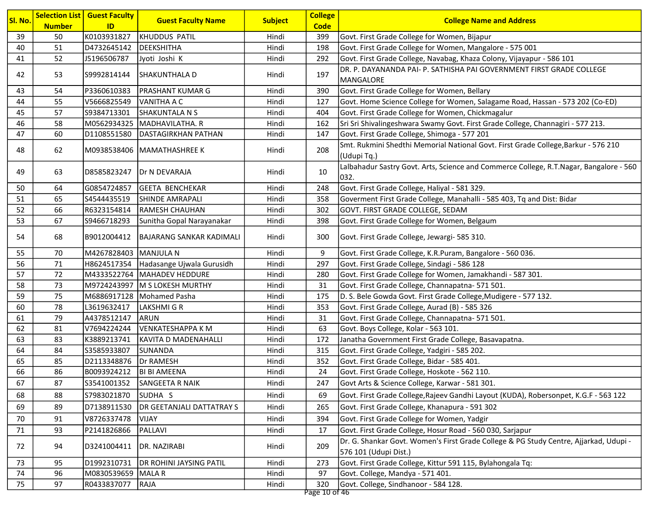|         |               | <b>Selection List   Guest Faculty</b> |                                |                | <b>College</b>            |                                                                                                   |
|---------|---------------|---------------------------------------|--------------------------------|----------------|---------------------------|---------------------------------------------------------------------------------------------------|
| Sl. No. | <b>Number</b> | ID                                    | <b>Guest Faculty Name</b>      | <b>Subject</b> | <b>Code</b>               | <b>College Name and Address</b>                                                                   |
| 39      | 50            | K0103931827                           | <b>KHUDDUS PATIL</b>           | Hindi          | 399                       | Govt. First Grade College for Women, Bijapur                                                      |
| 40      | 51            | D4732645142                           | DEEKSHITHA                     | Hindi          | 198                       | Govt. First Grade College for Women, Mangalore - 575 001                                          |
| 41      | 52            | J5196506787                           | Jyoti Joshi K                  | Hindi          | 292                       | Govt. First Grade College, Navabag, Khaza Colony, Vijayapur - 586 101                             |
| 42      | 53            | S9992814144                           | SHAKUNTHALA D                  | Hindi          | 197                       | DR. P. DAYANANDA PAI- P. SATHISHA PAI GOVERNMENT FIRST GRADE COLLEGE                              |
|         |               |                                       |                                |                |                           | MANGALORE                                                                                         |
| 43      | 54            | P3360610383                           | <b>PRASHANT KUMAR G</b>        | Hindi          | 390                       | Govt. First Grade College for Women, Bellary                                                      |
| 44      | 55            | V5666825549                           | <b>VANITHA A C</b>             | Hindi          | 127                       | Govt. Home Science College for Women, Salagame Road, Hassan - 573 202 (Co-ED)                     |
| 45      | 57            | S9384713301                           | <b>SHAKUNTALA N S</b>          | Hindi          | 404                       | Govt. First Grade College for Women, Chickmagalur                                                 |
| 46      | 58            |                                       | M0562934325   MADHAVILATHA. R  | Hindi          | 162                       | Sri Sri Shivalingeshwara Swamy Govt. First Grade College, Channagiri - 577 213.                   |
| 47      | 60            | D1108551580                           | DASTAGIRKHAN PATHAN            | Hindi          | 147                       | Govt. First Grade College, Shimoga - 577 201                                                      |
| 48      | 62            |                                       | M0938538406  MAMATHASHREE K    | Hindi          | 208                       | Smt. Rukmini Shedthi Memorial National Govt. First Grade College, Barkur - 576 210<br>(Udupi Tq.) |
| 49      | 63            | D8585823247                           | <b>Dr N DEVARAJA</b>           | Hindi          | 10                        | Lalbahadur Sastry Govt. Arts, Science and Commerce College, R.T.Nagar, Bangalore - 560<br>032.    |
| 50      | 64            | G0854724857                           | <b>GEETA BENCHEKAR</b>         | Hindi          | 248                       | Govt. First Grade College, Haliyal - 581 329.                                                     |
| 51      | 65            | S4544435519                           | <b>SHINDE AMRAPALI</b>         | Hindi          | 358                       | Goverment First Grade College, Manahalli - 585 403, Tq and Dist: Bidar                            |
| 52      | 66            | R6323154814                           | <b>RAMESH CHAUHAN</b>          | Hindi          | 302                       | GOVT. FIRST GRADE COLLEGE, SEDAM                                                                  |
| 53      | 67            | S9466718293                           | Sunitha Gopal Narayanakar      | Hindi          | 398                       | Govt. First Grade College for Women, Belgaum                                                      |
| 54      | 68            | B9012004412                           | BAJARANG SANKAR KADIMALI       | Hindi          | 300                       | Govt. First Grade College, Jewargi- 585 310.                                                      |
| 55      | 70            | M4267828403 MANJULA N                 |                                | Hindi          | 9                         | Govt. First Grade College, K.R.Puram, Bangalore - 560 036.                                        |
| 56      | 71            | H8624517354                           | Hadasange Ujwala Gurusidh      | Hindi          | 297                       | Govt. First Grade College, Sindagi - 586 128                                                      |
| 57      | 72            |                                       | M4333522764   MAHADEV HEDDURE  | Hindi          | 280                       | Govt. First Grade College for Women, Jamakhandi - 587 301.                                        |
| 58      | 73            |                                       | M9724243997 M S LOKESH MURTHY  | Hindi          | 31                        | Govt. First Grade College, Channapatna- 571 501.                                                  |
| 59      | 75            |                                       | M6886917128   Mohamed Pasha    | Hindi          | 175                       | D. S. Bele Gowda Govt. First Grade College, Mudigere - 577 132.                                   |
| 60      | 78            | L3619632417                           | LAKSHMI G R                    | Hindi          | 353                       | Govt. First Grade College, Aurad (B) - 585 326                                                    |
| 61      | 79            | A4378512147                           | <b>ARUN</b>                    | Hindi          | 31                        | Govt. First Grade College, Channapatna- 571 501.                                                  |
| 62      | 81            | V7694224244                           | <b>VENKATESHAPPA K M</b>       | Hindi          | 63                        | Govt. Boys College, Kolar - 563 101.                                                              |
| 63      | 83            | K3889213741                           | KAVITA D MADENAHALLI           | Hindi          | 172                       | Janatha Government First Grade College, Basavapatna.                                              |
| 64      | 84            | S3585933807                           | SUNANDA                        | Hindi          | 315                       | Govt. First Grade College, Yadgiri - 585 202.                                                     |
| 65      | 85            | D2113348876                           | Dr RAMESH                      | Hindi          | 352                       | Govt. First Grade College, Bidar - 585 401.                                                       |
| 66      | 86            | B0093924212                           | <b>BI BI AMEENA</b>            | Hindi          | 24                        | Govt. First Grade College, Hoskote - 562 110.                                                     |
| 67      | 87            | S3541001352                           | SANGEETA R NAIK                | Hindi          | 247                       | Govt Arts & Science College, Karwar - 581 301.                                                    |
| 68      | 88            | S7983021870                           | SUDHA <sub>S</sub>             | Hindi          | 69                        | Govt. First Grade College, Rajeev Gandhi Layout (KUDA), Robersonpet, K.G.F - 563 122              |
| 69      | 89            | D7138911530                           | DR GEETANJALI DATTATRAY S      | Hindi          | 265                       | Govt. First Grade College, Khanapura - 591 302                                                    |
| 70      | 91            | V8726337478                           | VIJAY                          | Hindi          | 394                       | Govt. First Grade College for Women, Yadgir                                                       |
| 71      | 93            | P2141826866                           | PALLAVI                        | Hindi          | 17                        | Govt. First Grade College, Hosur Road - 560 030, Sarjapur                                         |
|         |               |                                       |                                |                |                           | Dr. G. Shankar Govt. Women's First Grade College & PG Study Centre, Ajjarkad, Udupi -             |
| 72      | 94            | D3241004411                           | DR. NAZIRABI                   | Hindi          | 209                       | 576 101 (Udupi Dist.)                                                                             |
| 73      | 95            | D1992310731                           | <b>DR ROHINI JAYSING PATIL</b> | Hindi          | 273                       | Govt. First Grade College, Kittur 591 115, Bylahongala Tq:                                        |
| 74      | 96            | M0830539659 MALA R                    |                                | Hindi          | 97                        | Govt. College, Mandya - 571 401.                                                                  |
| 75      | 97            | R0433837077                           | RAJA                           | Hindi          | 320<br>$D_{200}$ 10 of 16 | Govt. College, Sindhanoor - 584 128.                                                              |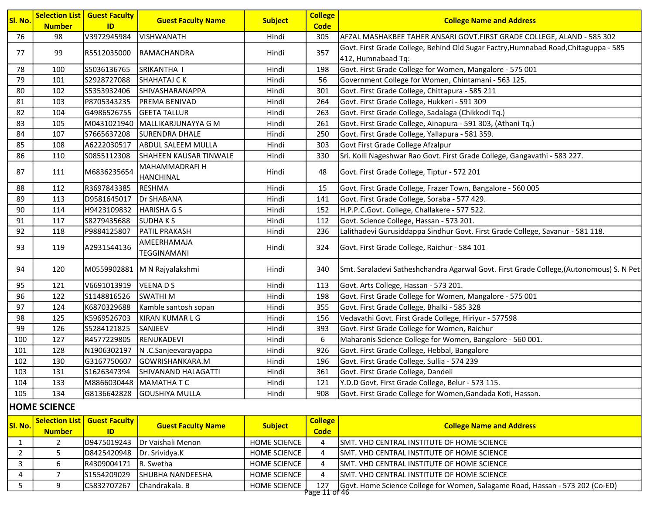| Sl. No. |               | <b>Selection List   Guest Faculty</b> | <b>Guest Faculty Name</b>                 | <b>Subject</b> | <b>College</b> | <b>College Name and Address</b>                                                         |
|---------|---------------|---------------------------------------|-------------------------------------------|----------------|----------------|-----------------------------------------------------------------------------------------|
|         | <b>Number</b> | ID                                    |                                           |                | <b>Code</b>    |                                                                                         |
| 76      | 98            | V3972945984                           | <b>VISHWANATH</b>                         | Hindi          | 305            | AFZAL MASHAKBEE TAHER ANSARI GOVT.FIRST GRADE COLLEGE, ALAND - 585 302                  |
| 77      | 99            | R5512035000                           | RAMACHANDRA                               | Hindi          | 357            | Govt. First Grade College, Behind Old Sugar Factry, Humnabad Road, Chitaguppa - 585     |
|         |               |                                       |                                           |                |                | 412, Humnabaad Tq:                                                                      |
| 78      | 100           | S5036136765                           | SRIKANTHA I                               | Hindi          | 198            | Govt. First Grade College for Women, Mangalore - 575 001                                |
| 79      | 101           | S2928727088                           | SHAHATAJ C K                              | Hindi          | 56             | Government College for Women, Chintamani - 563 125.                                     |
| 80      | 102           | S5353932406                           | SHIVASHARANAPPA                           | Hindi          | 301            | Govt. First Grade College, Chittapura - 585 211                                         |
| 81      | 103           | P8705343235                           | <b>PREMA BENIVAD</b>                      | Hindi          | 264            | Govt. First Grade College, Hukkeri - 591 309                                            |
| 82      | 104           | G4986526755                           | <b>GEETA TALLUR</b>                       | Hindi          | 263            | Govt. First Grade College, Sadalaga (Chikkodi Tq.)                                      |
| 83      | 105           |                                       | M0431021940 MALLIKARJUNAYYA G M           | Hindi          | 261            | Govt. First Grade College, Ainapura - 591 303, (Athani Tq.)                             |
| 84      | 107           | S7665637208                           | <b>SURENDRA DHALE</b>                     | Hindi          | 250            | Govt. First Grade College, Yallapura - 581 359.                                         |
| 85      | 108           | A6222030517                           | <b>ABDUL SALEEM MULLA</b>                 | Hindi          | 303            | Govt First Grade College Afzalpur                                                       |
| 86      | 110           | S0855112308                           | SHAHEEN KAUSAR TINWALE                    | Hindi          | 330            | Sri. Kolli Nageshwar Rao Govt. First Grade College, Gangavathi - 583 227.               |
| 87      | 111           | M6836235654                           | <b>MAHAMMADRAFI H</b><br><b>HANCHINAL</b> | Hindi          | 48             | Govt. First Grade College, Tiptur - 572 201                                             |
| 88      | 112           | R3697843385                           | <b>RESHMA</b>                             | Hindi          | 15             | Govt. First Grade College, Frazer Town, Bangalore - 560 005                             |
| 89      | 113           | D9581645017                           | Dr SHABANA                                | Hindi          | 141            | Govt. First Grade College, Soraba - 577 429.                                            |
| 90      | 114           | H9423109832                           | HARISHA G S                               | Hindi          | 152            | H.P.P.C.Govt. College, Challakere - 577 522.                                            |
| 91      | 117           | S8279435688                           | <b>SUDHAKS</b>                            | Hindi          | 112            | Govt. Science College, Hassan - 573 201.                                                |
| 92      | 118           | P9884125807                           | PATIL PRAKASH                             | Hindi          | 236            | Lalithadevi Gurusiddappa Sindhur Govt. First Grade College, Savanur - 581 118.          |
| 93      | 119           | A2931544136                           | AMEERHAMAJA<br><b>TEGGINAMANI</b>         | Hindi          | 324            | Govt. First Grade College, Raichur - 584 101                                            |
| 94      | 120           |                                       | M0559902881   M N Rajyalakshmi            | Hindi          | 340            | Smt. Saraladevi Satheshchandra Agarwal Govt. First Grade College, (Autonomous) S. N Pet |
| 95      | 121           | V6691013919                           | VEENADS                                   | Hindi          | 113            | Govt. Arts College, Hassan - 573 201.                                                   |
| 96      | 122           | S1148816526                           | <b>SWATHIM</b>                            | Hindi          | 198            | Govt. First Grade College for Women, Mangalore - 575 001                                |
| 97      | 124           | K6870329688                           | Kamble santosh sopan                      | Hindi          | 355            | Govt. First Grade College, Bhalki - 585 328                                             |
| 98      | 125           | K5969526703                           | KIRAN KUMAR L G                           | Hindi          | 156            | Vedavathi Govt. First Grade College, Hiriyur - 577598                                   |
| 99      | 126           | S5284121825                           | SANJEEV                                   | Hindi          | 393            | Govt. First Grade College for Women, Raichur                                            |
| 100     | 127           | R4577229805                           | RENUKADEVI                                | Hindi          | 6              | Maharanis Science College for Women, Bangalore - 560 001.                               |
| 101     | 128           | N1906302197                           | N .C.Sanjeevarayappa                      | Hindi          | 926            | Govt. First Grade College, Hebbal, Bangalore                                            |
| 102     | 130           | G3167750607                           | GOWRISHANKARA.M                           | Hindi          | 196            | Govt. First Grade College, Sullia - 574 239                                             |
| 103     | 131           | S1626347394                           | SHIVANAND HALAGATTI                       | Hindi          | 361            | Govt. First Grade College, Dandeli                                                      |
| 104     | 133           |                                       | M8866030448   MAMATHA T C                 | Hindi          | 121            | Y.D.D Govt. First Grade College, Belur - 573 115.                                       |
| 105     | 134           | G8136642828                           | GOUSHIYA MULLA                            | Hindi          | 908            | Govt. First Grade College for Women, Gandada Koti, Hassan.                              |

#### HOME SCIENCE

| <u> ISI. No. </u> | <b>Number</b> | <b>Selection List   Guest Faculty  </b><br>ID | <b>Guest Faculty Name</b> | <b>Subject</b>      | <b>College</b><br>Code | <b>College Name and Address</b>                                               |
|-------------------|---------------|-----------------------------------------------|---------------------------|---------------------|------------------------|-------------------------------------------------------------------------------|
|                   |               | D9475019243                                   | IDr Vaishali Menon        | <b>HOME SCIENCE</b> |                        | ISMT. VHD CENTRAL INSTITUTE OF HOME SCIENCE                                   |
|                   |               | D8425420948                                   | Dr. Srividya.K            | <b>HOME SCIENCE</b> |                        | ISMT. VHD CENTRAL INSTITUTE OF HOME SCIENCE                                   |
|                   |               | R4309004171                                   | IR. Swetha                | <b>HOME SCIENCE</b> |                        | ISMT. VHD CENTRAL INSTITUTE OF HOME SCIENCE                                   |
|                   |               | S1554209029                                   | ISHUBHA NANDEESHA         | <b>HOME SCIENCE</b> |                        | ISMT. VHD CENTRAL INSTITUTE OF HOME SCIENCE                                   |
|                   |               | IC5832707267                                  | IChandrakala. B           | <b>HOME SCIENCE</b> | 127<br>0388 11 81 16   | Govt. Home Science College for Women, Salagame Road, Hassan - 573 202 (Co-ED) |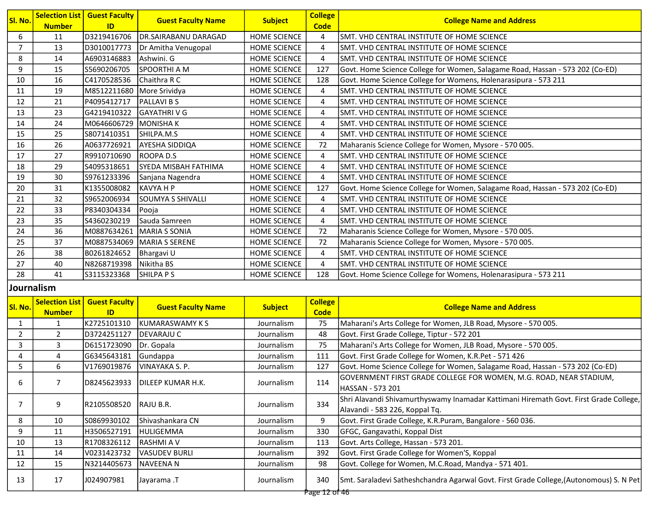| Sl. No.        | <b>Number</b> | <b>Selection List   Guest Faculty</b><br>ID | <b>Guest Faculty Name</b>    | <b>Subject</b>      | <b>College</b><br><b>Code</b> | <b>College Name and Address</b>                                               |
|----------------|---------------|---------------------------------------------|------------------------------|---------------------|-------------------------------|-------------------------------------------------------------------------------|
| 6              | 11            | D3219416706                                 | <b>DR.SAIRABANU DARAGAD</b>  | <b>HOME SCIENCE</b> | 4                             | SMT. VHD CENTRAL INSTITUTE OF HOME SCIENCE                                    |
| $\overline{7}$ | 13            | D3010017773                                 | Dr Amitha Venugopal          | <b>HOME SCIENCE</b> | 4                             | SMT. VHD CENTRAL INSTITUTE OF HOME SCIENCE                                    |
| 8              | 14            | A6903146883                                 | Ashwini. G                   | <b>HOME SCIENCE</b> | 4                             | ISMT. VHD CENTRAL INSTITUTE OF HOME SCIENCE                                   |
| 9              | 15            | S5690206705                                 | SPOORTHI A M                 | <b>HOME SCIENCE</b> | 127                           | Govt. Home Science College for Women, Salagame Road, Hassan - 573 202 (Co-ED) |
| 10             | 16            | C4170528536                                 | Chaithra R C                 | <b>HOME SCIENCE</b> | 128                           | Govt. Home Science College for Womens, Holenarasipura - 573 211               |
| 11             | 19            | M8512211680 More Srividya                   |                              | <b>HOME SCIENCE</b> | 4                             | SMT. VHD CENTRAL INSTITUTE OF HOME SCIENCE                                    |
| 12             | 21            | P4095412717                                 | <b>PALLAVIBS</b>             | <b>HOME SCIENCE</b> | 4                             | SMT. VHD CENTRAL INSTITUTE OF HOME SCIENCE                                    |
| 13             | 23            | G4219410322                                 | <b>GAYATHRIVG</b>            | <b>HOME SCIENCE</b> | 4                             | SMT. VHD CENTRAL INSTITUTE OF HOME SCIENCE                                    |
| 14             | 24            | M0646606729 MONISHAK                        |                              | HOME SCIENCE        | 4                             | SMT. VHD CENTRAL INSTITUTE OF HOME SCIENCE                                    |
| 15             | 25            | S8071410351                                 | SHILPA.M.S                   | HOME SCIENCE        | 4                             | SMT. VHD CENTRAL INSTITUTE OF HOME SCIENCE                                    |
| 16             | 26            | A0637726921                                 | AYESHA SIDDIQA               | HOME SCIENCE        | 72                            | Maharanis Science College for Women, Mysore - 570 005.                        |
| 17             | 27            | R9910710690                                 | <b>ROOPAD.S</b>              | HOME SCIENCE        | 4                             | SMT. VHD CENTRAL INSTITUTE OF HOME SCIENCE                                    |
| 18             | 29            | S4095318651                                 | İSYEDA MISBAH FATHIMA        | HOME SCIENCE        | 4                             | SMT. VHD CENTRAL INSTITUTE OF HOME SCIENCE                                    |
| 19             | 30            | S9761233396                                 | Sanjana Nagendra             | <b>HOME SCIENCE</b> | 4                             | SMT. VHD CENTRAL INSTITUTE OF HOME SCIENCE                                    |
| 20             | 31            | K1355008082                                 | <b>KAVYA H P</b>             | <b>HOME SCIENCE</b> | 127                           | Govt. Home Science College for Women, Salagame Road, Hassan - 573 202 (Co-ED) |
| 21             | 32            | S9652006934                                 | <b>SOUMYA S SHIVALLI</b>     | <b>HOME SCIENCE</b> | 4                             | SMT. VHD CENTRAL INSTITUTE OF HOME SCIENCE                                    |
| 22             | 33            | P8340304334                                 | Pooja                        | <b>HOME SCIENCE</b> | 4                             | SMT. VHD CENTRAL INSTITUTE OF HOME SCIENCE                                    |
| 23             | 35            | S4360230219                                 | Sauda Samreen                | <b>HOME SCIENCE</b> | 4                             | SMT. VHD CENTRAL INSTITUTE OF HOME SCIENCE                                    |
| 24             | 36            | M0887634261                                 | <b>IMARIA S SONIA</b>        | <b>HOME SCIENCE</b> | 72                            | Maharanis Science College for Women, Mysore - 570 005.                        |
| 25             | 37            |                                             | M0887534069   MARIA S SERENE | HOME SCIENCE        | 72                            | Maharanis Science College for Women, Mysore - 570 005.                        |
| 26             | 38            | B0261824652                                 | Bhargavi U                   | <b>HOME SCIENCE</b> | 4                             | SMT. VHD CENTRAL INSTITUTE OF HOME SCIENCE                                    |
| 27             | 40            | N8268719398                                 | Nikitha BS                   | HOME SCIENCE        | 4                             | SMT. VHD CENTRAL INSTITUTE OF HOME SCIENCE                                    |
| 28             | 41            | S3115323368                                 | <b>SHILPA P S</b>            | <b>HOME SCIENCE</b> | 128                           | Govt. Home Science College for Womens, Holenarasipura - 573 211               |

#### Journalism

| <b>Selection List</b><br><b>Number</b> | <b>Guest Faculty</b><br><b>ID</b> | <b>Guest Faculty Name</b>                                                                                                                                          |                                                         |                               |                                                                                                                         |
|----------------------------------------|-----------------------------------|--------------------------------------------------------------------------------------------------------------------------------------------------------------------|---------------------------------------------------------|-------------------------------|-------------------------------------------------------------------------------------------------------------------------|
|                                        |                                   |                                                                                                                                                                    | <b>Subject</b>                                          | <b>College</b><br><b>Code</b> | <b>College Name and Address</b>                                                                                         |
|                                        | K2725101310                       | KUMARASWAMY K S                                                                                                                                                    | Journalism                                              | 75                            | Maharani's Arts College for Women, JLB Road, Mysore - 570 005.                                                          |
| $\mathcal{P}$                          | D3724251127                       | DEVARAJU C                                                                                                                                                         | Journalism                                              | 48                            | Govt. First Grade College, Tiptur - 572 201                                                                             |
| 3                                      |                                   |                                                                                                                                                                    | Journalism                                              | 75                            | Maharani's Arts College for Women, JLB Road, Mysore - 570 005.                                                          |
| 4                                      |                                   |                                                                                                                                                                    | Journalism                                              | 111                           | Govt. First Grade College for Women, K.R.Pet - 571 426                                                                  |
| 6                                      |                                   | VINAYAKA S. P.                                                                                                                                                     | Journalism                                              | 127                           | Govt. Home Science College for Women, Salagame Road, Hassan - 573 202 (Co-ED)                                           |
|                                        |                                   | DILEEP KUMAR H.K.                                                                                                                                                  | Journalism                                              | 114                           | GOVERNMENT FIRST GRADE COLLEGE FOR WOMEN, M.G. ROAD, NEAR STADIUM,<br>lHASSAN - 573 201                                 |
| 9                                      |                                   |                                                                                                                                                                    | Journalism                                              | 334                           | Shri Alavandi Shivamurthyswamy Inamadar Kattimani Hiremath Govt. First Grade College,<br>Alavandi - 583 226, Koppal Tq. |
| 10                                     |                                   | IShivashankara CN                                                                                                                                                  | Journalism                                              | 9                             | Govt. First Grade College, K.R.Puram, Bangalore - 560 036.                                                              |
| 11                                     |                                   |                                                                                                                                                                    | Journalism                                              | 330                           | GFGC, Gangavathi, Koppal Dist                                                                                           |
| 13                                     |                                   | RASHMI A V                                                                                                                                                         | Journalism                                              | 113                           | Govt. Arts College, Hassan - 573 201.                                                                                   |
| 14                                     |                                   | <b>VASUDEV BURLI</b>                                                                                                                                               | Journalism                                              | 392                           | Govt. First Grade College for Women'S, Koppal                                                                           |
| 15                                     |                                   | <b>NAVEENAN</b>                                                                                                                                                    | Journalism                                              | 98                            | Govt. College for Women, M.C.Road, Mandya - 571 401.                                                                    |
| 17                                     |                                   | Jayarama .T                                                                                                                                                        | Journalism                                              | 340                           | Smt. Saraladevi Satheshchandra Agarwal Govt. First Grade College, (Autonomous) S. N Pet                                 |
|                                        |                                   | D6151723090<br>G6345643181<br>V1769019876<br>D8245623933<br>R2105508520<br>S0869930102<br>H3506527191 <br>R1708326112<br>V0231423732<br>N3214405673 <br>J024907981 | Dr. Gopala<br>Gundappa<br>RAJU B.R.<br><b>HULIGEMMA</b> |                               | Page 12 of 46                                                                                                           |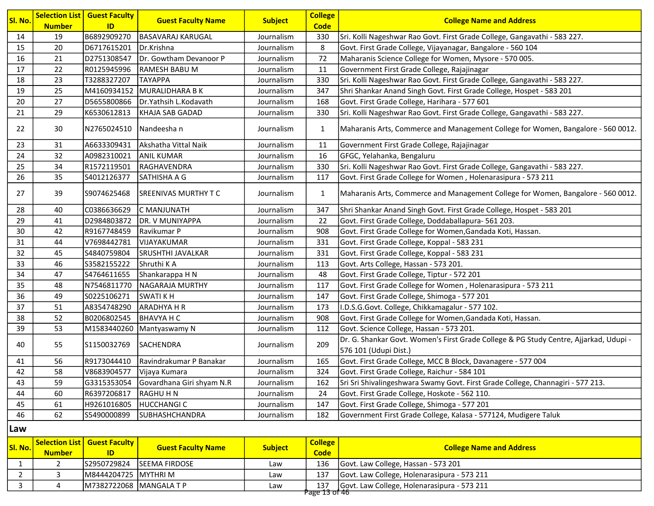| Sl. No. | <b>Number</b>         | <b>Selection List   Guest Faculty</b><br>ID | <b>Guest Faculty Name</b>   | <b>Subject</b> | <b>College</b><br><b>Code</b> | <b>College Name and Address</b>                                                                                |
|---------|-----------------------|---------------------------------------------|-----------------------------|----------------|-------------------------------|----------------------------------------------------------------------------------------------------------------|
| 14      | 19                    | B6892909270                                 | <b>BASAVARAJ KARUGAL</b>    | Journalism     | 330                           | Sri. Kolli Nageshwar Rao Govt. First Grade College, Gangavathi - 583 227.                                      |
| 15      | 20                    | D6717615201                                 | Dr.Krishna                  | Journalism     | 8                             | Govt. First Grade College, Vijayanagar, Bangalore - 560 104                                                    |
| 16      | 21                    | D2751308547                                 | Dr. Gowtham Devanoor P      | Journalism     | 72                            | Maharanis Science College for Women, Mysore - 570 005.                                                         |
| 17      | 22                    | R0125945996                                 | <b>RAMESH BABU M</b>        | Journalism     | 11                            | Government First Grade College, Rajajinagar                                                                    |
| 18      | 23                    | T3288327207                                 | <b>TAYAPPA</b>              | Journalism     | 330                           | Sri. Kolli Nageshwar Rao Govt. First Grade College, Gangavathi - 583 227.                                      |
| 19      | 25                    | M4160934152                                 | MURALIDHARA B K             | Journalism     | 347                           | Shri Shankar Anand Singh Govt. First Grade College, Hospet - 583 201                                           |
| 20      | 27                    | D5655800866                                 | Dr.Yathsih L.Kodavath       | Journalism     | 168                           | Govt. First Grade College, Harihara - 577 601                                                                  |
| 21      | 29                    | K6530612813                                 | KHAJA SAB GADAD             | Journalism     | 330                           | Sri. Kolli Nageshwar Rao Govt. First Grade College, Gangavathi - 583 227.                                      |
| 22      | 30                    | N2765024510   Nandeesha n                   |                             | Journalism     | $\mathbf{1}$                  | Maharanis Arts, Commerce and Management College for Women, Bangalore - 560 0012.                               |
| 23      | 31                    | A6633309431                                 | Akshatha Vittal Naik        | Journalism     | 11                            | Government First Grade College, Rajajinagar                                                                    |
| 24      | 32                    | A0982310021                                 | <b>ANIL KUMAR</b>           | Journalism     | 16                            | GFGC, Yelahanka, Bengaluru                                                                                     |
| 25      | 34                    | R1572119501                                 | RAGHAVENDRA                 | Journalism     | 330                           | Sri. Kolli Nageshwar Rao Govt. First Grade College, Gangavathi - 583 227.                                      |
| 26      | 35                    | S4012126377                                 | SATHISHA A G                | Journalism     | 117                           | Govt. First Grade College for Women, Holenarasipura - 573 211                                                  |
| 27      | 39                    | S9074625468                                 | <b>SREENIVAS MURTHY T C</b> | Journalism     | $\mathbf{1}$                  | Maharanis Arts, Commerce and Management College for Women, Bangalore - 560 0012.                               |
| 28      | 40                    | C0386636629                                 | C MANJUNATH                 | Journalism     | 347                           | Shri Shankar Anand Singh Govt. First Grade College, Hospet - 583 201                                           |
| 29      | 41                    | D2984803872                                 | DR. V MUNIYAPPA             | Journalism     | 22                            | Govt. First Grade College, Doddaballapura- 561 203.                                                            |
| 30      | 42                    | R9167748459                                 | Ravikumar P                 | Journalism     | 908                           | Govt. First Grade College for Women, Gandada Koti, Hassan.                                                     |
| 31      | 44                    | V7698442781                                 | <b>VIJAYAKUMAR</b>          | Journalism     | 331                           | Govt. First Grade College, Koppal - 583 231                                                                    |
| 32      | 45                    | S4840759804                                 | SRUSHTHI JAVALKAR           | Journalism     | 331                           | Govt. First Grade College, Koppal - 583 231                                                                    |
| 33      | 46                    | S3582155222                                 | Shruthi KA                  | Journalism     | 113                           | Govt. Arts College, Hassan - 573 201.                                                                          |
| 34      | 47                    | S4764611655                                 | Shankarappa H N             | Journalism     | 48                            | Govt. First Grade College, Tiptur - 572 201                                                                    |
| 35      | 48                    | N7546811770                                 | NAGARAJA MURTHY             | Journalism     | 117                           | Govt. First Grade College for Women, Holenarasipura - 573 211                                                  |
| 36      | 49                    | S0225106271                                 | <b>SWATI KH</b>             | Journalism     | 147                           | Govt. First Grade College, Shimoga - 577 201                                                                   |
| 37      | 51                    | A8354748290                                 | <b>ARADHYA H R</b>          | Journalism     | 173                           | I.D.S.G.Govt. College, Chikkamagalur - 577 102.                                                                |
| 38      | 52                    | B0206802545                                 | BHAVYA H C                  | Journalism     | 908                           | Govt. First Grade College for Women, Gandada Koti, Hassan.                                                     |
| 39      | 53                    | M1583440260                                 | Mantyaswamy N               | Journalism     | 112                           | Govt. Science College, Hassan - 573 201.                                                                       |
| 40      | 55                    | S1150032769                                 | SACHENDRA                   | Journalism     | 209                           | Dr. G. Shankar Govt. Women's First Grade College & PG Study Centre, Ajjarkad, Udupi -<br>576 101 (Udupi Dist.) |
| 41      | 56                    | R9173044410                                 | Ravindrakumar P Banakar     | Journalism     | 165                           | Govt. First Grade College, MCC B Block, Davanagere - 577 004                                                   |
| 42      | 58                    | V8683904577                                 | Vijaya Kumara               | Journalism     | 324                           | Govt. First Grade College, Raichur - 584 101                                                                   |
| 43      | 59                    | G3315353054                                 | Govardhana Giri shyam N.R   | Journalism     | 162                           | Sri Sri Shivalingeshwara Swamy Govt. First Grade College, Channagiri - 577 213.                                |
| 44      | 60                    | R6397206817                                 | <b>RAGHUHN</b>              | Journalism     | 24                            | Govt. First Grade College, Hoskote - 562 110.                                                                  |
| 45      | 61                    | H9261016805                                 | <b>HUCCHANGIC</b>           | Journalism     | 147                           | Govt. First Grade College, Shimoga - 577 201                                                                   |
| 46      | 62                    | S5490000899                                 | <b>SUBHASHCHANDRA</b>       | Journalism     | 182                           | Government First Grade College, Kalasa - 577124, Mudigere Taluk                                                |
| Law     |                       |                                             |                             |                |                               |                                                                                                                |
| Sl. No. | <b>Selection List</b> | <b>Guest Faculty</b>                        | <b>Guest Faculty Name</b>   | <b>Subject</b> | <b>College</b>                | <b>College Name and Address</b>                                                                                |
|         | <b>Number</b>         | ID                                          |                             |                | <b>Code</b>                   |                                                                                                                |

1 2 S2950729824 SEEMA FIRDOSE Law 136 Govt. Law College, Hassan - 573 201<br>2 3 M8444204725 MYTHRI M Law 137 Govt. Law College, Holenarasipura - !

2 3 M8444204725 MYTHRI M Law 137 Govt. Law College, Holenarasipura - 573 211<br>3 4 M7382722068 MANGALA T P Law 137 Govt. Law College, Holenarasipura - 573 211 3 4 M7382722068 MANGALA T P Law 137 Govt. Law College, Holenarasipura - 573 211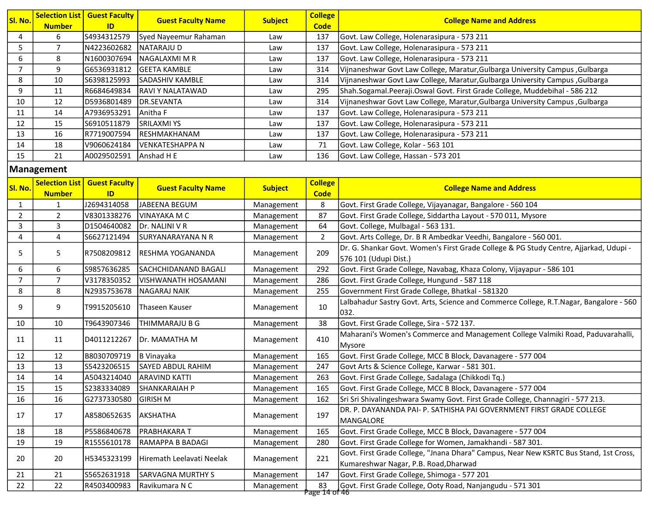| SI. No. | <b>Number</b> | <b>Selection List   Guest Faculty</b><br>ID. | <b>Guest Faculty Name</b> | <b>Subject</b> | <b>College</b><br><b>Code</b> | <b>College Name and Address</b>                                              |
|---------|---------------|----------------------------------------------|---------------------------|----------------|-------------------------------|------------------------------------------------------------------------------|
|         | 6             | IS4934312579                                 | Syed Nayeemur Rahaman     | Law            | 137                           | Govt. Law College, Holenarasipura - 573 211                                  |
|         |               | N4223602682                                  | <b>NATARAJU D</b>         | Law            | 137                           | Govt. Law College, Holenarasipura - 573 211                                  |
| 6       | 8             | N1600307694                                  | INAGALAXMI M R            | Law            | 137                           | Govt. Law College, Holenarasipura - 573 211                                  |
|         | 9             | G6536931812                                  | <b>IGEETA KAMBLE</b>      | Law            | 314                           | Vijnaneshwar Govt Law College, Maratur, Gulbarga University Campus, Gulbarga |
| 8       | 10            | S6398125993                                  | <b>SADASHIV KAMBLE</b>    | Law            | 314                           | Vijnaneshwar Govt Law College, Maratur, Gulbarga University Campus, Gulbarga |
| 9       | 11            | R6684649834                                  | IRAVI Y NALATAWAD         | Law            | 295                           | Shah.Sogamal.Peeraji.Oswal Govt. First Grade College, Muddebihal - 586 212   |
| 10      | 12            | D5936801489                                  | <b>IDR.SEVANTA</b>        | Law            | 314                           | Vijnaneshwar Govt Law College, Maratur, Gulbarga University Campus, Gulbarga |
| 11      | 14            | A7936953291                                  | lAnitha F                 | Law            | 137                           | Govt. Law College, Holenarasipura - 573 211                                  |
| 12      | 15            | IS6910511879                                 | <b>ISRILAXMI YS</b>       | Law            | 137                           | Govt. Law College, Holenarasipura - 573 211                                  |
| 13      | 16            | R7719007594                                  | IRESHMAKHANAM             | Law            | 137                           | Govt. Law College, Holenarasipura - 573 211                                  |
| 14      | 18            | V9060624184                                  | VENKATESHAPPA N           | Law            | 71                            | Govt. Law College, Kolar - 563 101                                           |
| 15      | 21            | A0029502591                                  | Anshad H E                | Law            | 136                           | Govt. Law College, Hassan - 573 201                                          |

## Management

| SI. No.        | <b>Selection List</b> | <b>Guest Faculty</b> | <b>Guest Faculty Name</b>  | <b>Subject</b> | <b>College</b>                 | <b>College Name and Address</b>                                                                |
|----------------|-----------------------|----------------------|----------------------------|----------------|--------------------------------|------------------------------------------------------------------------------------------------|
|                | <b>Number</b>         | ID                   |                            |                | <b>Code</b>                    |                                                                                                |
| 1              | 1                     | J2694314058          | <b>JABEENA BEGUM</b>       | Management     | 8                              | Govt. First Grade College, Vijayanagar, Bangalore - 560 104                                    |
| $\overline{2}$ | $\overline{2}$        | V8301338276          | <b>VINAYAKA M C</b>        | Management     | 87                             | Govt. First Grade College, Siddartha Layout - 570 011, Mysore                                  |
| 3              | 3                     | D1504640082          | Dr. NALINI V R             | Management     | 64                             | Govt. College, Mulbagal - 563 131.                                                             |
| 4              | 4                     | S6627121494          | SURYANARAYANA N R          | Management     | $\overline{2}$                 | Govt. Arts College, Dr. B R Ambedkar Veedhi, Bangalore - 560 001.                              |
| 5              | 5                     | R7508209812          | IRESHMA YOGANANDA          | Management     | 209                            | Dr. G. Shankar Govt. Women's First Grade College & PG Study Centre, Ajjarkad, Udupi -          |
|                |                       |                      |                            |                |                                | 576 101 (Udupi Dist.)                                                                          |
| 6              | 6                     | S9857636285          | SACHCHIDANAND BAGALI       | Management     | 292                            | Govt. First Grade College, Navabag, Khaza Colony, Vijayapur - 586 101                          |
| 7              | $\overline{7}$        | V3178350352          | <b>VISHWANATH HOSAMANI</b> | Management     | 286                            | Govt. First Grade College, Hungund - 587 118                                                   |
| 8              | 8                     | N2935753678          | <b>NAGARAJ NAIK</b>        | Management     | 255                            | Government First Grade College, Bhatkal - 581320                                               |
| 9              | 9                     | T9915205610          | Thaseen Kauser             | Management     | 10                             | Lalbahadur Sastry Govt. Arts, Science and Commerce College, R.T.Nagar, Bangalore - 560<br>032. |
| 10             | 10                    | T9643907346          | THIMMARAJU B G             | Management     | 38                             | Govt. First Grade College, Sira - 572 137.                                                     |
| 11             | 11                    | D4011212267          | Dr. MAMATHA M              | Management     | 410                            | Maharani's Women's Commerce and Management College Valmiki Road, Paduvarahalli,<br>Mysore      |
| 12             | 12                    | B8030709719          | B Vinayaka                 | Management     | 165                            | Govt. First Grade College, MCC B Block, Davanagere - 577 004                                   |
| 13             | 13                    | S5423206515          | <b>SAYED ABDUL RAHIM</b>   | Management     | 247                            | Govt Arts & Science College, Karwar - 581 301.                                                 |
| 14             | 14                    | A5043214040          | <b>ARAVIND KATTI</b>       | Management     | 263                            | Govt. First Grade College, Sadalaga (Chikkodi Tq.)                                             |
| 15             | 15                    | S2383334089          | <b>SHANKARAIAH P</b>       | Management     | 165                            | Govt. First Grade College, MCC B Block, Davanagere - 577 004                                   |
| 16             | 16                    | G2737330580          | <b>GIRISH M</b>            | Management     | 162                            | Sri Sri Shivalingeshwara Swamy Govt. First Grade College, Channagiri - 577 213.                |
| 17             | 17                    | A8580652635          | <b>AKSHATHA</b>            | Management     | 197                            | DR. P. DAYANANDA PAI- P. SATHISHA PAI GOVERNMENT FIRST GRADE COLLEGE                           |
|                |                       |                      |                            |                |                                | MANGALORE                                                                                      |
| 18             | 18                    | P5586840678          | PRABHAKARA T               | Management     | 165                            | Govt. First Grade College, MCC B Block, Davanagere - 577 004                                   |
| 19             | 19                    | R1555610178          | RAMAPPA B BADAGI           | Management     | 280                            | Govt. First Grade College for Women, Jamakhandi - 587 301.                                     |
| 20             | 20                    | H5345323199          | Hiremath Leelavati Neelak  | Management     | 221                            | Govt. First Grade College, "Jnana Dhara" Campus, Near New KSRTC Bus Stand, 1st Cross,          |
|                |                       |                      |                            |                |                                | Kumareshwar Nagar, P.B. Road, Dharwad                                                          |
| 21             | 21                    | S5652631918          | <b>SARVAGNA MURTHY S</b>   | Management     | 147                            | Govt. First Grade College, Shimoga - 577 201                                                   |
| 22             | 22                    | R4503400983          | Ravikumara N C             | Management     | 83<br><del>ה4 14 מדל 146</del> | Govt. First Grade College, Ooty Road, Nanjangudu - 571 301                                     |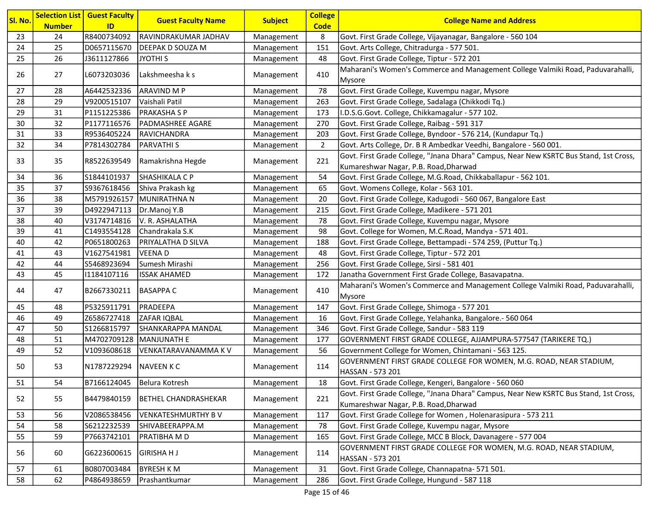| <b>Guest Faculty Name</b><br><b>Subject</b><br><b>College Name and Address</b><br><b>Code</b><br><b>Number</b><br>ID<br>R8400734092<br>RAVINDRAKUMAR JADHAV<br>Govt. First Grade College, Vijayanagar, Bangalore - 560 104<br>23<br>24<br>8<br>Management<br>24<br>25<br><b>DEEPAK D SOUZA M</b><br>Govt. Arts College, Chitradurga - 577 501.<br>D0657115670<br>151<br>Management<br>25<br>26<br>J3611127866<br>JYOTHI S<br>48<br>Govt. First Grade College, Tiptur - 572 201<br>Management<br>Maharani's Women's Commerce and Management College Valmiki Road, Paduvarahalli,<br>410<br>26<br>27<br>L6073203036<br>Lakshmeesha k s<br>Management<br>Mysore<br>78<br>27<br>28<br>A6442532336<br><b>ARAVIND M P</b><br>Govt. First Grade College, Kuvempu nagar, Mysore<br>Management<br>28<br>29<br>V9200515107<br>Vaishali Patil<br>Govt. First Grade College, Sadalaga (Chikkodi Tq.)<br>263<br>Management<br>29<br>31<br>P1151225386<br><b>PRAKASHA S P</b><br>I.D.S.G.Govt. College, Chikkamagalur - 577 102.<br>173<br>Management<br>30<br>Govt. First Grade College, Raibag - 591 317<br>32<br>P1177116576<br><b>PADMASHREE AGARE</b><br>270<br>Management<br>Govt. First Grade College, Byndoor - 576 214, (Kundapur Tq.)<br>31<br>33<br>R9536405224<br>RAVICHANDRA<br>Management<br>203<br>32<br>34<br>P7814302784<br>2<br>Govt. Arts College, Dr. B R Ambedkar Veedhi, Bangalore - 560 001.<br> PARVATHI S<br>Management<br>Govt. First Grade College, "Jnana Dhara" Campus, Near New KSRTC Bus Stand, 1st Cross,<br>221<br>35<br>R8522639549<br>Ramakrishna Hegde<br>Management | Sl. No. |
|--------------------------------------------------------------------------------------------------------------------------------------------------------------------------------------------------------------------------------------------------------------------------------------------------------------------------------------------------------------------------------------------------------------------------------------------------------------------------------------------------------------------------------------------------------------------------------------------------------------------------------------------------------------------------------------------------------------------------------------------------------------------------------------------------------------------------------------------------------------------------------------------------------------------------------------------------------------------------------------------------------------------------------------------------------------------------------------------------------------------------------------------------------------------------------------------------------------------------------------------------------------------------------------------------------------------------------------------------------------------------------------------------------------------------------------------------------------------------------------------------------------------------------------------------------------------------------------------|---------|
|                                                                                                                                                                                                                                                                                                                                                                                                                                                                                                                                                                                                                                                                                                                                                                                                                                                                                                                                                                                                                                                                                                                                                                                                                                                                                                                                                                                                                                                                                                                                                                                            |         |
|                                                                                                                                                                                                                                                                                                                                                                                                                                                                                                                                                                                                                                                                                                                                                                                                                                                                                                                                                                                                                                                                                                                                                                                                                                                                                                                                                                                                                                                                                                                                                                                            |         |
|                                                                                                                                                                                                                                                                                                                                                                                                                                                                                                                                                                                                                                                                                                                                                                                                                                                                                                                                                                                                                                                                                                                                                                                                                                                                                                                                                                                                                                                                                                                                                                                            |         |
|                                                                                                                                                                                                                                                                                                                                                                                                                                                                                                                                                                                                                                                                                                                                                                                                                                                                                                                                                                                                                                                                                                                                                                                                                                                                                                                                                                                                                                                                                                                                                                                            |         |
|                                                                                                                                                                                                                                                                                                                                                                                                                                                                                                                                                                                                                                                                                                                                                                                                                                                                                                                                                                                                                                                                                                                                                                                                                                                                                                                                                                                                                                                                                                                                                                                            |         |
|                                                                                                                                                                                                                                                                                                                                                                                                                                                                                                                                                                                                                                                                                                                                                                                                                                                                                                                                                                                                                                                                                                                                                                                                                                                                                                                                                                                                                                                                                                                                                                                            |         |
|                                                                                                                                                                                                                                                                                                                                                                                                                                                                                                                                                                                                                                                                                                                                                                                                                                                                                                                                                                                                                                                                                                                                                                                                                                                                                                                                                                                                                                                                                                                                                                                            |         |
|                                                                                                                                                                                                                                                                                                                                                                                                                                                                                                                                                                                                                                                                                                                                                                                                                                                                                                                                                                                                                                                                                                                                                                                                                                                                                                                                                                                                                                                                                                                                                                                            |         |
|                                                                                                                                                                                                                                                                                                                                                                                                                                                                                                                                                                                                                                                                                                                                                                                                                                                                                                                                                                                                                                                                                                                                                                                                                                                                                                                                                                                                                                                                                                                                                                                            |         |
|                                                                                                                                                                                                                                                                                                                                                                                                                                                                                                                                                                                                                                                                                                                                                                                                                                                                                                                                                                                                                                                                                                                                                                                                                                                                                                                                                                                                                                                                                                                                                                                            |         |
|                                                                                                                                                                                                                                                                                                                                                                                                                                                                                                                                                                                                                                                                                                                                                                                                                                                                                                                                                                                                                                                                                                                                                                                                                                                                                                                                                                                                                                                                                                                                                                                            |         |
| Kumareshwar Nagar, P.B. Road, Dharwad                                                                                                                                                                                                                                                                                                                                                                                                                                                                                                                                                                                                                                                                                                                                                                                                                                                                                                                                                                                                                                                                                                                                                                                                                                                                                                                                                                                                                                                                                                                                                      | 33      |
| 36<br>S1844101937<br>SHASHIKALA C P<br>54<br>Govt. First Grade College, M.G.Road, Chikkaballapur - 562 101.<br>34<br>Management                                                                                                                                                                                                                                                                                                                                                                                                                                                                                                                                                                                                                                                                                                                                                                                                                                                                                                                                                                                                                                                                                                                                                                                                                                                                                                                                                                                                                                                            |         |
| 35<br>37<br>S9367618456<br>Shiva Prakash kg<br>65<br>Govt. Womens College, Kolar - 563 101.<br>Management                                                                                                                                                                                                                                                                                                                                                                                                                                                                                                                                                                                                                                                                                                                                                                                                                                                                                                                                                                                                                                                                                                                                                                                                                                                                                                                                                                                                                                                                                  |         |
| 36<br>38<br>M5791926157<br>MUNIRATHNA N<br>20<br>Govt. First Grade College, Kadugodi - 560 067, Bangalore East<br>Management                                                                                                                                                                                                                                                                                                                                                                                                                                                                                                                                                                                                                                                                                                                                                                                                                                                                                                                                                                                                                                                                                                                                                                                                                                                                                                                                                                                                                                                               |         |
| 37<br>Govt. First Grade College, Madikere - 571 201<br>39<br>D4922947113<br>Dr.Manoj Y.B<br>215<br>Management                                                                                                                                                                                                                                                                                                                                                                                                                                                                                                                                                                                                                                                                                                                                                                                                                                                                                                                                                                                                                                                                                                                                                                                                                                                                                                                                                                                                                                                                              |         |
| 38<br>40<br>V3174714816<br>V. R. ASHALATHA<br>78<br>Govt. First Grade College, Kuvempu nagar, Mysore<br>Management                                                                                                                                                                                                                                                                                                                                                                                                                                                                                                                                                                                                                                                                                                                                                                                                                                                                                                                                                                                                                                                                                                                                                                                                                                                                                                                                                                                                                                                                         |         |
| 39<br>41<br>C1493554128<br>Chandrakala S.K<br>Govt. College for Women, M.C.Road, Mandya - 571 401.<br>98<br>Management                                                                                                                                                                                                                                                                                                                                                                                                                                                                                                                                                                                                                                                                                                                                                                                                                                                                                                                                                                                                                                                                                                                                                                                                                                                                                                                                                                                                                                                                     |         |
| 40<br>42<br>188<br>Govt. First Grade College, Bettampadi - 574 259, (Puttur Tq.)<br>P0651800263<br>PRIYALATHA D SILVA<br>Management                                                                                                                                                                                                                                                                                                                                                                                                                                                                                                                                                                                                                                                                                                                                                                                                                                                                                                                                                                                                                                                                                                                                                                                                                                                                                                                                                                                                                                                        |         |
| 41<br>43<br>V1627541981<br><b>VEENAD</b><br>48<br>Govt. First Grade College, Tiptur - 572 201<br>Management                                                                                                                                                                                                                                                                                                                                                                                                                                                                                                                                                                                                                                                                                                                                                                                                                                                                                                                                                                                                                                                                                                                                                                                                                                                                                                                                                                                                                                                                                |         |
| 42<br>44<br>Govt. First Grade College, Sirsi - 581 401<br>S5468923694<br>Sumesh Mirashi<br>256<br>Management                                                                                                                                                                                                                                                                                                                                                                                                                                                                                                                                                                                                                                                                                                                                                                                                                                                                                                                                                                                                                                                                                                                                                                                                                                                                                                                                                                                                                                                                               |         |
| 43<br>45<br>Janatha Government First Grade College, Basavapatna.<br>11184107116<br><b>ISSAK AHAMED</b><br>172<br>Management                                                                                                                                                                                                                                                                                                                                                                                                                                                                                                                                                                                                                                                                                                                                                                                                                                                                                                                                                                                                                                                                                                                                                                                                                                                                                                                                                                                                                                                                |         |
| Maharani's Women's Commerce and Management College Valmiki Road, Paduvarahalli,<br>410<br>47<br>B2667330211<br>44<br><b>BASAPPAC</b><br>Management<br>Mysore                                                                                                                                                                                                                                                                                                                                                                                                                                                                                                                                                                                                                                                                                                                                                                                                                                                                                                                                                                                                                                                                                                                                                                                                                                                                                                                                                                                                                               |         |
| 45<br>48<br>P5325911791<br>PRADEEPA<br>Govt. First Grade College, Shimoga - 577 201<br>147<br>Management                                                                                                                                                                                                                                                                                                                                                                                                                                                                                                                                                                                                                                                                                                                                                                                                                                                                                                                                                                                                                                                                                                                                                                                                                                                                                                                                                                                                                                                                                   |         |
| 46<br>49<br>Z6586727418<br>ZAFAR IQBAL<br>16<br>Govt. First Grade College, Yelahanka, Bangalore.- 560 064<br>Management                                                                                                                                                                                                                                                                                                                                                                                                                                                                                                                                                                                                                                                                                                                                                                                                                                                                                                                                                                                                                                                                                                                                                                                                                                                                                                                                                                                                                                                                    |         |
| 47<br>50<br>S1266815797<br>SHANKARAPPA MANDAL<br>346<br>Govt. First Grade College, Sandur - 583 119<br>Management                                                                                                                                                                                                                                                                                                                                                                                                                                                                                                                                                                                                                                                                                                                                                                                                                                                                                                                                                                                                                                                                                                                                                                                                                                                                                                                                                                                                                                                                          |         |
| 48<br>51<br>M4702709128<br>MANJUNATH E<br>GOVERNMENT FIRST GRADE COLLEGE, AJJAMPURA-577547 (TARIKERE TQ.)<br>Management<br>177                                                                                                                                                                                                                                                                                                                                                                                                                                                                                                                                                                                                                                                                                                                                                                                                                                                                                                                                                                                                                                                                                                                                                                                                                                                                                                                                                                                                                                                             |         |
| 49<br>52<br>V1093608618<br>56<br>Government College for Women, Chintamani - 563 125.<br>VENKATARAVANAMMA K V<br>Management                                                                                                                                                                                                                                                                                                                                                                                                                                                                                                                                                                                                                                                                                                                                                                                                                                                                                                                                                                                                                                                                                                                                                                                                                                                                                                                                                                                                                                                                 |         |
| GOVERNMENT FIRST GRADE COLLEGE FOR WOMEN, M.G. ROAD, NEAR STADIUM,<br>50<br>53<br>N1787229294<br>NAVEEN K C<br>114<br>Management<br> HASSAN - 573 201                                                                                                                                                                                                                                                                                                                                                                                                                                                                                                                                                                                                                                                                                                                                                                                                                                                                                                                                                                                                                                                                                                                                                                                                                                                                                                                                                                                                                                      |         |
| B7166124045<br>Belura Kotresh<br>Govt. First Grade College, Kengeri, Bangalore - 560 060<br>51<br>54<br>Management<br>18                                                                                                                                                                                                                                                                                                                                                                                                                                                                                                                                                                                                                                                                                                                                                                                                                                                                                                                                                                                                                                                                                                                                                                                                                                                                                                                                                                                                                                                                   |         |
| Govt. First Grade College, "Jnana Dhara" Campus, Near New KSRTC Bus Stand, 1st Cross,<br>55<br>B4479840159<br>221<br>52<br><b>BETHEL CHANDRASHEKAR</b><br>Management<br>Kumareshwar Nagar, P.B. Road, Dharwad                                                                                                                                                                                                                                                                                                                                                                                                                                                                                                                                                                                                                                                                                                                                                                                                                                                                                                                                                                                                                                                                                                                                                                                                                                                                                                                                                                              |         |
| 56<br><b>VENKATESHMURTHY BV</b><br>117<br>Govt. First Grade College for Women, Holenarasipura - 573 211<br>53<br>V2086538456<br>Management                                                                                                                                                                                                                                                                                                                                                                                                                                                                                                                                                                                                                                                                                                                                                                                                                                                                                                                                                                                                                                                                                                                                                                                                                                                                                                                                                                                                                                                 |         |
| 54<br>58<br>Govt. First Grade College, Kuvempu nagar, Mysore<br>S6212232539<br>SHIVABEERAPPA.M<br>Management<br>78                                                                                                                                                                                                                                                                                                                                                                                                                                                                                                                                                                                                                                                                                                                                                                                                                                                                                                                                                                                                                                                                                                                                                                                                                                                                                                                                                                                                                                                                         |         |
| 55<br>59<br>PRATIBHA M D<br>Govt. First Grade College, MCC B Block, Davanagere - 577 004<br>P7663742101<br>165<br>Management                                                                                                                                                                                                                                                                                                                                                                                                                                                                                                                                                                                                                                                                                                                                                                                                                                                                                                                                                                                                                                                                                                                                                                                                                                                                                                                                                                                                                                                               |         |
| GOVERNMENT FIRST GRADE COLLEGE FOR WOMEN, M.G. ROAD, NEAR STADIUM,<br>56<br>60<br><b>GIRISHA H J</b><br>G6223600615<br>114<br>Management<br>HASSAN - 573 201                                                                                                                                                                                                                                                                                                                                                                                                                                                                                                                                                                                                                                                                                                                                                                                                                                                                                                                                                                                                                                                                                                                                                                                                                                                                                                                                                                                                                               |         |
| B0807003484<br><b>BYRESH KM</b><br>Govt. First Grade College, Channapatna- 571 501.<br>57<br>61<br>31<br>Management                                                                                                                                                                                                                                                                                                                                                                                                                                                                                                                                                                                                                                                                                                                                                                                                                                                                                                                                                                                                                                                                                                                                                                                                                                                                                                                                                                                                                                                                        |         |
| 58<br>62<br>P4864938659<br>Prashantkumar<br>286<br>Govt. First Grade College, Hungund - 587 118<br>Management                                                                                                                                                                                                                                                                                                                                                                                                                                                                                                                                                                                                                                                                                                                                                                                                                                                                                                                                                                                                                                                                                                                                                                                                                                                                                                                                                                                                                                                                              |         |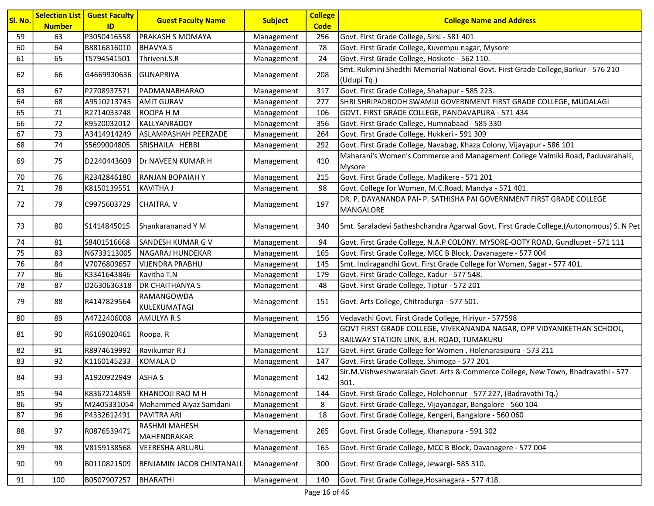| Sl. No. | <b>Number</b> | <b>Selection List   Guest Faculty</b><br>ID | <b>Guest Faculty Name</b>        | <b>Subject</b> | <b>College</b><br><b>Code</b> | <b>College Name and Address</b>                                                           |
|---------|---------------|---------------------------------------------|----------------------------------|----------------|-------------------------------|-------------------------------------------------------------------------------------------|
| 59      | 63            | P3050416558                                 | PRAKASH S MOMAYA                 | Management     | 256                           | Govt. First Grade College, Sirsi - 581 401                                                |
| 60      | 64            | B8816816010                                 | <b>BHAVYA S</b>                  | Management     | 78                            | Govt. First Grade College, Kuvempu nagar, Mysore                                          |
| 61      | 65            | T5794541501                                 | Thriveni.S.R                     | Management     | 24                            | Govt. First Grade College, Hoskote - 562 110.                                             |
|         |               |                                             |                                  |                |                               | Smt. Rukmini Shedthi Memorial National Govt. First Grade College, Barkur - 576 210        |
| 62      | 66            | G4669930636 GUNAPRIYA                       |                                  | Management     | 208                           | (Udupi Tq.)                                                                               |
| 63      | 67            | P2708937571                                 | PADMANABHARAO                    | Management     | 317                           | Govt. First Grade College, Shahapur - 585 223.                                            |
| 64      | 68            | A9510213745                                 | <b>AMIT GURAV</b>                | Management     | 277                           | SHRI SHRIPADBODH SWAMIJI GOVERNMENT FIRST GRADE COLLEGE, MUDALAGI                         |
| 65      | 71            | R2714033748                                 | <b>ROOPAHM</b>                   | Management     | 106                           | GOVT. FIRST GRADE COLLEGE, PANDAVAPURA - 571 434                                          |
| 66      | 72            | K9520032012                                 | KALLYANRADDY                     | Management     | 356                           | Govt. First Grade College, Humnabaad - 585 330                                            |
| 67      | 73            | A3414914249                                 | ASLAMPASHAH PEERZADE             | Management     | 264                           | Govt. First Grade College, Hukkeri - 591 309                                              |
| 68      | 74            | S5699004805                                 | SRISHAILA HEBBI                  | Management     | 292                           | Govt. First Grade College, Navabag, Khaza Colony, Vijayapur - 586 101                     |
|         |               |                                             |                                  |                | 410                           | Maharani's Women's Commerce and Management College Valmiki Road, Paduvarahalli,           |
| 69      | 75            | D2240443609                                 | Dr NAVEEN KUMAR H                | Management     |                               | Mysore                                                                                    |
| 70      | 76            | R2342846180                                 | <b>RANJAN BOPAIAH Y</b>          | Management     | 215                           | Govt. First Grade College, Madikere - 571 201                                             |
| 71      | 78            | K8150139551                                 | <b>KAVITHA J</b>                 | Management     | 98                            | Govt. College for Women, M.C.Road, Mandya - 571 401.                                      |
|         |               |                                             | <b>CHAITRA. V</b>                |                | 197                           | DR. P. DAYANANDA PAI- P. SATHISHA PAI GOVERNMENT FIRST GRADE COLLEGE                      |
| 72      | 79            | C9975603729                                 |                                  | Management     |                               | MANGALORE                                                                                 |
| 73      | 80            | S1414845015                                 | Shankarananad Y M                | Management     | 340                           | Smt. Saraladevi Satheshchandra Agarwal Govt. First Grade College, (Autonomous) S. N Pet   |
| 74      | 81            | S8401516668                                 | <b>SANDESH KUMAR G V</b>         | Management     | 94                            | Govt. First Grade College, N.A.P COLONY. MYSORE-OOTY ROAD, Gundlupet - 571 111            |
| 75      | 83            | N6733113005                                 | <b>NAGARAJ HUNDEKAR</b>          | Management     | 165                           | Govt. First Grade College, MCC B Block, Davanagere - 577 004                              |
| 76      | 84            | V7076809657                                 | <b>VIJENDRA PRABHU</b>           | Management     | 145                           | Smt. Indiragandhi Govt. First Grade College for Women, Sagar - 577 401.                   |
| 77      | 86            | K3341643846                                 | Kavitha T.N                      | Management     | 179                           | Govt. First Grade College, Kadur - 577 548.                                               |
| 78      | 87            | D2630636318                                 | <b>DR CHAITHANYA S</b>           | Management     | 48                            | Govt. First Grade College, Tiptur - 572 201                                               |
| 79      | 88            | R4147829564                                 | RAMANGOWDA<br>KULEKUMATAGI       | Management     | 151                           | Govt. Arts College, Chitradurga - 577 501.                                                |
| 80      | 89            | A4722406008                                 | AMULYA R.S                       | Management     | 156                           | Vedavathi Govt. First Grade College, Hiriyur - 577598                                     |
| 81      | 90            | R6169020461                                 | Roopa. R                         | Management     | 53                            | GOVT FIRST GRADE COLLEGE, VIVEKANANDA NAGAR, OPP VIDYANIKETHAN SCHOOL,                    |
|         |               |                                             |                                  |                |                               | RAILWAY STATION LINK, B.H. ROAD, TUMAKURU                                                 |
| 82      | 91            | R8974619992                                 | Ravikumar R J                    | Management     | 117                           | Govt. First Grade College for Women, Holenarasipura - 573 211                             |
| 83      | 92            | K1160145233                                 | <b>KOMALA D</b>                  | Management     | 147                           | Govt. First Grade College, Shimoga - 577 201                                              |
| 84      | 93            | A1920922949 ASHA S                          |                                  | Management     | 142                           | Sir.M.Vishweshwaraiah Govt. Arts & Commerce College, New Town, Bhadravathi - 577<br>1301. |
| 85      | 94            | K8367214859                                 | KHANDOJI RAO M H                 | Management     | 144                           | Govt. First Grade College, Holehonnur - 577 227, (Badravathi Tq.)                         |
| 86      | 95            | M2405331054                                 | Mohammed Aiyaz Samdani           | Management     | 8                             | Govt. First Grade College, Vijayanagar, Bangalore - 560 104                               |
| 87      | 96            | P4332612491                                 | PAVITRA ARI                      | Management     | 18                            | Govt. First Grade College, Kengeri, Bangalore - 560 060                                   |
| 88      | 97            | R0876539471                                 | RASHMI MAHESH<br>MAHENDRAKAR     | Management     | 265                           | Govt. First Grade College, Khanapura - 591 302                                            |
| 89      | 98            | V8159138568                                 | VEERESHA ARLURU                  | Management     | 165                           | Govt. First Grade College, MCC B Block, Davanagere - 577 004                              |
| 90      | 99            | B0110821509                                 | <b>BENJAMIN JACOB CHINTANALL</b> | Management     | 300                           | Govt. First Grade College, Jewargi- 585 310.                                              |
| 91      | 100           | B0507907257                                 | BHARATHI                         | Management     | 140                           | Govt. First Grade College, Hosanagara - 577 418.                                          |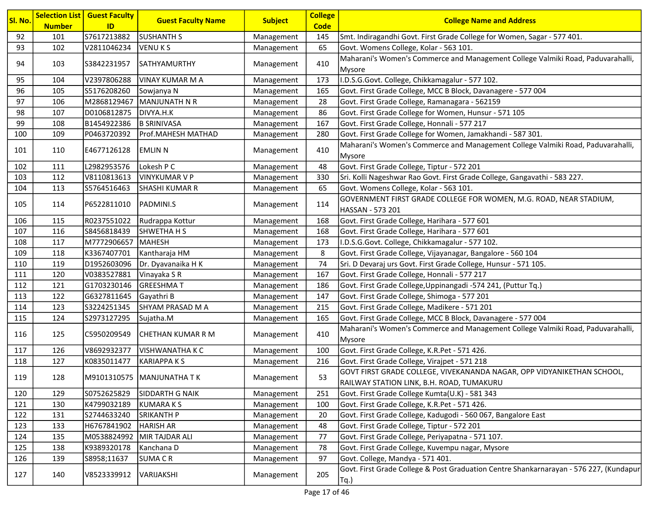| Sl. No. | <b>Number</b> | <b>Selection List   Guest Faculty</b><br>ID | <b>Guest Faculty Name</b>   | <b>Subject</b> | <b>College</b><br><b>Code</b> | <b>College Name and Address</b>                                                                                      |
|---------|---------------|---------------------------------------------|-----------------------------|----------------|-------------------------------|----------------------------------------------------------------------------------------------------------------------|
| 92      | 101           | S7617213882                                 | <b>SUSHANTH S</b>           | Management     | 145                           | Smt. Indiragandhi Govt. First Grade College for Women, Sagar - 577 401.                                              |
| 93      | 102           | V2811046234                                 | <b>VENUKS</b>               | Management     | 65                            | Govt. Womens College, Kolar - 563 101.                                                                               |
| 94      | 103           | S3842231957                                 | SATHYAMURTHY                | Management     | 410                           | Maharani's Women's Commerce and Management College Valmiki Road, Paduvarahalli,<br>Mysore                            |
| 95      | 104           | V2397806288                                 | <b>VINAY KUMAR M A</b>      | Management     | 173                           | I.D.S.G.Govt. College, Chikkamagalur - 577 102.                                                                      |
| 96      | 105           | S5176208260                                 | Sowjanya N                  | Management     | 165                           | Govt. First Grade College, MCC B Block, Davanagere - 577 004                                                         |
| 97      | 106           | M2868129467                                 | MANJUNATH N R               | Management     | 28                            | Govt. First Grade College, Ramanagara - 562159                                                                       |
| 98      | 107           | D0106812875                                 | DIVYA.H.K                   | Management     | 86                            | Govt. First Grade College for Women, Hunsur - 571 105                                                                |
| 99      | 108           | B1454922386                                 | <b>B SRINIVASA</b>          | Management     | 167                           | Govt. First Grade College, Honnali - 577 217                                                                         |
| 100     | 109           | P0463720392                                 | Prof.MAHESH MATHAD          | Management     | 280                           | Govt. First Grade College for Women, Jamakhandi - 587 301.                                                           |
| 101     | 110           | E4677126128                                 | <b>EMLIN N</b>              | Management     | 410                           | Maharani's Women's Commerce and Management College Valmiki Road, Paduvarahalli,<br>Mysore                            |
| 102     | 111           | L2982953576                                 | Lokesh P C                  | Management     | 48                            | Govt. First Grade College, Tiptur - 572 201                                                                          |
| 103     | 112           | V8110813613                                 | <b>VINYKUMAR V P</b>        | Management     | 330                           | Sri. Kolli Nageshwar Rao Govt. First Grade College, Gangavathi - 583 227.                                            |
| 104     | 113           | S5764516463                                 | <b>SHASHI KUMAR R</b>       | Management     | 65                            | Govt. Womens College, Kolar - 563 101.                                                                               |
|         |               |                                             |                             |                |                               | GOVERNMENT FIRST GRADE COLLEGE FOR WOMEN, M.G. ROAD, NEAR STADIUM,                                                   |
| 105     | 114           | P6522811010                                 | PADMINI.S                   | Management     | 114                           | HASSAN - 573 201                                                                                                     |
| 106     | 115           | R0237551022                                 | Rudrappa Kottur             | Management     | 168                           | Govt. First Grade College, Harihara - 577 601                                                                        |
| 107     | 116           | S8456818439                                 | <b>SHWETHA H S</b>          | Management     | 168                           | Govt. First Grade College, Harihara - 577 601                                                                        |
| 108     | 117           | M7772906657                                 | MAHESH                      | Management     | 173                           | I.D.S.G.Govt. College, Chikkamagalur - 577 102.                                                                      |
| 109     | 118           | K3367407701                                 | Kantharaja HM               | Management     | 8                             | Govt. First Grade College, Vijayanagar, Bangalore - 560 104                                                          |
| 110     | 119           | D1952603096                                 | Dr. Dyavanaika H K          | Management     | 74                            | Sri. D Devaraj urs Govt. First Grade College, Hunsur - 571 105.                                                      |
| 111     | 120           | V0383527881                                 | Vinayaka S R                | Management     | 167                           | Govt. First Grade College, Honnali - 577 217                                                                         |
| 112     | 121           | G1703230146                                 | <b>GREESHMAT</b>            | Management     | 186                           | Govt. First Grade College, Uppinangadi -574 241, (Puttur Tq.)                                                        |
| 113     | 122           | G6327811645                                 | Gayathri B                  | Management     | 147                           | Govt. First Grade College, Shimoga - 577 201                                                                         |
| 114     | 123           | S3224251345                                 | SHYAM PRASAD M A            | Management     | 215                           | Govt. First Grade College, Madikere - 571 201                                                                        |
| 115     | 124           | S2973127295                                 | Sujatha.M                   | Management     | 165                           | Govt. First Grade College, MCC B Block, Davanagere - 577 004                                                         |
| 116     | 125           | C5950209549                                 | CHETHAN KUMAR R M           | Management     | 410                           | Maharani's Women's Commerce and Management College Valmiki Road, Paduvarahalli,<br>Mysore                            |
| 117     | 126           | V8692932377                                 | <b>VISHWANATHA K C</b>      | Management     | 100                           | Govt. First Grade College, K.R.Pet - 571 426.                                                                        |
| 118     | 127           | K0835011477                                 | <b>KARIAPPAKS</b>           | Management     | 216                           | Govt. First Grade College, Virajpet - 571 218                                                                        |
| 119     | 128           |                                             | M9101310575   MANJUNATHA TK | Management     | 53                            | GOVT FIRST GRADE COLLEGE, VIVEKANANDA NAGAR, OPP VIDYANIKETHAN SCHOOL,<br> RAILWAY STATION LINK, B.H. ROAD, TUMAKURU |
| 120     | 129           | S0752625829                                 | SIDDARTH G NAIK             | Management     | 251                           | Govt. First Grade College Kumta(U.K) - 581 343                                                                       |
| 121     | 130           | K4799032189                                 | <b>KUMARAKS</b>             | Management     | 100                           | Govt. First Grade College, K.R.Pet - 571 426.                                                                        |
| 122     | 131           | S2744633240                                 | <b>SRIKANTH P</b>           | Management     | 20                            | Govt. First Grade College, Kadugodi - 560 067, Bangalore East                                                        |
| 123     | 133           | H6767841902                                 | <b>HARISH AR</b>            | Management     | 48                            | Govt. First Grade College, Tiptur - 572 201                                                                          |
| 124     | 135           | M0538824992                                 | MIR TAJDAR ALI              | Management     | 77                            | Govt. First Grade College, Periyapatna - 571 107.                                                                    |
| 125     | 138           | K9389320178                                 | Kanchana D                  | Management     | 78                            | Govt. First Grade College, Kuvempu nagar, Mysore                                                                     |
| 126     | 139           | S8958;11637                                 | <b>SUMACR</b>               | Management     | 97                            | Govt. College, Mandya - 571 401.                                                                                     |
| 127     | 140           | V8523339912                                 | VARIJAKSHI                  | Management     | 205                           | Govt. First Grade College & Post Graduation Centre Shankarnarayan - 576 227, (Kundapur<br>$Tq.$ )                    |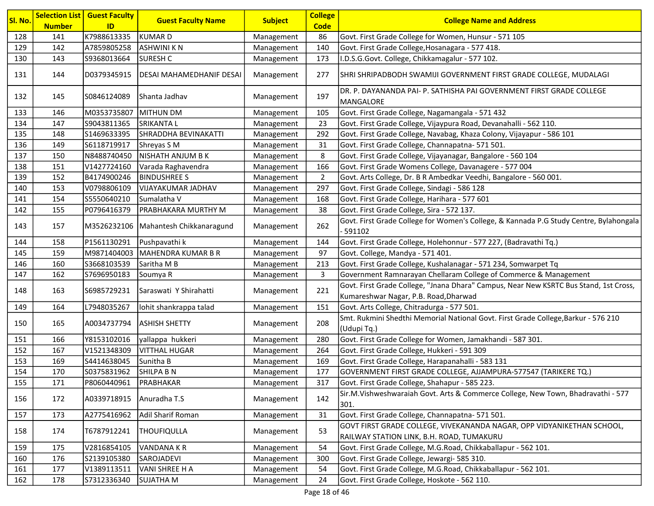| <mark>Sl. No.</mark> | <b>Number</b> | <b>Selection List   Guest Faculty</b><br>ID | <b>Guest Faculty Name</b>            | <b>Subject</b> | <b>College</b><br><b>Code</b> | <b>College Name and Address</b>                                                                                                |
|----------------------|---------------|---------------------------------------------|--------------------------------------|----------------|-------------------------------|--------------------------------------------------------------------------------------------------------------------------------|
| 128                  | 141           | K7988613335                                 | KUMAR D                              | Management     | 86                            | Govt. First Grade College for Women, Hunsur - 571 105                                                                          |
| 129                  | 142           | A7859805258                                 | <b>ASHWINI KN</b>                    | Management     | 140                           | Govt. First Grade College, Hosanagara - 577 418.                                                                               |
| 130                  | 143           | S9368013664                                 | <b>SURESH C</b>                      | Management     | 173                           | I.D.S.G.Govt. College, Chikkamagalur - 577 102.                                                                                |
| 131                  | 144           | D0379345915                                 | DESAI MAHAMEDHANIF DESAI             | Management     | 277                           | SHRI SHRIPADBODH SWAMIJI GOVERNMENT FIRST GRADE COLLEGE, MUDALAGI                                                              |
| 132                  | 145           | S0846124089                                 | Shanta Jadhav                        | Management     | 197                           | DR. P. DAYANANDA PAI- P. SATHISHA PAI GOVERNMENT FIRST GRADE COLLEGE<br>MANGALORE                                              |
| 133                  | 146           | M0353735807                                 | MITHUN DM                            | Management     | 105                           | Govt. First Grade College, Nagamangala - 571 432                                                                               |
| 134                  | 147           | S9043811365                                 | <b>SRIKANTAL</b>                     | Management     | 23                            | Govt. First Grade College, Vijaypura Road, Devanahalli - 562 110.                                                              |
| 135                  | 148           | S1469633395                                 | SHRADDHA BEVINAKATTI                 | Management     | 292                           | Govt. First Grade College, Navabag, Khaza Colony, Vijayapur - 586 101                                                          |
| 136                  | 149           | S6118719917                                 | Shreyas S M                          | Management     | 31                            | Govt. First Grade College, Channapatna- 571 501.                                                                               |
| 137                  | 150           | N8488740450                                 | NISHATH ANJUM B K                    | Management     | 8                             | Govt. First Grade College, Vijayanagar, Bangalore - 560 104                                                                    |
| 138                  | 151           | V1427724160                                 | Varada Raghavendra                   | Management     | 166                           | Govt. First Grade Womens College, Davanagere - 577 004                                                                         |
| 139                  | 152           | B4174900246                                 | <b>BINDUSHREE S</b>                  | Management     | $\overline{2}$                | Govt. Arts College, Dr. B R Ambedkar Veedhi, Bangalore - 560 001.                                                              |
| 140                  | 153           | V0798806109                                 | VIJAYAKUMAR JADHAV                   | Management     | 297                           | Govt. First Grade College, Sindagi - 586 128                                                                                   |
| 141                  | 154           | S5550640210                                 | Sumalatha V                          | Management     | 168                           | Govt. First Grade College, Harihara - 577 601                                                                                  |
| 142                  | 155           | P0796416379                                 | PRABHAKARA MURTHY M                  | Management     | 38                            | Govt. First Grade College, Sira - 572 137.                                                                                     |
| 143                  | 157           |                                             | M3526232106 Mahantesh Chikkanaragund | Management     | 262                           | Govt. First Grade College for Women's College, & Kannada P.G Study Centre, Bylahongala<br>591102                               |
| 144                  | 158           | P1561130291                                 | Pushpavathi k                        | Management     | 144                           | Govt. First Grade College, Holehonnur - 577 227, (Badravathi Tq.)                                                              |
| 145                  | 159           | M9871404003                                 | MAHENDRA KUMAR B R                   | Management     | 97                            | Govt. College, Mandya - 571 401.                                                                                               |
| 146                  | 160           | S3668103539                                 | Saritha M B                          | Management     | 213                           | Govt. First Grade College, Kushalanagar - 571 234, Somwarpet Tq                                                                |
| 147                  | 162           | S7696950183                                 | Soumya R                             | Management     | 3                             | Government Ramnarayan Chellaram College of Commerce & Management                                                               |
| 148                  | 163           | S6985729231                                 | Saraswati Y Shirahatti               | Management     | 221                           | Govt. First Grade College, "Jnana Dhara" Campus, Near New KSRTC Bus Stand, 1st Cross,<br>Kumareshwar Nagar, P.B. Road, Dharwad |
| 149                  | 164           | L7948035267                                 | lohit shankrappa talad               | Management     | 151                           | Govt. Arts College, Chitradurga - 577 501.                                                                                     |
| 150                  | 165           | A0034737794                                 | <b>ASHISH SHETTY</b>                 | Management     | 208                           | Smt. Rukmini Shedthi Memorial National Govt. First Grade College, Barkur - 576 210<br>(Udupi Tq.)                              |
| 151                  | 166           | Y8153102016                                 | yallappa hukkeri                     | Management     | 280                           | Govt. First Grade College for Women, Jamakhandi - 587 301.                                                                     |
| 152                  | 167           | V1521348309                                 | <b>VITTHAL HUGAR</b>                 | Management     | 264                           | Govt. First Grade College, Hukkeri - 591 309                                                                                   |
| 153                  | 169           | S4414638045                                 | Sunitha B                            | Management     | 169                           | Govt. First Grade College, Harapanahalli - 583 131                                                                             |
| 154                  | 170           | S0375831962                                 | <b>SHILPA B N</b>                    | Management     | 177                           | GOVERNMENT FIRST GRADE COLLEGE, AJJAMPURA-577547 (TARIKERE TQ.)                                                                |
| 155                  | 171           | P8060440961                                 | PRABHAKAR                            | Management     | 317                           | Govt. First Grade College, Shahapur - 585 223.                                                                                 |
| 156                  | 172           | A0339718915                                 | Anuradha T.S                         | Management     | 142                           | Sir.M.Vishweshwaraiah Govt. Arts & Commerce College, New Town, Bhadravathi - 577<br>301.                                       |
| 157                  | 173           | A2775416962                                 | Adil Sharif Roman                    | Management     | 31                            | Govt. First Grade College, Channapatna- 571 501.                                                                               |
|                      |               |                                             |                                      |                |                               | GOVT FIRST GRADE COLLEGE, VIVEKANANDA NAGAR, OPP VIDYANIKETHAN SCHOOL,                                                         |
| 158                  | 174           | T6787912241                                 | <b>THOUFIQULLA</b>                   | Management     | 53                            | RAILWAY STATION LINK, B.H. ROAD, TUMAKURU                                                                                      |
| 159                  | 175           | V2816854105                                 | <b>VANDANA K R</b>                   | Management     | 54                            | Govt. First Grade College, M.G.Road, Chikkaballapur - 562 101.                                                                 |
| 160                  | 176           | S2139105380                                 | SAROJADEVI                           | Management     | 300                           | Govt. First Grade College, Jewargi- 585 310.                                                                                   |
| 161                  | 177           | V1389113511                                 | VANI SHREE H A                       | Management     | 54                            | Govt. First Grade College, M.G.Road, Chikkaballapur - 562 101.                                                                 |
| 162                  | 178           | S7312336340                                 | <b>SUJATHA M</b>                     | Management     | 24                            | Govt. First Grade College, Hoskote - 562 110.                                                                                  |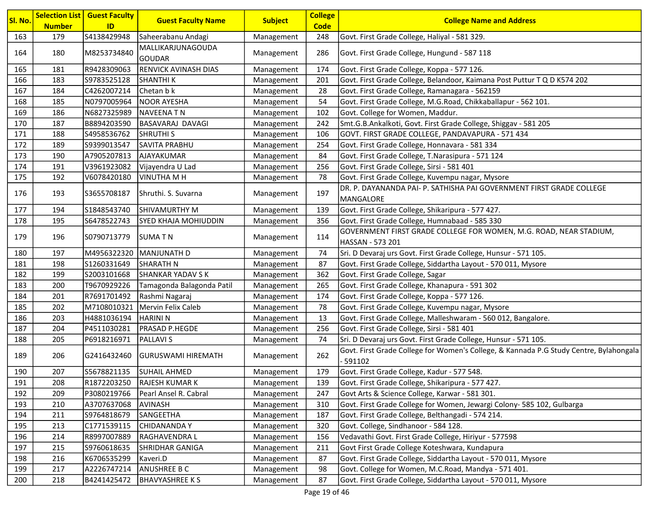| Sl. No. | <b>Number</b> | <b>Selection List   Guest Faculty</b><br>ID | <b>Guest Faculty Name</b>          | <b>Subject</b> | <b>College</b><br><b>Code</b> | <b>College Name and Address</b>                                                                     |
|---------|---------------|---------------------------------------------|------------------------------------|----------------|-------------------------------|-----------------------------------------------------------------------------------------------------|
| 163     | 179           | S4138429948                                 | Saheerabanu Andagi                 | Management     | 248                           | Govt. First Grade College, Haliyal - 581 329.                                                       |
| 164     | 180           | M8253734840                                 | MALLIKARJUNAGOUDA<br><b>GOUDAR</b> | Management     | 286                           | Govt. First Grade College, Hungund - 587 118                                                        |
| 165     | 181           | R9428309063                                 | <b>RENVICK AVINASH DIAS</b>        | Management     | 174                           | Govt. First Grade College, Koppa - 577 126.                                                         |
| 166     | 183           | S9783525128                                 | <b>SHANTHI K</b>                   | Management     | 201                           | Govt. First Grade College, Belandoor, Kaimana Post Puttur T Q D K574 202                            |
| 167     | 184           | C4262007214                                 | Chetan b k                         | Management     | 28                            | Govt. First Grade College, Ramanagara - 562159                                                      |
| 168     | 185           | N0797005964                                 | <b>NOOR AYESHA</b>                 | Management     | 54                            | Govt. First Grade College, M.G.Road, Chikkaballapur - 562 101.                                      |
| 169     | 186           | N6827325989                                 | NAVEENA TN                         | Management     | 102                           | Govt. College for Women, Maddur.                                                                    |
| 170     | 187           | B8894203590                                 | BASAVARAJ DAVAGI                   | Management     | 242                           | Smt.G.B.Ankalkoti, Govt. First Grade College, Shiggav - 581 205                                     |
| 171     | 188           | S4958536762                                 | <b>SHRUTHI S</b>                   | Management     | 106                           | GOVT. FIRST GRADE COLLEGE, PANDAVAPURA - 571 434                                                    |
| 172     | 189           | S9399013547                                 | <b>SAVITA PRABHU</b>               | Management     | 254                           | Govt. First Grade College, Honnavara - 581 334                                                      |
| 173     | 190           | A7905207813                                 | AJAYAKUMAR                         | Management     | 84                            | Govt. First Grade College, T.Narasipura - 571 124                                                   |
| 174     | 191           | V3961923082                                 | Vijayendra U Lad                   | Management     | 256                           | Govt. First Grade College, Sirsi - 581 401                                                          |
| 175     | 192           | V6078420180                                 | <b>VINUTHA M H</b>                 | Management     | 78                            | Govt. First Grade College, Kuvempu nagar, Mysore                                                    |
| 176     | 193           | S3655708187                                 | Shruthi. S. Suvarna                | Management     | 197                           | DR. P. DAYANANDA PAI- P. SATHISHA PAI GOVERNMENT FIRST GRADE COLLEGE                                |
|         |               |                                             |                                    |                |                               | MANGALORE                                                                                           |
| 177     | 194           | S1848543740                                 | <b>SHIVAMURTHY M</b>               | Management     | 139                           | Govt. First Grade College, Shikaripura - 577 427.                                                   |
| 178     | 195           | S6478522743                                 | SYED KHAJA MOHIUDDIN               | Management     | 356                           | Govt. First Grade College, Humnabaad - 585 330                                                      |
| 179     | 196           | S0790713779                                 | <b>SUMATN</b>                      | Management     | 114                           | GOVERNMENT FIRST GRADE COLLEGE FOR WOMEN, M.G. ROAD, NEAR STADIUM,<br> HASSAN - 573 201             |
| 180     | 197           | M4956322320                                 | MANJUNATH D                        | Management     | 74                            | Sri. D Devaraj urs Govt. First Grade College, Hunsur - 571 105.                                     |
| 181     | 198           | S1260331649                                 | <b>SHARATH N</b>                   | Management     | 87                            | Govt. First Grade College, Siddartha Layout - 570 011, Mysore                                       |
| 182     | 199           | S2003101668                                 | <b>SHANKAR YADAV SK</b>            | Management     | 362                           | Govt. First Grade College, Sagar                                                                    |
| 183     | 200           | T9670929226                                 | Tamagonda Balagonda Patil          | Management     | 265                           | Govt. First Grade College, Khanapura - 591 302                                                      |
| 184     | 201           | R7691701492                                 | Rashmi Nagaraj                     | Management     | 174                           | Govt. First Grade College, Koppa - 577 126.                                                         |
| 185     | 202           | M7108010321                                 | Mervin Felix Caleb                 | Management     | 78                            | Govt. First Grade College, Kuvempu nagar, Mysore                                                    |
| 186     | 203           | H4881036194                                 | <b>HARINI N</b>                    | Management     | 13                            | Govt. First Grade College, Malleshwaram - 560 012, Bangalore.                                       |
| 187     | 204           | P4511030281                                 | PRASAD P.HEGDE                     | Management     | 256                           | Govt. First Grade College, Sirsi - 581 401                                                          |
| 188     | 205           | P6918216971                                 | <b>PALLAVIS</b>                    | Management     | 74                            | Sri. D Devaraj urs Govt. First Grade College, Hunsur - 571 105.                                     |
| 189     | 206           | G2416432460                                 | GURUSWAMI HIREMATH                 | Management     | 262                           | Govt. First Grade College for Women's College, & Kannada P.G Study Centre, Bylahongala<br>$-591102$ |
| 190     | 207           | S5678821135                                 | <b>SUHAIL AHMED</b>                | Management     | 179                           | Govt. First Grade College, Kadur - 577 548.                                                         |
| 191     | 208           | R1872203250                                 | RAJESH KUMAR K                     | Management     | 139                           | Govt. First Grade College, Shikaripura - 577 427.                                                   |
| 192     | 209           | P3080219766                                 | Pearl Ansel R. Cabral              | Management     | 247                           | Govt Arts & Science College, Karwar - 581 301.                                                      |
| 193     | 210           | A3707637068                                 | <b>AVINASH</b>                     | Management     | 310                           | Govt. First Grade College for Women, Jewargi Colony- 585 102, Gulbarga                              |
| 194     | 211           | S9764818679                                 | SANGEETHA                          | Management     | 187                           | Govt. First Grade College, Belthangadi - 574 214.                                                   |
| 195     | 213           | C1771539115                                 | <b>CHIDANANDAY</b>                 | Management     | 320                           | Govt. College, Sindhanoor - 584 128.                                                                |
| 196     | 214           | R8997007889                                 | RAGHAVENDRA L                      | Management     | 156                           | Vedavathi Govt. First Grade College, Hiriyur - 577598                                               |
| 197     | 215           | S9760618635                                 | SHRIDHAR GANIGA                    | Management     | 211                           | Govt First Grade College Koteshwara, Kundapura                                                      |
| 198     | 216           | K6706535299                                 | Kaveri.D                           | Management     | 87                            | Govt. First Grade College, Siddartha Layout - 570 011, Mysore                                       |
| 199     | 217           | A2226747214                                 | ANUSHREE B C                       | Management     | 98                            | Govt. College for Women, M.C.Road, Mandya - 571 401.                                                |
| 200     | 218           | B4241425472                                 | <b>BHAVYASHREE KS</b>              | Management     | 87                            | Govt. First Grade College, Siddartha Layout - 570 011, Mysore                                       |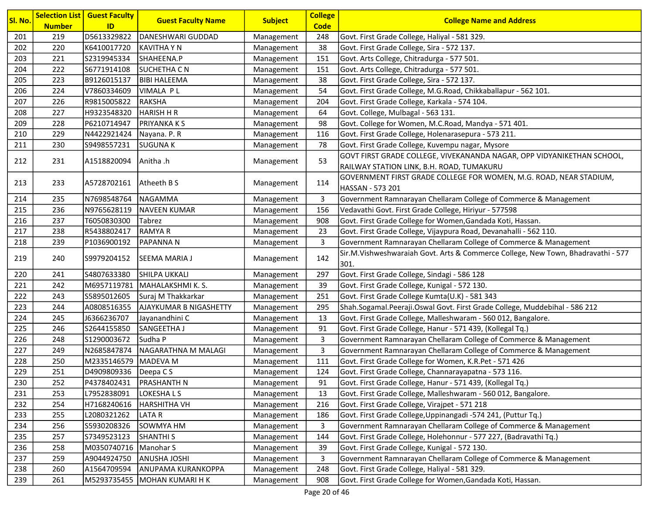|         |               | <b>Selection List   Guest Faculty</b> |                               |                | <b>College</b> |                                                                                          |
|---------|---------------|---------------------------------------|-------------------------------|----------------|----------------|------------------------------------------------------------------------------------------|
| Sl. No. | <b>Number</b> | ID                                    | <b>Guest Faculty Name</b>     | <b>Subject</b> | <b>Code</b>    | <b>College Name and Address</b>                                                          |
| 201     | 219           | D5613329822                           | DANESHWARI GUDDAD             | Management     | 248            | Govt. First Grade College, Haliyal - 581 329.                                            |
| 202     | 220           | K6410017720                           | KAVITHA Y N                   | Management     | 38             | Govt. First Grade College, Sira - 572 137.                                               |
| 203     | 221           | S2319945334                           | SHAHEENA.P                    | Management     | 151            | Govt. Arts College, Chitradurga - 577 501.                                               |
| 204     | 222           | S6771914108                           | <b>SUCHETHA C N</b>           | Management     | 151            | Govt. Arts College, Chitradurga - 577 501.                                               |
| 205     | 223           | B9126015137                           | <b>BIBI HALEEMA</b>           | Management     | 38             | Govt. First Grade College, Sira - 572 137.                                               |
| 206     | 224           | V7860334609                           | VIMALA PL                     | Management     | 54             | Govt. First Grade College, M.G.Road, Chikkaballapur - 562 101.                           |
| 207     | 226           | R9815005822                           | <b>RAKSHA</b>                 | Management     | 204            | Govt. First Grade College, Karkala - 574 104.                                            |
| 208     | 227           | H9323548320                           | <b>HARISH H R</b>             | Management     | 64             | Govt. College, Mulbagal - 563 131.                                                       |
| 209     | 228           | P6210714947                           | <b>PRIYANKA K S</b>           | Management     | 98             | Govt. College for Women, M.C.Road, Mandya - 571 401.                                     |
| 210     | 229           | N4422921424                           | Nayana. P. R                  | Management     | 116            | Govt. First Grade College, Holenarasepura - 573 211.                                     |
| 211     | 230           | S9498557231                           | <b>SUGUNA K</b>               | Management     | 78             | Govt. First Grade College, Kuvempu nagar, Mysore                                         |
| 212     | 231           | A1518820094                           | Anitha .h                     | Management     | 53             | GOVT FIRST GRADE COLLEGE, VIVEKANANDA NAGAR, OPP VIDYANIKETHAN SCHOOL,                   |
|         |               |                                       |                               |                |                | RAILWAY STATION LINK, B.H. ROAD, TUMAKURU                                                |
| 213     | 233           | A5728702161   Atheeth B S             |                               |                | 114            | GOVERNMENT FIRST GRADE COLLEGE FOR WOMEN, M.G. ROAD, NEAR STADIUM,                       |
|         |               |                                       |                               | Management     |                | HASSAN - 573 201                                                                         |
| 214     | 235           | N7698548764                           | NAGAMMA                       | Management     | 3              | Government Ramnarayan Chellaram College of Commerce & Management                         |
| 215     | 236           | N9765628119                           | NAVEEN KUMAR                  | Management     | 156            | Vedavathi Govt. First Grade College, Hiriyur - 577598                                    |
| 216     | 237           | T6050830300                           | Tabrez                        | Management     | 908            | Govt. First Grade College for Women, Gandada Koti, Hassan.                               |
| 217     | 238           | R5438802417                           | <b>RAMYAR</b>                 | Management     | 23             | Govt. First Grade College, Vijaypura Road, Devanahalli - 562 110.                        |
| 218     | 239           | P1036900192                           | <b>PAPANNAN</b>               | Management     | 3              | Government Ramnarayan Chellaram College of Commerce & Management                         |
| 219     | 240           | S9979204152                           | <b>SEEMA MARIA J</b>          | Management     | 142            | Sir.M.Vishweshwaraiah Govt. Arts & Commerce College, New Town, Bhadravathi - 577<br>301. |
| 220     | 241           | S4807633380                           | SHILPA UKKALI                 | Management     | 297            | Govt. First Grade College, Sindagi - 586 128                                             |
| 221     | 242           | M6957119781                           | MAHALAKSHMI K.S.              | Management     | 39             | Govt. First Grade College, Kunigal - 572 130.                                            |
| 222     | 243           | S5895012605                           | Suraj M Thakkarkar            | Management     | 251            | Govt. First Grade College Kumta(U.K) - 581 343                                           |
| 223     | 244           | A0808516355                           | <b>AJAYKUMAR B NIGASHETTY</b> | Management     | 295            | Shah.Sogamal.Peeraji.Oswal Govt. First Grade College, Muddebihal - 586 212               |
| 224     | 245           | J6366236707                           | Jayanandhini C                | Management     | 13             | Govt. First Grade College, Malleshwaram - 560 012, Bangalore.                            |
| 225     | 246           | S2644155850                           | SANGEETHA J                   | Management     | 91             | Govt. First Grade College, Hanur - 571 439, (Kollegal Tq.)                               |
| 226     | 248           | S1290003672                           | Sudha P                       | Management     | 3              | Government Ramnarayan Chellaram College of Commerce & Management                         |
| 227     | 249           | N2685847874                           | NAGARATHNA M MALAGI           | Management     | 3              | Government Ramnarayan Chellaram College of Commerce & Management                         |
| 228     | 250           | M2335146579 MADEVA M                  |                               | Management     | 111            | Govt. First Grade College for Women, K.R.Pet - 571 426                                   |
| 229     | 251           | D4909809336   Deepa C S               |                               | Management     | 124            | Govt. First Grade College, Channarayapatna - 573 116.                                    |
| 230     | 252           | P4378402431                           | <b>PRASHANTH N</b>            | Management     | 91             | Govt. First Grade College, Hanur - 571 439, (Kollegal Tq.)                               |
| 231     | 253           | L7952838091                           | LOKESHALS                     | Management     | 13             | Govt. First Grade College, Malleshwaram - 560 012, Bangalore.                            |
| 232     | 254           | H7168240616                           | HARSHITHA VH                  | Management     | 216            | Govt. First Grade College, Virajpet - 571 218                                            |
| 233     | 255           | L2080321262                           | <b>LATAR</b>                  | Management     | 186            | Govt. First Grade College, Uppinangadi -574 241, (Puttur Tq.)                            |
| 234     | 256           | S5930208326                           | SOWMYA HM                     | Management     | 3              | Government Ramnarayan Chellaram College of Commerce & Management                         |
| 235     | 257           | S7349523123                           | <b>SHANTHI S</b>              | Management     | 144            | Govt. First Grade College, Holehonnur - 577 227, (Badravathi Tq.)                        |
| 236     | 258           | M0350740716                           | Manohar S                     | Management     | 39             | Govt. First Grade College, Kunigal - 572 130.                                            |
| 237     | 259           | A9044924750                           | <b>ANUSHA JOSHI</b>           | Management     | 3              | Government Ramnarayan Chellaram College of Commerce & Management                         |
| 238     | 260           | A1564709594                           | <b>ANUPAMA KURANKOPPA</b>     | Management     | 248            | Govt. First Grade College, Haliyal - 581 329.                                            |
| 239     | 261           |                                       | M5293735455  MOHAN KUMARI H K | Management     | 908            | Govt. First Grade College for Women, Gandada Koti, Hassan.                               |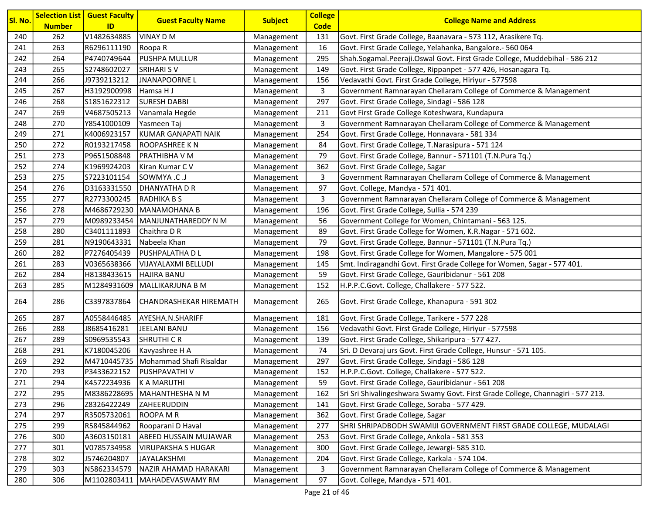| Sl. No. | <b>Number</b> | <b>Selection List   Guest Faculty</b><br>ID | <b>Guest Faculty Name</b>  | <b>Subject</b> | <b>College</b><br><b>Code</b> | <b>College Name and Address</b>                                                 |
|---------|---------------|---------------------------------------------|----------------------------|----------------|-------------------------------|---------------------------------------------------------------------------------|
| 240     | 262           | V1482634885                                 | VINAY D M                  | Management     | 131                           | Govt. First Grade College, Baanavara - 573 112, Arasikere Tq.                   |
| 241     | 263           | R6296111190                                 | Roopa R                    | Management     | 16                            | Govt. First Grade College, Yelahanka, Bangalore.- 560 064                       |
| 242     | 264           | P4740749644                                 | PUSHPA MULLUR              | Management     | 295                           | Shah.Sogamal.Peeraji.Oswal Govt. First Grade College, Muddebihal - 586 212      |
| 243     | 265           | S2748602027                                 | <b>SRIHARI SV</b>          | Management     | 149                           | Govt. First Grade College, Rippanpet - 577 426, Hosanagara Tq.                  |
| 244     | 266           | J9739213212                                 | <b>JNANAPOORNEL</b>        | Management     | 156                           | Vedavathi Govt. First Grade College, Hiriyur - 577598                           |
| 245     | 267           | H3192900998                                 | Hamsa H J                  | Management     | 3                             | Government Ramnarayan Chellaram College of Commerce & Management                |
| 246     | 268           | S1851622312                                 | <b>SURESH DABBI</b>        | Management     | 297                           | Govt. First Grade College, Sindagi - 586 128                                    |
| 247     | 269           | V4687505213                                 | Vanamala Hegde             | Management     | 211                           | Govt First Grade College Koteshwara, Kundapura                                  |
| 248     | 270           | Y8541000109                                 | Yasmeen Taj                | Management     | 3                             | Government Ramnarayan Chellaram College of Commerce & Management                |
| 249     | 271           | K4006923157                                 | <b>KUMAR GANAPATI NAIK</b> | Management     | 254                           | Govt. First Grade College, Honnavara - 581 334                                  |
| 250     | 272           | R0193217458                                 | ROOPASHREE K N             | Management     | 84                            | Govt. First Grade College, T.Narasipura - 571 124                               |
| 251     | 273           | P9651508848                                 | PRATHIBHA V M              | Management     | 79                            | Govt. First Grade College, Bannur - 571101 (T.N.Pura Tq.)                       |
| 252     | 274           | K1969924203                                 | Kiran Kumar C V            | Management     | 362                           | Govt. First Grade College, Sagar                                                |
| 253     | 275           | S7223101154                                 | <b>SOWMYA .C .J</b>        | Management     | 3                             | Government Ramnarayan Chellaram College of Commerce & Management                |
| 254     | 276           | D3163331550                                 | DHANYATHA D R              | Management     | 97                            | Govt. College, Mandya - 571 401.                                                |
| 255     | 277           | R2773300245                                 | <b>RADHIKA B S</b>         | Management     | 3                             | Government Ramnarayan Chellaram College of Commerce & Management                |
| 256     | 278           | M4686729230                                 | MANAMOHANA B               | Management     | 196                           | Govt. First Grade College, Sullia - 574 239                                     |
| 257     | 279           | M0989233454                                 | MANJUNATHAREDDY N M        | Management     | 56                            | Government College for Women, Chintamani - 563 125.                             |
| 258     | 280           | C3401111893                                 | Chaithra D R               | Management     | 89                            | Govt. First Grade College for Women, K.R.Nagar - 571 602.                       |
| 259     | 281           | N9190643331                                 | Nabeela Khan               | Management     | 79                            | Govt. First Grade College, Bannur - 571101 (T.N.Pura Tq.)                       |
| 260     | 282           | P7276405439                                 | PUSHPALATHA D L            | Management     | 198                           | Govt. First Grade College for Women, Mangalore - 575 001                        |
| 261     | 283           | V0365638366                                 | VIJAYALAXMI BELLUDI        | Management     | 145                           | Smt. Indiragandhi Govt. First Grade College for Women, Sagar - 577 401.         |
| 262     | 284           | H8138433615                                 | <b>HAJIRA BANU</b>         | Management     | 59                            | Govt. First Grade College, Gauribidanur - 561 208                               |
| 263     | 285           | M1284931609                                 | MALLIKARJUNA B M           | Management     | 152                           | H.P.P.C.Govt. College, Challakere - 577 522.                                    |
| 264     | 286           | C3397837864                                 | CHANDRASHEKAR HIREMATH     | Management     | 265                           | Govt. First Grade College, Khanapura - 591 302                                  |
| 265     | 287           | A0558446485                                 | AYESHA.N.SHARIFF           | Management     | 181                           | Govt. First Grade College, Tarikere - 577 228                                   |
| 266     | 288           | J8685416281                                 | JEELANI BANU               | Management     | 156                           | Vedavathi Govt. First Grade College, Hiriyur - 577598                           |
| 267     | 289           | S0969535543                                 | SHRUTHI C R                | Management     | 139                           | Govt. First Grade College, Shikaripura - 577 427.                               |
| 268     | 291           | K7180045206                                 | Kavyashree H A             | Management     | 74                            | Sri. D Devaraj urs Govt. First Grade College, Hunsur - 571 105.                 |
| 269     | 292           | M4710445735                                 | Mohammad Shafi Risaldar    | Management     | 297                           | Govt. First Grade College, Sindagi - 586 128                                    |
| 270     | 293           | P3433622152                                 | PUSHPAVATHI V              | Management     | 152                           | H.P.P.C.Govt. College, Challakere - 577 522.                                    |
| 271     | 294           | K4572234936                                 | K A MARUTHI                | Management     | 59                            | Govt. First Grade College, Gauribidanur - 561 208                               |
| 272     | 295           | M8386228695                                 | MAHANTHESHA N M            | Management     | 162                           | Sri Sri Shivalingeshwara Swamy Govt. First Grade College, Channagiri - 577 213. |
| 273     | 296           | Z8326422249                                 | ZAHEERUDDIN                | Management     | 141                           | Govt. First Grade College, Soraba - 577 429.                                    |
| 274     | 297           | R3505732061                                 | <b>ROOPA M R</b>           | Management     | 362                           | Govt. First Grade College, Sagar                                                |
| 275     | 299           | R5845844962                                 | Rooparani D Haval          | Management     | 277                           | SHRI SHRIPADBODH SWAMIJI GOVERNMENT FIRST GRADE COLLEGE, MUDALAGI               |
| 276     | 300           | A3603150181                                 | ABEED HUSSAIN MUJAWAR      | Management     | 253                           | Govt. First Grade College, Ankola - 581 353                                     |
| 277     | 301           | V0785734958                                 | <b>VIRUPAKSHA S HUGAR</b>  | Management     | 300                           | Govt. First Grade College, Jewargi- 585 310.                                    |
| 278     | 302           | J5746204807                                 | <b>JAYALAKSHMI</b>         | Management     | 204                           | Govt. First Grade College, Karkala - 574 104.                                   |
| 279     | 303           | N5862334579                                 | NAZIR AHAMAD HARAKARI      | Management     | 3                             | Government Ramnarayan Chellaram College of Commerce & Management                |
| 280     | 306           | M1102803411                                 | MAHADEVASWAMY RM           | Management     | 97                            | Govt. College, Mandya - 571 401.                                                |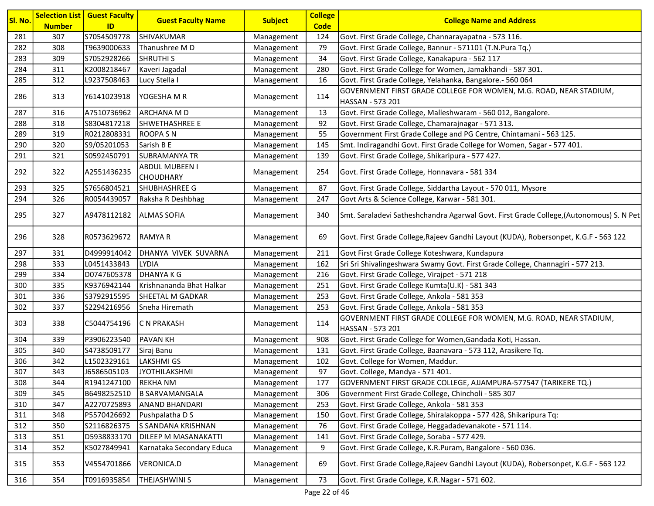| Sl. No. | <b>Number</b> | <b>Selection List   Guest Faculty</b><br>ID | <b>Guest Faculty Name</b>                 | <b>Subject</b> | <b>College</b><br><b>Code</b> | <b>College Name and Address</b>                                                         |
|---------|---------------|---------------------------------------------|-------------------------------------------|----------------|-------------------------------|-----------------------------------------------------------------------------------------|
| 281     | 307           | S7054509778                                 | <b>SHIVAKUMAR</b>                         | Management     | 124                           | Govt. First Grade College, Channarayapatna - 573 116.                                   |
| 282     | 308           | T9639000633                                 | Thanushree MD                             | Management     | 79                            | Govt. First Grade College, Bannur - 571101 (T.N.Pura Tq.)                               |
| 283     | 309           | S7052928266                                 | <b>SHRUTHIS</b>                           | Management     | 34                            | Govt. First Grade College, Kanakapura - 562 117                                         |
| 284     | 311           | K2008218467                                 | Kaveri Jagadal                            | Management     | 280                           | Govt. First Grade College for Women, Jamakhandi - 587 301.                              |
| 285     | 312           | L9237508463                                 | Lucy Stella I                             | Management     | 16                            | Govt. First Grade College, Yelahanka, Bangalore.- 560 064                               |
| 286     | 313           | Y6141023918                                 | YOGESHA M R                               | Management     | 114                           | GOVERNMENT FIRST GRADE COLLEGE FOR WOMEN, M.G. ROAD, NEAR STADIUM,<br>HASSAN - 573 201  |
| 287     | 316           | A7510736962                                 | ARCHANA M D                               | Management     | 13                            | Govt. First Grade College, Malleshwaram - 560 012, Bangalore.                           |
| 288     | 318           | S8304817218                                 | SHWETHASHREE E                            | Management     | 92                            | Govt. First Grade College, Chamarajnagar - 571 313.                                     |
| 289     | 319           | R0212808331                                 | <b>ROOPA SN</b>                           | Management     | 55                            | Government First Grade College and PG Centre, Chintamani - 563 125.                     |
| 290     | 320           | S9/05201053                                 | Sarish B E                                | Management     | 145                           | Smt. Indiragandhi Govt. First Grade College for Women, Sagar - 577 401.                 |
| 291     | 321           | S0592450791                                 | <b>SUBRAMANYA TR</b>                      | Management     | 139                           | Govt. First Grade College, Shikaripura - 577 427.                                       |
| 292     | 322           | A2551436235                                 | <b>ABDUL MUBEEN I</b><br><b>CHOUDHARY</b> | Management     | 254                           | Govt. First Grade College, Honnavara - 581 334                                          |
| 293     | 325           | S7656804521                                 | SHUBHASHREE G                             | Management     | 87                            | Govt. First Grade College, Siddartha Layout - 570 011, Mysore                           |
| 294     | 326           | R0054439057                                 | Raksha R Deshbhag                         | Management     | 247                           | Govt Arts & Science College, Karwar - 581 301.                                          |
| 295     | 327           | A9478112182                                 | <b>ALMAS SOFIA</b>                        | Management     | 340                           | Smt. Saraladevi Satheshchandra Agarwal Govt. First Grade College, (Autonomous) S. N Pet |
| 296     | 328           | R0573629672                                 | RAMYA R                                   | Management     | 69                            | Govt. First Grade College, Rajeev Gandhi Layout (KUDA), Robersonpet, K.G.F - 563 122    |
| 297     | 331           | D4999914042                                 | DHANYA VIVEK SUVARNA                      | Management     | 211                           | Govt First Grade College Koteshwara, Kundapura                                          |
| 298     | 333           | L0451433843                                 | <b>LYDIA</b>                              | Management     | 162                           | Sri Sri Shivalingeshwara Swamy Govt. First Grade College, Channagiri - 577 213.         |
| 299     | 334           | D0747605378                                 | <b>DHANYAKG</b>                           | Management     | 216                           | Govt. First Grade College, Virajpet - 571 218                                           |
| 300     | 335           | K9376942144                                 | Krishnananda Bhat Halkar                  | Management     | 251                           | Govt. First Grade College Kumta(U.K) - 581 343                                          |
| 301     | 336           | S3792915595                                 | SHEETAL M GADKAR                          | Management     | 253                           | Govt. First Grade College, Ankola - 581 353                                             |
| 302     | 337           | S2294216956                                 | Sneha Hiremath                            | Management     | 253                           | Govt. First Grade College, Ankola - 581 353                                             |
| 303     | 338           | C5044754196                                 | <b>C N PRAKASH</b>                        | Management     | 114                           | GOVERNMENT FIRST GRADE COLLEGE FOR WOMEN, M.G. ROAD, NEAR STADIUM,<br>HASSAN - 573 201  |
| 304     | 339           | P3906223540                                 | <b>PAVAN KH</b>                           | Management     | 908                           | Govt. First Grade College for Women, Gandada Koti, Hassan.                              |
| 305     | 340           | S4738509177                                 | Siraj Banu                                | Management     | 131                           | Govt. First Grade College, Baanavara - 573 112, Arasikere Tq.                           |
| 306     | 342           | L1502329161                                 | <b>LAKSHMI GS</b>                         | Management     | 102                           | Govt. College for Women, Maddur.                                                        |
| 307     | 343           | J6586505103                                 | JYOTHILAKSHMI                             | Management     | 97                            | Govt. College, Mandya - 571 401.                                                        |
| 308     | 344           | R1941247100                                 | <b>REKHANM</b>                            | Management     | 177                           | GOVERNMENT FIRST GRADE COLLEGE, AJJAMPURA-577547 (TARIKERE TQ.)                         |
| 309     | 345           | B6498252510                                 | <b>B SARVAMANGALA</b>                     | Management     | 306                           | Government First Grade College, Chincholi - 585 307                                     |
| 310     | 347           | A2270725893                                 | <b>ANAND BHANDARI</b>                     | Management     | 253                           | Govt. First Grade College, Ankola - 581 353                                             |
| 311     | 348           | P5570426692                                 | Pushpalatha D S                           | Management     | 150                           | Govt. First Grade College, Shiralakoppa - 577 428, Shikaripura Tq:                      |
| 312     | 350           | S2116826375                                 | S SANDANA KRISHNAN                        | Management     | 76                            | Govt. First Grade College, Heggadadevanakote - 571 114.                                 |
| 313     | 351           | D5938833170                                 | DILEEP M MASANAKATTI                      | Management     | 141                           | Govt. First Grade College, Soraba - 577 429.                                            |
| 314     | 352           | K5027849941                                 | Karnataka Secondary Educa                 | Management     | 9                             | Govt. First Grade College, K.R.Puram, Bangalore - 560 036.                              |
| 315     | 353           | V4554701866                                 | <b>VERONICA.D</b>                         | Management     | 69                            | Govt. First Grade College, Rajeev Gandhi Layout (KUDA), Robersonpet, K.G.F - 563 122    |
| 316     | 354           | T0916935854                                 | THEJASHWINI S                             | Management     | 73                            | Govt. First Grade College, K.R.Nagar - 571 602.                                         |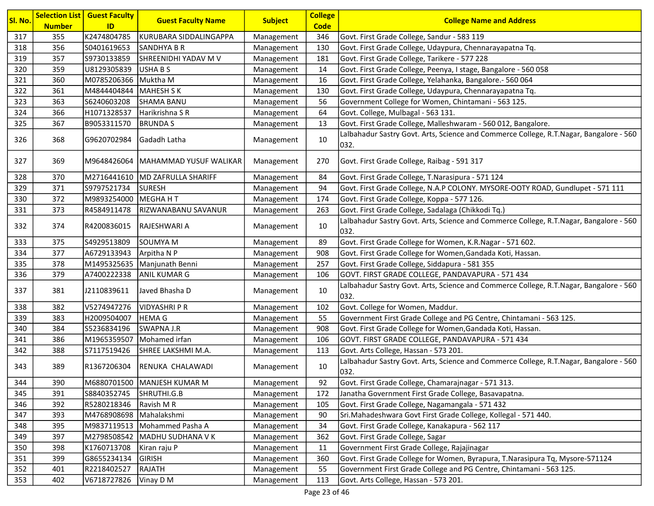| Sl. No. |               | <b>Selection List   Guest Faculty</b> | <b>Guest Faculty Name</b>       | <b>Subject</b> | <b>College</b> | <b>College Name and Address</b>                                                                |
|---------|---------------|---------------------------------------|---------------------------------|----------------|----------------|------------------------------------------------------------------------------------------------|
|         | <b>Number</b> | ID                                    |                                 |                | <b>Code</b>    |                                                                                                |
| 317     | 355           | K2474804785                           | KURUBARA SIDDALINGAPPA          | Management     | 346            | Govt. First Grade College, Sandur - 583 119                                                    |
| 318     | 356           | S0401619653                           | <b>SANDHYA B R</b>              | Management     | 130            | Govt. First Grade College, Udaypura, Chennarayapatna Tq.                                       |
| 319     | 357           | S9730133859                           | SHREENIDHI YADAV M V            | Management     | 181            | Govt. First Grade College, Tarikere - 577 228                                                  |
| 320     | 359           | U8129305839                           | USHA B S                        | Management     | 14             | Govt. First Grade College, Peenya, I stage, Bangalore - 560 058                                |
| 321     | 360           | M0785206366                           | Muktha M                        | Management     | 16             | Govt. First Grade College, Yelahanka, Bangalore.- 560 064                                      |
| 322     | 361           | M4844404844                           | <b>MAHESH S K</b>               | Management     | 130            | Govt. First Grade College, Udaypura, Chennarayapatna Tq.                                       |
| 323     | 363           | S6240603208                           | <b>SHAMA BANU</b>               | Management     | 56             | Government College for Women, Chintamani - 563 125.                                            |
| 324     | 366           | H1071328537                           | Harikrishna S R                 | Management     | 64             | Govt. College, Mulbagal - 563 131.                                                             |
| 325     | 367           | B9053311570                           | <b>BRUNDAS</b>                  | Management     | 13             | Govt. First Grade College, Malleshwaram - 560 012, Bangalore.                                  |
| 326     | 368           | G9620702984                           | <b>Gadadh Latha</b>             | Management     | 10             | Lalbahadur Sastry Govt. Arts, Science and Commerce College, R.T.Nagar, Bangalore - 560<br>032. |
| 327     | 369           | M9648426064                           | MAHAMMAD YUSUF WALIKAR          | Management     | 270            | Govt. First Grade College, Raibag - 591 317                                                    |
| 328     | 370           |                                       | M2716441610 MD ZAFRULLA SHARIFF | Management     | 84             | Govt. First Grade College, T.Narasipura - 571 124                                              |
| 329     | 371           | S9797521734                           | <b>SURESH</b>                   | Management     | 94             | Govt. First Grade College, N.A.P COLONY. MYSORE-OOTY ROAD, Gundlupet - 571 111                 |
| 330     | 372           | M9893254000                           | MEGHAHT                         | Management     | 174            | Govt. First Grade College, Koppa - 577 126.                                                    |
| 331     | 373           | R4584911478                           | RIZWANABANU SAVANUR             | Management     | 263            | Govt. First Grade College, Sadalaga (Chikkodi Tq.)                                             |
| 332     | 374           | R4200836015                           | <b>RAJESHWARI A</b>             | Management     | 10             | Lalbahadur Sastry Govt. Arts, Science and Commerce College, R.T.Nagar, Bangalore - 560<br>032. |
| 333     | 375           | S4929513809                           | <b>SOUMYA M</b>                 | Management     | 89             | Govt. First Grade College for Women, K.R.Nagar - 571 602.                                      |
| 334     | 377           | A6729133943                           | Arpitha N P                     | Management     | 908            | Govt. First Grade College for Women, Gandada Koti, Hassan.                                     |
| 335     | 378           |                                       | M1495325635   Manjunath Benni   | Management     | 257            | Govt. First Grade College, Siddapura - 581 355                                                 |
| 336     | 379           | A7400222338                           | <b>ANIL KUMAR G</b>             | Management     | 106            | GOVT. FIRST GRADE COLLEGE, PANDAVAPURA - 571 434                                               |
| 337     | 381           | J2110839611                           | Javed Bhasha D                  | Management     | 10             | Lalbahadur Sastry Govt. Arts, Science and Commerce College, R.T.Nagar, Bangalore - 560<br>032. |
| 338     | 382           | V5274947276                           | <b>VIDYASHRI P R</b>            | Management     | 102            | Govt. College for Women, Maddur.                                                               |
| 339     | 383           | H2009504007                           | <b>HEMA G</b>                   | Management     | 55             | Government First Grade College and PG Centre, Chintamani - 563 125.                            |
| 340     | 384           | S5236834196                           | <b>SWAPNA J.R</b>               | Management     | 908            | Govt. First Grade College for Women, Gandada Koti, Hassan.                                     |
| 341     | 386           | M1965359507                           | Mohamed irfan                   | Management     | 106            | GOVT. FIRST GRADE COLLEGE, PANDAVAPURA - 571 434                                               |
| 342     | 388           | S7117519426                           | SHREE LAKSHMI M.A.              | Management     | 113            | Govt. Arts College, Hassan - 573 201.                                                          |
| 343     | 389           | R1367206304                           | RENUKA CHALAWADI                | Management     | 10             | Lalbahadur Sastry Govt. Arts, Science and Commerce College, R.T.Nagar, Bangalore - 560<br>032. |
| 344     | 390           |                                       | M6880701500 MANJESH KUMAR M     | Management     | 92             | Govt. First Grade College, Chamarajnagar - 571 313.                                            |
| 345     | 391           | S8840352745                           | SHRUTHI.G.B                     | Management     | 172            | Janatha Government First Grade College, Basavapatna.                                           |
| 346     | 392           | R5280218346                           | Ravish M R                      | Management     | 105            | Govt. First Grade College, Nagamangala - 571 432                                               |
| 347     | 393           | M4768908698 Mahalakshmi               |                                 | Management     | 90             | Sri.Mahadeshwara Govt First Grade College, Kollegal - 571 440.                                 |
| 348     | 395           |                                       | M9837119513   Mohammed Pasha A  | Management     | 34             | Govt. First Grade College, Kanakapura - 562 117                                                |
| 349     | 397           |                                       | M2798508542 MADHU SUDHANA V K   | Management     | 362            | Govt. First Grade College, Sagar                                                               |
| 350     | 398           | K1760713708                           | Kiran raju P                    | Management     | 11             | Government First Grade College, Rajajinagar                                                    |
| 351     | 399           | G8655234134                           | <b>GIRISH</b>                   | Management     | 360            | Govt. First Grade College for Women, Byrapura, T.Narasipura Tq, Mysore-571124                  |
| 352     | 401           | R2218402527                           | RAJATH                          | Management     | 55             | Government First Grade College and PG Centre, Chintamani - 563 125.                            |
| 353     | 402           | V6718727826                           | Vinay D M                       | Management     | 113            | Govt. Arts College, Hassan - 573 201.                                                          |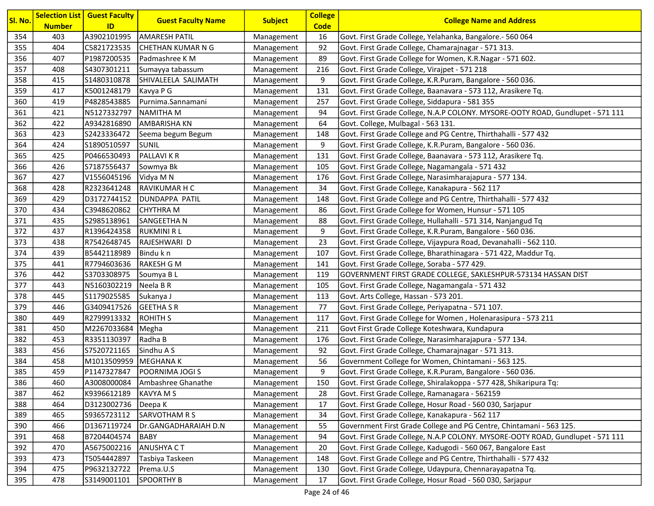| SI. No. | <b>Number</b> | <b>Selection List   Guest Faculty</b><br>ID | <b>Guest Faculty Name</b> | <b>Subject</b> | <b>College</b><br><b>Code</b> | <b>College Name and Address</b>                                                |
|---------|---------------|---------------------------------------------|---------------------------|----------------|-------------------------------|--------------------------------------------------------------------------------|
| 354     | 403           | A3902101995                                 | <b>AMARESH PATIL</b>      | Management     | 16                            | Govt. First Grade College, Yelahanka, Bangalore.- 560 064                      |
| 355     | 404           | C5821723535                                 | CHETHAN KUMAR N G         | Management     | 92                            | Govt. First Grade College, Chamarajnagar - 571 313.                            |
| 356     | 407           | P1987200535                                 | Padmashree K M            | Management     | 89                            | Govt. First Grade College for Women, K.R.Nagar - 571 602.                      |
| 357     | 408           | S4307301211                                 | Sumayya tabassum          | Management     | 216                           | Govt. First Grade College, Virajpet - 571 218                                  |
| 358     | 415           | S1480310878                                 | SHIVALEELA SALIMATH       | Management     | 9                             | Govt. First Grade College, K.R.Puram, Bangalore - 560 036.                     |
| 359     | 417           | K5001248179                                 | Kavya P G                 | Management     | 131                           | Govt. First Grade College, Baanavara - 573 112, Arasikere Tq.                  |
| 360     | 419           | P4828543885                                 | Purnima.Sannamani         | Management     | 257                           | Govt. First Grade College, Siddapura - 581 355                                 |
| 361     | 421           | N5127332797                                 | <b>NAMITHA M</b>          | Management     | 94                            | Govt. First Grade College, N.A.P COLONY. MYSORE-OOTY ROAD, Gundlupet - 571 111 |
| 362     | 422           | A9342816890                                 | <b>AMBARISHA KN</b>       | Management     | 64                            | Govt. College, Mulbagal - 563 131.                                             |
| 363     | 423           | S2423336472                                 | Seema begum Begum         | Management     | 148                           | Govt. First Grade College and PG Centre, Thirthahalli - 577 432                |
| 364     | 424           | S1890510597                                 | <b>SUNIL</b>              | Management     | 9                             | Govt. First Grade College, K.R.Puram, Bangalore - 560 036.                     |
| 365     | 425           | P0466530493                                 | <b>PALLAVIKR</b>          | Management     | 131                           | Govt. First Grade College, Baanavara - 573 112, Arasikere Tq.                  |
| 366     | 426           | S7187556437                                 | Sowmya Bk                 | Management     | 105                           | Govt. First Grade College, Nagamangala - 571 432                               |
| 367     | 427           | V1556045196                                 | Vidya M N                 | Management     | 176                           | Govt. First Grade College, Narasimharajapura - 577 134.                        |
| 368     | 428           | R2323641248                                 | <b>RAVIKUMAR H C</b>      | Management     | 34                            | Govt. First Grade College, Kanakapura - 562 117                                |
| 369     | 429           | D3172744152                                 | <b>DUNDAPPA PATIL</b>     | Management     | 148                           | Govt. First Grade College and PG Centre, Thirthahalli - 577 432                |
| 370     | 434           | C3948620862                                 | <b>CHYTHRA M</b>          | Management     | 86                            | Govt. First Grade College for Women, Hunsur - 571 105                          |
| 371     | 435           | S2985138961                                 | SANGEETHA N               | Management     | 88                            | Govt. First Grade College, Hullahalli - 571 314, Nanjangud Tq                  |
| 372     | 437           | R1396424358                                 | RUKMINI R L               | Management     | 9                             | Govt. First Grade College, K.R.Puram, Bangalore - 560 036.                     |
| 373     | 438           | R7542648745                                 | RAJESHWARI D              | Management     | 23                            | Govt. First Grade College, Vijaypura Road, Devanahalli - 562 110.              |
| 374     | 439           | B5442118989                                 | Bindu k n                 | Management     | 107                           | Govt. First Grade College, Bharathinagara - 571 422, Maddur Tq.                |
| 375     | 441           | R7794603636                                 | RAKESH G M                | Management     | 141                           | Govt. First Grade College, Soraba - 577 429.                                   |
| 376     | 442           | S3703308975                                 | Soumya BL                 | Management     | 119                           | GOVERNMENT FIRST GRADE COLLEGE, SAKLESHPUR-573134 HASSAN DIST                  |
| 377     | 443           | N5160302219                                 | Neela B R                 | Management     | 105                           | Govt. First Grade College, Nagamangala - 571 432                               |
| 378     | 445           | S1179025585                                 | Sukanya J                 | Management     | 113                           | Govt. Arts College, Hassan - 573 201.                                          |
| 379     | 446           | G3409417526                                 | GEETHA S R                | Management     | 77                            | Govt. First Grade College, Periyapatna - 571 107.                              |
| 380     | 449           | R2799913332                                 | ROHITH S                  | Management     | 117                           | Govt. First Grade College for Women, Holenarasipura - 573 211                  |
| 381     | 450           | M2267033684                                 | Megha                     | Management     | 211                           | Govt First Grade College Koteshwara, Kundapura                                 |
| 382     | 453           | R3351130397                                 | Radha B                   | Management     | 176                           | Govt. First Grade College, Narasimharajapura - 577 134.                        |
| 383     | 456           | S7520721165                                 | Sindhu A S                | Management     | 92                            | Govt. First Grade College, Chamarajnagar - 571 313.                            |
| 384     | 458           | M1013509959 MEGHANA K                       |                           | Management     | 56                            | Government College for Women, Chintamani - 563 125.                            |
| 385     | 459           | P1147327847                                 | POORNIMA JOGI S           | Management     | 9                             | Govt. First Grade College, K.R.Puram, Bangalore - 560 036.                     |
| 386     | 460           | A3008000084                                 | Ambashree Ghanathe        | Management     | 150                           | Govt. First Grade College, Shiralakoppa - 577 428, Shikaripura Tq:             |
| 387     | 462           | K9396612189                                 | <b>KAVYA M S</b>          | Management     | 28                            | Govt. First Grade College, Ramanagara - 562159                                 |
| 388     | 464           | D3123002736                                 | Deepa K                   | Management     | 17                            | Govt. First Grade College, Hosur Road - 560 030, Sarjapur                      |
| 389     | 465           | S9365723112                                 | SARVOTHAM R S             | Management     | 34                            | Govt. First Grade College, Kanakapura - 562 117                                |
| 390     | 466           | D1367119724                                 | Dr.GANGADHARAIAH D.N      | Management     | 55                            | Government First Grade College and PG Centre, Chintamani - 563 125.            |
| 391     | 468           | B7204404574                                 | BABY                      | Management     | 94                            | Govt. First Grade College, N.A.P COLONY. MYSORE-OOTY ROAD, Gundlupet - 571 111 |
| 392     | 470           | A5675002216                                 | <b>ANUSHYA CT</b>         | Management     | 20                            | Govt. First Grade College, Kadugodi - 560 067, Bangalore East                  |
| 393     | 473           | T5054442897                                 | Tasbiya Taskeen           | Management     | 148                           | Govt. First Grade College and PG Centre, Thirthahalli - 577 432                |
| 394     | 475           | P9632132722                                 | Prema.U.S                 | Management     | 130                           | Govt. First Grade College, Udaypura, Chennarayapatna Tq.                       |
| 395     | 478           | S3149001101                                 | <b>SPOORTHY B</b>         | Management     | 17                            | Govt. First Grade College, Hosur Road - 560 030, Sarjapur                      |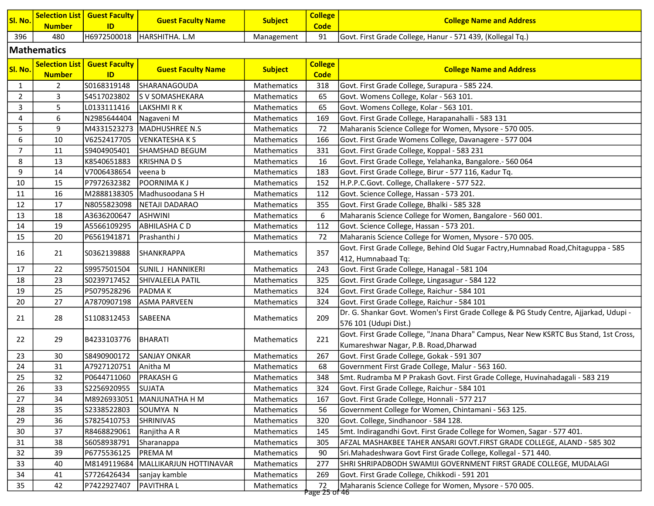| SI. No.        | <b>Number</b>                          | <b>Selection List   Guest Faculty</b><br>ID | <b>Guest Faculty Name</b> | <b>Subject</b>     | <b>College</b><br><b>Code</b> | <b>College Name and Address</b>                                                       |
|----------------|----------------------------------------|---------------------------------------------|---------------------------|--------------------|-------------------------------|---------------------------------------------------------------------------------------|
| 396            | 480                                    | H6972500018                                 | HARSHITHA. L.M            | Management         | 91                            | Govt. First Grade College, Hanur - 571 439, (Kollegal Tq.)                            |
|                | <b>Mathematics</b>                     |                                             |                           |                    |                               |                                                                                       |
|                |                                        |                                             |                           |                    |                               |                                                                                       |
| Sl. No.        | <b>Selection List</b><br><b>Number</b> | <b>Guest Faculty</b><br>ID                  | <b>Guest Faculty Name</b> | <b>Subject</b>     | <b>College</b><br><b>Code</b> | <b>College Name and Address</b>                                                       |
| $\mathbf{1}$   | 2                                      | S0168319148                                 | <b>SHARANAGOUDA</b>       | Mathematics        | 318                           | Govt. First Grade College, Surapura - 585 224.                                        |
| $2^{\circ}$    | 3                                      | S4517023802                                 | <b>S V SOMASHEKARA</b>    | Mathematics        | 65                            | Govt. Womens College, Kolar - 563 101.                                                |
| 3              | 5                                      | L0133111416                                 | LAKSHMI R K               | Mathematics        | 65                            | Govt. Womens College, Kolar - 563 101.                                                |
| $\overline{4}$ | 6                                      | N2985644404                                 | Nagaveni M                | Mathematics        | 169                           | Govt. First Grade College, Harapanahalli - 583 131                                    |
| 5              | 9                                      | M4331523273                                 | MADHUSHREE N.S            | Mathematics        | 72                            | Maharanis Science College for Women, Mysore - 570 005.                                |
| 6              | 10                                     | V6252417705                                 | <b>VENKATESHAKS</b>       | Mathematics        | 166                           | Govt. First Grade Womens College, Davanagere - 577 004                                |
| $\overline{7}$ | 11                                     | S9404905401                                 | <b>SHAMSHAD BEGUM</b>     | <b>Mathematics</b> | 331                           | Govt. First Grade College, Koppal - 583 231                                           |
| 8              | 13                                     | K8540651883                                 | KRISHNADS                 | Mathematics        | 16                            | Govt. First Grade College, Yelahanka, Bangalore.- 560 064                             |
| 9              | 14                                     | V7006438654                                 | veena b                   | Mathematics        | 183                           | Govt. First Grade College, Birur - 577 116, Kadur Tq.                                 |
| 10             | 15                                     | P7972632382                                 | <b>POORNIMAKJ</b>         | Mathematics        | 152                           | H.P.P.C.Govt. College, Challakere - 577 522.                                          |
| 11             | 16                                     | M2888138305                                 | Madhusoodana S H          | Mathematics        | 112                           | Govt. Science College, Hassan - 573 201.                                              |
| 12             | 17                                     | N8055823098                                 | NETAJI DADARAO            | Mathematics        | 355                           | Govt. First Grade College, Bhalki - 585 328                                           |
| 13             | 18                                     | A3636200647                                 | <b>ASHWINI</b>            | Mathematics        | 6                             | Maharanis Science College for Women, Bangalore - 560 001.                             |
| 14             | 19                                     | A5566109295                                 | <b>ABHILASHA C D</b>      | Mathematics        | 112                           | Govt. Science College, Hassan - 573 201.                                              |
| 15             | 20                                     | P6561941871                                 | Prashanthi J              | Mathematics        | 72                            | Maharanis Science College for Women, Mysore - 570 005.                                |
|                |                                        |                                             |                           |                    |                               | Govt. First Grade College, Behind Old Sugar Factry, Humnabad Road, Chitaguppa - 585   |
| 16             | 21                                     | S0362139888                                 | SHANKRAPPA                | <b>Mathematics</b> | 357                           | 412, Humnabaad Tq:                                                                    |
| 17             | 22                                     | S9957501504                                 | <b>SUNILJ HANNIKERI</b>   | Mathematics        | 243                           | Govt. First Grade College, Hanagal - 581 104                                          |
| 18             | 23                                     | S0239717452                                 | SHIVALEELA PATIL          | Mathematics        | 325                           | Govt. First Grade College, Lingasagur - 584 122                                       |
| 19             | 25                                     | P5079528296                                 | <b>PADMAK</b>             | Mathematics        | 324                           | Govt. First Grade College, Raichur - 584 101                                          |
| 20             | 27                                     | A7870907198                                 | <b>ASMA PARVEEN</b>       | Mathematics        | 324                           | Govt. First Grade College, Raichur - 584 101                                          |
|                |                                        |                                             |                           |                    | 209                           | Dr. G. Shankar Govt. Women's First Grade College & PG Study Centre, Ajjarkad, Udupi - |
| 21             | 28                                     | S1108312453                                 | SABEENA                   | <b>Mathematics</b> |                               | 576 101 (Udupi Dist.)                                                                 |
|                | 29                                     | B4233103776                                 | BHARATI                   | <b>Mathematics</b> | 221                           | Govt. First Grade College, "Jnana Dhara" Campus, Near New KSRTC Bus Stand, 1st Cross, |
| 22             |                                        |                                             |                           |                    |                               | Kumareshwar Nagar, P.B. Road, Dharwad                                                 |
| 23             | 30                                     | S8490900172                                 | <b>SANJAY ONKAR</b>       | Mathematics        | 267                           | Govt. First Grade College, Gokak - 591 307                                            |
| 24             | 31                                     | A7927120751                                 | Anitha M                  | Mathematics        | 68                            | Government First Grade College, Malur - 563 160.                                      |
| 25             | 32                                     | P0644711060                                 | <b>PRAKASH G</b>          | Mathematics        | 348                           | Smt. Rudramba M P Prakash Govt. First Grade College, Huvinahadagali - 583 219         |
| 26             | 33                                     | S2256920955                                 | SUJATA                    | Mathematics        | 324                           | Govt. First Grade College, Raichur - 584 101                                          |
| 27             | 34                                     | M8926933051                                 | MANJUNATHA H M            | Mathematics        | 167                           | Govt. First Grade College, Honnali - 577 217                                          |
| 28             | 35                                     | S2338522803                                 | SOUMYA N                  | Mathematics        | 56                            | Government College for Women, Chintamani - 563 125.                                   |
| 29             | 36                                     | S7825410753                                 | <b>SHRINIVAS</b>          | Mathematics        | 320                           | Govt. College, Sindhanoor - 584 128.                                                  |
| 30             | 37                                     | R8468829061                                 | Ranjitha A R              | Mathematics        | 145                           | Smt. Indiragandhi Govt. First Grade College for Women, Sagar - 577 401.               |
| 31             | 38                                     | S6058938791                                 | Sharanappa                | Mathematics        | 305                           | AFZAL MASHAKBEE TAHER ANSARI GOVT.FIRST GRADE COLLEGE, ALAND - 585 302                |
| 32             | 39                                     | P6775536125                                 | <b>PREMAM</b>             | Mathematics        | 90                            | Sri.Mahadeshwara Govt First Grade College, Kollegal - 571 440.                        |
| 33             | 40                                     | M8149119684                                 | MALLIKARJUN HOTTINAVAR    | Mathematics        | 277                           | SHRI SHRIPADBODH SWAMIJI GOVERNMENT FIRST GRADE COLLEGE, MUDALAGI                     |
| 34             | 41                                     | S7726426434                                 | sanjay kamble             | Mathematics        | 269                           | Govt. First Grade College, Chikkodi - 591 201                                         |
| 35             | 42                                     | P7422927407                                 | <b>PAVITHRAL</b>          | Mathematics        | 72<br><u> Page 25 of 46 </u>  | Maharanis Science College for Women, Mysore - 570 005.                                |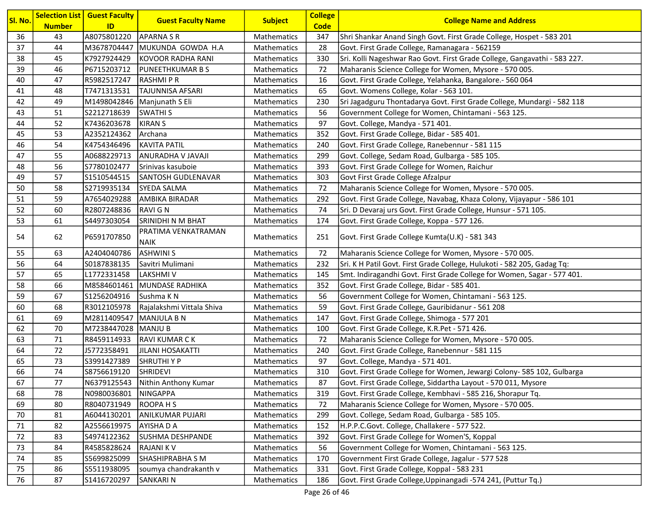| Sl. No. | <b>Number</b> | <b>Selection List   Guest Faculty</b><br>ID | <b>Guest Faculty Name</b>          | <b>Subject</b>     | <b>College</b><br><b>Code</b> | <b>College Name and Address</b>                                           |
|---------|---------------|---------------------------------------------|------------------------------------|--------------------|-------------------------------|---------------------------------------------------------------------------|
| 36      | 43            | A8075801220                                 | <b>APARNA S R</b>                  | Mathematics        | 347                           | Shri Shankar Anand Singh Govt. First Grade College, Hospet - 583 201      |
| 37      | 44            | M3678704447                                 | MUKUNDA GOWDA H.A                  | Mathematics        | 28                            | Govt. First Grade College, Ramanagara - 562159                            |
| 38      | 45            | K7927924429                                 | KOVOOR RADHA RANI                  | Mathematics        | 330                           | Sri. Kolli Nageshwar Rao Govt. First Grade College, Gangavathi - 583 227. |
| 39      | 46            | P6715203712                                 | <b>PUNEETHKUMAR B S</b>            | Mathematics        | 72                            | Maharanis Science College for Women, Mysore - 570 005.                    |
| 40      | 47            | R5982517247                                 | RASHMI P R                         | Mathematics        | 16                            | Govt. First Grade College, Yelahanka, Bangalore.- 560 064                 |
| 41      | 48            | T7471313531                                 | <b>TAJUNNISA AFSARI</b>            | Mathematics        | 65                            | Govt. Womens College, Kolar - 563 101.                                    |
| 42      | 49            | M1498042846                                 | Manjunath S Eli                    | Mathematics        | 230                           | Sri Jagadguru Thontadarya Govt. First Grade College, Mundargi - 582 118   |
| 43      | 51            | S2212718639                                 | <b>SWATHIS</b>                     | <b>Mathematics</b> | 56                            | Government College for Women, Chintamani - 563 125.                       |
| 44      | 52            | K7436203678                                 | <b>KIRAN S</b>                     | Mathematics        | 97                            | Govt. College, Mandya - 571 401.                                          |
| 45      | 53            | A2352124362                                 | Archana                            | Mathematics        | 352                           | Govt. First Grade College, Bidar - 585 401.                               |
| 46      | 54            | K4754346496                                 | <b>KAVITA PATIL</b>                | Mathematics        | 240                           | Govt. First Grade College, Ranebennur - 581 115                           |
| 47      | 55            | A0688229713                                 | ANURADHA V JAVAJI                  | Mathematics        | 299                           | Govt. College, Sedam Road, Gulbarga - 585 105.                            |
| 48      | 56            | S7780102477                                 | Srinivas kasuboie                  | Mathematics        | 393                           | Govt. First Grade College for Women, Raichur                              |
| 49      | 57            | S1510544515                                 | <b>SANTOSH GUDLENAVAR</b>          | Mathematics        | 303                           | Govt First Grade College Afzalpur                                         |
| 50      | 58            | S2719935134                                 | <b>SYEDA SALMA</b>                 | Mathematics        | 72                            | Maharanis Science College for Women, Mysore - 570 005.                    |
| 51      | 59            | A7654029288                                 | <b>AMBIKA BIRADAR</b>              | <b>Mathematics</b> | 292                           | Govt. First Grade College, Navabag, Khaza Colony, Vijayapur - 586 101     |
| 52      | 60            | R2807248836                                 | <b>RAVIGN</b>                      | Mathematics        | 74                            | Sri. D Devaraj urs Govt. First Grade College, Hunsur - 571 105.           |
| 53      | 61            | S4497303054                                 | SRINIDHI N M BHAT                  | Mathematics        | 174                           | Govt. First Grade College, Koppa - 577 126.                               |
| 54      | 62            | P6591707850                                 | PRATIMA VENKATRAMAN<br><b>NAIK</b> | <b>Mathematics</b> | 251                           | Govt. First Grade College Kumta(U.K) - 581 343                            |
| 55      | 63            | A2404040786                                 | <b>ASHWINI S</b>                   | Mathematics        | 72                            | Maharanis Science College for Women, Mysore - 570 005.                    |
| 56      | 64            | S0187838135                                 | Savitri Mulimani                   | Mathematics        | 232                           | Sri. K H Patil Govt. First Grade College, Hulukoti - 582 205, Gadag Tq:   |
| 57      | 65            | L1772331458                                 | <b>LAKSHMIV</b>                    | Mathematics        | 145                           | Smt. Indiragandhi Govt. First Grade College for Women, Sagar - 577 401.   |
| 58      | 66            | M8584601461                                 | MUNDASE RADHIKA                    | Mathematics        | 352                           | Govt. First Grade College, Bidar - 585 401.                               |
| 59      | 67            | S1256204916                                 | Sushma K N                         | Mathematics        | 56                            | Government College for Women, Chintamani - 563 125.                       |
| 60      | 68            | R3012105978                                 | Rajalakshmi Vittala Shiva          | Mathematics        | 59                            | Govt. First Grade College, Gauribidanur - 561 208                         |
| 61      | 69            | M2811409547                                 | MANJULA B N                        | <b>Mathematics</b> | 147                           | Govt. First Grade College, Shimoga - 577 201                              |
| 62      | 70            | M7238447028                                 | MANJU B                            | Mathematics        | 100                           | Govt. First Grade College, K.R.Pet - 571 426.                             |
| 63      | 71            | R8459114933                                 | <b>RAVI KUMAR CK</b>               | Mathematics        | 72                            | Maharanis Science College for Women, Mysore - 570 005.                    |
| 64      | 72            | J5772358491                                 | <b>JILANI HOSAKATTI</b>            | Mathematics        | 240                           | Govt. First Grade College, Ranebennur - 581 115                           |
| 65      | 73            | S3991427389                                 | <b>SHRUTHIYP</b>                   | Mathematics        | 97                            | Govt. College, Mandya - 571 401.                                          |
| 66      | 74            | S8756619120                                 | <b>SHRIDEVI</b>                    | Mathematics        | 310                           | Govt. First Grade College for Women, Jewargi Colony- 585 102, Gulbarga    |
| 67      | 77            |                                             | N6379125543   Nithin Anthony Kumar | Mathematics        | 87                            | Govt. First Grade College, Siddartha Layout - 570 011, Mysore             |
| 68      | 78            | N0980036801                                 | NINGAPPA                           | Mathematics        | 319                           | Govt. First Grade College, Kembhavi - 585 216, Shorapur Tq.               |
| 69      | 80            | R8040731949                                 | ROOPA H S                          | Mathematics        | 72                            | Maharanis Science College for Women, Mysore - 570 005.                    |
| 70      | 81            | A6044130201                                 | <b>ANILKUMAR PUJARI</b>            | Mathematics        | 299                           | Govt. College, Sedam Road, Gulbarga - 585 105.                            |
| 71      | 82            | A2556619975                                 | <b>AYISHADA</b>                    | Mathematics        | 152                           | H.P.P.C.Govt. College, Challakere - 577 522.                              |
| 72      | 83            | S4974122362                                 | SUSHMA DESHPANDE                   | Mathematics        | 392                           | Govt. First Grade College for Women'S, Koppal                             |
| 73      | 84            | R4585828624                                 | <b>RAJANIKV</b>                    | Mathematics        | 56                            | Government College for Women, Chintamani - 563 125.                       |
| 74      | 85            | S5699825099                                 | SHASHIPRABHA S M                   | Mathematics        | 170                           | Government First Grade College, Jagalur - 577 528                         |
| 75      | 86            | S5511938095                                 | soumya chandrakanth v              | Mathematics        | 331                           | Govt. First Grade College, Koppal - 583 231                               |
| 76      | 87            | S1416720297                                 | <b>SANKARIN</b>                    | Mathematics        | 186                           | Govt. First Grade College, Uppinangadi -574 241, (Puttur Tq.)             |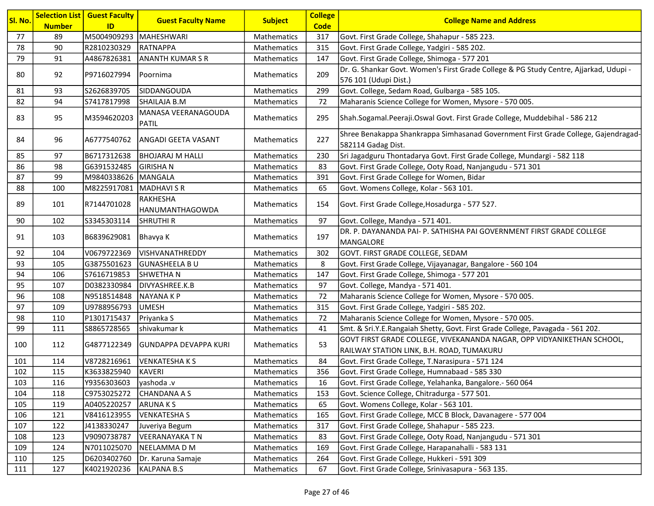| Sl. No.  | <b>Number</b> | <b>Selection List   Guest Faculty</b><br>ID | <b>Guest Faculty Name</b>                  | <b>Subject</b>             | <b>College</b><br><b>Code</b> | <b>College Name and Address</b>                                                                          |
|----------|---------------|---------------------------------------------|--------------------------------------------|----------------------------|-------------------------------|----------------------------------------------------------------------------------------------------------|
| 77       | 89            | M5004909293   MAHESHWARI                    |                                            | Mathematics                | 317                           | Govt. First Grade College, Shahapur - 585 223.                                                           |
| 78       | 90            | R2810230329                                 | RATNAPPA                                   | Mathematics                | 315                           | Govt. First Grade College, Yadgiri - 585 202.                                                            |
| 79       | 91            | A4867826381                                 | <b>ANANTH KUMAR S R</b>                    | Mathematics                | 147                           | Govt. First Grade College, Shimoga - 577 201                                                             |
|          |               |                                             |                                            |                            |                               | Dr. G. Shankar Govt. Women's First Grade College & PG Study Centre, Ajjarkad, Udupi -                    |
| 80       | 92            | P9716027994                                 | Poornima                                   | Mathematics                | 209                           | 576 101 (Udupi Dist.)                                                                                    |
| 81       | 93            | S2626839705                                 | <b>SIDDANGOUDA</b>                         | Mathematics                | 299                           | Govt. College, Sedam Road, Gulbarga - 585 105.                                                           |
| 82       | 94            | S7417817998                                 | SHAILAJA B.M                               | Mathematics                | 72                            | Maharanis Science College for Women, Mysore - 570 005.                                                   |
| 83       | 95            | M3594620203                                 | MANASA VEERANAGOUDA<br><b>PATIL</b>        | Mathematics                | 295                           | Shah.Sogamal.Peeraji.Oswal Govt. First Grade College, Muddebihal - 586 212                               |
| 84       | 96            | A6777540762                                 | <b>ANGADI GEETA VASANT</b>                 | <b>Mathematics</b>         | 227                           | Shree Benakappa Shankrappa Simhasanad Government First Grade College, Gajendragad-                       |
|          |               |                                             |                                            |                            |                               | 582114 Gadag Dist.                                                                                       |
| 85<br>86 | 97<br>98      | B6717312638<br>G6391532485                  | <b>BHOJARAJ M HALLI</b><br><b>GIRISHAN</b> | Mathematics                | 230                           | Sri Jagadguru Thontadarya Govt. First Grade College, Mundargi - 582 118                                  |
| 87       | 99            | M9840338626 MANGALA                         |                                            | Mathematics<br>Mathematics | 83<br>391                     | Govt. First Grade College, Ooty Road, Nanjangudu - 571 301<br>Govt. First Grade College for Women, Bidar |
| 88       | 100           | M8225917081 MADHAVI S R                     |                                            |                            | 65                            |                                                                                                          |
|          |               |                                             |                                            | Mathematics                |                               | Govt. Womens College, Kolar - 563 101.                                                                   |
| 89       | 101           | R7144701028                                 | RAKHESHA<br>HANUMANTHAGOWDA                | Mathematics                | 154                           | Govt. First Grade College, Hosadurga - 577 527.                                                          |
| 90       | 102           | S3345303114                                 | <b>SHRUTHI R</b>                           | Mathematics                | 97                            | Govt. College, Mandya - 571 401.                                                                         |
| 91       | 103           | B6839629081                                 | Bhavya K                                   | <b>Mathematics</b>         | 197                           | DR. P. DAYANANDA PAI- P. SATHISHA PAI GOVERNMENT FIRST GRADE COLLEGE<br>MANGALORE                        |
| 92       | 104           | V0679722369                                 | VISHVANATHREDDY                            | Mathematics                | 302                           | GOVT. FIRST GRADE COLLEGE, SEDAM                                                                         |
| 93       | 105           | G3875501623                                 | <b>GUNASHEELA BU</b>                       | Mathematics                | 8                             | Govt. First Grade College, Vijayanagar, Bangalore - 560 104                                              |
| 94       | 106           | S7616719853                                 | SHWETHA N                                  | <b>Mathematics</b>         | 147                           | Govt. First Grade College, Shimoga - 577 201                                                             |
| 95       | 107           | D0382330984                                 | DIVYASHREE.K.B                             | Mathematics                | 97                            | Govt. College, Mandya - 571 401.                                                                         |
| 96       | 108           | N9518514848                                 | <b>NAYANAKP</b>                            | Mathematics                | 72                            | Maharanis Science College for Women, Mysore - 570 005.                                                   |
| 97       | 109           | U9788956793                                 | <b>UMESH</b>                               | Mathematics                | 315                           | Govt. First Grade College, Yadgiri - 585 202.                                                            |
| 98       | 110           | P1301715437                                 | Priyanka S                                 | <b>Mathematics</b>         | 72                            | Maharanis Science College for Women, Mysore - 570 005.                                                   |
| 99       | 111           | S8865728565                                 | shivakumar k                               | Mathematics                | 41                            | Smt. & Sri.Y.E.Rangaiah Shetty, Govt. First Grade College, Pavagada - 561 202.                           |
| 100      | 112           | G4877122349                                 | İGUNDAPPA DEVAPPA KURI                     | <b>Mathematics</b>         | 53                            | GOVT FIRST GRADE COLLEGE, VIVEKANANDA NAGAR, OPP VIDYANIKETHAN SCHOOL,                                   |
|          |               |                                             |                                            |                            |                               | RAILWAY STATION LINK, B.H. ROAD, TUMAKURU                                                                |
| 101      | 114           | V8728216961                                 | <b>VENKATESHAKS</b>                        | Mathematics                | 84                            | Govt. First Grade College, T.Narasipura - 571 124                                                        |
| 102      | 115           | K3633825940                                 | <b>KAVERI</b>                              | Mathematics                | 356                           | Govt. First Grade College, Humnabaad - 585 330                                                           |
| 103      | 116           | Y9356303603                                 | yashoda .v                                 | Mathematics                | 16                            | Govt. First Grade College, Yelahanka, Bangalore.- 560 064                                                |
| 104      | 118           | C9753025272                                 | <b>CHANDANA A S</b>                        | Mathematics                | 153                           | Govt. Science College, Chitradurga - 577 501.                                                            |
| 105      | 119           | A0405220257                                 | <b>ARUNAKS</b>                             | Mathematics                | 65                            | Govt. Womens College, Kolar - 563 101.                                                                   |
| 106      | 121           | V8416123955                                 | <b>VENKATESHA S</b>                        | Mathematics                | 165                           | Govt. First Grade College, MCC B Block, Davanagere - 577 004                                             |
| 107      | 122           | J4138330247                                 | Juveriya Begum                             | Mathematics                | 317                           | Govt. First Grade College, Shahapur - 585 223.                                                           |
| 108      | 123           | V9090738787                                 | <b>VEERANAYAKA T N</b>                     | Mathematics                | 83                            | Govt. First Grade College, Ooty Road, Nanjangudu - 571 301                                               |
| 109      | 124           | N7011025070                                 | NEELAMMA D M                               | Mathematics                | 169                           | Govt. First Grade College, Harapanahalli - 583 131                                                       |
| 110      | 125           | D6203402760                                 | Dr. Karuna Samaje                          | Mathematics                | 264                           | Govt. First Grade College, Hukkeri - 591 309                                                             |
| 111      | 127           | K4021920236                                 | <b>KALPANA B.S</b>                         | Mathematics                | 67                            | Govt. First Grade College, Srinivasapura - 563 135.                                                      |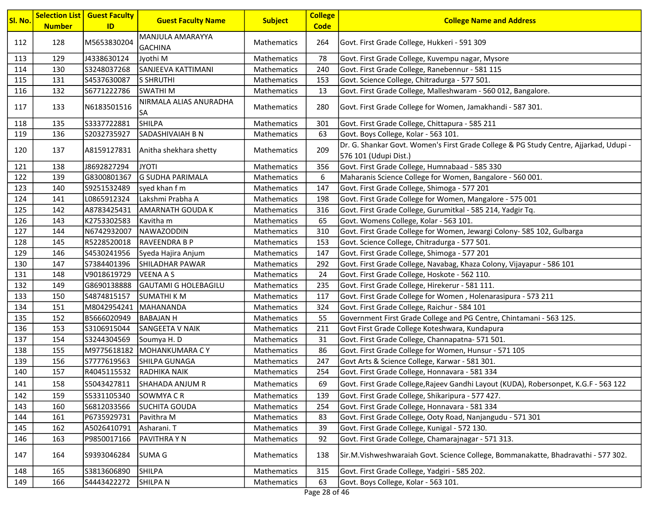| Sl. No. | <b>Number</b> | <b>Selection List   Guest Faculty</b><br>ID | <b>Guest Faculty Name</b>           | <b>Subject</b>     | <b>College</b><br><b>Code</b> | <b>College Name and Address</b>                                                                                |
|---------|---------------|---------------------------------------------|-------------------------------------|--------------------|-------------------------------|----------------------------------------------------------------------------------------------------------------|
| 112     | 128           | M5653830204                                 | MANJULA AMARAYYA<br><b>GACHINA</b>  | <b>Mathematics</b> | 264                           | Govt. First Grade College, Hukkeri - 591 309                                                                   |
| 113     | 129           | J4338630124                                 | Jyothi M                            | Mathematics        | 78                            | Govt. First Grade College, Kuvempu nagar, Mysore                                                               |
| 114     | 130           | S3248037268                                 | SANJEEVA KATTIMANI                  | Mathematics        | 240                           | Govt. First Grade College, Ranebennur - 581 115                                                                |
| 115     | 131           | S4537630087                                 | <b>S SHRUTHI</b>                    | Mathematics        | 153                           | Govt. Science College, Chitradurga - 577 501.                                                                  |
| 116     | 132           | S6771222786                                 | <b>SWATHI M</b>                     | Mathematics        | 13                            | Govt. First Grade College, Malleshwaram - 560 012, Bangalore.                                                  |
| 117     | 133           | N6183501516                                 | NIRMALA ALIAS ANURADHA<br><b>SA</b> | <b>Mathematics</b> | 280                           | Govt. First Grade College for Women, Jamakhandi - 587 301.                                                     |
| 118     | 135           | S3337722881                                 | <b>SHILPA</b>                       | Mathematics        | 301                           | Govt. First Grade College, Chittapura - 585 211                                                                |
| 119     | 136           | S2032735927                                 | SADASHIVAIAH B N                    | Mathematics        | 63                            | Govt. Boys College, Kolar - 563 101.                                                                           |
| 120     | 137           | A8159127831                                 | Anitha shekhara shetty              | Mathematics        | 209                           | Dr. G. Shankar Govt. Women's First Grade College & PG Study Centre, Ajjarkad, Udupi -<br>576 101 (Udupi Dist.) |
| 121     | 138           | J8692827294                                 | <b>JYOTI</b>                        | Mathematics        | 356                           | Govt. First Grade College, Humnabaad - 585 330                                                                 |
| 122     | 139           | G8300801367                                 | G SUDHA PARIMALA                    | Mathematics        | 6                             | Maharanis Science College for Women, Bangalore - 560 001.                                                      |
| 123     | 140           | S9251532489                                 | syed khan f m                       | Mathematics        | 147                           | Govt. First Grade College, Shimoga - 577 201                                                                   |
| 124     | 141           | L0865912324                                 | Lakshmi Prabha A                    | Mathematics        | 198                           | Govt. First Grade College for Women, Mangalore - 575 001                                                       |
| 125     | 142           | A8783425431                                 | <b>AMARNATH GOUDA K</b>             | Mathematics        | 316                           | Govt. First Grade College, Gurumitkal - 585 214, Yadgir Tq.                                                    |
| 126     | 143           | K2753302583                                 | Kavitha m                           | Mathematics        | 65                            | Govt. Womens College, Kolar - 563 101.                                                                         |
| 127     | 144           | N6742932007                                 | NAWAZODDIN                          | Mathematics        | 310                           | Govt. First Grade College for Women, Jewargi Colony- 585 102, Gulbarga                                         |
| 128     | 145           | R5228520018                                 | RAVEENDRA B P                       | Mathematics        | 153                           | Govt. Science College, Chitradurga - 577 501.                                                                  |
| 129     | 146           | S4530241956                                 | Syeda Hajira Anjum                  | <b>Mathematics</b> | 147                           | Govt. First Grade College, Shimoga - 577 201                                                                   |
| 130     | 147           | S7384401396                                 | SHILADHAR PAWAR                     | Mathematics        | 292                           | Govt. First Grade College, Navabag, Khaza Colony, Vijayapur - 586 101                                          |
| 131     | 148           | V9018619729                                 | <b>VEENA A S</b>                    | Mathematics        | 24                            | Govt. First Grade College, Hoskote - 562 110.                                                                  |
| 132     | 149           | G8690138888                                 | GAUTAMI G HOLEBAGILU                | Mathematics        | 235                           | Govt. First Grade College, Hirekerur - 581 111.                                                                |
| 133     | 150           | S4874815157                                 | <b>SUMATHI K M</b>                  | Mathematics        | 117                           | Govt. First Grade College for Women, Holenarasipura - 573 211                                                  |
| 134     | 151           | M8042954241                                 | MAHANANDA                           | Mathematics        | 324                           | Govt. First Grade College, Raichur - 584 101                                                                   |
| 135     | 152           | B5666020949                                 | <b>BABAJAN H</b>                    | Mathematics        | 55                            | Government First Grade College and PG Centre, Chintamani - 563 125.                                            |
| 136     | 153           | S3106915044                                 | SANGEETA V NAIK                     | Mathematics        | 211                           | Govt First Grade College Koteshwara, Kundapura                                                                 |
| 137     | 154           | S3244304569                                 | Soumya H.D                          | Mathematics        | 31                            | Govt. First Grade College, Channapatna- 571 501.                                                               |
| 138     | 155           | M9775618182                                 | MOHANKUMARA CY                      | Mathematics        | 86                            | Govt. First Grade College for Women, Hunsur - 571 105                                                          |
| 139     | 156           | S7777619563                                 | SHILPA GUNAGA                       | Mathematics        | 247                           | Govt Arts & Science College, Karwar - 581 301.                                                                 |
| 140     | 157           | R4045115532                                 | RADHIKA NAIK                        | Mathematics        | 254                           | Govt. First Grade College, Honnavara - 581 334                                                                 |
| 141     | 158           | S5043427811                                 | SHAHADA ANJUM R                     | Mathematics        | 69                            | Govt. First Grade College, Rajeev Gandhi Layout (KUDA), Robersonpet, K.G.F - 563 122                           |
| 142     | 159           | S5331105340                                 | SOWMYA C R                          | Mathematics        | 139                           | Govt. First Grade College, Shikaripura - 577 427.                                                              |
| 143     | 160           | S6812033566                                 | <b>SUCHITA GOUDA</b>                | Mathematics        | 254                           | Govt. First Grade College, Honnavara - 581 334                                                                 |
| 144     | 161           | P6735929731                                 | Pavithra M                          | Mathematics        | 83                            | Govt. First Grade College, Ooty Road, Nanjangudu - 571 301                                                     |
| 145     | 162           | A5026410791                                 | Asharani. T                         | Mathematics        | 39                            | Govt. First Grade College, Kunigal - 572 130.                                                                  |
| 146     | 163           | P9850017166                                 | PAVITHRA Y N                        | Mathematics        | 92                            | Govt. First Grade College, Chamarajnagar - 571 313.                                                            |
| 147     | 164           | S9393046284                                 | <b>SUMA G</b>                       | Mathematics        | 138                           | Sir.M.Vishweshwaraiah Govt. Science College, Bommanakatte, Bhadravathi - 577 302.                              |
| 148     | 165           | S3813606890                                 | <b>SHILPA</b>                       | Mathematics        | 315                           | Govt. First Grade College, Yadgiri - 585 202.                                                                  |
| 149     | 166           | S4443422272                                 | <b>SHILPAN</b>                      | Mathematics        | 63                            | Govt. Boys College, Kolar - 563 101.                                                                           |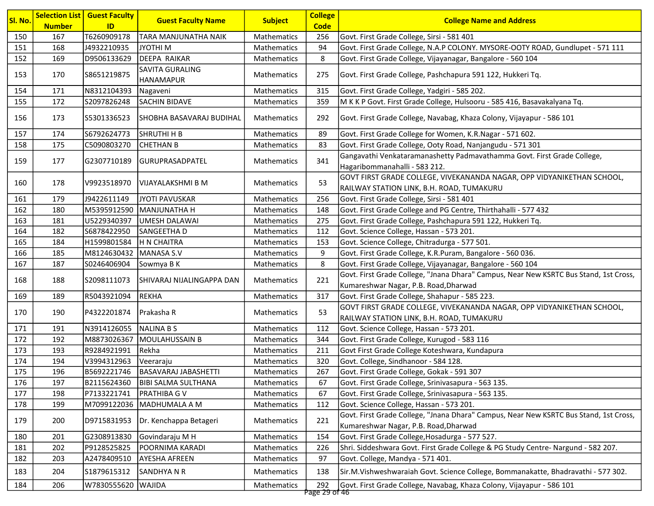| ID<br><b>Code</b><br><b>Number</b><br>150<br>167<br>T6260909178<br>Mathematics<br>256<br>TARA MANJUNATHA NAIK<br>Govt. First Grade College, Sirsi - 581 401<br>J4932210935<br>94<br>Govt. First Grade College, N.A.P COLONY. MYSORE-OOTY ROAD, Gundlupet - 571 111<br>151<br>168<br>JYOTHI <sub>M</sub><br>Mathematics<br>152<br>DEEPA RAIKAR<br>8<br>169<br>D9506133629<br>Govt. First Grade College, Vijayanagar, Bangalore - 560 104<br>Mathematics<br>SAVITA GURALING<br>153<br>S8651219875<br>Govt. First Grade College, Pashchapura 591 122, Hukkeri Tq.<br>170<br>Mathematics<br>275<br><b>HANAMAPUR</b><br>154<br>171<br>N8312104393<br>Mathematics<br>315<br>Govt. First Grade College, Yadgiri - 585 202.<br>Nagaveni<br>155<br>S2097826248<br><b>SACHIN BIDAVE</b><br>M K K P Govt. First Grade College, Hulsooru - 585 416, Basavakalyana Tq.<br>172<br>Mathematics<br>359<br>156<br>Govt. First Grade College, Navabag, Khaza Colony, Vijayapur - 586 101<br>173<br>S5301336523 <br><b>SHOBHA BASAVARAJ BUDIHAL</b><br><b>Mathematics</b><br>292<br>157<br>174<br>S6792624773<br>SHRUTHI H B<br>Govt. First Grade College for Women, K.R.Nagar - 571 602.<br>Mathematics<br>89<br>158<br>Govt. First Grade College, Ooty Road, Nanjangudu - 571 301<br>175<br>C5090803270<br><b>CHETHAN B</b><br>Mathematics<br>83<br>Gangavathi Venkataramanashetty Padmavathamma Govt. First Grade College,<br>341<br>159<br>177<br>G2307710189 <br> GURUPRASADPATEL<br><b>Mathematics</b><br>Hagaribommanahalli - 583 212.<br>GOVT FIRST GRADE COLLEGE, VIVEKANANDA NAGAR, OPP VIDYANIKETHAN SCHOOL,<br>53<br>160<br>178<br>V9923518970<br> VIJAYALAKSHMI B M<br><b>Mathematics</b><br>RAILWAY STATION LINK, B.H. ROAD, TUMAKURU<br>179<br>256<br>161<br>J9422611149<br>JYOTI PAVUSKAR<br>Mathematics<br>Govt. First Grade College, Sirsi - 581 401<br>162<br>M5395912590<br>MANJUNATHA H<br>Mathematics<br>Govt. First Grade College and PG Centre, Thirthahalli - 577 432<br>180<br>148<br>163<br>181<br>U5229340397<br><b>UMESH DALAWAI</b><br>275<br>Govt. First Grade College, Pashchapura 591 122, Hukkeri Tq.<br>Mathematics<br>164<br>S6878422950<br>112<br>Govt. Science College, Hassan - 573 201.<br>182<br>SANGEETHA D<br>Mathematics<br>165<br>184<br>H1599801584<br>H N CHAITRA<br>153<br>Govt. Science College, Chitradurga - 577 501.<br>Mathematics<br>166<br>M8124630432<br>MANASA S.V<br>9<br>Govt. First Grade College, K.R.Puram, Bangalore - 560 036.<br>185<br>Mathematics<br>8<br>167<br>187<br>S0246406904<br>Sowmya B K<br>Govt. First Grade College, Vijayanagar, Bangalore - 560 104<br>Mathematics<br>Govt. First Grade College, "Jnana Dhara" Campus, Near New KSRTC Bus Stand, 1st Cross,<br>168<br>221<br>188<br>S2098111073 <br>SHIVARAJ NIJALINGAPPA DAN<br><b>Mathematics</b><br>Kumareshwar Nagar, P.B. Road, Dharwad<br>169<br>R5043921094<br><b>REKHA</b><br>Govt. First Grade College, Shahapur - 585 223.<br>189<br>Mathematics<br>317<br>GOVT FIRST GRADE COLLEGE, VIVEKANANDA NAGAR, OPP VIDYANIKETHAN SCHOOL,<br>53<br>170<br>190<br>P4322201874<br>Prakasha R<br><b>Mathematics</b><br>RAILWAY STATION LINK, B.H. ROAD, TUMAKURU<br>171<br>191<br>N3914126055<br>NALINA B S<br>Mathematics<br>112<br>Govt. Science College, Hassan - 573 201.<br>172<br>192<br>M8873026367<br><b>MOULAHUSSAIN B</b><br>Mathematics<br>344<br>Govt. First Grade College, Kurugod - 583 116<br>173<br>R9284921991<br>Govt First Grade College Koteshwara, Kundapura<br>193<br>Rekha<br>Mathematics<br>211<br>174<br>Govt. College, Sindhanoor - 584 128.<br>194<br>V3994312963<br>Mathematics<br>320<br>Veeraraju<br>175<br><b>BASAVARAJ JABASHETTI</b><br>Govt. First Grade College, Gokak - 591 307<br>196<br>B5692221746<br>267<br><b>Mathematics</b><br>176<br>B2115624360<br><b>BIBI SALMA SULTHANA</b><br>67<br>Govt. First Grade College, Srinivasapura - 563 135.<br>Mathematics<br>197<br>177<br>198<br>P7133221741<br>PRATHIBA G V<br>Mathematics<br>67<br>Govt. First Grade College, Srinivasapura - 563 135.<br>M7099122036<br>MADHUMALA A M<br>112<br>Govt. Science College, Hassan - 573 201.<br>178<br>199<br>Mathematics<br>Govt. First Grade College, "Jnana Dhara" Campus, Near New KSRTC Bus Stand, 1st Cross,<br>221<br>179<br>D9715831953<br>Dr. Kenchappa Betageri<br>Mathematics<br>200<br>Kumareshwar Nagar, P.B. Road, Dharwad<br>201<br>Govt. First Grade College, Hosadurga - 577 527.<br>180<br>G2308913830<br>Govindaraju M H<br>Mathematics<br>154<br>Shri. Siddeshwara Govt. First Grade College & PG Study Centre-Nargund - 582 207.<br>181<br>202<br>P9128525825<br>POORNIMA KARADI<br>Mathematics<br>226<br>182<br>203<br>A2478409510<br><b>AYESHA AFREEN</b><br>Mathematics<br>97<br>Govt. College, Mandya - 571 401.<br>183<br>204<br>S1879615312<br><b>SANDHYANR</b><br>Mathematics<br>138<br>Sir.M. Vishweshwaraiah Govt. Science College, Bommanakatte, Bhadravathi - 577 302.<br>184<br>206<br>W7830555620 WAJIDA<br>Mathematics<br>292<br>Govt. First Grade College, Navabag, Khaza Colony, Vijayapur - 586 101 | Sl. No. | <b>Selection List</b> | <b>Guest Faculty</b> | <b>Guest Faculty Name</b> | <b>Subject</b> | <b>College</b>       | <b>College Name and Address</b> |
|------------------------------------------------------------------------------------------------------------------------------------------------------------------------------------------------------------------------------------------------------------------------------------------------------------------------------------------------------------------------------------------------------------------------------------------------------------------------------------------------------------------------------------------------------------------------------------------------------------------------------------------------------------------------------------------------------------------------------------------------------------------------------------------------------------------------------------------------------------------------------------------------------------------------------------------------------------------------------------------------------------------------------------------------------------------------------------------------------------------------------------------------------------------------------------------------------------------------------------------------------------------------------------------------------------------------------------------------------------------------------------------------------------------------------------------------------------------------------------------------------------------------------------------------------------------------------------------------------------------------------------------------------------------------------------------------------------------------------------------------------------------------------------------------------------------------------------------------------------------------------------------------------------------------------------------------------------------------------------------------------------------------------------------------------------------------------------------------------------------------------------------------------------------------------------------------------------------------------------------------------------------------------------------------------------------------------------------------------------------------------------------------------------------------------------------------------------------------------------------------------------------------------------------------------------------------------------------------------------------------------------------------------------------------------------------------------------------------------------------------------------------------------------------------------------------------------------------------------------------------------------------------------------------------------------------------------------------------------------------------------------------------------------------------------------------------------------------------------------------------------------------------------------------------------------------------------------------------------------------------------------------------------------------------------------------------------------------------------------------------------------------------------------------------------------------------------------------------------------------------------------------------------------------------------------------------------------------------------------------------------------------------------------------------------------------------------------------------------------------------------------------------------------------------------------------------------------------------------------------------------------------------------------------------------------------------------------------------------------------------------------------------------------------------------------------------------------------------------------------------------------------------------------------------------------------------------------------------------------------------------------------------------------------------------------------------------------------------------------------------------------------------------------------------------------------------------------------------------------------------------------------------------------------------------------------------------------------------------------------------------------------------------------------------------------------------------------------------------------------------------------------------------------------------------------------------------------------------------------------------------------------------------------------------------------------------------------------------------------------------------------------------------------------------------------------------------------|---------|-----------------------|----------------------|---------------------------|----------------|----------------------|---------------------------------|
|                                                                                                                                                                                                                                                                                                                                                                                                                                                                                                                                                                                                                                                                                                                                                                                                                                                                                                                                                                                                                                                                                                                                                                                                                                                                                                                                                                                                                                                                                                                                                                                                                                                                                                                                                                                                                                                                                                                                                                                                                                                                                                                                                                                                                                                                                                                                                                                                                                                                                                                                                                                                                                                                                                                                                                                                                                                                                                                                                                                                                                                                                                                                                                                                                                                                                                                                                                                                                                                                                                                                                                                                                                                                                                                                                                                                                                                                                                                                                                                                                                                                                                                                                                                                                                                                                                                                                                                                                                                                                                                                                                                                                                                                                                                                                                                                                                                                                                                                                                                                                                                                                    |         |                       |                      |                           |                |                      |                                 |
|                                                                                                                                                                                                                                                                                                                                                                                                                                                                                                                                                                                                                                                                                                                                                                                                                                                                                                                                                                                                                                                                                                                                                                                                                                                                                                                                                                                                                                                                                                                                                                                                                                                                                                                                                                                                                                                                                                                                                                                                                                                                                                                                                                                                                                                                                                                                                                                                                                                                                                                                                                                                                                                                                                                                                                                                                                                                                                                                                                                                                                                                                                                                                                                                                                                                                                                                                                                                                                                                                                                                                                                                                                                                                                                                                                                                                                                                                                                                                                                                                                                                                                                                                                                                                                                                                                                                                                                                                                                                                                                                                                                                                                                                                                                                                                                                                                                                                                                                                                                                                                                                                    |         |                       |                      |                           |                |                      |                                 |
|                                                                                                                                                                                                                                                                                                                                                                                                                                                                                                                                                                                                                                                                                                                                                                                                                                                                                                                                                                                                                                                                                                                                                                                                                                                                                                                                                                                                                                                                                                                                                                                                                                                                                                                                                                                                                                                                                                                                                                                                                                                                                                                                                                                                                                                                                                                                                                                                                                                                                                                                                                                                                                                                                                                                                                                                                                                                                                                                                                                                                                                                                                                                                                                                                                                                                                                                                                                                                                                                                                                                                                                                                                                                                                                                                                                                                                                                                                                                                                                                                                                                                                                                                                                                                                                                                                                                                                                                                                                                                                                                                                                                                                                                                                                                                                                                                                                                                                                                                                                                                                                                                    |         |                       |                      |                           |                |                      |                                 |
|                                                                                                                                                                                                                                                                                                                                                                                                                                                                                                                                                                                                                                                                                                                                                                                                                                                                                                                                                                                                                                                                                                                                                                                                                                                                                                                                                                                                                                                                                                                                                                                                                                                                                                                                                                                                                                                                                                                                                                                                                                                                                                                                                                                                                                                                                                                                                                                                                                                                                                                                                                                                                                                                                                                                                                                                                                                                                                                                                                                                                                                                                                                                                                                                                                                                                                                                                                                                                                                                                                                                                                                                                                                                                                                                                                                                                                                                                                                                                                                                                                                                                                                                                                                                                                                                                                                                                                                                                                                                                                                                                                                                                                                                                                                                                                                                                                                                                                                                                                                                                                                                                    |         |                       |                      |                           |                |                      |                                 |
|                                                                                                                                                                                                                                                                                                                                                                                                                                                                                                                                                                                                                                                                                                                                                                                                                                                                                                                                                                                                                                                                                                                                                                                                                                                                                                                                                                                                                                                                                                                                                                                                                                                                                                                                                                                                                                                                                                                                                                                                                                                                                                                                                                                                                                                                                                                                                                                                                                                                                                                                                                                                                                                                                                                                                                                                                                                                                                                                                                                                                                                                                                                                                                                                                                                                                                                                                                                                                                                                                                                                                                                                                                                                                                                                                                                                                                                                                                                                                                                                                                                                                                                                                                                                                                                                                                                                                                                                                                                                                                                                                                                                                                                                                                                                                                                                                                                                                                                                                                                                                                                                                    |         |                       |                      |                           |                |                      |                                 |
|                                                                                                                                                                                                                                                                                                                                                                                                                                                                                                                                                                                                                                                                                                                                                                                                                                                                                                                                                                                                                                                                                                                                                                                                                                                                                                                                                                                                                                                                                                                                                                                                                                                                                                                                                                                                                                                                                                                                                                                                                                                                                                                                                                                                                                                                                                                                                                                                                                                                                                                                                                                                                                                                                                                                                                                                                                                                                                                                                                                                                                                                                                                                                                                                                                                                                                                                                                                                                                                                                                                                                                                                                                                                                                                                                                                                                                                                                                                                                                                                                                                                                                                                                                                                                                                                                                                                                                                                                                                                                                                                                                                                                                                                                                                                                                                                                                                                                                                                                                                                                                                                                    |         |                       |                      |                           |                |                      |                                 |
|                                                                                                                                                                                                                                                                                                                                                                                                                                                                                                                                                                                                                                                                                                                                                                                                                                                                                                                                                                                                                                                                                                                                                                                                                                                                                                                                                                                                                                                                                                                                                                                                                                                                                                                                                                                                                                                                                                                                                                                                                                                                                                                                                                                                                                                                                                                                                                                                                                                                                                                                                                                                                                                                                                                                                                                                                                                                                                                                                                                                                                                                                                                                                                                                                                                                                                                                                                                                                                                                                                                                                                                                                                                                                                                                                                                                                                                                                                                                                                                                                                                                                                                                                                                                                                                                                                                                                                                                                                                                                                                                                                                                                                                                                                                                                                                                                                                                                                                                                                                                                                                                                    |         |                       |                      |                           |                |                      |                                 |
|                                                                                                                                                                                                                                                                                                                                                                                                                                                                                                                                                                                                                                                                                                                                                                                                                                                                                                                                                                                                                                                                                                                                                                                                                                                                                                                                                                                                                                                                                                                                                                                                                                                                                                                                                                                                                                                                                                                                                                                                                                                                                                                                                                                                                                                                                                                                                                                                                                                                                                                                                                                                                                                                                                                                                                                                                                                                                                                                                                                                                                                                                                                                                                                                                                                                                                                                                                                                                                                                                                                                                                                                                                                                                                                                                                                                                                                                                                                                                                                                                                                                                                                                                                                                                                                                                                                                                                                                                                                                                                                                                                                                                                                                                                                                                                                                                                                                                                                                                                                                                                                                                    |         |                       |                      |                           |                |                      |                                 |
|                                                                                                                                                                                                                                                                                                                                                                                                                                                                                                                                                                                                                                                                                                                                                                                                                                                                                                                                                                                                                                                                                                                                                                                                                                                                                                                                                                                                                                                                                                                                                                                                                                                                                                                                                                                                                                                                                                                                                                                                                                                                                                                                                                                                                                                                                                                                                                                                                                                                                                                                                                                                                                                                                                                                                                                                                                                                                                                                                                                                                                                                                                                                                                                                                                                                                                                                                                                                                                                                                                                                                                                                                                                                                                                                                                                                                                                                                                                                                                                                                                                                                                                                                                                                                                                                                                                                                                                                                                                                                                                                                                                                                                                                                                                                                                                                                                                                                                                                                                                                                                                                                    |         |                       |                      |                           |                |                      |                                 |
|                                                                                                                                                                                                                                                                                                                                                                                                                                                                                                                                                                                                                                                                                                                                                                                                                                                                                                                                                                                                                                                                                                                                                                                                                                                                                                                                                                                                                                                                                                                                                                                                                                                                                                                                                                                                                                                                                                                                                                                                                                                                                                                                                                                                                                                                                                                                                                                                                                                                                                                                                                                                                                                                                                                                                                                                                                                                                                                                                                                                                                                                                                                                                                                                                                                                                                                                                                                                                                                                                                                                                                                                                                                                                                                                                                                                                                                                                                                                                                                                                                                                                                                                                                                                                                                                                                                                                                                                                                                                                                                                                                                                                                                                                                                                                                                                                                                                                                                                                                                                                                                                                    |         |                       |                      |                           |                |                      |                                 |
|                                                                                                                                                                                                                                                                                                                                                                                                                                                                                                                                                                                                                                                                                                                                                                                                                                                                                                                                                                                                                                                                                                                                                                                                                                                                                                                                                                                                                                                                                                                                                                                                                                                                                                                                                                                                                                                                                                                                                                                                                                                                                                                                                                                                                                                                                                                                                                                                                                                                                                                                                                                                                                                                                                                                                                                                                                                                                                                                                                                                                                                                                                                                                                                                                                                                                                                                                                                                                                                                                                                                                                                                                                                                                                                                                                                                                                                                                                                                                                                                                                                                                                                                                                                                                                                                                                                                                                                                                                                                                                                                                                                                                                                                                                                                                                                                                                                                                                                                                                                                                                                                                    |         |                       |                      |                           |                |                      |                                 |
|                                                                                                                                                                                                                                                                                                                                                                                                                                                                                                                                                                                                                                                                                                                                                                                                                                                                                                                                                                                                                                                                                                                                                                                                                                                                                                                                                                                                                                                                                                                                                                                                                                                                                                                                                                                                                                                                                                                                                                                                                                                                                                                                                                                                                                                                                                                                                                                                                                                                                                                                                                                                                                                                                                                                                                                                                                                                                                                                                                                                                                                                                                                                                                                                                                                                                                                                                                                                                                                                                                                                                                                                                                                                                                                                                                                                                                                                                                                                                                                                                                                                                                                                                                                                                                                                                                                                                                                                                                                                                                                                                                                                                                                                                                                                                                                                                                                                                                                                                                                                                                                                                    |         |                       |                      |                           |                |                      |                                 |
|                                                                                                                                                                                                                                                                                                                                                                                                                                                                                                                                                                                                                                                                                                                                                                                                                                                                                                                                                                                                                                                                                                                                                                                                                                                                                                                                                                                                                                                                                                                                                                                                                                                                                                                                                                                                                                                                                                                                                                                                                                                                                                                                                                                                                                                                                                                                                                                                                                                                                                                                                                                                                                                                                                                                                                                                                                                                                                                                                                                                                                                                                                                                                                                                                                                                                                                                                                                                                                                                                                                                                                                                                                                                                                                                                                                                                                                                                                                                                                                                                                                                                                                                                                                                                                                                                                                                                                                                                                                                                                                                                                                                                                                                                                                                                                                                                                                                                                                                                                                                                                                                                    |         |                       |                      |                           |                |                      |                                 |
|                                                                                                                                                                                                                                                                                                                                                                                                                                                                                                                                                                                                                                                                                                                                                                                                                                                                                                                                                                                                                                                                                                                                                                                                                                                                                                                                                                                                                                                                                                                                                                                                                                                                                                                                                                                                                                                                                                                                                                                                                                                                                                                                                                                                                                                                                                                                                                                                                                                                                                                                                                                                                                                                                                                                                                                                                                                                                                                                                                                                                                                                                                                                                                                                                                                                                                                                                                                                                                                                                                                                                                                                                                                                                                                                                                                                                                                                                                                                                                                                                                                                                                                                                                                                                                                                                                                                                                                                                                                                                                                                                                                                                                                                                                                                                                                                                                                                                                                                                                                                                                                                                    |         |                       |                      |                           |                |                      |                                 |
|                                                                                                                                                                                                                                                                                                                                                                                                                                                                                                                                                                                                                                                                                                                                                                                                                                                                                                                                                                                                                                                                                                                                                                                                                                                                                                                                                                                                                                                                                                                                                                                                                                                                                                                                                                                                                                                                                                                                                                                                                                                                                                                                                                                                                                                                                                                                                                                                                                                                                                                                                                                                                                                                                                                                                                                                                                                                                                                                                                                                                                                                                                                                                                                                                                                                                                                                                                                                                                                                                                                                                                                                                                                                                                                                                                                                                                                                                                                                                                                                                                                                                                                                                                                                                                                                                                                                                                                                                                                                                                                                                                                                                                                                                                                                                                                                                                                                                                                                                                                                                                                                                    |         |                       |                      |                           |                |                      |                                 |
|                                                                                                                                                                                                                                                                                                                                                                                                                                                                                                                                                                                                                                                                                                                                                                                                                                                                                                                                                                                                                                                                                                                                                                                                                                                                                                                                                                                                                                                                                                                                                                                                                                                                                                                                                                                                                                                                                                                                                                                                                                                                                                                                                                                                                                                                                                                                                                                                                                                                                                                                                                                                                                                                                                                                                                                                                                                                                                                                                                                                                                                                                                                                                                                                                                                                                                                                                                                                                                                                                                                                                                                                                                                                                                                                                                                                                                                                                                                                                                                                                                                                                                                                                                                                                                                                                                                                                                                                                                                                                                                                                                                                                                                                                                                                                                                                                                                                                                                                                                                                                                                                                    |         |                       |                      |                           |                |                      |                                 |
|                                                                                                                                                                                                                                                                                                                                                                                                                                                                                                                                                                                                                                                                                                                                                                                                                                                                                                                                                                                                                                                                                                                                                                                                                                                                                                                                                                                                                                                                                                                                                                                                                                                                                                                                                                                                                                                                                                                                                                                                                                                                                                                                                                                                                                                                                                                                                                                                                                                                                                                                                                                                                                                                                                                                                                                                                                                                                                                                                                                                                                                                                                                                                                                                                                                                                                                                                                                                                                                                                                                                                                                                                                                                                                                                                                                                                                                                                                                                                                                                                                                                                                                                                                                                                                                                                                                                                                                                                                                                                                                                                                                                                                                                                                                                                                                                                                                                                                                                                                                                                                                                                    |         |                       |                      |                           |                |                      |                                 |
|                                                                                                                                                                                                                                                                                                                                                                                                                                                                                                                                                                                                                                                                                                                                                                                                                                                                                                                                                                                                                                                                                                                                                                                                                                                                                                                                                                                                                                                                                                                                                                                                                                                                                                                                                                                                                                                                                                                                                                                                                                                                                                                                                                                                                                                                                                                                                                                                                                                                                                                                                                                                                                                                                                                                                                                                                                                                                                                                                                                                                                                                                                                                                                                                                                                                                                                                                                                                                                                                                                                                                                                                                                                                                                                                                                                                                                                                                                                                                                                                                                                                                                                                                                                                                                                                                                                                                                                                                                                                                                                                                                                                                                                                                                                                                                                                                                                                                                                                                                                                                                                                                    |         |                       |                      |                           |                |                      |                                 |
|                                                                                                                                                                                                                                                                                                                                                                                                                                                                                                                                                                                                                                                                                                                                                                                                                                                                                                                                                                                                                                                                                                                                                                                                                                                                                                                                                                                                                                                                                                                                                                                                                                                                                                                                                                                                                                                                                                                                                                                                                                                                                                                                                                                                                                                                                                                                                                                                                                                                                                                                                                                                                                                                                                                                                                                                                                                                                                                                                                                                                                                                                                                                                                                                                                                                                                                                                                                                                                                                                                                                                                                                                                                                                                                                                                                                                                                                                                                                                                                                                                                                                                                                                                                                                                                                                                                                                                                                                                                                                                                                                                                                                                                                                                                                                                                                                                                                                                                                                                                                                                                                                    |         |                       |                      |                           |                |                      |                                 |
|                                                                                                                                                                                                                                                                                                                                                                                                                                                                                                                                                                                                                                                                                                                                                                                                                                                                                                                                                                                                                                                                                                                                                                                                                                                                                                                                                                                                                                                                                                                                                                                                                                                                                                                                                                                                                                                                                                                                                                                                                                                                                                                                                                                                                                                                                                                                                                                                                                                                                                                                                                                                                                                                                                                                                                                                                                                                                                                                                                                                                                                                                                                                                                                                                                                                                                                                                                                                                                                                                                                                                                                                                                                                                                                                                                                                                                                                                                                                                                                                                                                                                                                                                                                                                                                                                                                                                                                                                                                                                                                                                                                                                                                                                                                                                                                                                                                                                                                                                                                                                                                                                    |         |                       |                      |                           |                |                      |                                 |
|                                                                                                                                                                                                                                                                                                                                                                                                                                                                                                                                                                                                                                                                                                                                                                                                                                                                                                                                                                                                                                                                                                                                                                                                                                                                                                                                                                                                                                                                                                                                                                                                                                                                                                                                                                                                                                                                                                                                                                                                                                                                                                                                                                                                                                                                                                                                                                                                                                                                                                                                                                                                                                                                                                                                                                                                                                                                                                                                                                                                                                                                                                                                                                                                                                                                                                                                                                                                                                                                                                                                                                                                                                                                                                                                                                                                                                                                                                                                                                                                                                                                                                                                                                                                                                                                                                                                                                                                                                                                                                                                                                                                                                                                                                                                                                                                                                                                                                                                                                                                                                                                                    |         |                       |                      |                           |                |                      |                                 |
|                                                                                                                                                                                                                                                                                                                                                                                                                                                                                                                                                                                                                                                                                                                                                                                                                                                                                                                                                                                                                                                                                                                                                                                                                                                                                                                                                                                                                                                                                                                                                                                                                                                                                                                                                                                                                                                                                                                                                                                                                                                                                                                                                                                                                                                                                                                                                                                                                                                                                                                                                                                                                                                                                                                                                                                                                                                                                                                                                                                                                                                                                                                                                                                                                                                                                                                                                                                                                                                                                                                                                                                                                                                                                                                                                                                                                                                                                                                                                                                                                                                                                                                                                                                                                                                                                                                                                                                                                                                                                                                                                                                                                                                                                                                                                                                                                                                                                                                                                                                                                                                                                    |         |                       |                      |                           |                |                      |                                 |
|                                                                                                                                                                                                                                                                                                                                                                                                                                                                                                                                                                                                                                                                                                                                                                                                                                                                                                                                                                                                                                                                                                                                                                                                                                                                                                                                                                                                                                                                                                                                                                                                                                                                                                                                                                                                                                                                                                                                                                                                                                                                                                                                                                                                                                                                                                                                                                                                                                                                                                                                                                                                                                                                                                                                                                                                                                                                                                                                                                                                                                                                                                                                                                                                                                                                                                                                                                                                                                                                                                                                                                                                                                                                                                                                                                                                                                                                                                                                                                                                                                                                                                                                                                                                                                                                                                                                                                                                                                                                                                                                                                                                                                                                                                                                                                                                                                                                                                                                                                                                                                                                                    |         |                       |                      |                           |                |                      |                                 |
|                                                                                                                                                                                                                                                                                                                                                                                                                                                                                                                                                                                                                                                                                                                                                                                                                                                                                                                                                                                                                                                                                                                                                                                                                                                                                                                                                                                                                                                                                                                                                                                                                                                                                                                                                                                                                                                                                                                                                                                                                                                                                                                                                                                                                                                                                                                                                                                                                                                                                                                                                                                                                                                                                                                                                                                                                                                                                                                                                                                                                                                                                                                                                                                                                                                                                                                                                                                                                                                                                                                                                                                                                                                                                                                                                                                                                                                                                                                                                                                                                                                                                                                                                                                                                                                                                                                                                                                                                                                                                                                                                                                                                                                                                                                                                                                                                                                                                                                                                                                                                                                                                    |         |                       |                      |                           |                |                      |                                 |
|                                                                                                                                                                                                                                                                                                                                                                                                                                                                                                                                                                                                                                                                                                                                                                                                                                                                                                                                                                                                                                                                                                                                                                                                                                                                                                                                                                                                                                                                                                                                                                                                                                                                                                                                                                                                                                                                                                                                                                                                                                                                                                                                                                                                                                                                                                                                                                                                                                                                                                                                                                                                                                                                                                                                                                                                                                                                                                                                                                                                                                                                                                                                                                                                                                                                                                                                                                                                                                                                                                                                                                                                                                                                                                                                                                                                                                                                                                                                                                                                                                                                                                                                                                                                                                                                                                                                                                                                                                                                                                                                                                                                                                                                                                                                                                                                                                                                                                                                                                                                                                                                                    |         |                       |                      |                           |                |                      |                                 |
|                                                                                                                                                                                                                                                                                                                                                                                                                                                                                                                                                                                                                                                                                                                                                                                                                                                                                                                                                                                                                                                                                                                                                                                                                                                                                                                                                                                                                                                                                                                                                                                                                                                                                                                                                                                                                                                                                                                                                                                                                                                                                                                                                                                                                                                                                                                                                                                                                                                                                                                                                                                                                                                                                                                                                                                                                                                                                                                                                                                                                                                                                                                                                                                                                                                                                                                                                                                                                                                                                                                                                                                                                                                                                                                                                                                                                                                                                                                                                                                                                                                                                                                                                                                                                                                                                                                                                                                                                                                                                                                                                                                                                                                                                                                                                                                                                                                                                                                                                                                                                                                                                    |         |                       |                      |                           |                |                      |                                 |
|                                                                                                                                                                                                                                                                                                                                                                                                                                                                                                                                                                                                                                                                                                                                                                                                                                                                                                                                                                                                                                                                                                                                                                                                                                                                                                                                                                                                                                                                                                                                                                                                                                                                                                                                                                                                                                                                                                                                                                                                                                                                                                                                                                                                                                                                                                                                                                                                                                                                                                                                                                                                                                                                                                                                                                                                                                                                                                                                                                                                                                                                                                                                                                                                                                                                                                                                                                                                                                                                                                                                                                                                                                                                                                                                                                                                                                                                                                                                                                                                                                                                                                                                                                                                                                                                                                                                                                                                                                                                                                                                                                                                                                                                                                                                                                                                                                                                                                                                                                                                                                                                                    |         |                       |                      |                           |                |                      |                                 |
|                                                                                                                                                                                                                                                                                                                                                                                                                                                                                                                                                                                                                                                                                                                                                                                                                                                                                                                                                                                                                                                                                                                                                                                                                                                                                                                                                                                                                                                                                                                                                                                                                                                                                                                                                                                                                                                                                                                                                                                                                                                                                                                                                                                                                                                                                                                                                                                                                                                                                                                                                                                                                                                                                                                                                                                                                                                                                                                                                                                                                                                                                                                                                                                                                                                                                                                                                                                                                                                                                                                                                                                                                                                                                                                                                                                                                                                                                                                                                                                                                                                                                                                                                                                                                                                                                                                                                                                                                                                                                                                                                                                                                                                                                                                                                                                                                                                                                                                                                                                                                                                                                    |         |                       |                      |                           |                |                      |                                 |
|                                                                                                                                                                                                                                                                                                                                                                                                                                                                                                                                                                                                                                                                                                                                                                                                                                                                                                                                                                                                                                                                                                                                                                                                                                                                                                                                                                                                                                                                                                                                                                                                                                                                                                                                                                                                                                                                                                                                                                                                                                                                                                                                                                                                                                                                                                                                                                                                                                                                                                                                                                                                                                                                                                                                                                                                                                                                                                                                                                                                                                                                                                                                                                                                                                                                                                                                                                                                                                                                                                                                                                                                                                                                                                                                                                                                                                                                                                                                                                                                                                                                                                                                                                                                                                                                                                                                                                                                                                                                                                                                                                                                                                                                                                                                                                                                                                                                                                                                                                                                                                                                                    |         |                       |                      |                           |                |                      |                                 |
|                                                                                                                                                                                                                                                                                                                                                                                                                                                                                                                                                                                                                                                                                                                                                                                                                                                                                                                                                                                                                                                                                                                                                                                                                                                                                                                                                                                                                                                                                                                                                                                                                                                                                                                                                                                                                                                                                                                                                                                                                                                                                                                                                                                                                                                                                                                                                                                                                                                                                                                                                                                                                                                                                                                                                                                                                                                                                                                                                                                                                                                                                                                                                                                                                                                                                                                                                                                                                                                                                                                                                                                                                                                                                                                                                                                                                                                                                                                                                                                                                                                                                                                                                                                                                                                                                                                                                                                                                                                                                                                                                                                                                                                                                                                                                                                                                                                                                                                                                                                                                                                                                    |         |                       |                      |                           |                |                      |                                 |
|                                                                                                                                                                                                                                                                                                                                                                                                                                                                                                                                                                                                                                                                                                                                                                                                                                                                                                                                                                                                                                                                                                                                                                                                                                                                                                                                                                                                                                                                                                                                                                                                                                                                                                                                                                                                                                                                                                                                                                                                                                                                                                                                                                                                                                                                                                                                                                                                                                                                                                                                                                                                                                                                                                                                                                                                                                                                                                                                                                                                                                                                                                                                                                                                                                                                                                                                                                                                                                                                                                                                                                                                                                                                                                                                                                                                                                                                                                                                                                                                                                                                                                                                                                                                                                                                                                                                                                                                                                                                                                                                                                                                                                                                                                                                                                                                                                                                                                                                                                                                                                                                                    |         |                       |                      |                           |                |                      |                                 |
|                                                                                                                                                                                                                                                                                                                                                                                                                                                                                                                                                                                                                                                                                                                                                                                                                                                                                                                                                                                                                                                                                                                                                                                                                                                                                                                                                                                                                                                                                                                                                                                                                                                                                                                                                                                                                                                                                                                                                                                                                                                                                                                                                                                                                                                                                                                                                                                                                                                                                                                                                                                                                                                                                                                                                                                                                                                                                                                                                                                                                                                                                                                                                                                                                                                                                                                                                                                                                                                                                                                                                                                                                                                                                                                                                                                                                                                                                                                                                                                                                                                                                                                                                                                                                                                                                                                                                                                                                                                                                                                                                                                                                                                                                                                                                                                                                                                                                                                                                                                                                                                                                    |         |                       |                      |                           |                |                      |                                 |
|                                                                                                                                                                                                                                                                                                                                                                                                                                                                                                                                                                                                                                                                                                                                                                                                                                                                                                                                                                                                                                                                                                                                                                                                                                                                                                                                                                                                                                                                                                                                                                                                                                                                                                                                                                                                                                                                                                                                                                                                                                                                                                                                                                                                                                                                                                                                                                                                                                                                                                                                                                                                                                                                                                                                                                                                                                                                                                                                                                                                                                                                                                                                                                                                                                                                                                                                                                                                                                                                                                                                                                                                                                                                                                                                                                                                                                                                                                                                                                                                                                                                                                                                                                                                                                                                                                                                                                                                                                                                                                                                                                                                                                                                                                                                                                                                                                                                                                                                                                                                                                                                                    |         |                       |                      |                           |                |                      |                                 |
|                                                                                                                                                                                                                                                                                                                                                                                                                                                                                                                                                                                                                                                                                                                                                                                                                                                                                                                                                                                                                                                                                                                                                                                                                                                                                                                                                                                                                                                                                                                                                                                                                                                                                                                                                                                                                                                                                                                                                                                                                                                                                                                                                                                                                                                                                                                                                                                                                                                                                                                                                                                                                                                                                                                                                                                                                                                                                                                                                                                                                                                                                                                                                                                                                                                                                                                                                                                                                                                                                                                                                                                                                                                                                                                                                                                                                                                                                                                                                                                                                                                                                                                                                                                                                                                                                                                                                                                                                                                                                                                                                                                                                                                                                                                                                                                                                                                                                                                                                                                                                                                                                    |         |                       |                      |                           |                |                      |                                 |
|                                                                                                                                                                                                                                                                                                                                                                                                                                                                                                                                                                                                                                                                                                                                                                                                                                                                                                                                                                                                                                                                                                                                                                                                                                                                                                                                                                                                                                                                                                                                                                                                                                                                                                                                                                                                                                                                                                                                                                                                                                                                                                                                                                                                                                                                                                                                                                                                                                                                                                                                                                                                                                                                                                                                                                                                                                                                                                                                                                                                                                                                                                                                                                                                                                                                                                                                                                                                                                                                                                                                                                                                                                                                                                                                                                                                                                                                                                                                                                                                                                                                                                                                                                                                                                                                                                                                                                                                                                                                                                                                                                                                                                                                                                                                                                                                                                                                                                                                                                                                                                                                                    |         |                       |                      |                           |                |                      |                                 |
|                                                                                                                                                                                                                                                                                                                                                                                                                                                                                                                                                                                                                                                                                                                                                                                                                                                                                                                                                                                                                                                                                                                                                                                                                                                                                                                                                                                                                                                                                                                                                                                                                                                                                                                                                                                                                                                                                                                                                                                                                                                                                                                                                                                                                                                                                                                                                                                                                                                                                                                                                                                                                                                                                                                                                                                                                                                                                                                                                                                                                                                                                                                                                                                                                                                                                                                                                                                                                                                                                                                                                                                                                                                                                                                                                                                                                                                                                                                                                                                                                                                                                                                                                                                                                                                                                                                                                                                                                                                                                                                                                                                                                                                                                                                                                                                                                                                                                                                                                                                                                                                                                    |         |                       |                      |                           |                |                      |                                 |
|                                                                                                                                                                                                                                                                                                                                                                                                                                                                                                                                                                                                                                                                                                                                                                                                                                                                                                                                                                                                                                                                                                                                                                                                                                                                                                                                                                                                                                                                                                                                                                                                                                                                                                                                                                                                                                                                                                                                                                                                                                                                                                                                                                                                                                                                                                                                                                                                                                                                                                                                                                                                                                                                                                                                                                                                                                                                                                                                                                                                                                                                                                                                                                                                                                                                                                                                                                                                                                                                                                                                                                                                                                                                                                                                                                                                                                                                                                                                                                                                                                                                                                                                                                                                                                                                                                                                                                                                                                                                                                                                                                                                                                                                                                                                                                                                                                                                                                                                                                                                                                                                                    |         |                       |                      |                           |                |                      |                                 |
|                                                                                                                                                                                                                                                                                                                                                                                                                                                                                                                                                                                                                                                                                                                                                                                                                                                                                                                                                                                                                                                                                                                                                                                                                                                                                                                                                                                                                                                                                                                                                                                                                                                                                                                                                                                                                                                                                                                                                                                                                                                                                                                                                                                                                                                                                                                                                                                                                                                                                                                                                                                                                                                                                                                                                                                                                                                                                                                                                                                                                                                                                                                                                                                                                                                                                                                                                                                                                                                                                                                                                                                                                                                                                                                                                                                                                                                                                                                                                                                                                                                                                                                                                                                                                                                                                                                                                                                                                                                                                                                                                                                                                                                                                                                                                                                                                                                                                                                                                                                                                                                                                    |         |                       |                      |                           |                |                      |                                 |
|                                                                                                                                                                                                                                                                                                                                                                                                                                                                                                                                                                                                                                                                                                                                                                                                                                                                                                                                                                                                                                                                                                                                                                                                                                                                                                                                                                                                                                                                                                                                                                                                                                                                                                                                                                                                                                                                                                                                                                                                                                                                                                                                                                                                                                                                                                                                                                                                                                                                                                                                                                                                                                                                                                                                                                                                                                                                                                                                                                                                                                                                                                                                                                                                                                                                                                                                                                                                                                                                                                                                                                                                                                                                                                                                                                                                                                                                                                                                                                                                                                                                                                                                                                                                                                                                                                                                                                                                                                                                                                                                                                                                                                                                                                                                                                                                                                                                                                                                                                                                                                                                                    |         |                       |                      |                           |                |                      |                                 |
|                                                                                                                                                                                                                                                                                                                                                                                                                                                                                                                                                                                                                                                                                                                                                                                                                                                                                                                                                                                                                                                                                                                                                                                                                                                                                                                                                                                                                                                                                                                                                                                                                                                                                                                                                                                                                                                                                                                                                                                                                                                                                                                                                                                                                                                                                                                                                                                                                                                                                                                                                                                                                                                                                                                                                                                                                                                                                                                                                                                                                                                                                                                                                                                                                                                                                                                                                                                                                                                                                                                                                                                                                                                                                                                                                                                                                                                                                                                                                                                                                                                                                                                                                                                                                                                                                                                                                                                                                                                                                                                                                                                                                                                                                                                                                                                                                                                                                                                                                                                                                                                                                    |         |                       |                      |                           |                |                      |                                 |
|                                                                                                                                                                                                                                                                                                                                                                                                                                                                                                                                                                                                                                                                                                                                                                                                                                                                                                                                                                                                                                                                                                                                                                                                                                                                                                                                                                                                                                                                                                                                                                                                                                                                                                                                                                                                                                                                                                                                                                                                                                                                                                                                                                                                                                                                                                                                                                                                                                                                                                                                                                                                                                                                                                                                                                                                                                                                                                                                                                                                                                                                                                                                                                                                                                                                                                                                                                                                                                                                                                                                                                                                                                                                                                                                                                                                                                                                                                                                                                                                                                                                                                                                                                                                                                                                                                                                                                                                                                                                                                                                                                                                                                                                                                                                                                                                                                                                                                                                                                                                                                                                                    |         |                       |                      |                           |                | <b>Page 29 of 46</b> |                                 |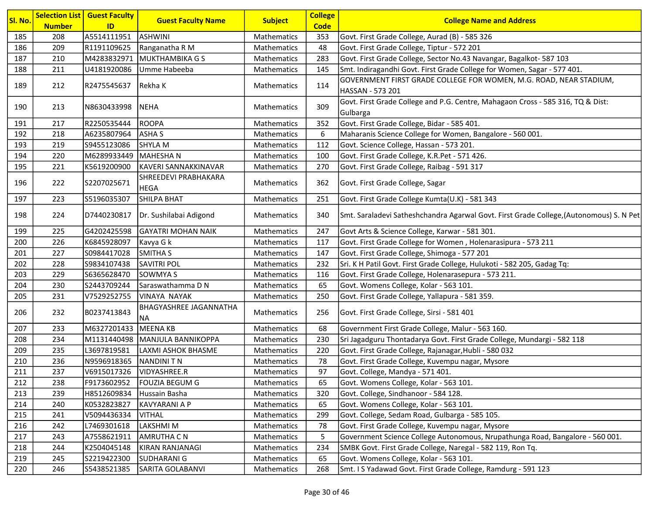| Sl. No. | <b>Number</b> | <b>Selection List   Guest Faculty</b><br>ID | <b>Guest Faculty Name</b>                  | <b>Subject</b>     | <b>College</b><br><b>Code</b> | <b>College Name and Address</b>                                                             |
|---------|---------------|---------------------------------------------|--------------------------------------------|--------------------|-------------------------------|---------------------------------------------------------------------------------------------|
| 185     | 208           | A5514111951                                 | <b>ASHWINI</b>                             | <b>Mathematics</b> | 353                           | Govt. First Grade College, Aurad (B) - 585 326                                              |
| 186     | 209           | R1191109625                                 | Ranganatha R M                             | Mathematics        | 48                            | Govt. First Grade College, Tiptur - 572 201                                                 |
| 187     | 210           | M4283832971                                 | MUKTHAMBIKA G S                            | Mathematics        | 283                           | Govt. First Grade College, Sector No.43 Navangar, Bagalkot- 587 103                         |
| 188     | 211           | U4181920086                                 | Umme Habeeba                               | Mathematics        | 145                           | Smt. Indiragandhi Govt. First Grade College for Women, Sagar - 577 401.                     |
| 189     | 212           | R2475545637                                 | Rekha K                                    | <b>Mathematics</b> | 114                           | GOVERNMENT FIRST GRADE COLLEGE FOR WOMEN, M.G. ROAD, NEAR STADIUM,<br>HASSAN - 573 201      |
| 190     | 213           | N8630433998                                 | NEHA                                       | <b>Mathematics</b> | 309                           | Govt. First Grade College and P.G. Centre, Mahagaon Cross - 585 316, TQ & Dist:<br>Gulbarga |
| 191     | 217           | R2250535444                                 | <b>ROOPA</b>                               | Mathematics        | 352                           | Govt. First Grade College, Bidar - 585 401.                                                 |
| 192     | 218           | A6235807964                                 | <b>ASHAS</b>                               | <b>Mathematics</b> | 6                             | Maharanis Science College for Women, Bangalore - 560 001.                                   |
| 193     | 219           | S9455123086                                 | <b>SHYLA M</b>                             | Mathematics        | 112                           | Govt. Science College, Hassan - 573 201.                                                    |
| 194     | 220           | M6289933449                                 | MAHESHA N                                  | <b>Mathematics</b> | 100                           | Govt. First Grade College, K.R.Pet - 571 426.                                               |
| 195     | 221           | K5619200900                                 | KAVERI SANNAKKINAVAR                       | Mathematics        | 270                           | Govt. First Grade College, Raibag - 591 317                                                 |
| 196     | 222           | S2207025671                                 | SHREEDEVI PRABHAKARA<br><b>HEGA</b>        | <b>Mathematics</b> | 362                           | Govt. First Grade College, Sagar                                                            |
| 197     | 223           | S5196035307                                 | <b>SHILPA BHAT</b>                         | Mathematics        | 251                           | Govt. First Grade College Kumta(U.K) - 581 343                                              |
| 198     | 224           | D7440230817                                 | Dr. Sushilabai Adigond                     | <b>Mathematics</b> | 340                           | Smt. Saraladevi Satheshchandra Agarwal Govt. First Grade College, (Autonomous) S. N Pet     |
| 199     | 225           | G4202425598                                 | <b>GAYATRI MOHAN NAIK</b>                  | Mathematics        | 247                           | Govt Arts & Science College, Karwar - 581 301.                                              |
| 200     | 226           | K6845928097                                 | Kavya G k                                  | Mathematics        | 117                           | Govt. First Grade College for Women, Holenarasipura - 573 211                               |
| 201     | 227           | S0984417028                                 | SMITHA S                                   | Mathematics        | 147                           | Govt. First Grade College, Shimoga - 577 201                                                |
| 202     | 228           | S9834107438                                 | <b>SAVITRI POL</b>                         | <b>Mathematics</b> | 232                           | Sri. K H Patil Govt. First Grade College, Hulukoti - 582 205, Gadag Tq:                     |
| 203     | 229           | S6365628470                                 | <b>SOWMYA S</b>                            | Mathematics        | 116                           | Govt. First Grade College, Holenarasepura - 573 211.                                        |
| 204     | 230           | S2443709244                                 | Saraswathamma D N                          | Mathematics        | 65                            | Govt. Womens College, Kolar - 563 101.                                                      |
| 205     | 231           | V7529252755                                 | <b>VINAYA NAYAK</b>                        | Mathematics        | 250                           | Govt. First Grade College, Yallapura - 581 359.                                             |
| 206     | 232           | B0237413843                                 | <b>BHAGYASHREE JAGANNATHA</b><br><b>NA</b> | <b>Mathematics</b> | 256                           | Govt. First Grade College, Sirsi - 581 401                                                  |
| 207     | 233           | M6327201433                                 | MEENA KB                                   | Mathematics        | 68                            | Government First Grade College, Malur - 563 160.                                            |
| 208     | 234           | M1131440498                                 | MANJULA BANNIKOPPA                         | <b>Mathematics</b> | 230                           | Sri Jagadguru Thontadarya Govt. First Grade College, Mundargi - 582 118                     |
| 209     | 235           | L3697819581                                 | LAXMI ASHOK BHASME                         | Mathematics        | 220                           | Govt. First Grade College, Rajanagar, Hubli - 580 032                                       |
| 210     | 236           | N9596918365                                 | NANDINI T N                                | Mathematics        | 78                            | Govt. First Grade College, Kuvempu nagar, Mysore                                            |
| 211     | 237           | V6915017326                                 | VIDYASHREE.R                               | Mathematics        | 97                            | Govt. College, Mandya - 571 401.                                                            |
| 212     | 238           |                                             | F9173602952  FOUZIA BEGUM G                | Mathematics        | 65                            | Govt. Womens College, Kolar - 563 101.                                                      |
| 213     | 239           | H8512609834                                 | Hussain Basha                              | Mathematics        | 320                           | Govt. College, Sindhanoor - 584 128.                                                        |
| 214     | 240           | K0532823827                                 | <b>KAVYARANI A P</b>                       | Mathematics        | 65                            | Govt. Womens College, Kolar - 563 101.                                                      |
| 215     | 241           | V5094436334                                 | <b>VITHAL</b>                              | Mathematics        | 299                           | Govt. College, Sedam Road, Gulbarga - 585 105.                                              |
| 216     | 242           | L7469301618                                 | LAKSHMI M                                  | Mathematics        | 78                            | Govt. First Grade College, Kuvempu nagar, Mysore                                            |
| 217     | 243           | A7558621911                                 | <b>AMRUTHA CN</b>                          | Mathematics        | 5                             | Government Science College Autonomous, Nrupathunga Road, Bangalore - 560 001.               |
| 218     | 244           | K2504045148                                 | <b>KIRAN RANJANAGI</b>                     | Mathematics        | 234                           | SMBK Govt. First Grade College, Naregal - 582 119, Ron Tq.                                  |
| 219     | 245           | S2219422300                                 | <b>SUDHARANI G</b>                         | Mathematics        | 65                            | Govt. Womens College, Kolar - 563 101.                                                      |
| 220     | 246           | S5438521385                                 | SARITA GOLABANVI                           | Mathematics        | 268                           | Smt. I S Yadawad Govt. First Grade College, Ramdurg - 591 123                               |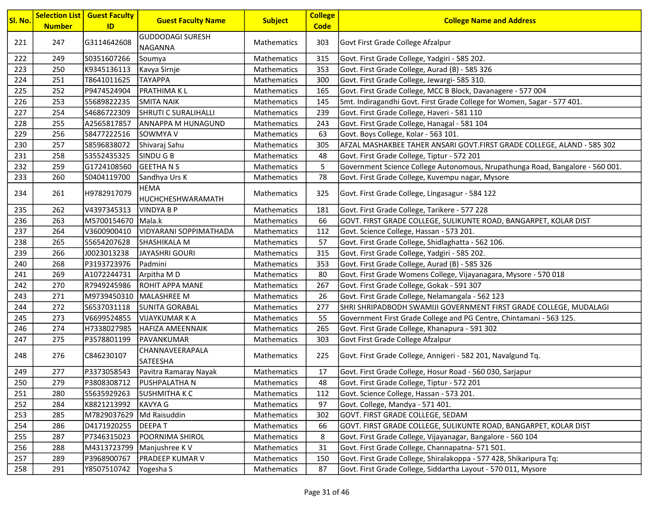| Sl. No. | <b>Number</b> | <b>Selection List   Guest Faculty</b><br>ID | <b>Guest Faculty Name</b>        | <b>Subject</b>     | <b>College</b><br><b>Code</b> | <b>College Name and Address</b>                                               |
|---------|---------------|---------------------------------------------|----------------------------------|--------------------|-------------------------------|-------------------------------------------------------------------------------|
|         |               |                                             | <b>GUDDODAGI SURESH</b>          |                    |                               |                                                                               |
| 221     | 247           | G3114642608                                 | <b>NAGANNA</b>                   | Mathematics        | 303                           | Govt First Grade College Afzalpur                                             |
| 222     | 249           | S0351607266                                 | Soumya                           | Mathematics        | 315                           | Govt. First Grade College, Yadgiri - 585 202.                                 |
| 223     | 250           | K9345136113                                 | Kavya Sirnje                     | Mathematics        | 353                           | Govt. First Grade College, Aurad (B) - 585 326                                |
| 224     | 251           | T8641011625                                 | <b>TAYAPPA</b>                   | Mathematics        | 300                           | Govt. First Grade College, Jewargi- 585 310.                                  |
| 225     | 252           | P9474524904                                 | <b>PRATHIMAKL</b>                | Mathematics        | 165                           | Govt. First Grade College, MCC B Block, Davanagere - 577 004                  |
| 226     | 253           | S5689822235                                 | <b>SMITA NAIK</b>                | Mathematics        | 145                           | Smt. Indiragandhi Govt. First Grade College for Women, Sagar - 577 401.       |
| 227     | 254           | S4686722309                                 | SHRUTI C SURALIHALLI             | Mathematics        | 239                           | Govt. First Grade College, Haveri - 581 110                                   |
| 228     | 255           | A2565817857                                 | ANNAPPA M HUNAGUND               | <b>Mathematics</b> | 243                           | Govt. First Grade College, Hanagal - 581 104                                  |
| 229     | 256           | S8477222516                                 | SOWMYA V                         | Mathematics        | 63                            | Govt. Boys College, Kolar - 563 101.                                          |
| 230     | 257           | S8596838072                                 | Shivaraj Sahu                    | Mathematics        | 305                           | AFZAL MASHAKBEE TAHER ANSARI GOVT.FIRST GRADE COLLEGE, ALAND - 585 302        |
| 231     | 258           | S3552435325                                 | SINDU G B                        | Mathematics        | 48                            | Govt. First Grade College, Tiptur - 572 201                                   |
| 232     | 259           | G1724108560                                 | <b>GEETHANS</b>                  | <b>Mathematics</b> | 5                             | Government Science College Autonomous, Nrupathunga Road, Bangalore - 560 001. |
| 233     | 260           | S0404119700                                 | Sandhya Urs K                    | Mathematics        | 78                            | Govt. First Grade College, Kuvempu nagar, Mysore                              |
| 234     | 261           | H9782917079                                 | <b>HEMA</b><br>HUCHCHESHWARAMATH | Mathematics        | 325                           | Govt. First Grade College, Lingasagur - 584 122                               |
| 235     | 262           | V4397345313                                 | <b>VINDYA B P</b>                | Mathematics        | 181                           | Govt. First Grade College, Tarikere - 577 228                                 |
| 236     | 263           | M5700154670                                 | Mala.k                           | Mathematics        | 66                            | GOVT. FIRST GRADE COLLEGE, SULIKUNTE ROAD, BANGARPET, KOLAR DIST              |
| 237     | 264           | V3600900410                                 | <b>VIDYARANI SOPPIMATHADA</b>    | Mathematics        | 112                           | Govt. Science College, Hassan - 573 201.                                      |
| 238     | 265           | S5654207628                                 | SHASHIKALA M                     | <b>Mathematics</b> | 57                            | Govt. First Grade College, Shidlaghatta - 562 106.                            |
| 239     | 266           | J0023013238                                 | <b>JAYASHRI GOURI</b>            | Mathematics        | 315                           | Govt. First Grade College, Yadgiri - 585 202.                                 |
| 240     | 268           | P3193723976                                 | Padmini                          | Mathematics        | 353                           | Govt. First Grade College, Aurad (B) - 585 326                                |
| 241     | 269           | A1072244731                                 | Arpitha MD                       | Mathematics        | 80                            | Govt. First Grade Womens College, Vijayanagara, Mysore - 570 018              |
| 242     | 270           | R7949245986                                 | <b>ROHIT APPA MANE</b>           | Mathematics        | 267                           | Govt. First Grade College, Gokak - 591 307                                    |
| 243     | 271           | M9739450310                                 | MALASHREE M                      | Mathematics        | 26                            | Govt. First Grade College, Nelamangala - 562 123                              |
| 244     | 272           | S6537031118                                 | <b>SUNITA GORABAL</b>            | Mathematics        | 277                           | SHRI SHRIPADBODH SWAMIJI GOVERNMENT FIRST GRADE COLLEGE, MUDALAGI             |
| 245     | 273           | V6699524855                                 | <b>VIJAYKUMAR K A</b>            | <b>Mathematics</b> | 55                            | Government First Grade College and PG Centre, Chintamani - 563 125.           |
| 246     | 274           | H7338027985                                 | <b>HAFIZA AMEENNAIK</b>          | Mathematics        | 265                           | Govt. First Grade College, Khanapura - 591 302                                |
| 247     | 275           | P3578801199                                 | PAVANKUMAR                       | Mathematics        | 303                           | Govt First Grade College Afzalpur                                             |
| 248     | 276           | C846230107                                  | CHANNAVEERAPALA<br>SATEESHA      | Mathematics        | 225                           | Govt. First Grade College, Annigeri - 582 201, Navalgund Tq.                  |
| 249     | 277           | P3373058543                                 | Pavitra Ramaray Nayak            | Mathematics        | 17                            | Govt. First Grade College, Hosur Road - 560 030, Sarjapur                     |
| 250     | 279           | P3808308712                                 | <b>PUSHPALATHA N</b>             | Mathematics        | 48                            | Govt. First Grade College, Tiptur - 572 201                                   |
| 251     | 280           | S5635929263                                 | <b>SUSHMITHA K C</b>             | Mathematics        | 112                           | Govt. Science College, Hassan - 573 201.                                      |
| 252     | 284           | K8821213992                                 | KAVYA G                          | Mathematics        | 97                            | Govt. College, Mandya - 571 401.                                              |
| 253     | 285           | M7829037629                                 | Md Raisuddin                     | Mathematics        | 302                           | GOVT. FIRST GRADE COLLEGE, SEDAM                                              |
| 254     | 286           | D4171920255                                 | <b>DEEPAT</b>                    | Mathematics        | 66                            | GOVT. FIRST GRADE COLLEGE, SULIKUNTE ROAD, BANGARPET, KOLAR DIST              |
| 255     | 287           | P7346315023                                 | POORNIMA SHIROL                  | Mathematics        | 8                             | Govt. First Grade College, Vijayanagar, Bangalore - 560 104                   |
| 256     | 288           | M4313723799                                 | Manjushree KV                    | Mathematics        | 31                            | Govt. First Grade College, Channapatna- 571 501.                              |
| 257     | 289           | P3968900767                                 | <b>PRADEEP KUMAR V</b>           | Mathematics        | 150                           | Govt. First Grade College, Shiralakoppa - 577 428, Shikaripura Tq:            |
| 258     | 291           | Y8507510742                                 | Yogesha S                        | Mathematics        | 87                            | Govt. First Grade College, Siddartha Layout - 570 011, Mysore                 |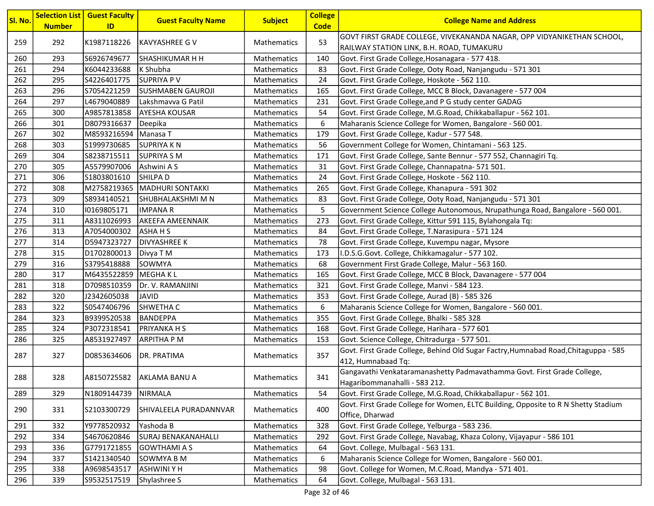| <mark>Sl. No.</mark> | <b>Number</b> | <b>Selection List   Guest Faculty</b><br>ID | <b>Guest Faculty Name</b> | <b>Subject</b>     | <b>College</b><br><b>Code</b> | <b>College Name and Address</b>                                                                       |
|----------------------|---------------|---------------------------------------------|---------------------------|--------------------|-------------------------------|-------------------------------------------------------------------------------------------------------|
|                      |               |                                             |                           |                    |                               | GOVT FIRST GRADE COLLEGE, VIVEKANANDA NAGAR, OPP VIDYANIKETHAN SCHOOL,                                |
| 259                  | 292           | K1987118226                                 | <b>IKAVYASHREE G V</b>    | <b>Mathematics</b> | 53                            | RAILWAY STATION LINK, B.H. ROAD, TUMAKURU                                                             |
| 260                  | 293           | S6926749677                                 | <b>SHASHIKUMAR H H</b>    | Mathematics        | 140                           | Govt. First Grade College, Hosanagara - 577 418.                                                      |
| 261                  | 294           | K6044233688                                 | K Shubha                  | Mathematics        | 83                            | Govt. First Grade College, Ooty Road, Nanjangudu - 571 301                                            |
| 262                  | 295           | S4226401775                                 | SUPRIYA P V               | Mathematics        | 24                            | Govt. First Grade College, Hoskote - 562 110.                                                         |
| 263                  | 296           | S7054221259                                 | SUSHMABEN GAUROJI         | Mathematics        | 165                           | Govt. First Grade College, MCC B Block, Davanagere - 577 004                                          |
| 264                  | 297           | L4679040889                                 | Lakshmavva G Patil        | Mathematics        | 231                           | Govt. First Grade College, and P G study center GADAG                                                 |
| 265                  | 300           | A9857813858                                 | <b>AYESHA KOUSAR</b>      | Mathematics        | 54                            | Govt. First Grade College, M.G.Road, Chikkaballapur - 562 101.                                        |
| 266                  | 301           | D8079316637                                 | Deepika                   | Mathematics        | 6                             | Maharanis Science College for Women, Bangalore - 560 001.                                             |
| 267                  | 302           | M8593216594                                 | Manasa T                  | Mathematics        | 179                           | Govt. First Grade College, Kadur - 577 548.                                                           |
| 268                  | 303           | S1999730685                                 | <b>SUPRIYAKN</b>          | Mathematics        | 56                            | Government College for Women, Chintamani - 563 125.                                                   |
| 269                  | 304           | S8238715511                                 | <b>SUPRIYA S M</b>        | Mathematics        | 171                           | Govt. First Grade College, Sante Bennur - 577 552, Channagiri Tq.                                     |
| 270                  | 305           | A5579907006                                 | Ashwini A S               | Mathematics        | 31                            | Govt. First Grade College, Channapatna- 571 501.                                                      |
| 271                  | 306           | S1803801610                                 | <b>SHILPAD</b>            | Mathematics        | 24                            | Govt. First Grade College, Hoskote - 562 110.                                                         |
| 272                  | 308           | M2758219365                                 | MADHURI SONTAKKI          | Mathematics        | 265                           | Govt. First Grade College, Khanapura - 591 302                                                        |
| 273                  | 309           | S8934140521                                 | SHUBHALAKSHMI M N         | <b>Mathematics</b> | 83                            | Govt. First Grade College, Ooty Road, Nanjangudu - 571 301                                            |
| 274                  | 310           | 10169805171                                 | <b>IMPANAR</b>            | Mathematics        | 5                             | Government Science College Autonomous, Nrupathunga Road, Bangalore - 560 001.                         |
| 275                  | 311           | A8311026993                                 | <b>AKEEFA AMEENNAIK</b>   | Mathematics        | 273                           | Govt. First Grade College, Kittur 591 115, Bylahongala Tq:                                            |
| 276                  | 313           | A7054000302                                 | <b>ASHAHS</b>             | Mathematics        | 84                            | Govt. First Grade College, T.Narasipura - 571 124                                                     |
| 277                  | 314           | D5947323727                                 | <b>DIVYASHREE K</b>       | Mathematics        | 78                            | Govt. First Grade College, Kuvempu nagar, Mysore                                                      |
| 278                  | 315           | D1702800013                                 | Divya T M                 | Mathematics        | 173                           | I.D.S.G.Govt. College, Chikkamagalur - 577 102.                                                       |
| 279                  | 316           | S3795418888                                 | <b>SOWMYA</b>             | Mathematics        | 68                            | Government First Grade College, Malur - 563 160.                                                      |
| 280                  | 317           | M6435522859                                 | MEGHA K L                 | Mathematics        | 165                           | Govt. First Grade College, MCC B Block, Davanagere - 577 004                                          |
| 281                  | 318           | D7098510359                                 | Dr. V. RAMANJINI          | Mathematics        | 321                           | Govt. First Grade College, Manvi - 584 123.                                                           |
| 282                  | 320           | J2342605038                                 | <b>JAVID</b>              | Mathematics        | 353                           | Govt. First Grade College, Aurad (B) - 585 326                                                        |
| 283                  | 322           | S0547406796                                 | SHWETHA C                 | Mathematics        | 6                             | Maharanis Science College for Women, Bangalore - 560 001.                                             |
| 284                  | 323           | B9399520538                                 | BANDEPPA                  | <b>Mathematics</b> | 355                           | Govt. First Grade College, Bhalki - 585 328                                                           |
| 285                  | 324           | P3072318541                                 | PRIYANKA H S              | Mathematics        | 168                           | Govt. First Grade College, Harihara - 577 601                                                         |
| 286                  | 325           | A8531927497                                 | <b>ARPITHA P M</b>        | Mathematics        | 153                           | Govt. Science College, Chitradurga - 577 501.                                                         |
| 287                  | 327           | D0853634606                                 | DR. PRATIMA               | Mathematics        | 357                           | Govt. First Grade College, Behind Old Sugar Factry, Humnabad Road, Chitaguppa - 585                   |
|                      |               |                                             |                           |                    |                               | 412, Humnabaad Tq:                                                                                    |
| 288                  | 328           |                                             | A8150725582 AKLAMA BANU A | Mathematics        | 341                           | Gangavathi Venkataramanashetty Padmavathamma Govt. First Grade College,                               |
|                      |               |                                             |                           |                    |                               | Hagaribommanahalli - 583 212.                                                                         |
| 289                  | 329           | N1809144739                                 | NIRMALA                   | Mathematics        | 54                            | Govt. First Grade College, M.G.Road, Chikkaballapur - 562 101.                                        |
| 290                  | 331           | S2103300729                                 | SHIVALEELA PURADANNVAR    | Mathematics        | 400                           | Govt. First Grade College for Women, ELTC Building, Opposite to R N Shetty Stadium<br>Office, Dharwad |
| 291                  | 332           | Y9778520932                                 | Yashoda B                 | Mathematics        | 328                           | Govt. First Grade College, Yelburga - 583 236.                                                        |
| 292                  | 334           | S4670620846                                 | SURAJ BENAKANAHALLI       | Mathematics        | 292                           | Govt. First Grade College, Navabag, Khaza Colony, Vijayapur - 586 101                                 |
| 293                  | 336           | G7791721855                                 | <b>GOWTHAMI A S</b>       | Mathematics        | 64                            | Govt. College, Mulbagal - 563 131.                                                                    |
| 294                  | 337           | S1421340540                                 | SOWMYA B M                | Mathematics        | 6                             | Maharanis Science College for Women, Bangalore - 560 001.                                             |
| 295                  | 338           | A9698543517                                 | <b>ASHWINIYH</b>          | Mathematics        | 98                            | Govt. College for Women, M.C.Road, Mandya - 571 401.                                                  |
| 296                  | 339           | S9532517519                                 | Shylashree S              | Mathematics        | 64                            | Govt. College, Mulbagal - 563 131.                                                                    |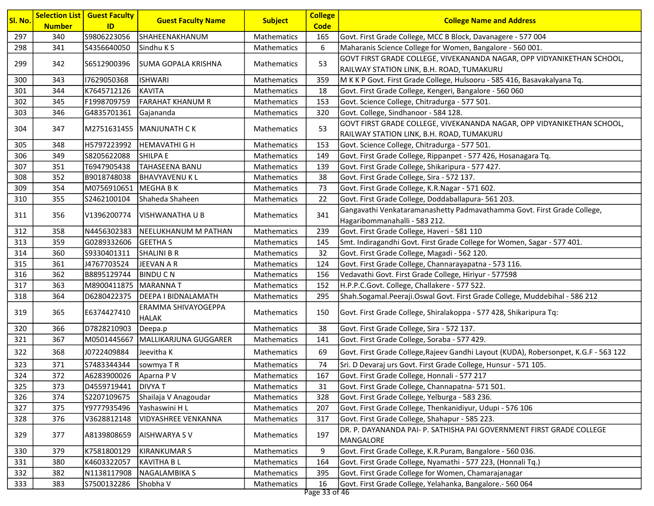| <b>Subject</b><br>Sl. No.<br><b>Guest Faculty Name</b><br><b>College Name and Address</b><br><b>Code</b><br><b>Number</b><br>ID<br>S9806223056<br>297<br>Mathematics<br>340<br>SHAHEENAKHANUM<br>165<br>Govt. First Grade College, MCC B Block, Davanagere - 577 004<br>298<br>6<br>341<br>S4356640050<br>Sindhu K S<br>Maharanis Science College for Women, Bangalore - 560 001.<br>Mathematics<br>GOVT FIRST GRADE COLLEGE, VIVEKANANDA NAGAR, OPP VIDYANIKETHAN SCHOOL,<br>53<br>299<br>342<br>S6512900396<br>SUMA GOPALA KRISHNA<br><b>Mathematics</b><br>RAILWAY STATION LINK, B.H. ROAD, TUMAKURU<br>M K K P Govt. First Grade College, Hulsooru - 585 416, Basavakalyana Tq.<br>300<br>343<br>17629050368<br><b>ISHWARI</b><br>Mathematics<br>359<br>301<br>Govt. First Grade College, Kengeri, Bangalore - 560 060<br>344<br>K7645712126<br><b>KAVITA</b><br>Mathematics<br>18<br>302<br><b>FARAHAT KHANUM R</b><br>345<br>F1998709759<br>Mathematics<br>153<br>Govt. Science College, Chitradurga - 577 501.<br>303<br>G4835701361<br>Govt. College, Sindhanoor - 584 128.<br>346<br>Gajananda<br>Mathematics<br>320 |
|-------------------------------------------------------------------------------------------------------------------------------------------------------------------------------------------------------------------------------------------------------------------------------------------------------------------------------------------------------------------------------------------------------------------------------------------------------------------------------------------------------------------------------------------------------------------------------------------------------------------------------------------------------------------------------------------------------------------------------------------------------------------------------------------------------------------------------------------------------------------------------------------------------------------------------------------------------------------------------------------------------------------------------------------------------------------------------------------------------------------------------|
|                                                                                                                                                                                                                                                                                                                                                                                                                                                                                                                                                                                                                                                                                                                                                                                                                                                                                                                                                                                                                                                                                                                               |
|                                                                                                                                                                                                                                                                                                                                                                                                                                                                                                                                                                                                                                                                                                                                                                                                                                                                                                                                                                                                                                                                                                                               |
|                                                                                                                                                                                                                                                                                                                                                                                                                                                                                                                                                                                                                                                                                                                                                                                                                                                                                                                                                                                                                                                                                                                               |
|                                                                                                                                                                                                                                                                                                                                                                                                                                                                                                                                                                                                                                                                                                                                                                                                                                                                                                                                                                                                                                                                                                                               |
|                                                                                                                                                                                                                                                                                                                                                                                                                                                                                                                                                                                                                                                                                                                                                                                                                                                                                                                                                                                                                                                                                                                               |
|                                                                                                                                                                                                                                                                                                                                                                                                                                                                                                                                                                                                                                                                                                                                                                                                                                                                                                                                                                                                                                                                                                                               |
|                                                                                                                                                                                                                                                                                                                                                                                                                                                                                                                                                                                                                                                                                                                                                                                                                                                                                                                                                                                                                                                                                                                               |
|                                                                                                                                                                                                                                                                                                                                                                                                                                                                                                                                                                                                                                                                                                                                                                                                                                                                                                                                                                                                                                                                                                                               |
|                                                                                                                                                                                                                                                                                                                                                                                                                                                                                                                                                                                                                                                                                                                                                                                                                                                                                                                                                                                                                                                                                                                               |
| GOVT FIRST GRADE COLLEGE, VIVEKANANDA NAGAR, OPP VIDYANIKETHAN SCHOOL,<br>53<br>304<br>347<br>Mathematics<br> M2751631455  MANJUNATH C K<br>RAILWAY STATION LINK, B.H. ROAD, TUMAKURU                                                                                                                                                                                                                                                                                                                                                                                                                                                                                                                                                                                                                                                                                                                                                                                                                                                                                                                                         |
| 305<br>H5797223992<br><b>HEMAVATHI G H</b><br>Mathematics<br>Govt. Science College, Chitradurga - 577 501.<br>348<br>153                                                                                                                                                                                                                                                                                                                                                                                                                                                                                                                                                                                                                                                                                                                                                                                                                                                                                                                                                                                                      |
| 306<br>349<br>S8205622088<br><b>SHILPA E</b><br>Mathematics<br>149<br>Govt. First Grade College, Rippanpet - 577 426, Hosanagara Tq.                                                                                                                                                                                                                                                                                                                                                                                                                                                                                                                                                                                                                                                                                                                                                                                                                                                                                                                                                                                          |
| 307<br>T6947905438<br>TAHASEENA BANU<br>139<br>Govt. First Grade College, Shikaripura - 577 427.<br>351<br>Mathematics                                                                                                                                                                                                                                                                                                                                                                                                                                                                                                                                                                                                                                                                                                                                                                                                                                                                                                                                                                                                        |
| 308<br>352<br>Govt. First Grade College, Sira - 572 137.<br>B9018748038<br><b>BHAVYAVENUKL</b><br>Mathematics<br>38                                                                                                                                                                                                                                                                                                                                                                                                                                                                                                                                                                                                                                                                                                                                                                                                                                                                                                                                                                                                           |
| 309<br>354<br>73<br>M0756910651 MEGHA B K<br>Govt. First Grade College, K.R.Nagar - 571 602.<br><b>Mathematics</b>                                                                                                                                                                                                                                                                                                                                                                                                                                                                                                                                                                                                                                                                                                                                                                                                                                                                                                                                                                                                            |
| 310<br>Govt. First Grade College, Doddaballapura- 561 203.<br>S2462100104<br>Shaheda Shaheen<br>Mathematics<br>22<br>355                                                                                                                                                                                                                                                                                                                                                                                                                                                                                                                                                                                                                                                                                                                                                                                                                                                                                                                                                                                                      |
| Gangavathi Venkataramanashetty Padmavathamma Govt. First Grade College,<br>341<br>311<br>Mathematics<br>356<br>V1396200774<br> VISHWANATHA U B                                                                                                                                                                                                                                                                                                                                                                                                                                                                                                                                                                                                                                                                                                                                                                                                                                                                                                                                                                                |
| Hagaribommanahalli - 583 212.                                                                                                                                                                                                                                                                                                                                                                                                                                                                                                                                                                                                                                                                                                                                                                                                                                                                                                                                                                                                                                                                                                 |
| 312<br>N4456302383<br>239<br>Govt. First Grade College, Haveri - 581 110<br>358<br>NEELUKHANUM M PATHAN<br>Mathematics                                                                                                                                                                                                                                                                                                                                                                                                                                                                                                                                                                                                                                                                                                                                                                                                                                                                                                                                                                                                        |
| 313<br>359<br>G0289332606<br><b>GEETHAS</b><br>Smt. Indiragandhi Govt. First Grade College for Women, Sagar - 577 401.<br>Mathematics<br>145                                                                                                                                                                                                                                                                                                                                                                                                                                                                                                                                                                                                                                                                                                                                                                                                                                                                                                                                                                                  |
| Govt. First Grade College, Magadi - 562 120.<br>314<br>360<br>S9330401311<br>SHALINI B R<br>32<br>Mathematics                                                                                                                                                                                                                                                                                                                                                                                                                                                                                                                                                                                                                                                                                                                                                                                                                                                                                                                                                                                                                 |
| 315<br>361<br>Govt. First Grade College, Channarayapatna - 573 116.<br>J4767703524<br>JEEVAN A R<br>Mathematics<br>124                                                                                                                                                                                                                                                                                                                                                                                                                                                                                                                                                                                                                                                                                                                                                                                                                                                                                                                                                                                                        |
| 316<br>362<br>B8895129744<br><b>BINDUCN</b><br>Mathematics<br>156<br>Vedavathi Govt. First Grade College, Hiriyur - 577598                                                                                                                                                                                                                                                                                                                                                                                                                                                                                                                                                                                                                                                                                                                                                                                                                                                                                                                                                                                                    |
| H.P.P.C.Govt. College, Challakere - 577 522.<br>317<br>363<br>M8900411875 MARANNA T<br>Mathematics<br>152                                                                                                                                                                                                                                                                                                                                                                                                                                                                                                                                                                                                                                                                                                                                                                                                                                                                                                                                                                                                                     |
| 318<br>364<br><b>DEEPA I BIDNALAMATH</b><br>Shah.Sogamal.Peeraji.Oswal Govt. First Grade College, Muddebihal - 586 212<br>D6280422375<br>Mathematics<br>295                                                                                                                                                                                                                                                                                                                                                                                                                                                                                                                                                                                                                                                                                                                                                                                                                                                                                                                                                                   |
| ERAMMA SHIVAYOGEPPA<br>319<br>E6374427410<br>Govt. First Grade College, Shiralakoppa - 577 428, Shikaripura Tq:<br>365<br>Mathematics<br>150<br><b>HALAK</b>                                                                                                                                                                                                                                                                                                                                                                                                                                                                                                                                                                                                                                                                                                                                                                                                                                                                                                                                                                  |
| 38<br>320<br>366<br>D7828210903<br>Mathematics<br>Govt. First Grade College, Sira - 572 137.<br>Deepa.p                                                                                                                                                                                                                                                                                                                                                                                                                                                                                                                                                                                                                                                                                                                                                                                                                                                                                                                                                                                                                       |
| Mathematics<br>Govt. First Grade College, Soraba - 577 429.<br>321<br>367<br>M0501445667<br>MALLIKARJUNA GUGGARER<br>141                                                                                                                                                                                                                                                                                                                                                                                                                                                                                                                                                                                                                                                                                                                                                                                                                                                                                                                                                                                                      |
| 322<br>368<br>J0722409884<br>Jeevitha K<br>69<br>Govt. First Grade College, Rajeev Gandhi Layout (KUDA), Robersonpet, K.G.F - 563 122<br>Mathematics                                                                                                                                                                                                                                                                                                                                                                                                                                                                                                                                                                                                                                                                                                                                                                                                                                                                                                                                                                          |
| 323<br>371<br>S7483344344<br>74<br>Sri. D Devaraj urs Govt. First Grade College, Hunsur - 571 105.<br>sowmya T R<br>Mathematics                                                                                                                                                                                                                                                                                                                                                                                                                                                                                                                                                                                                                                                                                                                                                                                                                                                                                                                                                                                               |
| 372<br>324<br>A6283900026<br>Aparna P V<br>167<br>Govt. First Grade College, Honnali - 577 217<br>Mathematics                                                                                                                                                                                                                                                                                                                                                                                                                                                                                                                                                                                                                                                                                                                                                                                                                                                                                                                                                                                                                 |
| 325<br>373<br>D4559719441<br><b>DIVYAT</b><br>Mathematics<br>Govt. First Grade College, Channapatna- 571 501.<br>31                                                                                                                                                                                                                                                                                                                                                                                                                                                                                                                                                                                                                                                                                                                                                                                                                                                                                                                                                                                                           |
| 326<br>374<br>S2207109675<br>Shailaja V Anagoudar<br>Mathematics<br>328<br>Govt. First Grade College, Yelburga - 583 236.                                                                                                                                                                                                                                                                                                                                                                                                                                                                                                                                                                                                                                                                                                                                                                                                                                                                                                                                                                                                     |
| Govt. First Grade College, Thenkanidiyur, Udupi - 576 106<br>327<br>Y9777935496<br>Yashaswini H L<br>Mathematics<br>375<br>207                                                                                                                                                                                                                                                                                                                                                                                                                                                                                                                                                                                                                                                                                                                                                                                                                                                                                                                                                                                                |
| <b>VIDYASHREE VENKANNA</b><br>Govt. First Grade College, Shahapur - 585 223.<br>328<br>376<br>V3628812148<br>Mathematics<br>317                                                                                                                                                                                                                                                                                                                                                                                                                                                                                                                                                                                                                                                                                                                                                                                                                                                                                                                                                                                               |
| DR. P. DAYANANDA PAI- P. SATHISHA PAI GOVERNMENT FIRST GRADE COLLEGE<br>197<br>329<br>377<br>A8139808659<br><b>AISHWARYA S V</b><br>Mathematics<br>MANGALORE                                                                                                                                                                                                                                                                                                                                                                                                                                                                                                                                                                                                                                                                                                                                                                                                                                                                                                                                                                  |
| 9<br>Govt. First Grade College, K.R.Puram, Bangalore - 560 036.<br>330<br>379<br>K7581800129<br><b>KIRANKUMAR S</b><br>Mathematics                                                                                                                                                                                                                                                                                                                                                                                                                                                                                                                                                                                                                                                                                                                                                                                                                                                                                                                                                                                            |
| <b>KAVITHA BL</b><br>331<br>K4603322057<br>Mathematics<br>164<br>Govt. First Grade College, Nyamathi - 577 223, (Honnali Tq.)<br>380                                                                                                                                                                                                                                                                                                                                                                                                                                                                                                                                                                                                                                                                                                                                                                                                                                                                                                                                                                                          |
| 332<br>N1138117908<br>NAGALAMBIKA S<br>382<br>Mathematics<br>395<br>Govt. First Grade College for Women, Chamarajanagar                                                                                                                                                                                                                                                                                                                                                                                                                                                                                                                                                                                                                                                                                                                                                                                                                                                                                                                                                                                                       |
| 333<br>383<br>S7500132286<br>Shobha V<br>Govt. First Grade College, Yelahanka, Bangalore.- 560 064<br>Mathematics<br>16                                                                                                                                                                                                                                                                                                                                                                                                                                                                                                                                                                                                                                                                                                                                                                                                                                                                                                                                                                                                       |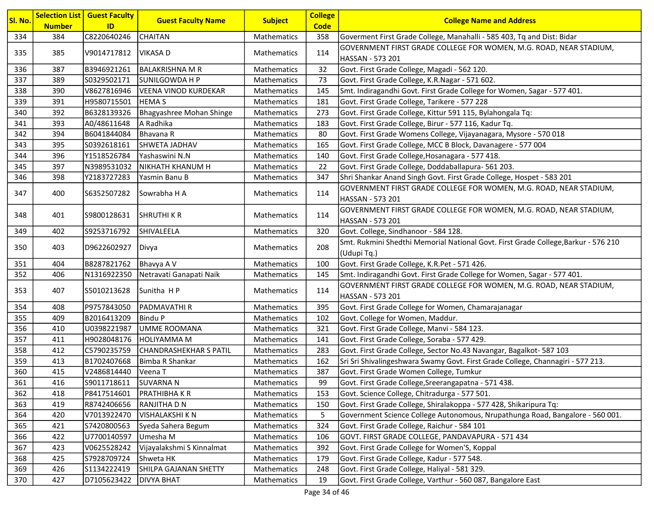| C8220640246<br><b>CHAITAN</b><br>334<br>384<br>Mathematics<br>358<br>Goverment First Grade College, Manahalli - 585 403, Tq and Dist: Bidar<br>GOVERNMENT FIRST GRADE COLLEGE FOR WOMEN, M.G. ROAD, NEAR STADIUM,<br>335<br>385<br>V9014717812<br>114<br>VIKASA D<br><b>Mathematics</b><br> HASSAN - 573 201 |  |
|--------------------------------------------------------------------------------------------------------------------------------------------------------------------------------------------------------------------------------------------------------------------------------------------------------------|--|
|                                                                                                                                                                                                                                                                                                              |  |
|                                                                                                                                                                                                                                                                                                              |  |
|                                                                                                                                                                                                                                                                                                              |  |
| 336<br>387<br>B3946921261<br><b>BALAKRISHNA M R</b><br>Mathematics<br>32<br>Govt. First Grade College, Magadi - 562 120.                                                                                                                                                                                     |  |
| 337<br>389<br>S0329502171<br>SUNILGOWDA H P<br>Mathematics<br>73<br>Govt. First Grade College, K.R.Nagar - 571 602.                                                                                                                                                                                          |  |
| 338<br>Smt. Indiragandhi Govt. First Grade College for Women, Sagar - 577 401.<br>390<br>V8627816946<br><b>VEENA VINOD KURDEKAR</b><br>Mathematics<br>145                                                                                                                                                    |  |
| 339<br>391<br>H9580715501<br>Mathematics<br>181<br>Govt. First Grade College, Tarikere - 577 228<br><b>HEMAS</b>                                                                                                                                                                                             |  |
| 340<br>392<br>B6328139326<br>Bhagyashree Mohan Shinge<br>Govt. First Grade College, Kittur 591 115, Bylahongala Tq:<br>Mathematics<br>273                                                                                                                                                                    |  |
| 341<br>A Radhika<br>Govt. First Grade College, Birur - 577 116, Kadur Tq.<br>393<br>A0/48611648<br>183<br>Mathematics                                                                                                                                                                                        |  |
| 342<br>Govt. First Grade Womens College, Vijayanagara, Mysore - 570 018<br>394<br>B6041844084<br>Bhavana R<br>Mathematics<br>80                                                                                                                                                                              |  |
| 343<br>395<br>Mathematics<br>165<br>Govt. First Grade College, MCC B Block, Davanagere - 577 004<br>S0392618161<br>SHWETA JADHAV                                                                                                                                                                             |  |
| 344<br>396<br>Y1518526784<br>Yashaswini N.N<br>Mathematics<br>140<br>Govt. First Grade College, Hosanagara - 577 418.                                                                                                                                                                                        |  |
| Govt. First Grade College, Doddaballapura- 561 203.<br>345<br>397<br>N3989531032<br>NIKHATH KHANUM H<br>Mathematics<br>22                                                                                                                                                                                    |  |
| 346<br>Shri Shankar Anand Singh Govt. First Grade College, Hospet - 583 201<br>398<br>Y2183727283<br>347<br>Yasmin Banu B<br>Mathematics                                                                                                                                                                     |  |
| GOVERNMENT FIRST GRADE COLLEGE FOR WOMEN, M.G. ROAD, NEAR STADIUM,<br>347<br>Sowrabha H A<br>114                                                                                                                                                                                                             |  |
| 400<br>S6352507282<br>Mathematics<br> HASSAN - 573 201                                                                                                                                                                                                                                                       |  |
| GOVERNMENT FIRST GRADE COLLEGE FOR WOMEN, M.G. ROAD, NEAR STADIUM,<br>348<br>401<br><b>SHRUTHI K R</b><br>114<br>Mathematics                                                                                                                                                                                 |  |
| S9800128631<br>HASSAN - 573 201                                                                                                                                                                                                                                                                              |  |
| 349<br>402<br>Govt. College, Sindhanoor - 584 128.<br>S9253716792<br>SHIVALEELA<br>320<br><b>Mathematics</b>                                                                                                                                                                                                 |  |
| Smt. Rukmini Shedthi Memorial National Govt. First Grade College, Barkur - 576 210<br>208<br>350<br>403<br>D9622602927 <br><b>Mathematics</b><br>Divya<br>(Udupi Tq.)                                                                                                                                        |  |
| 404<br>B8287821762<br>Bhavya A V<br>Govt. First Grade College, K.R.Pet - 571 426.<br>351<br>Mathematics<br>100                                                                                                                                                                                               |  |
| 352<br>406<br>N1316922350<br>Netravati Ganapati Naik<br>Mathematics<br>145<br>Smt. Indiragandhi Govt. First Grade College for Women, Sagar - 577 401.                                                                                                                                                        |  |
| GOVERNMENT FIRST GRADE COLLEGE FOR WOMEN, M.G. ROAD, NEAR STADIUM,                                                                                                                                                                                                                                           |  |
| 353<br>407<br>S5010213628<br>Sunitha HP<br>114<br>Mathematics<br>HASSAN - 573 201                                                                                                                                                                                                                            |  |
| 354<br>408<br>P9757843050<br><b>PADMAVATHIR</b><br>Mathematics<br>395<br>Govt. First Grade College for Women, Chamarajanagar                                                                                                                                                                                 |  |
| 355<br>409<br>B2016413209<br><b>Bindu P</b><br>Mathematics<br>Govt. College for Women, Maddur.<br>102                                                                                                                                                                                                        |  |
| 356<br>410<br>U0398221987<br>UMME ROOMANA<br>Mathematics<br>321<br>Govt. First Grade College, Manvi - 584 123.                                                                                                                                                                                               |  |
| 357<br>H9028048176<br><b>HOLIYAMMA M</b><br>Mathematics<br>Govt. First Grade College, Soraba - 577 429.<br>411<br>141                                                                                                                                                                                        |  |
| 358<br><b>CHANDRASHEKHAR S PATIL</b><br>Govt. First Grade College, Sector No.43 Navangar, Bagalkot- 587 103<br>412<br>C5790235759<br>Mathematics<br>283                                                                                                                                                      |  |
| 359<br>Sri Sri Shivalingeshwara Swamy Govt. First Grade College, Channagiri - 577 213.<br>413<br>B1702407668<br>Bimba R Shankar<br>162<br>Mathematics                                                                                                                                                        |  |
| 360<br>415<br>Govt. First Grade Women College, Tumkur<br>V2486814440<br>387<br>Veena T<br>Mathematics                                                                                                                                                                                                        |  |
| <b>SUVARNAN</b><br>S9011718611<br>Govt. First Grade College, Sreerangapatna - 571 438.<br>Mathematics<br>99<br>361<br>416                                                                                                                                                                                    |  |
| 362<br>418<br>P8417514601<br>PRATHIBHA K R<br>153<br>Govt. Science College, Chitradurga - 577 501.<br>Mathematics                                                                                                                                                                                            |  |
| 419<br>RANJITHA D N<br>Mathematics<br>Govt. First Grade College, Shiralakoppa - 577 428, Shikaripura Tq:<br>363<br>R8742406656<br>150                                                                                                                                                                        |  |
| V7013922470<br><b>VISHALAKSHI K N</b><br>Mathematics<br>5<br>Government Science College Autonomous, Nrupathunga Road, Bangalore - 560 001.<br>364<br>420                                                                                                                                                     |  |
| 365<br>324<br>Govt. First Grade College, Raichur - 584 101<br>421<br>S7420800563<br>Mathematics<br>Syeda Sahera Begum                                                                                                                                                                                        |  |
| 366<br>422<br>U7700140597<br>Umesha M<br>Mathematics<br>GOVT. FIRST GRADE COLLEGE, PANDAVAPURA - 571 434<br>106                                                                                                                                                                                              |  |
| 367<br>Vijayalakshmi S Kinnalmat<br>Mathematics<br>Govt. First Grade College for Women'S, Koppal<br>423<br>V0625528242<br>392                                                                                                                                                                                |  |
| 368<br>425<br>S7928709724<br>Shweta HK<br>Mathematics<br>Govt. First Grade College, Kadur - 577 548.<br>179                                                                                                                                                                                                  |  |
| 369<br>SHILPA GAJANAN SHETTY<br>Govt. First Grade College, Haliyal - 581 329.<br>426<br>S1134222419<br>Mathematics<br>248                                                                                                                                                                                    |  |
| Govt. First Grade College, Varthur - 560 087, Bangalore East<br>370<br>427<br>D7105623422<br>19<br><b>DIVYA BHAT</b><br>Mathematics                                                                                                                                                                          |  |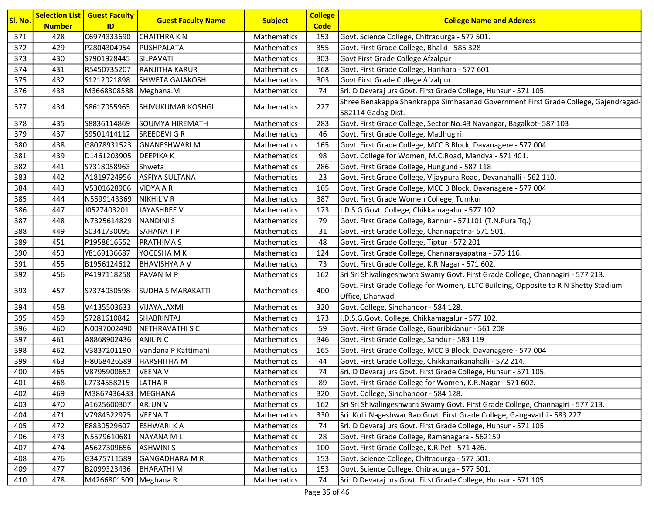| Sl. No. | <b>Number</b> | <b>Selection List   Guest Faculty</b><br>ID | <b>Guest Faculty Name</b> | <b>Subject</b>     | <b>College</b><br><b>Code</b> | <b>College Name and Address</b>                                                                          |
|---------|---------------|---------------------------------------------|---------------------------|--------------------|-------------------------------|----------------------------------------------------------------------------------------------------------|
| 371     | 428           | C6974333690                                 | <b>CHAITHRAKN</b>         | Mathematics        | 153                           | Govt. Science College, Chitradurga - 577 501.                                                            |
| 372     | 429           | P2804304954                                 | PUSHPALATA                | Mathematics        | 355                           | Govt. First Grade College, Bhalki - 585 328                                                              |
| 373     | 430           | S7901928445                                 | SILPAVATI                 | Mathematics        | 303                           | Govt First Grade College Afzalpur                                                                        |
| 374     | 431           | R5450735207                                 | <b>RANJITHA KARUR</b>     | Mathematics        | 168                           | Govt. First Grade College, Harihara - 577 601                                                            |
| 375     | 432           | S1212021898                                 | SHWETA GAJAKOSH           | Mathematics        | 303                           | Govt First Grade College Afzalpur                                                                        |
| 376     | 433           | M3668308588   Meghana.M                     |                           | Mathematics        | 74                            | Sri. D Devaraj urs Govt. First Grade College, Hunsur - 571 105.                                          |
| 377     | 434           | S8617055965                                 | <b>SHIVUKUMAR KOSHGI</b>  | <b>Mathematics</b> | 227                           | Shree Benakappa Shankrappa Simhasanad Government First Grade College, Gajendragad-<br>582114 Gadag Dist. |
| 378     | 435           | S8836114869                                 | SOUMYA HIREMATH           | Mathematics        | 283                           | Govt. First Grade College, Sector No.43 Navangar, Bagalkot- 587 103                                      |
| 379     | 437           | S9501414112                                 | SREEDEVI G R              | Mathematics        | 46                            | Govt. First Grade College, Madhugiri.                                                                    |
| 380     | 438           | G8078931523                                 | <b>GNANESHWARI M</b>      | Mathematics        | 165                           | Govt. First Grade College, MCC B Block, Davanagere - 577 004                                             |
| 381     | 439           | D1461203905                                 | <b>DEEPIKAK</b>           | Mathematics        | 98                            | Govt. College for Women, M.C.Road, Mandya - 571 401.                                                     |
| 382     | 441           | S7318058963                                 | <b>Shweta</b>             | Mathematics        | 286                           | Govt. First Grade College, Hungund - 587 118                                                             |
| 383     | 442           | A1819724956                                 | <b>ASFIYA SULTANA</b>     | Mathematics        | 23                            | Govt. First Grade College, Vijaypura Road, Devanahalli - 562 110.                                        |
| 384     | 443           | V5301628906                                 | <b>VIDYA A R</b>          | Mathematics        | 165                           | Govt. First Grade College, MCC B Block, Davanagere - 577 004                                             |
| 385     | 444           | N5599143369                                 | <b>NIKHIL V R</b>         | <b>Mathematics</b> | 387                           | Govt. First Grade Women College, Tumkur                                                                  |
| 386     | 447           | J0527403201                                 | JAYASHREE V               | Mathematics        | 173                           | I.D.S.G.Govt. College, Chikkamagalur - 577 102.                                                          |
| 387     | 448           | N7325614829                                 | <b>NANDINIS</b>           | Mathematics        | 79                            | Govt. First Grade College, Bannur - 571101 (T.N.Pura Tq.)                                                |
| 388     | 449           | S0341730095                                 | <b>SAHANATP</b>           | Mathematics        | 31                            | Govt. First Grade College, Channapatna- 571 501.                                                         |
| 389     | 451           | P1958616552                                 | <b>PRATHIMAS</b>          | Mathematics        | 48                            | Govt. First Grade College, Tiptur - 572 201                                                              |
| 390     | 453           | Y8169136687                                 | YOGESHA M K               | Mathematics        | 124                           | Govt. First Grade College, Channarayapatna - 573 116.                                                    |
| 391     | 455           | B1956124612                                 | <b>BHAVISHYA A V</b>      | Mathematics        | 73                            | Govt. First Grade College, K.R.Nagar - 571 602.                                                          |
| 392     | 456           | P4197118258                                 | <b>PAVAN MP</b>           | Mathematics        | 162                           | Sri Sri Shivalingeshwara Swamy Govt. First Grade College, Channagiri - 577 213.                          |
| 393     | 457           | S7374030598                                 | <b>SUDHA S MARAKATTI</b>  | <b>Mathematics</b> | 400                           | Govt. First Grade College for Women, ELTC Building, Opposite to R N Shetty Stadium<br>Office, Dharwad    |
| 394     | 458           | V4135503633                                 | VIJAYALAXMI               | Mathematics        | 320                           | Govt. College, Sindhanoor - 584 128.                                                                     |
| 395     | 459           | S7281610842                                 | SHABRINTAJ                | <b>Mathematics</b> | 173                           | I.D.S.G.Govt. College, Chikkamagalur - 577 102.                                                          |
| 396     | 460           | N0097002490                                 | NETHRAVATHI S C           | Mathematics        | 59                            | Govt. First Grade College, Gauribidanur - 561 208                                                        |
| 397     | 461           | A8868902436                                 | ANIL N C                  | Mathematics        | 346                           | Govt. First Grade College, Sandur - 583 119                                                              |
| 398     | 462           | V3837201190                                 | Vandana P Kattimani       | Mathematics        | 165                           | Govt. First Grade College, MCC B Block, Davanagere - 577 004                                             |
| 399     | 463           | H8068426589                                 | <b>HARSHITHA M</b>        | Mathematics        | 44                            | Govt. First Grade College, Chikkanaikanahalli - 572 214.                                                 |
| 400     | 465           | V8795900652                                 | <b>VEENA V</b>            | Mathematics        | 74                            | Sri. D Devaraj urs Govt. First Grade College, Hunsur - 571 105.                                          |
| 401     | 468           | L7734558215                                 | LATHA R                   | <b>Mathematics</b> | 89                            | Govt. First Grade College for Women, K.R.Nagar - 571 602.                                                |
| 402     | 469           | M3867436433                                 | MEGHANA                   | Mathematics        | 320                           | Govt. College, Sindhanoor - 584 128.                                                                     |
| 403     | 470           | A1625600307                                 | <b>ARJUN V</b>            | Mathematics        | 162                           | Sri Sri Shivalingeshwara Swamy Govt. First Grade College, Channagiri - 577 213.                          |
| 404     | 471           | V7984522975                                 | <b>VEENAT</b>             | Mathematics        | 330                           | Sri. Kolli Nageshwar Rao Govt. First Grade College, Gangavathi - 583 227.                                |
| 405     | 472           | E8830529607                                 | <b>ESHWARI K A</b>        | Mathematics        | 74                            | Sri. D Devaraj urs Govt. First Grade College, Hunsur - 571 105.                                          |
| 406     | 473           | N5579610681                                 | <b>NAYANA ML</b>          | Mathematics        | 28                            | Govt. First Grade College, Ramanagara - 562159                                                           |
| 407     | 474           | A5627309656                                 | <b>ASHWINI S</b>          | Mathematics        | 100                           | Govt. First Grade College, K.R.Pet - 571 426.                                                            |
| 408     | 476           | G3475711589                                 | GANGADHARA M R            | Mathematics        | 153                           | Govt. Science College, Chitradurga - 577 501.                                                            |
| 409     | 477           | B2099323436                                 | <b>BHARATHIM</b>          | Mathematics        | 153                           | Govt. Science College, Chitradurga - 577 501.                                                            |
| 410     | 478           | M4266801509 Meghana R                       |                           | Mathematics        | 74                            | Sri. D Devaraj urs Govt. First Grade College, Hunsur - 571 105.                                          |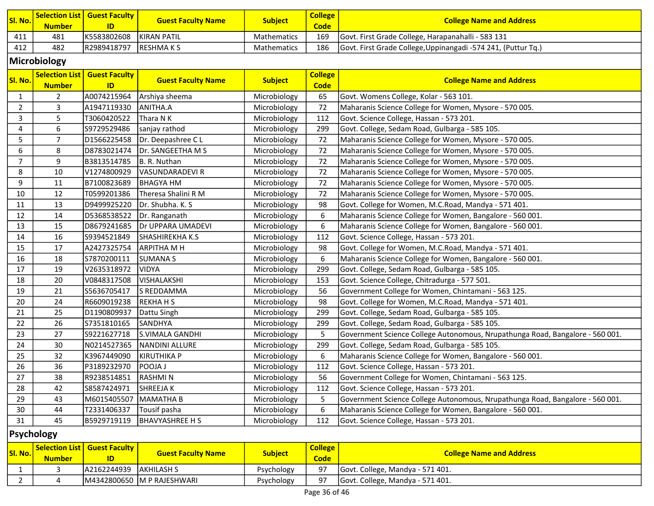| Sl. No. | <u>Number</u> | Selection List   Guest Faculty  <br>ID | <b>Guest Faculty Name</b> | <b>Subject</b>     | <b>College</b><br><b>Code</b> | <b>College Name and Address</b>                               |
|---------|---------------|----------------------------------------|---------------------------|--------------------|-------------------------------|---------------------------------------------------------------|
| 411     | 481           | K5583802608                            | <b>IKIRAN PATIL</b>       | <b>Mathematics</b> | 169                           | Govt. First Grade College, Harapanahalli - 583 131            |
| 412     | 482           | R2989418797                            | IRESHMA K S               | <b>Mathematics</b> | 186                           | Govt. First Grade College, Uppinangadi -574 241, (Puttur Tq.) |

### Microbiology

| SI. No.        | <b>Number</b>  | <b>Selection List   Guest Faculty</b><br>ID | <b>Guest Faculty Name</b> | <b>Subject</b> | <b>College</b><br><b>Code</b> | <b>College Name and Address</b>                                               |
|----------------|----------------|---------------------------------------------|---------------------------|----------------|-------------------------------|-------------------------------------------------------------------------------|
| $\mathbf{1}$   | $\overline{2}$ | A0074215964                                 | Arshiya sheema            | Microbiology   | 65                            | Govt. Womens College, Kolar - 563 101.                                        |
| $\overline{2}$ | 3              | A1947119330                                 | ANITHA.A                  | Microbiology   | 72                            | Maharanis Science College for Women, Mysore - 570 005.                        |
| 3              | 5              | T3060420522                                 | Thara N K                 | Microbiology   | 112                           | Govt. Science College, Hassan - 573 201.                                      |
| $\overline{4}$ | $6\phantom{1}$ | S9729529486                                 | sanjay rathod             | Microbiology   | 299                           | Govt. College, Sedam Road, Gulbarga - 585 105.                                |
| 5              | $\overline{7}$ | D1566225458                                 | Dr. Deepashree CL         | Microbiology   | 72                            | Maharanis Science College for Women, Mysore - 570 005.                        |
| 6              | 8              | D8783021474                                 | Dr. SANGEETHA M S         | Microbiology   | 72                            | Maharanis Science College for Women, Mysore - 570 005.                        |
| $\overline{7}$ | 9              | B3813514785                                 | B. R. Nuthan              | Microbiology   | 72                            | Maharanis Science College for Women, Mysore - 570 005.                        |
| 8              | 10             | V1274800929                                 | <b>VASUNDARADEVI R</b>    | Microbiology   | 72                            | Maharanis Science College for Women, Mysore - 570 005.                        |
| 9              | 11             | B7100823689                                 | <b>BHAGYA HM</b>          | Microbiology   | 72                            | Maharanis Science College for Women, Mysore - 570 005.                        |
| 10             | 12             | T0599201386                                 | Theresa Shalini R M       | Microbiology   | 72                            | Maharanis Science College for Women, Mysore - 570 005.                        |
| 11             | 13             | D9499925220                                 | Dr. Shubha. K. S          | Microbiology   | 98                            | Govt. College for Women, M.C.Road, Mandya - 571 401.                          |
| 12             | 14             | D5368538522                                 | Dr. Ranganath             | Microbiology   | 6                             | Maharanis Science College for Women, Bangalore - 560 001.                     |
| 13             | 15             | D8679241685                                 | Dr UPPARA UMADEVI         | Microbiology   | 6                             | Maharanis Science College for Women, Bangalore - 560 001.                     |
| 14             | 16             | S9394521849                                 | SHASHIREKHA K.S           | Microbiology   | 112                           | Govt. Science College, Hassan - 573 201.                                      |
| 15             | 17             | A2427325754                                 | <b>ARPITHA M H</b>        | Microbiology   | 98                            | Govt. College for Women, M.C.Road, Mandya - 571 401.                          |
| 16             | 18             | S7870200111                                 | <b>SUMANA S</b>           | Microbiology   | 6                             | Maharanis Science College for Women, Bangalore - 560 001.                     |
| 17             | 19             | V2635318972                                 | <b>VIDYA</b>              | Microbiology   | 299                           | Govt. College, Sedam Road, Gulbarga - 585 105.                                |
| 18             | 20             | V0848317508                                 | VISHALAKSHI               | Microbiology   | 153                           | Govt. Science College, Chitradurga - 577 501.                                 |
| 19             | 21             | S5636705417                                 | S REDDAMMA                | Microbiology   | 56                            | Government College for Women, Chintamani - 563 125.                           |
| 20             | 24             | R6609019238                                 | REKHA H S                 | Microbiology   | 98                            | Govt. College for Women, M.C.Road, Mandya - 571 401.                          |
| 21             | 25             | D1190809937                                 | Dattu Singh               | Microbiology   | 299                           | Govt. College, Sedam Road, Gulbarga - 585 105.                                |
| 22             | 26             | S7351810165                                 | SANDHYA                   | Microbiology   | 299                           | Govt. College, Sedam Road, Gulbarga - 585 105.                                |
| 23             | 27             | S9221627718                                 | S.VIMALA GANDHI           | Microbiology   | 5                             | Government Science College Autonomous, Nrupathunga Road, Bangalore - 560 001. |
| 24             | 30             | N0214527365                                 | NANDINI ALLURE            | Microbiology   | 299                           | Govt. College, Sedam Road, Gulbarga - 585 105.                                |
| 25             | 32             | K3967449090                                 | <b>KIRUTHIKA P</b>        | Microbiology   | 6                             | Maharanis Science College for Women, Bangalore - 560 001.                     |
| 26             | 36             | P3189232970                                 | <b>POOJAJ</b>             | Microbiology   | 112                           | Govt. Science College, Hassan - 573 201.                                      |
| 27             | 38             | R9238514851                                 | <b>RASHMIN</b>            | Microbiology   | 56                            | Government College for Women, Chintamani - 563 125.                           |
| 28             | 42             | S8587424971                                 | SHREEJA K                 | Microbiology   | 112                           | Govt. Science College, Hassan - 573 201.                                      |
| 29             | 43             | M6015405507                                 | MAMATHA B                 | Microbiology   | 5                             | Government Science College Autonomous, Nrupathunga Road, Bangalore - 560 001. |
| 30             | 44             | T2331406337                                 | Tousif pasha              | Microbiology   | 6                             | Maharanis Science College for Women, Bangalore - 560 001.                     |
| 31             | 45             | B5929719119                                 | <b>BHAVYASHREE H S</b>    | Microbiology   | 112                           | Govt. Science College, Hassan - 573 201.                                      |

### Psychology

| SI. No. | <b>Number</b> | Selection List   Guest Faculty  <br>ID | <b>Guest Faculty Name</b>  | <b>Subject</b> | <b>College</b><br><b>Code</b> | <b>College Name and Address</b>  |
|---------|---------------|----------------------------------------|----------------------------|----------------|-------------------------------|----------------------------------|
|         |               | A2162244939 AKHILASH S                 |                            | Psychology     | 97                            | Govt. College, Mandya - 571 401. |
|         |               |                                        | M4342800650 M P RAJESHWARI | Psychology     | 97                            | Govt. College, Mandya - 571 401. |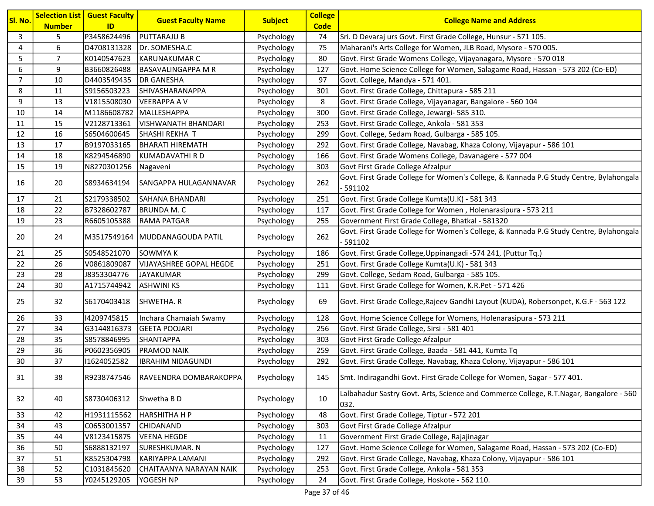| Sl. No.        | <b>Number</b>  | <b>Selection List   Guest Faculty</b><br>ID | <b>Guest Faculty Name</b>          | <b>Subject</b> | <b>College</b><br><b>Code</b> | <b>College Name and Address</b>                                                                     |
|----------------|----------------|---------------------------------------------|------------------------------------|----------------|-------------------------------|-----------------------------------------------------------------------------------------------------|
| 3              | 5              | P3458624496                                 | <b>PUTTARAJU B</b>                 | Psychology     | 74                            | Sri. D Devaraj urs Govt. First Grade College, Hunsur - 571 105.                                     |
| 4              | 6              | D4708131328                                 | Dr. SOMESHA.C                      | Psychology     | 75                            | Maharani's Arts College for Women, JLB Road, Mysore - 570 005.                                      |
| 5              | $\overline{7}$ | K0140547623                                 | KARUNAKUMAR C                      | Psychology     | 80                            | Govt. First Grade Womens College, Vijayanagara, Mysore - 570 018                                    |
| 6              | 9              | B3660826488                                 | BASAVALINGAPPA M R                 | Psychology     | 127                           | Govt. Home Science College for Women, Salagame Road, Hassan - 573 202 (Co-ED)                       |
| $\overline{7}$ | 10             | D4403549435                                 | DR GANESHA                         | Psychology     | 97                            | Govt. College, Mandya - 571 401.                                                                    |
| 8              | 11             | S9156503223                                 | <b>SHIVASHARANAPPA</b>             | Psychology     | 301                           | Govt. First Grade College, Chittapura - 585 211                                                     |
| 9              | 13             | V1815508030                                 | <b>VEERAPPA A V</b>                | Psychology     | 8                             | Govt. First Grade College, Vijayanagar, Bangalore - 560 104                                         |
| 10             | 14             | M1186608782                                 | MALLESHAPPA                        | Psychology     | 300                           | Govt. First Grade College, Jewargi- 585 310.                                                        |
| 11             | 15             | V2128713361                                 | VISHWANATH BHANDARI                | Psychology     | 253                           | Govt. First Grade College, Ankola - 581 353                                                         |
| 12             | 16             | S6504600645                                 | SHASHI REKHA T                     | Psychology     | 299                           | Govt. College, Sedam Road, Gulbarga - 585 105.                                                      |
| 13             | 17             | B9197033165                                 | BHARATI HIREMATH                   | Psychology     | 292                           | Govt. First Grade College, Navabag, Khaza Colony, Vijayapur - 586 101                               |
| 14             | 18             | K8294546890                                 | KUMADAVATHI R D                    | Psychology     | 166                           | Govt. First Grade Womens College, Davanagere - 577 004                                              |
| 15             | 19             | N8270301256                                 | Nagaveni                           | Psychology     | 303                           | Govt First Grade College Afzalpur                                                                   |
| 16             | 20             | S8934634194                                 | <b>SANGAPPA HULAGANNAVAR</b>       | Psychology     | 262                           | Govt. First Grade College for Women's College, & Kannada P.G Study Centre, Bylahongala              |
|                |                |                                             |                                    |                |                               | 591102                                                                                              |
| 17             | 21             | S2179338502                                 | <b>SAHANA BHANDARI</b>             | Psychology     | 251                           | Govt. First Grade College Kumta(U.K) - 581 343                                                      |
| 18             | 22             | B7328602787                                 | <b>BRUNDA M. C</b>                 | Psychology     | 117                           | Govt. First Grade College for Women, Holenarasipura - 573 211                                       |
| 19             | 23             | R6605105388                                 | <b>RAMA PATGAR</b>                 | Psychology     | 255                           | Government First Grade College, Bhatkal - 581320                                                    |
| 20             | 24             |                                             | M3517549164   MUDDANAGOUDA PATIL   | Psychology     | 262                           | Govt. First Grade College for Women's College, & Kannada P.G Study Centre, Bylahongala<br>$-591102$ |
| 21             | 25             | S0548521070                                 | SOWMYA K                           | Psychology     | 186                           | Govt. First Grade College, Uppinangadi -574 241, (Puttur Tq.)                                       |
| 22             | 26             | V0861809087                                 | VIJAYASHREE GOPAL HEGDE            | Psychology     | 251                           | Govt. First Grade College Kumta(U.K) - 581 343                                                      |
| 23             | 28             | J8353304776                                 | <b>JAYAKUMAR</b>                   | Psychology     | 299                           | Govt. College, Sedam Road, Gulbarga - 585 105.                                                      |
| 24             | 30             | A1715744942                                 | <b>ASHWINI KS</b>                  | Psychology     | 111                           | Govt. First Grade College for Women, K.R.Pet - 571 426                                              |
| 25             | 32             | S6170403418                                 | SHWETHA. R                         | Psychology     | 69                            | Govt. First Grade College, Rajeev Gandhi Layout (KUDA), Robersonpet, K.G.F - 563 122                |
| 26             | 33             | 14209745815                                 | Inchara Chamaiah Swamy             | Psychology     | 128                           | Govt. Home Science College for Womens, Holenarasipura - 573 211                                     |
| 27             | 34             | G3144816373                                 | <b>GEETA POOJARI</b>               | Psychology     | 256                           | Govt. First Grade College, Sirsi - 581 401                                                          |
| 28             | 35             | S8578846995                                 | SHANTAPPA                          | Psychology     | 303                           | Govt First Grade College Afzalpur                                                                   |
| 29             | 36             | P0602356905                                 | <b>PRAMOD NAIK</b>                 | Psychology     | 259                           | Govt. First Grade College, Baada - 581 441, Kumta Tq                                                |
| 30             | 37             | 11624052582                                 | <b>IBRAHIM NIDAGUNDI</b>           | Psychology     | 292                           | Govt. First Grade College, Navabag, Khaza Colony, Vijayapur - 586 101                               |
| 31             | 38             |                                             | R9238747546 RAVEENDRA DOMBARAKOPPA | Psychology     | 145                           | Smt. Indiragandhi Govt. First Grade College for Women, Sagar - 577 401.                             |
| 32             | 40             | S8730406312                                 | Shwetha B D                        | Psychology     | 10                            | Lalbahadur Sastry Govt. Arts, Science and Commerce College, R.T.Nagar, Bangalore - 560<br>032.      |
| 33             | 42             | H1931115562                                 | <b>HARSHITHA H P</b>               | Psychology     | 48                            | Govt. First Grade College, Tiptur - 572 201                                                         |
| 34             | 43             | C0653001357                                 | <b>CHIDANAND</b>                   | Psychology     | 303                           | Govt First Grade College Afzalpur                                                                   |
| 35             | 44             | V8123415875                                 | <b>VEENA HEGDE</b>                 | Psychology     | 11                            | Government First Grade College, Rajajinagar                                                         |
| 36             | 50             | S6888132197                                 | SURESHKUMAR. N                     | Psychology     | 127                           | Govt. Home Science College for Women, Salagame Road, Hassan - 573 202 (Co-ED)                       |
| 37             | 51             | K8525304798                                 | KARIYAPPA LAMANI                   | Psychology     | 292                           | Govt. First Grade College, Navabag, Khaza Colony, Vijayapur - 586 101                               |
| 38             | 52             | C1031845620                                 | CHAITAANYA NARAYAN NAIK            | Psychology     | 253                           | Govt. First Grade College, Ankola - 581 353                                                         |
| 39             | 53             | Y0245129205                                 | YOGESH NP                          | Psychology     | 24                            | Govt. First Grade College, Hoskote - 562 110.                                                       |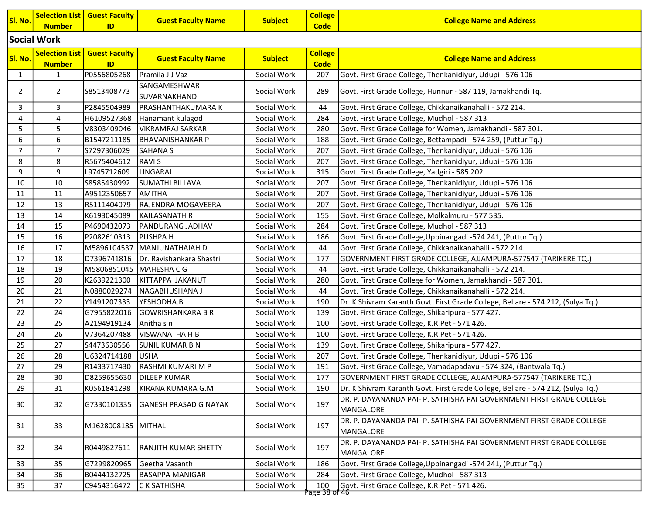| Sl. No.        | <b>Number</b>                          | <b>Selection List   Guest Faculty</b><br>ID | <b>Guest Faculty Name</b>    | <b>Subject</b> | <b>College</b><br><b>Code</b> | <b>College Name and Address</b>                                                   |
|----------------|----------------------------------------|---------------------------------------------|------------------------------|----------------|-------------------------------|-----------------------------------------------------------------------------------|
|                | Social Work                            |                                             |                              |                |                               |                                                                                   |
| Sl. No.        | <b>Selection List</b><br><b>Number</b> | <b>Guest Faculty</b><br>ID                  | <b>Guest Faculty Name</b>    | <b>Subject</b> | <b>College</b><br><b>Code</b> | <b>College Name and Address</b>                                                   |
| 1              | $\mathbf{1}$                           | P0556805268                                 | Pramila J J Vaz              | Social Work    | 207                           | Govt. First Grade College, Thenkanidiyur, Udupi - 576 106                         |
| 2              | $\overline{2}$                         | S8513408773                                 | SANGAMESHWAR<br>SUVARNAKHAND | Social Work    | 289                           | Govt. First Grade College, Hunnur - 587 119, Jamakhandi Tq.                       |
| 3              | 3                                      | P2845504989                                 | PRASHANTHAKUMARA K           | Social Work    | 44                            | Govt. First Grade College, Chikkanaikanahalli - 572 214.                          |
| 4              | 4                                      | H6109527368                                 | Hanamant kulagod             | Social Work    | 284                           | Govt. First Grade College, Mudhol - 587 313                                       |
| 5              | 5                                      | V8303409046                                 | <b>VIKRAMRAJ SARKAR</b>      | Social Work    | 280                           | Govt. First Grade College for Women, Jamakhandi - 587 301.                        |
| 6              | 6                                      | B1547211185                                 | <b>BHAVANISHANKAR P</b>      | Social Work    | 188                           | Govt. First Grade College, Bettampadi - 574 259, (Puttur Tq.)                     |
| $\overline{7}$ | $\overline{7}$                         | S7297306029                                 | <b>SAHANA S</b>              | Social Work    | 207                           | Govt. First Grade College, Thenkanidiyur, Udupi - 576 106                         |
| 8              | 8                                      | R5675404612                                 | <b>RAVIS</b>                 | Social Work    | 207                           | Govt. First Grade College, Thenkanidiyur, Udupi - 576 106                         |
| 9              | 9                                      | L9745712609                                 | <b>LINGARAJ</b>              | Social Work    | 315                           | Govt. First Grade College, Yadgiri - 585 202.                                     |
| 10             | 10                                     | S8585430992                                 | <b>SUMATHI BILLAVA</b>       | Social Work    | 207                           | Govt. First Grade College, Thenkanidiyur, Udupi - 576 106                         |
| 11             | 11                                     | A9512350657                                 | <b>AMITHA</b>                | Social Work    | 207                           | Govt. First Grade College, Thenkanidiyur, Udupi - 576 106                         |
| 12             | 13                                     | R5111404079                                 | RAJENDRA MOGAVEERA           | Social Work    | 207                           | Govt. First Grade College, Thenkanidiyur, Udupi - 576 106                         |
| 13             | 14                                     | K6193045089                                 | <b>KAILASANATH R</b>         | Social Work    | 155                           | Govt. First Grade College, Molkalmuru - 577 535.                                  |
| 14             | 15                                     | P4690432073                                 | <b>PANDURANG JADHAV</b>      | Social Work    | 284                           | Govt. First Grade College, Mudhol - 587 313                                       |
| 15             | 16                                     | P2082610313                                 | <b>PUSHPAH</b>               | Social Work    | 186                           | Govt. First Grade College, Uppinangadi -574 241, (Puttur Tq.)                     |
| 16             | 17                                     | M5896104537                                 | MANJUNATHAIAH D              | Social Work    | 44                            | Govt. First Grade College, Chikkanaikanahalli - 572 214.                          |
| 17             | 18                                     | D7396741816                                 | Dr. Ravishankara Shastri     | Social Work    | 177                           | GOVERNMENT FIRST GRADE COLLEGE, AJJAMPURA-577547 (TARIKERE TQ.)                   |
| 18             | 19                                     | M5806851045                                 | MAHESHA C G                  | Social Work    | 44                            | Govt. First Grade College, Chikkanaikanahalli - 572 214.                          |
| 19             | 20                                     | K2639221300                                 | KITTAPPA JAKANUT             | Social Work    | 280                           | Govt. First Grade College for Women, Jamakhandi - 587 301.                        |
| 20             | 21                                     | N0880029274                                 | NAGABHUSHANA J               | Social Work    | 44                            | Govt. First Grade College, Chikkanaikanahalli - 572 214.                          |
| 21             | 22                                     | Y1491207333                                 | YESHODHA.B                   | Social Work    | 190                           | Dr. K Shivram Karanth Govt. First Grade College, Bellare - 574 212, (Sulya Tq.)   |
| 22             | 24                                     | G7955822016                                 | GOWRISHANKARA B R            | Social Work    | 139                           | Govt. First Grade College, Shikaripura - 577 427.                                 |
| 23             | 25                                     | A2194919134                                 | Anitha s n                   | Social Work    | 100                           | Govt. First Grade College, K.R.Pet - 571 426.                                     |
| 24             | 26                                     | V7364207488                                 | VISWANATHA H B               | Social Work    | 100                           | Govt. First Grade College, K.R.Pet - 571 426.                                     |
| 25             | 27                                     | S4473630556                                 | SUNIL KUMAR B N              | Social Work    | 139                           | Govt. First Grade College, Shikaripura - 577 427.                                 |
| 26             | 28                                     | U6324714188                                 | USHA                         | Social Work    | 207                           | Govt. First Grade College, Thenkanidiyur, Udupi - 576 106                         |
| 27             | 29                                     | R1433717430                                 | RASHMI KUMARI M P            | Social Work    | 191                           | Govt. First Grade College, Vamadapadavu - 574 324, (Bantwala Tq.)                 |
| 28             | 30                                     |                                             | D8259655630   DILEEP KUMAR   | Social Work    | 177                           | GOVERNMENT FIRST GRADE COLLEGE, AJJAMPURA-577547 (TARIKERE TQ.)                   |
| 29             | 31                                     | K0561841298                                 | KIRANA KUMARA G.M            | Social Work    | 190                           | Dr. K Shivram Karanth Govt. First Grade College, Bellare - 574 212, (Sulya Tq.)   |
| 30             | 32                                     | G7330101335                                 | <b>GANESH PRASAD G NAYAK</b> | Social Work    | 197                           | DR. P. DAYANANDA PAI- P. SATHISHA PAI GOVERNMENT FIRST GRADE COLLEGE<br>MANGALORE |
| 31             | 33                                     | M1628008185 MITHAL                          |                              | Social Work    | 197                           | DR. P. DAYANANDA PAI- P. SATHISHA PAI GOVERNMENT FIRST GRADE COLLEGE<br>MANGALORE |
| 32             | 34                                     | R0449827611                                 | RANJITH KUMAR SHETTY         | Social Work    | 197                           | DR. P. DAYANANDA PAI- P. SATHISHA PAI GOVERNMENT FIRST GRADE COLLEGE<br>MANGALORE |
| 33             | 35                                     | G7299820965                                 | Geetha Vasanth               | Social Work    | 186                           | Govt. First Grade College, Uppinangadi -574 241, (Puttur Tq.)                     |
| 34             | 36                                     | B0444132725                                 | <b>BASAPPA MANIGAR</b>       | Social Work    | 284                           | Govt. First Grade College, Mudhol - 587 313                                       |
| 35             | 37                                     | C9454316472                                 | <b>C K SATHISHA</b>          | Social Work    | 100<br>2000 38 of 46          | Govt. First Grade College, K.R.Pet - 571 426.                                     |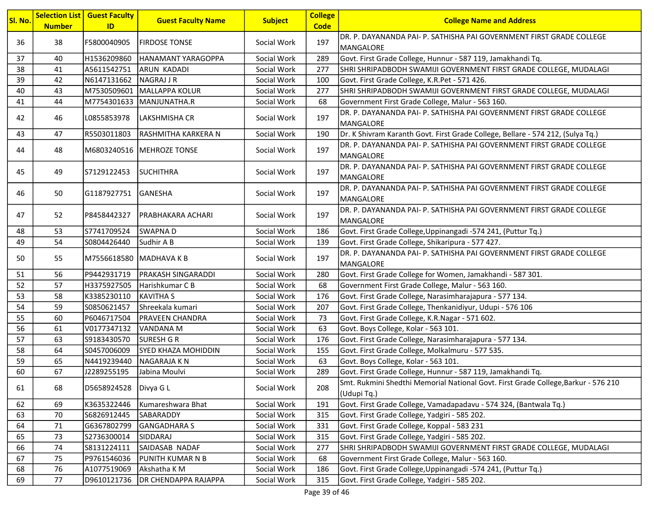| Sl. No. | <b>Number</b> | <b>Selection List   Guest Faculty</b><br>ID | <b>Guest Faculty Name</b>   | <b>Subject</b> | <b>College</b><br><b>Code</b> | <b>College Name and Address</b>                                                                   |
|---------|---------------|---------------------------------------------|-----------------------------|----------------|-------------------------------|---------------------------------------------------------------------------------------------------|
| 36      | 38            | F5800040905                                 | <b>FIRDOSE TONSE</b>        | Social Work    | 197                           | DR. P. DAYANANDA PAI- P. SATHISHA PAI GOVERNMENT FIRST GRADE COLLEGE<br>MANGALORE                 |
| 37      | 40            | H1536209860                                 | HANAMANT YARAGOPPA          | Social Work    | 289                           | Govt. First Grade College, Hunnur - 587 119, Jamakhandi Tq.                                       |
| 38      | 41            | A5611542751                                 | <b>ARUN KADADI</b>          | Social Work    | 277                           | SHRI SHRIPADBODH SWAMIJI GOVERNMENT FIRST GRADE COLLEGE, MUDALAGI                                 |
| 39      | 42            | N6147131662                                 | NAGRAJ J R                  | Social Work    | 100                           | Govt. First Grade College, K.R.Pet - 571 426.                                                     |
| 40      | 43            | M7530509601                                 | MALLAPPA KOLUR              | Social Work    | 277                           | SHRI SHRIPADBODH SWAMIJI GOVERNMENT FIRST GRADE COLLEGE, MUDALAGI                                 |
| 41      | 44            |                                             | M7754301633 MANJUNATHA.R    | Social Work    | 68                            | Government First Grade College, Malur - 563 160.                                                  |
| 42      | 46            | L0855853978                                 | LAKSHMISHA CR               | Social Work    | 197                           | DR. P. DAYANANDA PAI- P. SATHISHA PAI GOVERNMENT FIRST GRADE COLLEGE<br>MANGALORE                 |
| 43      | 47            | R5503011803                                 | RASHMITHA KARKERA N         | Social Work    | 190                           | Dr. K Shivram Karanth Govt. First Grade College, Bellare - 574 212, (Sulya Tq.)                   |
| 44      | 48            |                                             | M6803240516   MEHROZE TONSE | Social Work    | 197                           | DR. P. DAYANANDA PAI- P. SATHISHA PAI GOVERNMENT FIRST GRADE COLLEGE<br>MANGALORE                 |
| 45      | 49            | S7129122453                                 | <b>SUCHITHRA</b>            | Social Work    | 197                           | DR. P. DAYANANDA PAI- P. SATHISHA PAI GOVERNMENT FIRST GRADE COLLEGE<br>MANGALORE                 |
| 46      | 50            | G1187927751 GANESHA                         |                             | Social Work    | 197                           | DR. P. DAYANANDA PAI- P. SATHISHA PAI GOVERNMENT FIRST GRADE COLLEGE<br>MANGALORE                 |
| 47      | 52            | P8458442327                                 | IPRABHAKARA ACHARI          | Social Work    | 197                           | DR. P. DAYANANDA PAI- P. SATHISHA PAI GOVERNMENT FIRST GRADE COLLEGE<br>MANGALORE                 |
| 48      | 53            | S7741709524                                 | <b>SWAPNAD</b>              | Social Work    | 186                           | Govt. First Grade College, Uppinangadi -574 241, (Puttur Tq.)                                     |
| 49      | 54            | S0804426440                                 | Sudhir A B                  | Social Work    | 139                           | Govt. First Grade College, Shikaripura - 577 427.                                                 |
| 50      | 55            | M7556618580   MADHAVA K B                   |                             | Social Work    | 197                           | DR. P. DAYANANDA PAI- P. SATHISHA PAI GOVERNMENT FIRST GRADE COLLEGE<br>MANGALORE                 |
| 51      | 56            | P9442931719                                 | PRAKASH SINGARADDI          | Social Work    | 280                           | Govt. First Grade College for Women, Jamakhandi - 587 301.                                        |
| 52      | 57            | H3375927505                                 | Harishkumar C B             | Social Work    | 68                            | Government First Grade College, Malur - 563 160.                                                  |
| 53      | 58            | K3385230110                                 | <b>KAVITHA S</b>            | Social Work    | 176                           | Govt. First Grade College, Narasimharajapura - 577 134.                                           |
| 54      | 59            | S0850621457                                 | Shreekala kumari            | Social Work    | 207                           | Govt. First Grade College, Thenkanidiyur, Udupi - 576 106                                         |
| 55      | 60            | P6046717504                                 | <b>PRAVEEN CHANDRA</b>      | Social Work    | 73                            | Govt. First Grade College, K.R.Nagar - 571 602.                                                   |
| 56      | 61            | V0177347132                                 | VANDANA M                   | Social Work    | 63                            | Govt. Boys College, Kolar - 563 101.                                                              |
| 57      | 63            | S9183430570                                 | <b>SURESH G R</b>           | Social Work    | 176                           | Govt. First Grade College, Narasimharajapura - 577 134.                                           |
| 58      | 64            | S0457006009                                 | SYED KHAZA MOHIDDIN         | Social Work    | 155                           | Govt. First Grade College, Molkalmuru - 577 535.                                                  |
| 59      | 65            | N4419239440                                 | NAGARAJA K N                | Social Work    | 63                            | Govt. Boys College, Kolar - 563 101.                                                              |
| 60      | 67            | J2289255195                                 | Jabina Moulvi               | Social Work    | 289                           | Govt. First Grade College, Hunnur - 587 119, Jamakhandi Tq.                                       |
| 61      | 68            | D5658924528                                 | Divya G L                   | Social Work    | 208                           | Smt. Rukmini Shedthi Memorial National Govt. First Grade College, Barkur - 576 210<br>(Udupi Tq.) |
| 62      | 69            | K3635322446                                 | Kumareshwara Bhat           | Social Work    | 191                           | Govt. First Grade College, Vamadapadavu - 574 324, (Bantwala Tq.)                                 |
| 63      | 70            | S6826912445                                 | SABARADDY                   | Social Work    | 315                           | Govt. First Grade College, Yadgiri - 585 202.                                                     |
| 64      | 71            | G6367802799                                 | <b>GANGADHARAS</b>          | Social Work    | 331                           | Govt. First Grade College, Koppal - 583 231                                                       |
| 65      | 73            | S2736300014                                 | SIDDARAJ                    | Social Work    | 315                           | Govt. First Grade College, Yadgiri - 585 202.                                                     |
| 66      | 74            | S8131224111                                 | SAIDASAB NADAF              | Social Work    | 277                           | SHRI SHRIPADBODH SWAMIJI GOVERNMENT FIRST GRADE COLLEGE, MUDALAGI                                 |
| 67      | 75            | P9761546036                                 | PUNITH KUMAR N B            | Social Work    | 68                            | Government First Grade College, Malur - 563 160.                                                  |
| 68      | 76            | A1077519069                                 | Akshatha KM                 | Social Work    | 186                           | Govt. First Grade College, Uppinangadi -574 241, (Puttur Tq.)                                     |
| 69      | 77            | D9610121736                                 | <b>DR CHENDAPPA RAJAPPA</b> | Social Work    | 315                           | Govt. First Grade College, Yadgiri - 585 202.                                                     |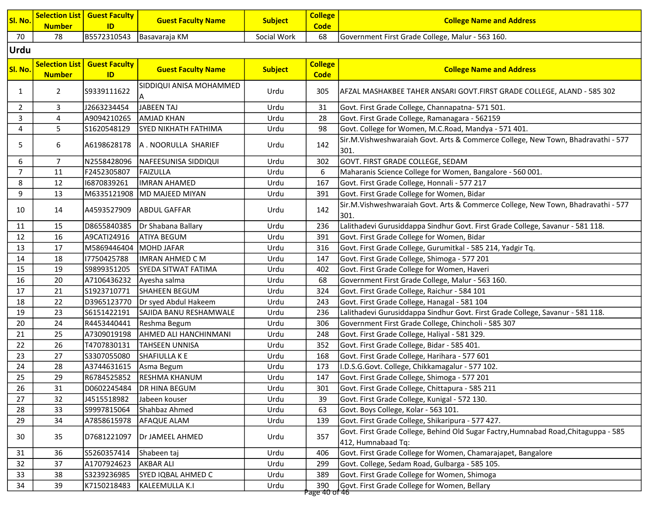| Sl. No.        | <b>Selection List</b><br><b>Number</b> | <b>Guest Faculty</b><br>ID | <b>Guest Faculty Name</b>          | <b>Subject</b> | <b>College</b><br><b>Code</b> | <b>College Name and Address</b>                                                                           |
|----------------|----------------------------------------|----------------------------|------------------------------------|----------------|-------------------------------|-----------------------------------------------------------------------------------------------------------|
| 70             | 78                                     |                            | B5572310543 Basavaraja KM          | Social Work    | 68                            | Government First Grade College, Malur - 563 160.                                                          |
| Urdu           |                                        |                            |                                    |                |                               |                                                                                                           |
|                |                                        |                            |                                    |                |                               |                                                                                                           |
| Sl. No.        | <b>Selection List</b>                  | <b>Guest Faculty</b>       | <b>Guest Faculty Name</b>          | <b>Subject</b> | <b>College</b>                | <b>College Name and Address</b>                                                                           |
|                | <b>Number</b>                          | ID                         |                                    |                | <b>Code</b>                   |                                                                                                           |
| $\mathbf{1}$   | $\overline{2}$                         | S9339111622                | SIDDIQUI ANISA MOHAMMED            | Urdu           | 305                           | AFZAL MASHAKBEE TAHER ANSARI GOVT.FIRST GRADE COLLEGE, ALAND - 585 302                                    |
| $\overline{2}$ | 3                                      | J2663234454                | <b>JABEEN TAJ</b>                  | Urdu           | 31                            | Govt. First Grade College, Channapatna- 571 501.                                                          |
| 3              | 4                                      | A9094210265                | <b>AMJAD KHAN</b>                  | Urdu           | 28                            | Govt. First Grade College, Ramanagara - 562159                                                            |
| 4              | 5                                      | S1620548129                | <b>SYED NIKHATH FATHIMA</b>        | Urdu           | 98                            | Govt. College for Women, M.C.Road, Mandya - 571 401.                                                      |
| 5              | 6                                      |                            | A6198628178   A . NOORULLA SHARIEF | Urdu           | 142                           | Sir.M.Vishweshwaraiah Govt. Arts & Commerce College, New Town, Bhadravathi - 577<br>301.                  |
| 6              | $\overline{7}$                         | N2558428096                | NAFEESUNISA SIDDIQUI               | Urdu           | 302                           | GOVT. FIRST GRADE COLLEGE, SEDAM                                                                          |
| $\overline{7}$ | 11                                     | F2452305807                | FAIZULLA                           | Urdu           | 6                             | Maharanis Science College for Women, Bangalore - 560 001.                                                 |
| 8              | 12                                     | 16870839261                | <b>IMRAN AHAMED</b>                | Urdu           | 167                           | Govt. First Grade College, Honnali - 577 217                                                              |
| 9              | 13                                     | M6335121908                | MD MAJEED MIYAN                    | Urdu           | 391                           | Govt. First Grade College for Women, Bidar                                                                |
| 10             | 14                                     | A4593527909                | <b>ABDUL GAFFAR</b>                | Urdu           | 142                           | Sir.M.Vishweshwaraiah Govt. Arts & Commerce College, New Town, Bhadravathi - 577<br>301.                  |
| 11             | 15                                     | D8655840385                | Dr Shabana Ballary                 | Urdu           | 236                           | Lalithadevi Gurusiddappa Sindhur Govt. First Grade College, Savanur - 581 118.                            |
| 12             | 16                                     | A9CATI24916                | <b>ATIYA BEGUM</b>                 | Urdu           | 391                           | Govt. First Grade College for Women, Bidar                                                                |
| 13             | 17                                     | M5869446404                | MOHD JAFAR                         | Urdu           | 316                           | Govt. First Grade College, Gurumitkal - 585 214, Yadgir Tq.                                               |
| 14             | 18                                     | 17750425788                | IMRAN AHMED C M                    | Urdu           | 147                           | Govt. First Grade College, Shimoga - 577 201                                                              |
| 15             | 19                                     | S9899351205                | SYEDA SITWAT FATIMA                | Urdu           | 402                           | Govt. First Grade College for Women, Haveri                                                               |
| 16             | 20                                     | A7106436232                | Ayesha salma                       | Urdu           | 68                            | Government First Grade College, Malur - 563 160.                                                          |
| 17             | 21                                     | S1923710771                | <b>SHAHEEN BEGUM</b>               | Urdu           | 324                           | Govt. First Grade College, Raichur - 584 101                                                              |
| 18             | 22                                     | D3965123770                | Dr syed Abdul Hakeem               | Urdu           | 243                           | Govt. First Grade College, Hanagal - 581 104                                                              |
| 19             | 23                                     | S6151422191                | SAJIDA BANU RESHAMWALE             | Urdu           | 236                           | Lalithadevi Gurusiddappa Sindhur Govt. First Grade College, Savanur - 581 118.                            |
| 20             | 24                                     | R4453440441                | Reshma Begum                       | Urdu           | 306                           | Government First Grade College, Chincholi - 585 307                                                       |
| 21             | 25                                     | A7309019198                | AHMED ALI HANCHINMANI              | Urdu           | 248                           | Govt. First Grade College, Haliyal - 581 329.                                                             |
| 22             | 26                                     | T4707830131                | TAHSEEN UNNISA                     | Urdu           | 352                           | Govt. First Grade College, Bidar - 585 401.                                                               |
| 23             | 27                                     | S3307055080                | SHAFIULLA K E                      | Urdu           | 168                           | Govt. First Grade College, Harihara - 577 601                                                             |
| 24             | 28                                     | A3744631615                | Asma Begum                         | Urdu           | 173                           | I.D.S.G.Govt. College, Chikkamagalur - 577 102.                                                           |
| 25             | 29                                     | R6784525852                | <b>RESHMA KHANUM</b>               | Urdu           | 147                           | Govt. First Grade College, Shimoga - 577 201                                                              |
| 26             | 31                                     | D0602245484                | <b>DR HINA BEGUM</b>               | Urdu           | 301                           | Govt. First Grade College, Chittapura - 585 211                                                           |
| 27             | 32                                     | J4515518982                | Jabeen kouser                      | Urdu           | 39                            | Govt. First Grade College, Kunigal - 572 130.                                                             |
| 28             | 33                                     | S9997815064                | Shahbaz Ahmed                      | Urdu           | 63                            | Govt. Boys College, Kolar - 563 101.                                                                      |
| 29             | 34                                     | A7858615978                | AFAQUE ALAM                        | Urdu           | 139                           | Govt. First Grade College, Shikaripura - 577 427.                                                         |
| 30             | 35                                     | D7681221097                | Dr JAMEEL AHMED                    | Urdu           | 357                           | Govt. First Grade College, Behind Old Sugar Factry, Humnabad Road, Chitaguppa - 585<br>412, Humnabaad Tq: |
| 31             | 36                                     | S5260357414                | Shabeen taj                        | Urdu           | 406                           | Govt. First Grade College for Women, Chamarajapet, Bangalore                                              |
| 32             | 37                                     | A1707924623                | <b>AKBAR ALI</b>                   | Urdu           | 299                           | Govt. College, Sedam Road, Gulbarga - 585 105.                                                            |
| 33             | 38                                     | S3239236985                | SYED IQBAL AHMED C                 | Urdu           | 389                           | Govt. First Grade College for Women, Shimoga                                                              |
| 34             | 39                                     | K7150218483                | KALEEMULLA K.I                     | Urdu           | 390<br><u> አል ሰን ከተ</u>       | Govt. First Grade College for Women, Bellary                                                              |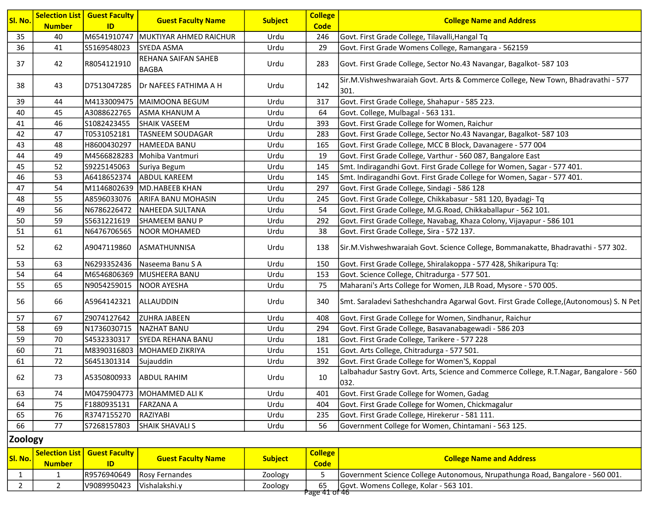| Sl. No.        | <b>Number</b> | <b>Selection List   Guest Faculty</b><br>ID | <b>Guest Faculty Name</b>           | <b>Subject</b> | <b>College</b><br><b>Code</b> | <b>College Name and Address</b>                                                                |
|----------------|---------------|---------------------------------------------|-------------------------------------|----------------|-------------------------------|------------------------------------------------------------------------------------------------|
| 35             | 40            | M6541910747                                 | MUKTIYAR AHMED RAICHUR              | Urdu           | 246                           | Govt. First Grade College, Tilavalli, Hangal Tq                                                |
| 36             | 41            | S5169548023                                 | <b>SYEDA ASMA</b>                   | Urdu           | 29                            | Govt. First Grade Womens College, Ramangara - 562159                                           |
| 37             | 42            | R8054121910                                 | REHANA SAIFAN SAHEB<br><b>BAGBA</b> | Urdu           | 283                           | Govt. First Grade College, Sector No.43 Navangar, Bagalkot-587 103                             |
| 38             | 43            | D7513047285                                 | <b>Dr NAFEES FATHIMA A H</b>        | Urdu           | 142                           | Sir.M.Vishweshwaraiah Govt. Arts & Commerce College, New Town, Bhadravathi - 577<br>301.       |
| 39             | 44            | M4133009475                                 | MAIMOONA BEGUM                      | Urdu           | 317                           | Govt. First Grade College, Shahapur - 585 223.                                                 |
| 40             | 45            | A3088622765                                 | <b>ASMA KHANUM A</b>                | Urdu           | 64                            | Govt. College, Mulbagal - 563 131.                                                             |
| 41             | 46            | S1082423455                                 | <b>SHAIK VASEEM</b>                 | Urdu           | 393                           | Govt. First Grade College for Women, Raichur                                                   |
| 42             | 47            | T0531052181                                 | <b>TASNEEM SOUDAGAR</b>             | Urdu           | 283                           | Govt. First Grade College, Sector No.43 Navangar, Bagalkot-587 103                             |
| 43             | 48            | H8600430297                                 | <b>HAMEEDA BANU</b>                 | Urdu           | 165                           | Govt. First Grade College, MCC B Block, Davanagere - 577 004                                   |
| 44             | 49            | M4566828283                                 | Mohiba Vantmuri                     | Urdu           | 19                            | Govt. First Grade College, Varthur - 560 087, Bangalore East                                   |
| 45             | 52            | S9225145063                                 | Suriya Begum                        | Urdu           | 145                           | Smt. Indiragandhi Govt. First Grade College for Women, Sagar - 577 401.                        |
| 46             | 53            | A6418652374                                 | <b>ABDUL KAREEM</b>                 | Urdu           | 145                           | Smt. Indiragandhi Govt. First Grade College for Women, Sagar - 577 401.                        |
| 47             | 54            | M1146802639                                 | MD.HABEEB KHAN                      | Urdu           | 297                           | Govt. First Grade College, Sindagi - 586 128                                                   |
| 48             | 55            | A8596033076                                 | ARIFA BANU MOHASIN                  | Urdu           | 245                           | Govt. First Grade College, Chikkabasur - 581 120, Byadagi- Tq                                  |
| 49             | 56            | N6786226472                                 | NAHEEDA SULTANA                     | Urdu           | 54                            | Govt. First Grade College, M.G.Road, Chikkaballapur - 562 101.                                 |
| 50             | 59            | S5631221619                                 | SHAMEEM BANU P                      | Urdu           | 292                           | Govt. First Grade College, Navabag, Khaza Colony, Vijayapur - 586 101                          |
| 51             | 61            | N6476706565                                 | NOOR MOHAMED                        | Urdu           | 38                            | Govt. First Grade College, Sira - 572 137.                                                     |
| 52             | 62            | A9047119860                                 | <b>ASMATHUNNISA</b>                 | Urdu           | 138                           | Sir.M.Vishweshwaraiah Govt. Science College, Bommanakatte, Bhadravathi - 577 302.              |
| 53             | 63            | N6293352436                                 | Naseema Banu S A                    | Urdu           | 150                           | Govt. First Grade College, Shiralakoppa - 577 428, Shikaripura Tq:                             |
| 54             | 64            |                                             | M6546806369 MUSHEERA BANU           | Urdu           | 153                           | Govt. Science College, Chitradurga - 577 501.                                                  |
| 55             | 65            | N9054259015                                 | <b>NOOR AYESHA</b>                  | Urdu           | 75                            | Maharani's Arts College for Women, JLB Road, Mysore - 570 005.                                 |
| 56             | 66            | A5964142321                                 | <b>ALLAUDDIN</b>                    | Urdu           | 340                           | Smt. Saraladevi Satheshchandra Agarwal Govt. First Grade College, (Autonomous) S. N Pet        |
| 57             | 67            | Z9074127642                                 | <b>ZUHRA JABEEN</b>                 | Urdu           | 408                           | Govt. First Grade College for Women, Sindhanur, Raichur                                        |
| 58             | 69            | N1736030715                                 | <b>NAZHAT BANU</b>                  | Urdu           | 294                           | Govt. First Grade College, Basavanabagewadi - 586 203                                          |
| 59             | 70            | S4532330317                                 | <b>SYEDA REHANA BANU</b>            | Urdu           | 181                           | Govt. First Grade College, Tarikere - 577 228                                                  |
| 60             | $71\,$        | M8390316803                                 | MOHAMED ZIKRIYA                     | Urdu           | 151                           | Govt. Arts College, Chitradurga - 577 501.                                                     |
| 61             | 72            | S6451301314                                 | Sujauddin                           | Urdu           | 392                           | Govt. First Grade College for Women'S, Koppal                                                  |
| 62             | 73            | A5350800933 ABDUL RAHIM                     |                                     | Urdu           | 10                            | Lalbahadur Sastry Govt. Arts, Science and Commerce College, R.T.Nagar, Bangalore - 560<br>032. |
| 63             | 74            |                                             | M0475904773 MOHAMMED ALI K          | Urdu           | 401                           | Govt. First Grade College for Women, Gadag                                                     |
| 64             | 75            | F1880935131                                 | <b>FARZANA A</b>                    | Urdu           | 404                           | Govt. First Grade College for Women, Chickmagalur                                              |
| 65             | 76            | R3747155270                                 | RAZIYABI                            | Urdu           | 235                           | Govt. First Grade College, Hirekerur - 581 111.                                                |
| 66             | 77            | S7268157803                                 | <b>SHAIK SHAVALI S</b>              | Urdu           | 56                            | Government College for Women, Chintamani - 563 125.                                            |
| <b>Zoology</b> |               |                                             |                                     |                |                               |                                                                                                |

| Sl. No. | <b>Number</b> | Selection List   Guest Faculty  <br>ID | <b>Guest Faculty Name</b>  | <b>Subject</b> | <b>College</b><br><b>Code</b> | <b>College Name and Address</b>                                               |
|---------|---------------|----------------------------------------|----------------------------|----------------|-------------------------------|-------------------------------------------------------------------------------|
|         |               |                                        | R9576940649 Rosy Fernandes | Zoology        |                               | Government Science College Autonomous, Nrupathunga Road, Bangalore - 560 001. |
|         |               | V9089950423                            | l Vishalakshi. v           | Zoology        | 65<br>12300 11 of 15          | Govt. Womens College, Kolar - 563 101.                                        |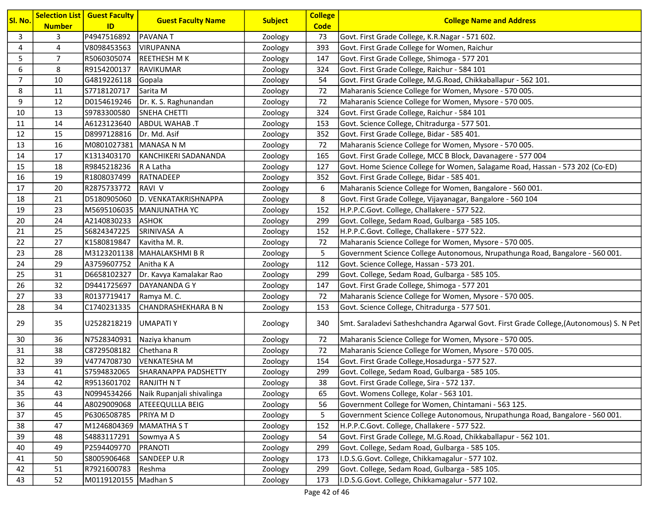| Sl. No.        | <b>Number</b> | <b>Selection List   Guest Faculty</b><br>ID | <b>Guest Faculty Name</b>     | <b>Subject</b> | <b>College</b><br><b>Code</b> | <b>College Name and Address</b>                                                         |
|----------------|---------------|---------------------------------------------|-------------------------------|----------------|-------------------------------|-----------------------------------------------------------------------------------------|
| 3              | 3             | P4947516892                                 | PAVANA T                      | Zoology        | 73                            | Govt. First Grade College, K.R.Nagar - 571 602.                                         |
| 4              | 4             | V8098453563                                 | <b>VIRUPANNA</b>              | Zoology        | 393                           | Govt. First Grade College for Women, Raichur                                            |
| 5              | 7             | R5060305074                                 | <b>REETHESH MK</b>            | Zoology        | 147                           | Govt. First Grade College, Shimoga - 577 201                                            |
| 6              | 8             | R9154200137                                 | RAVIKUMAR                     | Zoology        | 324                           | Govt. First Grade College, Raichur - 584 101                                            |
| $\overline{7}$ | 10            | G4819226118                                 | Gopala                        | Zoology        | 54                            | Govt. First Grade College, M.G.Road, Chikkaballapur - 562 101.                          |
| 8              | ${\bf 11}$    | S7718120717                                 | Sarita M                      | Zoology        | 72                            | Maharanis Science College for Women, Mysore - 570 005.                                  |
| 9              | 12            | D0154619246                                 | Dr. K. S. Raghunandan         | Zoology        | 72                            | Maharanis Science College for Women, Mysore - 570 005.                                  |
| 10             | 13            | S9783300580                                 | <b>SNEHA CHETTI</b>           | Zoology        | 324                           | Govt. First Grade College, Raichur - 584 101                                            |
| 11             | 14            | A6123123640                                 | ABDUL WAHAB .T                | Zoology        | 153                           | Govt. Science College, Chitradurga - 577 501.                                           |
| 12             | 15            | D8997128816                                 | Dr. Md. Asif                  | Zoology        | 352                           | Govt. First Grade College, Bidar - 585 401.                                             |
| 13             | 16            | M0801027381 MANASA N M                      |                               | Zoology        | 72                            | Maharanis Science College for Women, Mysore - 570 005.                                  |
| 14             | 17            | K1313403170                                 | KANCHIKERI SADANANDA          | Zoology        | 165                           | Govt. First Grade College, MCC B Block, Davanagere - 577 004                            |
| 15             | 18            | R9845218236                                 | R A Latha                     | Zoology        | 127                           | Govt. Home Science College for Women, Salagame Road, Hassan - 573 202 (Co-ED)           |
| 16             | 19            | R1808037499                                 | RATNADEEP                     | Zoology        | 352                           | Govt. First Grade College, Bidar - 585 401.                                             |
| 17             | 20            | R2875733772                                 | <b>RAVI V</b>                 | Zoology        | 6                             | Maharanis Science College for Women, Bangalore - 560 001.                               |
| 18             | 21            | D5180905060                                 | D. VENKATAKRISHNAPPA          | Zoology        | 8                             | Govt. First Grade College, Vijayanagar, Bangalore - 560 104                             |
| 19             | 23            | M5695106035                                 | MANJUNATHA YC                 | Zoology        | 152                           | H.P.P.C.Govt. College, Challakere - 577 522.                                            |
| 20             | 24            | A2140830233                                 | <b>ASHOK</b>                  | Zoology        | 299                           | Govt. College, Sedam Road, Gulbarga - 585 105.                                          |
| 21             | 25            | S6824347225                                 | SRINIVASA A                   | Zoology        | 152                           | H.P.P.C.Govt. College, Challakere - 577 522.                                            |
| 22             | 27            | K1580819847                                 | Kavitha M. R.                 | Zoology        | 72                            | Maharanis Science College for Women, Mysore - 570 005.                                  |
| 23             | 28            |                                             | M3123201138   MAHALAKSHMI B R | Zoology        | 5                             | Government Science College Autonomous, Nrupathunga Road, Bangalore - 560 001.           |
| 24             | 29            | A3759607752                                 | Anitha K A                    | Zoology        | 112                           | Govt. Science College, Hassan - 573 201.                                                |
| 25             | 31            | D6658102327                                 | Dr. Kavya Kamalakar Rao       | Zoology        | 299                           | Govt. College, Sedam Road, Gulbarga - 585 105.                                          |
| 26             | 32            | D9441725697                                 | DAYANANDA G Y                 | Zoology        | 147                           | Govt. First Grade College, Shimoga - 577 201                                            |
| 27             | 33            | R0137719417                                 | Ramya M.C.                    | Zoology        | 72                            | Maharanis Science College for Women, Mysore - 570 005.                                  |
| 28             | 34            | C1740231335                                 | CHANDRASHEKHARA B N           | Zoology        | 153                           | Govt. Science College, Chitradurga - 577 501.                                           |
| 29             | 35            | U2528218219                                 | UMAPATI Y                     | Zoology        | 340                           | Smt. Saraladevi Satheshchandra Agarwal Govt. First Grade College, (Autonomous) S. N Pet |
| 30             | 36            | N7528340931                                 | Naziya khanum                 | Zoology        | 72                            | Maharanis Science College for Women, Mysore - 570 005.                                  |
| 31             | 38            | C8729508182                                 | Chethana R                    | Zoology        | 72                            | Maharanis Science College for Women, Mysore - 570 005.                                  |
| 32             | 39            | V4774708730                                 | <b>VENKATESHAM</b>            | Zoology        | 154                           | Govt. First Grade College, Hosadurga - 577 527.                                         |
| 33             | 41            | S7594832065                                 | SHARANAPPA PADSHETTY          | Zoology        | 299                           | Govt. College, Sedam Road, Gulbarga - 585 105.                                          |
| 34             | 42            | R9513601702                                 | <b>RANJITH NT</b>             | Zoology        | 38                            | Govt. First Grade College, Sira - 572 137.                                              |
| 35             | 43            | N0994534266                                 | Naik Rupanjali shivalinga     | Zoology        | 65                            | Govt. Womens College, Kolar - 563 101.                                                  |
| 36             | 44            | A8029009068                                 | <b>ATEEEQULLLA BEIG</b>       | Zoology        | 56                            | Government College for Women, Chintamani - 563 125.                                     |
| 37             | 45            | P6306508785                                 | PRIYA M D                     | Zoology        | 5                             | Government Science College Autonomous, Nrupathunga Road, Bangalore - 560 001.           |
| 38             | 47            | M1246804369                                 | <b>MAMATHA ST</b>             | Zoology        | 152                           | H.P.P.C.Govt. College, Challakere - 577 522.                                            |
| 39             | 48            | S4883117291                                 | Sowmya A S                    | Zoology        | 54                            | Govt. First Grade College, M.G.Road, Chikkaballapur - 562 101.                          |
| 40             | 49            | P2594409770                                 | PRANOTI                       | Zoology        | 299                           | Govt. College, Sedam Road, Gulbarga - 585 105.                                          |
| 41             | 50            | S8005906468                                 | SANDEEP U.R                   | Zoology        | 173                           | I.D.S.G.Govt. College, Chikkamagalur - 577 102.                                         |
| 42             | 51            | R7921600783                                 | Reshma                        | Zoology        | 299                           | Govt. College, Sedam Road, Gulbarga - 585 105.                                          |
| 43             | 52            | M0119120155   Madhan S                      |                               | Zoology        | 173                           | I.D.S.G.Govt. College, Chikkamagalur - 577 102.                                         |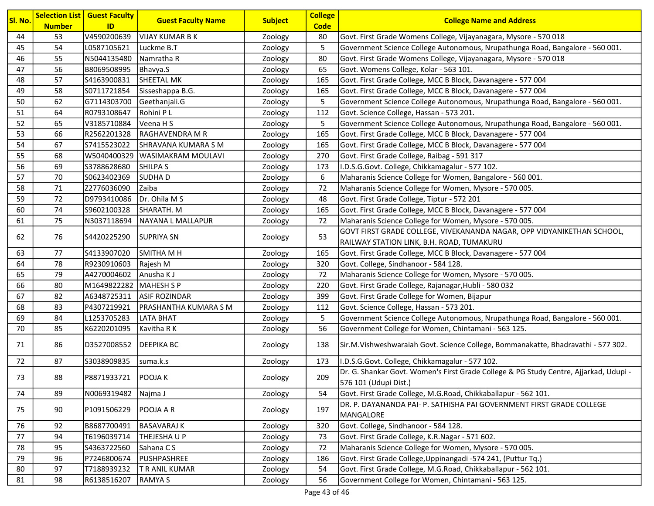| Sl. No. | <b>Number</b> | <b>Selection List   Guest Faculty</b><br>ID | <b>Guest Faculty Name</b>    | <b>Subject</b> | <b>College</b><br><b>Code</b> | <b>College Name and Address</b>                                                                                 |
|---------|---------------|---------------------------------------------|------------------------------|----------------|-------------------------------|-----------------------------------------------------------------------------------------------------------------|
| 44      | 53            | V4590200639                                 | <b>VIJAY KUMAR B K</b>       | Zoology        | 80                            | Govt. First Grade Womens College, Vijayanagara, Mysore - 570 018                                                |
| 45      | 54            | L0587105621                                 | Luckme B.T                   | Zoology        | 5                             | Government Science College Autonomous, Nrupathunga Road, Bangalore - 560 001.                                   |
| 46      | 55            | N5044135480                                 | Namratha R                   | Zoology        | 80                            | Govt. First Grade Womens College, Vijayanagara, Mysore - 570 018                                                |
| 47      | 56            | B8069508995                                 | Bhavya.S                     | Zoology        | 65                            | Govt. Womens College, Kolar - 563 101.                                                                          |
| 48      | 57            | S4163900831                                 | <b>SHEETAL MK</b>            | Zoology        | 165                           | Govt. First Grade College, MCC B Block, Davanagere - 577 004                                                    |
| 49      | 58            | S0711721854                                 | Sisseshappa B.G.             | Zoology        | 165                           | Govt. First Grade College, MCC B Block, Davanagere - 577 004                                                    |
| 50      | 62            | G7114303700                                 | Geethanjali.G                | Zoology        | 5                             | Government Science College Autonomous, Nrupathunga Road, Bangalore - 560 001.                                   |
| 51      | 64            | R0793108647                                 | Rohini P L                   | Zoology        | 112                           | Govt. Science College, Hassan - 573 201.                                                                        |
| 52      | 65            | V3185710884                                 | Veena H S                    | Zoology        | 5                             | Government Science College Autonomous, Nrupathunga Road, Bangalore - 560 001.                                   |
| 53      | 66            | R2562201328                                 | RAGHAVENDRA M R              | Zoology        | 165                           | Govt. First Grade College, MCC B Block, Davanagere - 577 004                                                    |
| 54      | 67            | S7415523022                                 | SHRAVANA KUMARA S M          | Zoology        | 165                           | Govt. First Grade College, MCC B Block, Davanagere - 577 004                                                    |
| 55      | 68            | W5040400329                                 | <b>WASIMAKRAM MOULAVI</b>    | Zoology        | 270                           | Govt. First Grade College, Raibag - 591 317                                                                     |
| 56      | 69            | S3788628680                                 | <b>SHILPA S</b>              | Zoology        | 173                           | I.D.S.G.Govt. College, Chikkamagalur - 577 102.                                                                 |
| 57      | 70            | S0623402369                                 | <b>SUDHAD</b>                | Zoology        | 6                             | Maharanis Science College for Women, Bangalore - 560 001.                                                       |
| 58      | 71            | Z2776036090                                 | Zaiba                        | Zoology        | 72                            | Maharanis Science College for Women, Mysore - 570 005.                                                          |
| 59      | 72            | D9793410086                                 | Dr. Ohila M S                | Zoology        | 48                            | Govt. First Grade College, Tiptur - 572 201                                                                     |
| 60      | 74            | S9602100328                                 | SHARATH. M                   | Zoology        | 165                           | Govt. First Grade College, MCC B Block, Davanagere - 577 004                                                    |
| 61      | 75            | N3037118694                                 | NAYANA L MALLAPUR            | Zoology        | 72                            | Maharanis Science College for Women, Mysore - 570 005.                                                          |
| 62      | 76            | S4420225290                                 | <b>SUPRIYA SN</b>            | Zoology        | 53                            | GOVT FIRST GRADE COLLEGE, VIVEKANANDA NAGAR, OPP VIDYANIKETHAN SCHOOL,                                          |
|         |               |                                             |                              |                |                               | RAILWAY STATION LINK, B.H. ROAD, TUMAKURU                                                                       |
| 63      | 77            | S4133907020                                 | <b>SMITHA M H</b>            | Zoology        | 165                           | Govt. First Grade College, MCC B Block, Davanagere - 577 004                                                    |
| 64      | 78            | R9230910603                                 | Rajesh M                     | Zoology        | 320                           | Govt. College, Sindhanoor - 584 128.                                                                            |
| 65      | 79            | A4270004602                                 | Anusha K J                   | Zoology        | 72                            | Maharanis Science College for Women, Mysore - 570 005.                                                          |
| 66      | 80            | M1649822282  MAHESH S P                     |                              | Zoology        | 220                           | Govt. First Grade College, Rajanagar, Hubli - 580 032                                                           |
| 67      | 82            | A6348725311                                 | <b>ASIF ROZINDAR</b>         | Zoology        | 399                           | Govt. First Grade College for Women, Bijapur                                                                    |
| 68      | 83            | P4307219921                                 | <b>PRASHANTHA KUMARA S M</b> | Zoology        | 112                           | Govt. Science College, Hassan - 573 201.                                                                        |
| 69      | 84            | L1253705283                                 | <b>LATA BHAT</b>             | Zoology        | 5                             | Government Science College Autonomous, Nrupathunga Road, Bangalore - 560 001.                                   |
| 70      | 85            | K6220201095                                 | Kavitha R K                  | Zoology        | 56                            | Government College for Women, Chintamani - 563 125.                                                             |
| 71      | 86            | D3527008552                                 | <b>DEEPIKA BC</b>            | Zoology        | 138                           | Sir.M.Vishweshwaraiah Govt. Science College, Bommanakatte, Bhadravathi - 577 302.                               |
| 72      | 87            | S3038909835                                 | suma.k.s                     | Zoology        | 173                           | I.D.S.G.Govt. College, Chikkamagalur - 577 102.                                                                 |
| 73      | 88            | P8871933721 POOJA K                         |                              | Zoology        | 209                           | Dr. G. Shankar Govt. Women's First Grade College & PG Study Centre, Ajjarkad, Udupi -<br> 576 101 (Udupi Dist.) |
| 74      | 89            | N0069319482                                 | Najma J                      | Zoology        | 54                            | Govt. First Grade College, M.G.Road, Chikkaballapur - 562 101.                                                  |
| 75      | 90            | P1091506229                                 | POOJA A R                    | Zoology        | 197                           | DR. P. DAYANANDA PAI- P. SATHISHA PAI GOVERNMENT FIRST GRADE COLLEGE<br>MANGALORE                               |
| 76      | 92            | B8687700491                                 | <b>BASAVARAJ K</b>           | Zoology        | 320                           | Govt. College, Sindhanoor - 584 128.                                                                            |
| 77      | 94            | T6196039714                                 | THEJESHAUP                   | Zoology        | 73                            | Govt. First Grade College, K.R.Nagar - 571 602.                                                                 |
| 78      | 95            | S4363722560                                 | Sahana C S                   | Zoology        | 72                            | Maharanis Science College for Women, Mysore - 570 005.                                                          |
| 79      | 96            | P7246800674                                 | PUSHPASHREE                  | Zoology        | 186                           | Govt. First Grade College, Uppinangadi -574 241, (Puttur Tq.)                                                   |
| 80      | 97            | T7188939232                                 | T R ANIL KUMAR               | Zoology        | 54                            | Govt. First Grade College, M.G.Road, Chikkaballapur - 562 101.                                                  |
| 81      | 98            | R6138516207                                 | <b>RAMYAS</b>                | Zoology        | 56                            | Government College for Women, Chintamani - 563 125.                                                             |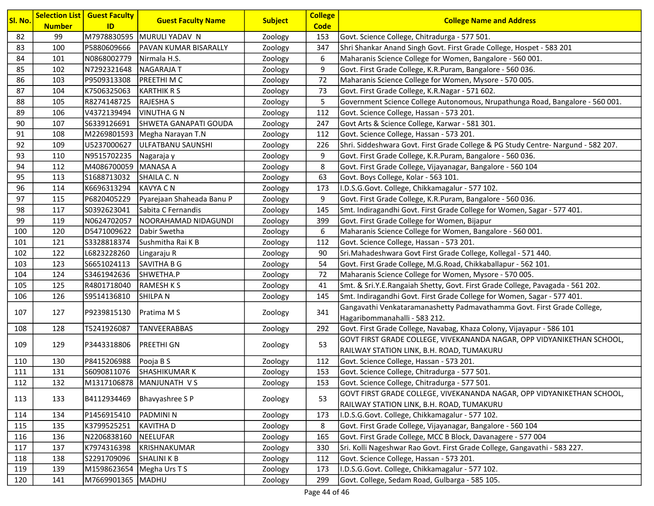| Sl. No. | <b>Number</b> | <b>Selection List   Guest Faculty</b><br>ID | <b>Guest Faculty Name</b>       | <b>Subject</b> | <b>College</b><br><b>Code</b> | <b>College Name and Address</b>                                                  |
|---------|---------------|---------------------------------------------|---------------------------------|----------------|-------------------------------|----------------------------------------------------------------------------------|
| 82      | 99            |                                             | M7978830595 MURULI YADAV N      | Zoology        | 153                           | Govt. Science College, Chitradurga - 577 501.                                    |
| 83      | 100           | P5880609666                                 | <b>PAVAN KUMAR BISARALLY</b>    | Zoology        | 347                           | Shri Shankar Anand Singh Govt. First Grade College, Hospet - 583 201             |
| 84      | 101           | N0868002779                                 | Nirmala H.S.                    | Zoology        | 6                             | Maharanis Science College for Women, Bangalore - 560 001.                        |
| 85      | 102           | N7292321648                                 | <b>NAGARAJAT</b>                | Zoology        | 9                             | Govt. First Grade College, K.R.Puram, Bangalore - 560 036.                       |
| 86      | 103           | P9509313308                                 | <b>PREETHI M C</b>              | Zoology        | 72                            | Maharanis Science College for Women, Mysore - 570 005.                           |
| 87      | 104           | K7506325063                                 | <b>KARTHIK R S</b>              | Zoology        | 73                            | Govt. First Grade College, K.R.Nagar - 571 602.                                  |
| 88      | 105           | R8274148725                                 | <b>RAJESHA S</b>                | Zoology        | 5                             | Government Science College Autonomous, Nrupathunga Road, Bangalore - 560 001.    |
| 89      | 106           | V4372139494                                 | VINUTHA G N                     | Zoology        | 112                           | Govt. Science College, Hassan - 573 201.                                         |
| 90      | 107           | S6339126691                                 | SHWETA GANAPATI GOUDA           | Zoology        | 247                           | Govt Arts & Science College, Karwar - 581 301.                                   |
| 91      | 108           |                                             | M2269801593   Megha Narayan T.N | Zoology        | 112                           | Govt. Science College, Hassan - 573 201.                                         |
| 92      | 109           | U5237000627                                 | ULFATBANU SAUNSHI               | Zoology        | 226                           | Shri. Siddeshwara Govt. First Grade College & PG Study Centre-Nargund - 582 207. |
| 93      | 110           | N9515702235                                 | Nagaraja y                      | Zoology        | 9                             | Govt. First Grade College, K.R.Puram, Bangalore - 560 036.                       |
| 94      | 112           | M4086700059   MANASA A                      |                                 | Zoology        | 8                             | Govt. First Grade College, Vijayanagar, Bangalore - 560 104                      |
| 95      | 113           | S1688713032                                 | SHAILA C. N                     | Zoology        | 63                            | Govt. Boys College, Kolar - 563 101.                                             |
| 96      | 114           | K6696313294                                 | <b>KAVYA CN</b>                 | Zoology        | 173                           | I.D.S.G.Govt. College, Chikkamagalur - 577 102.                                  |
| 97      | 115           | P6820405229                                 | Pyarejaan Shaheada Banu P       | Zoology        | 9                             | Govt. First Grade College, K.R.Puram, Bangalore - 560 036.                       |
| 98      | 117           | S0392623041                                 | Sabita C Fernandis              | Zoology        | 145                           | Smt. Indiragandhi Govt. First Grade College for Women, Sagar - 577 401.          |
| 99      | 119           | N0624702057                                 | NOORAHAMAD NIDAGUNDI            | Zoology        | 399                           | Govt. First Grade College for Women, Bijapur                                     |
| 100     | 120           | D5471009622                                 | Dabir Swetha                    | Zoology        | 6                             | Maharanis Science College for Women, Bangalore - 560 001.                        |
| 101     | 121           | S3328818374                                 | Sushmitha Rai K B               | Zoology        | 112                           | Govt. Science College, Hassan - 573 201.                                         |
| 102     | 122           | L6823228260                                 | Lingaraju R                     | Zoology        | 90                            | Sri.Mahadeshwara Govt First Grade College, Kollegal - 571 440.                   |
| 103     | 123           | S6651024113                                 | SAVITHA B G                     | Zoology        | 54                            | Govt. First Grade College, M.G.Road, Chikkaballapur - 562 101.                   |
| 104     | 124           | S3461942636                                 | SHWETHA.P                       | Zoology        | 72                            | Maharanis Science College for Women, Mysore - 570 005.                           |
| 105     | 125           | R4801718040                                 | <b>RAMESH K S</b>               | Zoology        | 41                            | Smt. & Sri.Y.E.Rangaiah Shetty, Govt. First Grade College, Pavagada - 561 202.   |
| 106     | 126           | S9514136810                                 | <b>SHILPAN</b>                  | Zoology        | 145                           | Smt. Indiragandhi Govt. First Grade College for Women, Sagar - 577 401.          |
| 107     | 127           | P9239815130                                 | Pratima M S                     | Zoology        | 341                           | Gangavathi Venkataramanashetty Padmavathamma Govt. First Grade College,          |
|         |               |                                             |                                 |                |                               | Hagaribommanahalli - 583 212.                                                    |
| 108     | 128           | T5241926087                                 | <b>TANVEERABBAS</b>             | Zoology        | 292                           | Govt. First Grade College, Navabag, Khaza Colony, Vijayapur - 586 101            |
| 109     | 129           | P3443318806                                 | <b>PREETHI GN</b>               |                | 53                            | GOVT FIRST GRADE COLLEGE, VIVEKANANDA NAGAR, OPP VIDYANIKETHAN SCHOOL,           |
|         |               |                                             |                                 | Zoology        |                               | RAILWAY STATION LINK, B.H. ROAD, TUMAKURU                                        |
| 110     | 130           | P8415206988                                 | Pooja B S                       | Zoology        | 112                           | Govt. Science College, Hassan - 573 201.                                         |
| 111     | 131           | S6090811076                                 | <b>SHASHIKUMAR K</b>            | Zoology        | 153                           | Govt. Science College, Chitradurga - 577 501.                                    |
| 112     | 132           |                                             | M1317106878   MANJUNATH VS      | Zoology        | 153                           | Govt. Science College, Chitradurga - 577 501.                                    |
| 113     | 133           | B4112934469                                 | Bhavyashree SP                  | Zoology        | 53                            | GOVT FIRST GRADE COLLEGE, VIVEKANANDA NAGAR, OPP VIDYANIKETHAN SCHOOL,           |
|         |               |                                             |                                 |                |                               | RAILWAY STATION LINK, B.H. ROAD, TUMAKURU                                        |
| 114     | 134           | P1456915410                                 | PADMINI <sub>N</sub>            | Zoology        | 173                           | I.D.S.G.Govt. College, Chikkamagalur - 577 102.                                  |
| 115     | 135           | K3799525251                                 | <b>KAVITHAD</b>                 | Zoology        | 8                             | Govt. First Grade College, Vijayanagar, Bangalore - 560 104                      |
| 116     | 136           | N2206838160                                 | <b>NEELUFAR</b>                 | Zoology        | 165                           | Govt. First Grade College, MCC B Block, Davanagere - 577 004                     |
| 117     | 137           | K7974316398                                 | KRISHNAKUMAR                    | Zoology        | 330                           | Sri. Kolli Nageshwar Rao Govt. First Grade College, Gangavathi - 583 227.        |
| 118     | 138           | S2291709096                                 | SHALINI K B                     | Zoology        | 112                           | Govt. Science College, Hassan - 573 201.                                         |
| 119     | 139           | M1598623654   Megha Urs T S                 |                                 | Zoology        | 173                           | I.D.S.G.Govt. College, Chikkamagalur - 577 102.                                  |
| 120     | 141           | M7669901365   MADHU                         |                                 | Zoology        | 299                           | Govt. College, Sedam Road, Gulbarga - 585 105.                                   |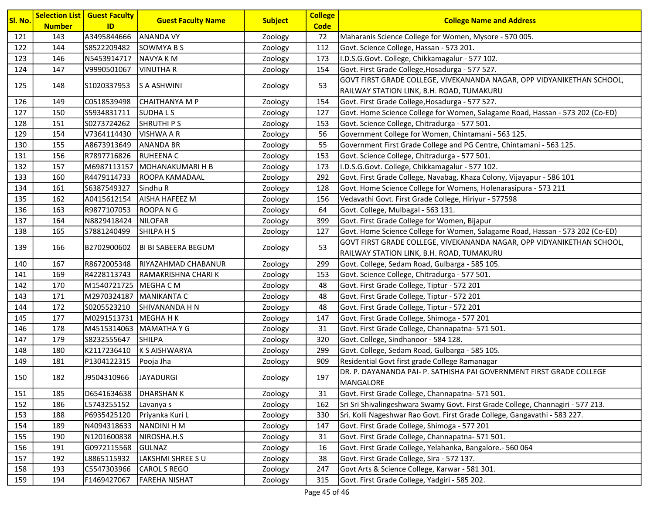| Sl. No. | <b>Number</b> | <b>Selection List   Guest Faculty</b><br>ID | <b>Guest Faculty Name</b>    | <b>Subject</b> | <b>College</b><br><b>Code</b> | <b>College Name and Address</b>                                                 |
|---------|---------------|---------------------------------------------|------------------------------|----------------|-------------------------------|---------------------------------------------------------------------------------|
| 121     | 143           | A3495844666                                 | <b>ANANDA VY</b>             | Zoology        | 72                            | Maharanis Science College for Women, Mysore - 570 005.                          |
| 122     | 144           | S8522209482                                 | <b>SOWMYA B S</b>            | Zoology        | 112                           | Govt. Science College, Hassan - 573 201.                                        |
| 123     | 146           | N5453914717                                 | NAVYA K M                    | Zoology        | 173                           | I.D.S.G.Govt. College, Chikkamagalur - 577 102.                                 |
| 124     | 147           | V9990501067                                 | <b>VINUTHA R</b>             | Zoology        | 154                           | Govt. First Grade College, Hosadurga - 577 527.                                 |
|         |               |                                             |                              |                |                               | GOVT FIRST GRADE COLLEGE, VIVEKANANDA NAGAR, OPP VIDYANIKETHAN SCHOOL,          |
| 125     | 148           | S1020337953                                 | S A ASHWINI                  | Zoology        | 53                            | RAILWAY STATION LINK, B.H. ROAD, TUMAKURU                                       |
| 126     | 149           | C0518539498                                 | CHAITHANYA M P               | Zoology        | 154                           | Govt. First Grade College, Hosadurga - 577 527.                                 |
| 127     | 150           | S5934831711                                 | <b>SUDHALS</b>               | Zoology        | 127                           | Govt. Home Science College for Women, Salagame Road, Hassan - 573 202 (Co-ED)   |
| 128     | 151           | S0273724262                                 | <b>SHRUTHIPS</b>             | Zoology        | 153                           | Govt. Science College, Chitradurga - 577 501.                                   |
| 129     | 154           | V7364114430                                 | <b>VISHWA A R</b>            | Zoology        | 56                            | Government College for Women, Chintamani - 563 125.                             |
| 130     | 155           | A8673913649                                 | <b>ANANDA BR</b>             | Zoology        | 55                            | Government First Grade College and PG Centre, Chintamani - 563 125.             |
| 131     | 156           | R7897716826                                 | <b>RUHEENA C</b>             | Zoology        | 153                           | Govt. Science College, Chitradurga - 577 501.                                   |
| 132     | 157           |                                             | M6987113157 MOHANAKUMARI H B | Zoology        | 173                           | I.D.S.G.Govt. College, Chikkamagalur - 577 102.                                 |
| 133     | 160           | R4479114733                                 | <b>ROOPA KAMADAAL</b>        | Zoology        | 292                           | Govt. First Grade College, Navabag, Khaza Colony, Vijayapur - 586 101           |
| 134     | 161           | S6387549327                                 | Sindhu R                     | Zoology        | 128                           | Govt. Home Science College for Womens, Holenarasipura - 573 211                 |
| 135     | 162           | A0415612154                                 | <b>AISHA HAFEEZ M</b>        | Zoology        | 156                           | Vedavathi Govt. First Grade College, Hiriyur - 577598                           |
| 136     | 163           | R9877107053                                 | <b>ROOPANG</b>               | Zoology        | 64                            | Govt. College, Mulbagal - 563 131.                                              |
| 137     | 164           | N8829418424                                 | NILOFAR                      | Zoology        | 399                           | Govt. First Grade College for Women, Bijapur                                    |
| 138     | 165           | S7881240499                                 | SHILPA H S                   | Zoology        | 127                           | Govt. Home Science College for Women, Salagame Road, Hassan - 573 202 (Co-ED)   |
| 139     | 166           | B2702900602                                 |                              | Zoology        | 53                            | GOVT FIRST GRADE COLLEGE, VIVEKANANDA NAGAR, OPP VIDYANIKETHAN SCHOOL,          |
|         |               |                                             | BI BI SABEERA BEGUM          |                |                               | RAILWAY STATION LINK, B.H. ROAD, TUMAKURU                                       |
| 140     | 167           | R8672005348                                 | RIYAZAHMAD CHABANUR          | Zoology        | 299                           | Govt. College, Sedam Road, Gulbarga - 585 105.                                  |
| 141     | 169           | R4228113743                                 | RAMAKRISHNA CHARI K          | Zoology        | 153                           | Govt. Science College, Chitradurga - 577 501.                                   |
| 142     | 170           | M1540721725   MEGHA C M                     |                              | Zoology        | 48                            | Govt. First Grade College, Tiptur - 572 201                                     |
| 143     | 171           | M2970324187   MANIKANTA C                   |                              | Zoology        | 48                            | Govt. First Grade College, Tiptur - 572 201                                     |
| 144     | 172           | S0205523210                                 | SHIVANANDA H N               | Zoology        | 48                            | Govt. First Grade College, Tiptur - 572 201                                     |
| 145     | 177           | M0291513731   MEGHA H K                     |                              | Zoology        | 147                           | Govt. First Grade College, Shimoga - 577 201                                    |
| 146     | 178           |                                             | M4515314063   MAMATHA Y G    | Zoology        | 31                            | Govt. First Grade College, Channapatna- 571 501.                                |
| 147     | 179           | S8232555647                                 | <b>SHILPA</b>                | Zoology        | 320                           | Govt. College, Sindhanoor - 584 128.                                            |
| 148     | 180           | K2117236410                                 | K S AISHWARYA                | Zoology        | 299                           | Govt. College, Sedam Road, Gulbarga - 585 105.                                  |
| 149     | 181           | P1304122315                                 | Pooja Jha                    | Zoology        | 909                           | Residential Govt first grade College Ramanagar                                  |
| 150     | 182           | J9504310966                                 | JAYADURGI                    | Zoology        | 197                           | DR. P. DAYANANDA PAI- P. SATHISHA PAI GOVERNMENT FIRST GRADE COLLEGE            |
| 151     | 185           | D6541634638                                 | <b>DHARSHANK</b>             |                | 31                            | MANGALORE<br>Govt. First Grade College, Channapatna- 571 501.                   |
|         |               |                                             |                              | Zoology        |                               | Sri Sri Shivalingeshwara Swamy Govt. First Grade College, Channagiri - 577 213. |
| 152     | 186           | L5743255152                                 | Lavanya s                    | Zoology        | 162                           |                                                                                 |
| 153     | 188           | P6935425120                                 | Priyanka Kuri L              | Zoology        | 330                           | Sri. Kolli Nageshwar Rao Govt. First Grade College, Gangavathi - 583 227.       |
| 154     | 189           | N4094318633                                 | <b>NANDINI H M</b>           | Zoology        | 147                           | Govt. First Grade College, Shimoga - 577 201                                    |
| 155     | 190           | N1201600838                                 | NIROSHA.H.S                  | Zoology        | 31                            | Govt. First Grade College, Channapatna- 571 501.                                |
| 156     | 191           | G0972115568                                 | <b>GULNAZ</b>                | Zoology        | 16                            | Govt. First Grade College, Yelahanka, Bangalore.- 560 064                       |
| 157     | 192           | L8865115932                                 | LAKSHMI SHREE S U            | Zoology        | 38                            | Govt. First Grade College, Sira - 572 137.                                      |
| 158     | 193           | C5547303966                                 | <b>CAROL S REGO</b>          | Zoology        | 247                           | Govt Arts & Science College, Karwar - 581 301.                                  |
| 159     | 194           | F1469427067                                 | <b>FAREHA NISHAT</b>         | Zoology        | 315                           | Govt. First Grade College, Yadgiri - 585 202.                                   |